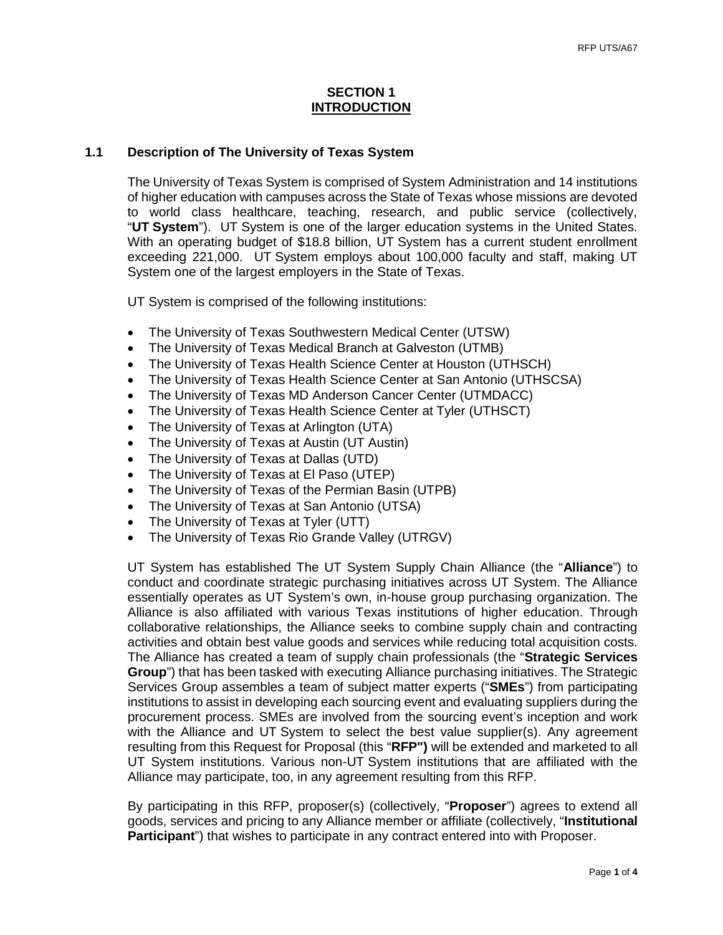## **SECTION 1 INTRODUCTION**

## **1.1 Description of The University of Texas System**

The University of Texas System is comprised of System Administration and 14 institutions of higher education with campuses across the State of Texas whose missions are devoted to world class healthcare, teaching, research, and public service (collectively, "**UT System**"). UT System is one of the larger education systems in the United States. With an operating budget of \$18.8 billion, UT System has a current student enrollment exceeding 221,000. UT System employs about 100,000 faculty and staff, making UT System one of the largest employers in the State of Texas.

UT System is comprised of the following institutions:

- The University of Texas Southwestern Medical Center (UTSW)
- The University of Texas Medical Branch at Galveston (UTMB)
- The University of Texas Health Science Center at Houston (UTHSCH)
- The University of Texas Health Science Center at San Antonio (UTHSCSA)
- The University of Texas MD Anderson Cancer Center (UTMDACC)
- The University of Texas Health Science Center at Tyler (UTHSCT)
- The University of Texas at Arlington (UTA)
- The University of Texas at Austin (UT Austin)
- The University of Texas at Dallas (UTD)
- The University of Texas at El Paso (UTEP)
- The University of Texas of the Permian Basin (UTPB)
- The University of Texas at San Antonio (UTSA)
- The University of Texas at Tyler (UTT)
- The University of Texas Rio Grande Valley (UTRGV)

UT System has established The UT System Supply Chain Alliance (the "**Alliance**") to conduct and coordinate strategic purchasing initiatives across UT System. The Alliance essentially operates as UT System's own, in-house group purchasing organization. The Alliance is also affiliated with various Texas institutions of higher education. Through collaborative relationships, the Alliance seeks to combine supply chain and contracting activities and obtain best value goods and services while reducing total acquisition costs. The Alliance has created a team of supply chain professionals (the "**Strategic Services Group**") that has been tasked with executing Alliance purchasing initiatives. The Strategic Services Group assembles a team of subject matter experts ("**SMEs**") from participating institutions to assist in developing each sourcing event and evaluating suppliers during the procurement process. SMEs are involved from the sourcing event's inception and work with the Alliance and UT System to select the best value supplier(s). Any agreement resulting from this Request for Proposal (this "**RFP")** will be extended and marketed to all UT System institutions. Various non-UT System institutions that are affiliated with the Alliance may participate, too, in any agreement resulting from this RFP.

By participating in this RFP, proposer(s) (collectively, "**Proposer**") agrees to extend all goods, services and pricing to any Alliance member or affiliate (collectively, "**Institutional Participant**") that wishes to participate in any contract entered into with Proposer.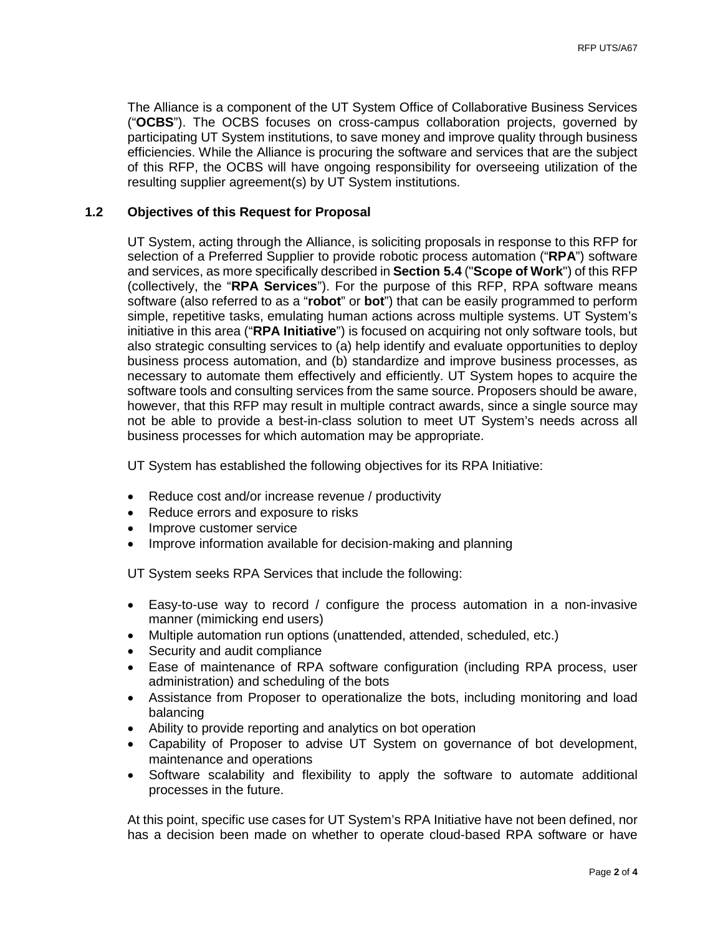The Alliance is a component of the UT System Office of Collaborative Business Services ("**OCBS**"). The OCBS focuses on cross-campus collaboration projects, governed by participating UT System institutions, to save money and improve quality through business efficiencies. While the Alliance is procuring the software and services that are the subject of this RFP, the OCBS will have ongoing responsibility for overseeing utilization of the resulting supplier agreement(s) by UT System institutions.

# **1.2 Objectives of this Request for Proposal**

UT System, acting through the Alliance, is soliciting proposals in response to this RFP for selection of a Preferred Supplier to provide robotic process automation ("**RPA**") software and services, as more specifically described in **Section 5.4** ("**Scope of Work**") of this RFP (collectively, the "**RPA Services**"). For the purpose of this RFP, RPA software means software (also referred to as a "**robot**" or **bot**") that can be easily programmed to perform simple, repetitive tasks, emulating human actions across multiple systems. UT System's initiative in this area ("**RPA Initiative**") is focused on acquiring not only software tools, but also strategic consulting services to (a) help identify and evaluate opportunities to deploy business process automation, and (b) standardize and improve business processes, as necessary to automate them effectively and efficiently. UT System hopes to acquire the software tools and consulting services from the same source. Proposers should be aware, however, that this RFP may result in multiple contract awards, since a single source may not be able to provide a best-in-class solution to meet UT System's needs across all business processes for which automation may be appropriate.

UT System has established the following objectives for its RPA Initiative:

- Reduce cost and/or increase revenue / productivity
- Reduce errors and exposure to risks
- Improve customer service
- Improve information available for decision-making and planning

UT System seeks RPA Services that include the following:

- Easy-to-use way to record / configure the process automation in a non-invasive manner (mimicking end users)
- Multiple automation run options (unattended, attended, scheduled, etc.)
- Security and audit compliance
- Ease of maintenance of RPA software configuration (including RPA process, user administration) and scheduling of the bots
- Assistance from Proposer to operationalize the bots, including monitoring and load balancing
- Ability to provide reporting and analytics on bot operation
- Capability of Proposer to advise UT System on governance of bot development, maintenance and operations
- Software scalability and flexibility to apply the software to automate additional processes in the future.

At this point, specific use cases for UT System's RPA Initiative have not been defined, nor has a decision been made on whether to operate cloud-based RPA software or have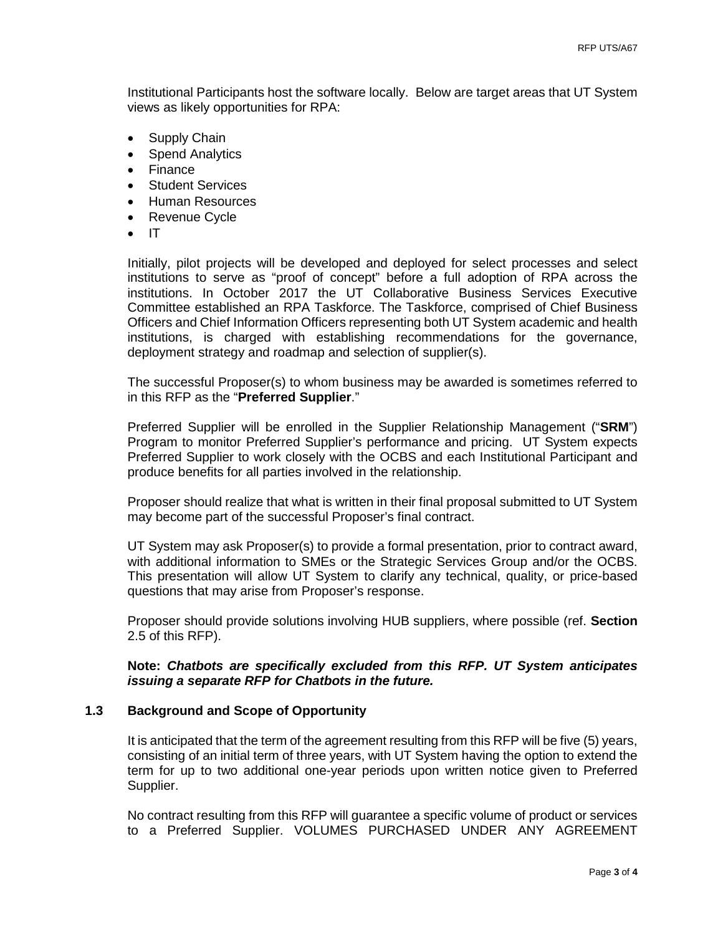Institutional Participants host the software locally. Below are target areas that UT System views as likely opportunities for RPA:

- Supply Chain
- Spend Analytics
- Finance
- Student Services
- Human Resources
- Revenue Cycle
- IT

Initially, pilot projects will be developed and deployed for select processes and select institutions to serve as "proof of concept" before a full adoption of RPA across the institutions. In October 2017 the UT Collaborative Business Services Executive Committee established an RPA Taskforce. The Taskforce, comprised of Chief Business Officers and Chief Information Officers representing both UT System academic and health institutions, is charged with establishing recommendations for the governance, deployment strategy and roadmap and selection of supplier(s).

The successful Proposer(s) to whom business may be awarded is sometimes referred to in this RFP as the "**Preferred Supplier**."

Preferred Supplier will be enrolled in the Supplier Relationship Management ("**SRM**") Program to monitor Preferred Supplier's performance and pricing. UT System expects Preferred Supplier to work closely with the OCBS and each Institutional Participant and produce benefits for all parties involved in the relationship.

Proposer should realize that what is written in their final proposal submitted to UT System may become part of the successful Proposer's final contract.

UT System may ask Proposer(s) to provide a formal presentation, prior to contract award, with additional information to SMEs or the Strategic Services Group and/or the OCBS. This presentation will allow UT System to clarify any technical, quality, or price-based questions that may arise from Proposer's response.

Proposer should provide solutions involving HUB suppliers, where possible (ref. **Section**  2.5 of this RFP).

# **Note:** *Chatbots are specifically excluded from this RFP. UT System anticipates issuing a separate RFP for Chatbots in the future.*

# **1.3 Background and Scope of Opportunity**

It is anticipated that the term of the agreement resulting from this RFP will be five (5) years, consisting of an initial term of three years, with UT System having the option to extend the term for up to two additional one-year periods upon written notice given to Preferred Supplier.

No contract resulting from this RFP will guarantee a specific volume of product or services to a Preferred Supplier. VOLUMES PURCHASED UNDER ANY AGREEMENT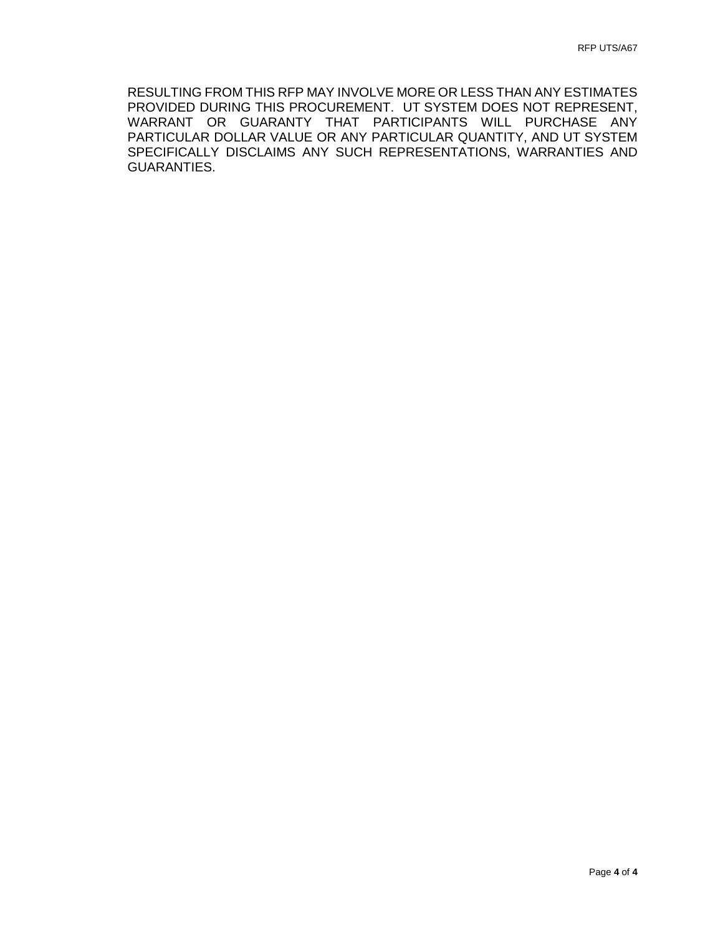RESULTING FROM THIS RFP MAY INVOLVE MORE OR LESS THAN ANY ESTIMATES PROVIDED DURING THIS PROCUREMENT. UT SYSTEM DOES NOT REPRESENT, WARRANT OR GUARANTY THAT PARTICIPANTS WILL PURCHASE ANY PARTICULAR DOLLAR VALUE OR ANY PARTICULAR QUANTITY, AND UT SYSTEM SPECIFICALLY DISCLAIMS ANY SUCH REPRESENTATIONS, WARRANTIES AND GUARANTIES.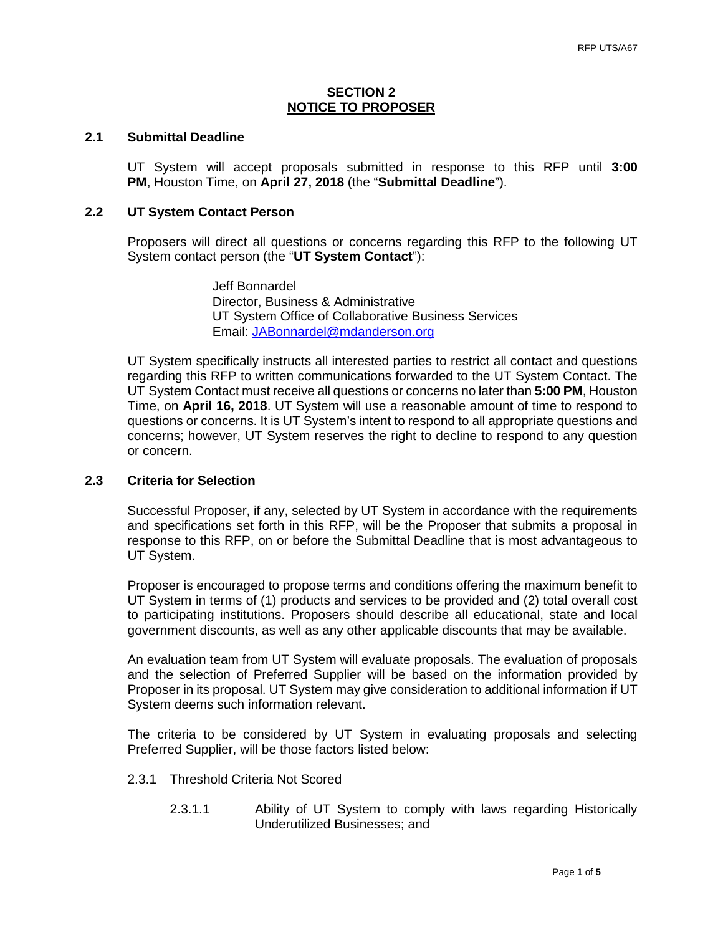## **SECTION 2 NOTICE TO PROPOSER**

# **2.1 Submittal Deadline**

UT System will accept proposals submitted in response to this RFP until **3:00 PM**, Houston Time, on **April 27, 2018** (the "**Submittal Deadline**").

# **2.2 UT System Contact Person**

Proposers will direct all questions or concerns regarding this RFP to the following UT System contact person (the "**UT System Contact**"):

> Jeff Bonnardel Director, Business & Administrative UT System Office of Collaborative Business Services Email: [JABonnardel@mdanderson.org](mailto:JABonnardel@mdanderson.org)

UT System specifically instructs all interested parties to restrict all contact and questions regarding this RFP to written communications forwarded to the UT System Contact. The UT System Contact must receive all questions or concerns no later than **5:00 PM**, Houston Time, on **April 16, 2018**. UT System will use a reasonable amount of time to respond to questions or concerns. It is UT System's intent to respond to all appropriate questions and concerns; however, UT System reserves the right to decline to respond to any question or concern.

# **2.3 Criteria for Selection**

Successful Proposer, if any, selected by UT System in accordance with the requirements and specifications set forth in this RFP, will be the Proposer that submits a proposal in response to this RFP, on or before the Submittal Deadline that is most advantageous to UT System.

Proposer is encouraged to propose terms and conditions offering the maximum benefit to UT System in terms of (1) products and services to be provided and (2) total overall cost to participating institutions. Proposers should describe all educational, state and local government discounts, as well as any other applicable discounts that may be available.

An evaluation team from UT System will evaluate proposals. The evaluation of proposals and the selection of Preferred Supplier will be based on the information provided by Proposer in its proposal. UT System may give consideration to additional information if UT System deems such information relevant.

The criteria to be considered by UT System in evaluating proposals and selecting Preferred Supplier, will be those factors listed below:

- 2.3.1 Threshold Criteria Not Scored
	- 2.3.1.1 Ability of UT System to comply with laws regarding Historically Underutilized Businesses; and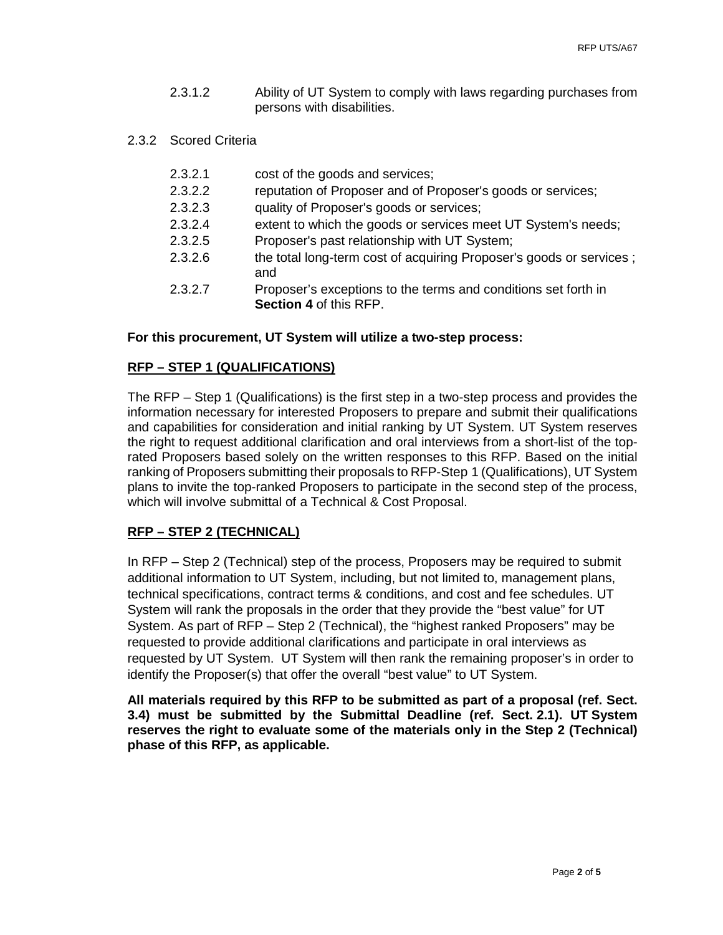- 2.3.1.2 Ability of UT System to comply with laws regarding purchases from persons with disabilities.
- 2.3.2 Scored Criteria
	- 2.3.2.1 cost of the goods and services;
	- 2.3.2.2 reputation of Proposer and of Proposer's goods or services;
	- 2.3.2.3 quality of Proposer's goods or services;
	- 2.3.2.4 extent to which the goods or services meet UT System's needs;
	- 2.3.2.5 Proposer's past relationship with UT System;
	- 2.3.2.6 the total long-term cost of acquiring Proposer's goods or services ; and
	- 2.3.2.7 Proposer's exceptions to the terms and conditions set forth in **Section 4** of this RFP.

### **For this procurement, UT System will utilize a two-step process:**

## **RFP – STEP 1 (QUALIFICATIONS)**

The RFP – Step 1 (Qualifications) is the first step in a two-step process and provides the information necessary for interested Proposers to prepare and submit their qualifications and capabilities for consideration and initial ranking by UT System. UT System reserves the right to request additional clarification and oral interviews from a short-list of the toprated Proposers based solely on the written responses to this RFP. Based on the initial ranking of Proposers submitting their proposals to RFP-Step 1 (Qualifications), UT System plans to invite the top-ranked Proposers to participate in the second step of the process, which will involve submittal of a Technical & Cost Proposal.

## **RFP – STEP 2 (TECHNICAL)**

In RFP – Step 2 (Technical) step of the process, Proposers may be required to submit additional information to UT System, including, but not limited to, management plans, technical specifications, contract terms & conditions, and cost and fee schedules. UT System will rank the proposals in the order that they provide the "best value" for UT System. As part of RFP – Step 2 (Technical), the "highest ranked Proposers" may be requested to provide additional clarifications and participate in oral interviews as requested by UT System. UT System will then rank the remaining proposer's in order to identify the Proposer(s) that offer the overall "best value" to UT System.

**All materials required by this RFP to be submitted as part of a proposal (ref. Sect. 3.4) must be submitted by the Submittal Deadline (ref. Sect. 2.1). UT System reserves the right to evaluate some of the materials only in the Step 2 (Technical) phase of this RFP, as applicable.**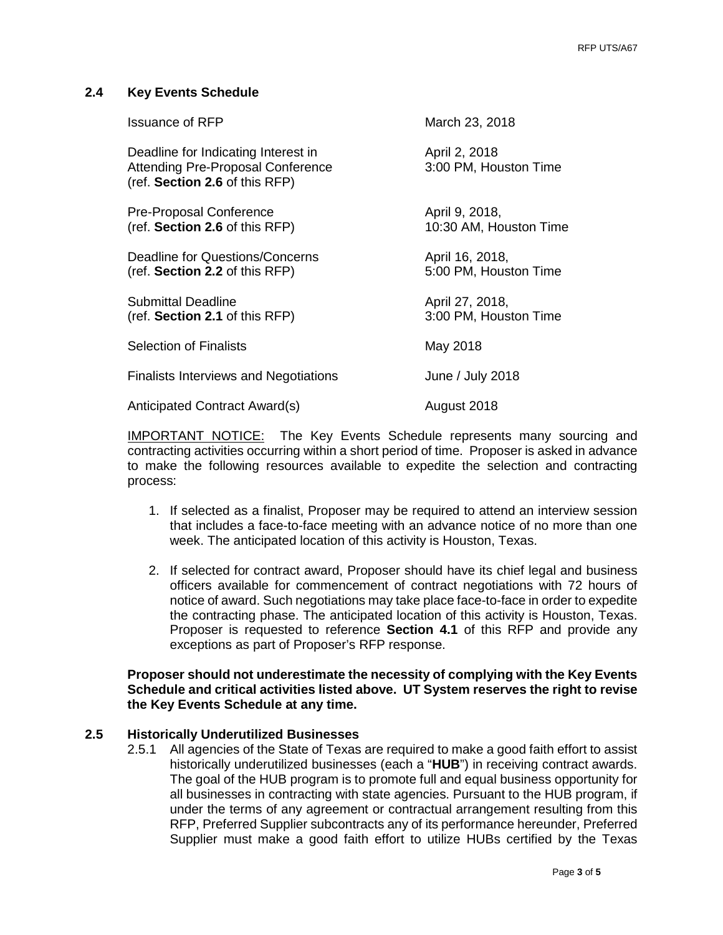# **2.4 Key Events Schedule**

| <b>Issuance of RFP</b>                                                                                            | March 23, 2018                           |
|-------------------------------------------------------------------------------------------------------------------|------------------------------------------|
| Deadline for Indicating Interest in<br><b>Attending Pre-Proposal Conference</b><br>(ref. Section 2.6 of this RFP) | April 2, 2018<br>3:00 PM, Houston Time   |
| <b>Pre-Proposal Conference</b><br>(ref. Section 2.6 of this RFP)                                                  | April 9, 2018,<br>10:30 AM, Houston Time |
| Deadline for Questions/Concerns<br>(ref. Section 2.2 of this RFP)                                                 | April 16, 2018,<br>5:00 PM, Houston Time |
| <b>Submittal Deadline</b><br>(ref. Section 2.1 of this RFP)                                                       | April 27, 2018,<br>3:00 PM, Houston Time |
| <b>Selection of Finalists</b>                                                                                     | May 2018                                 |
| <b>Finalists Interviews and Negotiations</b>                                                                      | June / July 2018                         |
| Anticipated Contract Award(s)                                                                                     | August 2018                              |

IMPORTANT NOTICE: The Key Events Schedule represents many sourcing and contracting activities occurring within a short period of time. Proposer is asked in advance to make the following resources available to expedite the selection and contracting process:

- 1. If selected as a finalist, Proposer may be required to attend an interview session that includes a face-to-face meeting with an advance notice of no more than one week. The anticipated location of this activity is Houston, Texas.
- 2. If selected for contract award, Proposer should have its chief legal and business officers available for commencement of contract negotiations with 72 hours of notice of award. Such negotiations may take place face-to-face in order to expedite the contracting phase. The anticipated location of this activity is Houston, Texas. Proposer is requested to reference **Section 4.1** of this RFP and provide any exceptions as part of Proposer's RFP response.

# **Proposer should not underestimate the necessity of complying with the Key Events Schedule and critical activities listed above. UT System reserves the right to revise the Key Events Schedule at any time.**

# **2.5 Historically Underutilized Businesses**

2.5.1 All agencies of the State of Texas are required to make a good faith effort to assist historically underutilized businesses (each a "**HUB**") in receiving contract awards. The goal of the HUB program is to promote full and equal business opportunity for all businesses in contracting with state agencies. Pursuant to the HUB program, if under the terms of any agreement or contractual arrangement resulting from this RFP, Preferred Supplier subcontracts any of its performance hereunder, Preferred Supplier must make a good faith effort to utilize HUBs certified by the Texas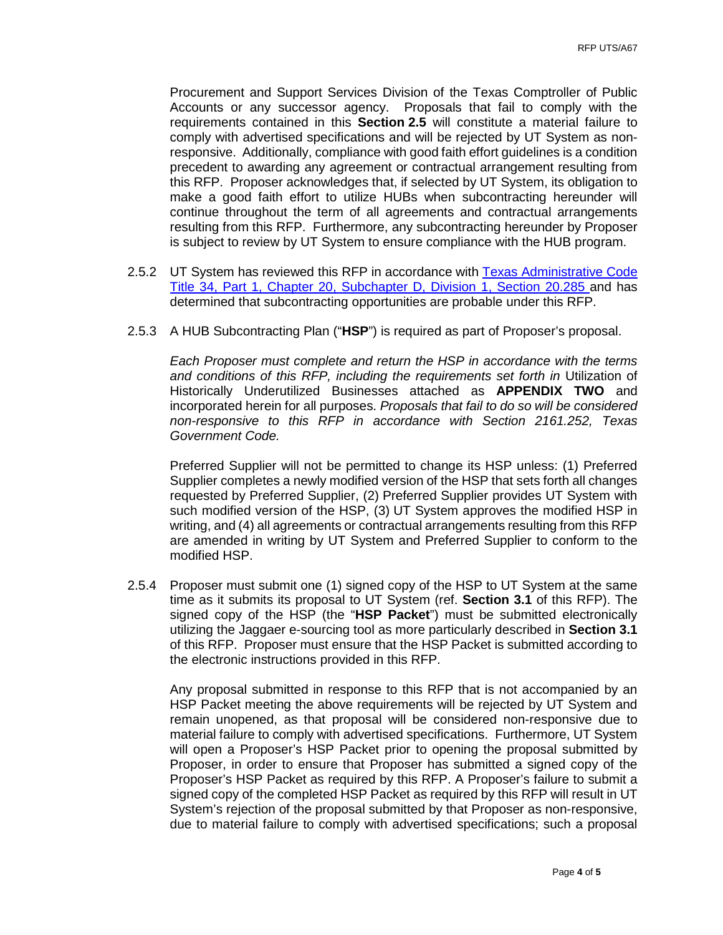Procurement and Support Services Division of the Texas Comptroller of Public Accounts or any successor agency. Proposals that fail to comply with the requirements contained in this **Section 2.5** will constitute a material failure to comply with advertised specifications and will be rejected by UT System as nonresponsive. Additionally, compliance with good faith effort guidelines is a condition precedent to awarding any agreement or contractual arrangement resulting from this RFP. Proposer acknowledges that, if selected by UT System, its obligation to make a good faith effort to utilize HUBs when subcontracting hereunder will continue throughout the term of all agreements and contractual arrangements resulting from this RFP. Furthermore, any subcontracting hereunder by Proposer is subject to review by UT System to ensure compliance with the HUB program.

- 2.5.2 UT System has reviewed this RFP in accordance with Texas Administrative Code [Title 34, Part 1, Chapter 20, Subchapter D, Division 1, Section 20.285 a](http://texreg.sos.state.tx.us/public/readtac$ext.TacPage?sl=R&app=9&p_dir=&p_rloc=&p_tloc=&p_ploc=&pg=1&p_tac=&ti=34&pt=1&ch=20&rl=285)nd has determined that subcontracting opportunities are probable under this RFP.
- 2.5.3 A HUB Subcontracting Plan ("**HSP**") is required as part of Proposer's proposal.

*Each Proposer must complete and return the HSP in accordance with the terms*  and conditions of this RFP, including the requirements set forth in Utilization of Historically Underutilized Businesses attached as **APPENDIX TWO** and incorporated herein for all purposes. *Proposals that fail to do so will be considered non-responsive to this RFP in accordance with Section 2161.252, Texas Government Code.*

Preferred Supplier will not be permitted to change its HSP unless: (1) Preferred Supplier completes a newly modified version of the HSP that sets forth all changes requested by Preferred Supplier, (2) Preferred Supplier provides UT System with such modified version of the HSP, (3) UT System approves the modified HSP in writing, and (4) all agreements or contractual arrangements resulting from this RFP are amended in writing by UT System and Preferred Supplier to conform to the modified HSP.

2.5.4 Proposer must submit one (1) signed copy of the HSP to UT System at the same time as it submits its proposal to UT System (ref. **Section 3.1** of this RFP). The signed copy of the HSP (the "**HSP Packet**") must be submitted electronically utilizing the Jaggaer e-sourcing tool as more particularly described in **Section 3.1** of this RFP. Proposer must ensure that the HSP Packet is submitted according to the electronic instructions provided in this RFP.

Any proposal submitted in response to this RFP that is not accompanied by an HSP Packet meeting the above requirements will be rejected by UT System and remain unopened, as that proposal will be considered non-responsive due to material failure to comply with advertised specifications. Furthermore, UT System will open a Proposer's HSP Packet prior to opening the proposal submitted by Proposer, in order to ensure that Proposer has submitted a signed copy of the Proposer's HSP Packet as required by this RFP. A Proposer's failure to submit a signed copy of the completed HSP Packet as required by this RFP will result in UT System's rejection of the proposal submitted by that Proposer as non-responsive, due to material failure to comply with advertised specifications; such a proposal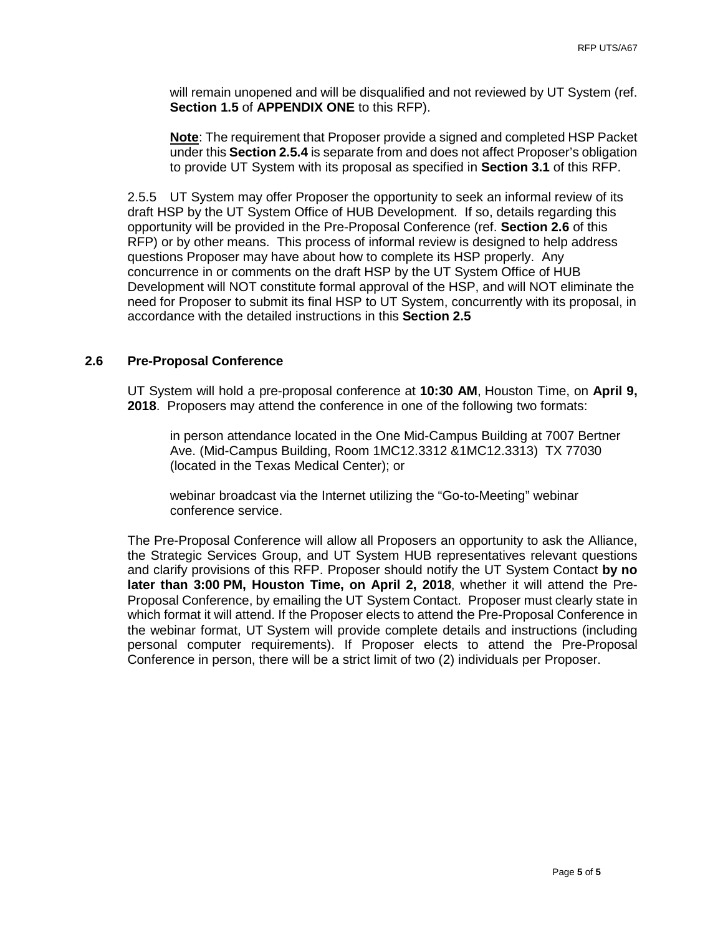will remain unopened and will be disqualified and not reviewed by UT System (ref. **Section 1.5** of **APPENDIX ONE** to this RFP).

**Note**: The requirement that Proposer provide a signed and completed HSP Packet under this **Section 2.5.4** is separate from and does not affect Proposer's obligation to provide UT System with its proposal as specified in **Section 3.1** of this RFP.

2.5.5 UT System may offer Proposer the opportunity to seek an informal review of its draft HSP by the UT System Office of HUB Development. If so, details regarding this opportunity will be provided in the Pre-Proposal Conference (ref. **Section 2.6** of this RFP) or by other means. This process of informal review is designed to help address questions Proposer may have about how to complete its HSP properly. Any concurrence in or comments on the draft HSP by the UT System Office of HUB Development will NOT constitute formal approval of the HSP, and will NOT eliminate the need for Proposer to submit its final HSP to UT System, concurrently with its proposal, in accordance with the detailed instructions in this **Section 2.5**

## **2.6 Pre-Proposal Conference**

UT System will hold a pre-proposal conference at **10:30 AM**, Houston Time, on **April 9, 2018**. Proposers may attend the conference in one of the following two formats:

in person attendance located in the One Mid-Campus Building at 7007 Bertner Ave. (Mid-Campus Building, Room 1MC12.3312 &1MC12.3313) TX 77030 (located in the Texas Medical Center); or

webinar broadcast via the Internet utilizing the "Go-to-Meeting" webinar conference service.

The Pre-Proposal Conference will allow all Proposers an opportunity to ask the Alliance, the Strategic Services Group, and UT System HUB representatives relevant questions and clarify provisions of this RFP. Proposer should notify the UT System Contact **by no later than 3:00 PM, Houston Time, on April 2, 2018**, whether it will attend the Pre-Proposal Conference, by emailing the UT System Contact. Proposer must clearly state in which format it will attend. If the Proposer elects to attend the Pre-Proposal Conference in the webinar format, UT System will provide complete details and instructions (including personal computer requirements). If Proposer elects to attend the Pre-Proposal Conference in person, there will be a strict limit of two (2) individuals per Proposer.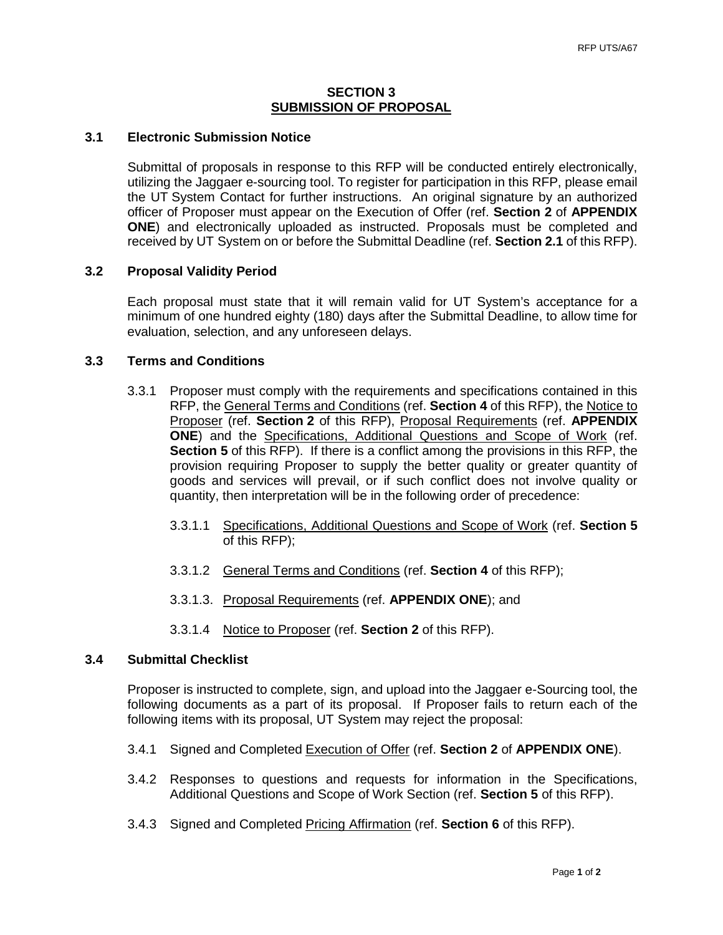## **SECTION 3 SUBMISSION OF PROPOSAL**

# **3.1 Electronic Submission Notice**

Submittal of proposals in response to this RFP will be conducted entirely electronically, utilizing the Jaggaer e-sourcing tool. To register for participation in this RFP, please email the UT System Contact for further instructions. An original signature by an authorized officer of Proposer must appear on the Execution of Offer (ref. **Section 2** of **APPENDIX ONE**) and electronically uploaded as instructed. Proposals must be completed and received by UT System on or before the Submittal Deadline (ref. **Section 2.1** of this RFP).

# **3.2 Proposal Validity Period**

Each proposal must state that it will remain valid for UT System's acceptance for a minimum of one hundred eighty (180) days after the Submittal Deadline, to allow time for evaluation, selection, and any unforeseen delays.

# **3.3 Terms and Conditions**

- 3.3.1 Proposer must comply with the requirements and specifications contained in this RFP, the General Terms and Conditions (ref. **Section 4** of this RFP), the Notice to Proposer (ref. **Section 2** of this RFP), Proposal Requirements (ref. **APPENDIX ONE**) and the Specifications, Additional Questions and Scope of Work (ref. **Section 5** of this RFP). If there is a conflict among the provisions in this RFP, the provision requiring Proposer to supply the better quality or greater quantity of goods and services will prevail, or if such conflict does not involve quality or quantity, then interpretation will be in the following order of precedence:
	- 3.3.1.1 Specifications, Additional Questions and Scope of Work (ref. **Section 5** of this RFP);
	- 3.3.1.2 General Terms and Conditions (ref. **Section 4** of this RFP);
	- 3.3.1.3. Proposal Requirements (ref. **APPENDIX ONE**); and
	- 3.3.1.4 Notice to Proposer (ref. **Section 2** of this RFP).

## **3.4 Submittal Checklist**

Proposer is instructed to complete, sign, and upload into the Jaggaer e-Sourcing tool, the following documents as a part of its proposal. If Proposer fails to return each of the following items with its proposal, UT System may reject the proposal:

- 3.4.1 Signed and Completed Execution of Offer (ref. **Section 2** of **APPENDIX ONE**).
- 3.4.2 Responses to questions and requests for information in the Specifications, Additional Questions and Scope of Work Section (ref. **Section 5** of this RFP).
- 3.4.3 Signed and Completed Pricing Affirmation (ref. **Section 6** of this RFP).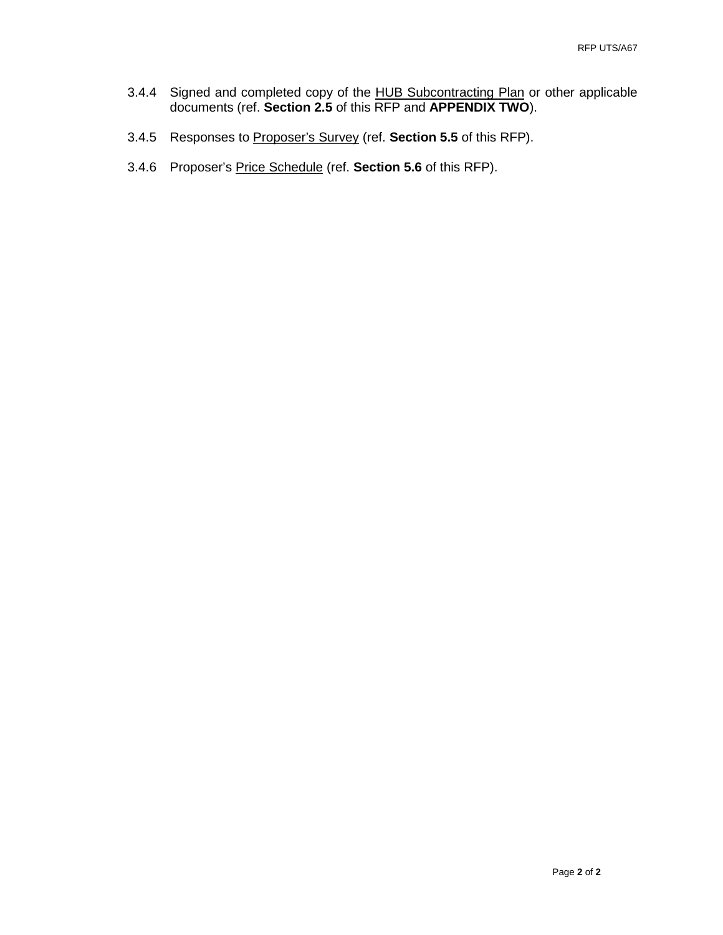- 3.4.4 Signed and completed copy of the HUB Subcontracting Plan or other applicable documents (ref. **Section 2.5** of this RFP and **APPENDIX TWO**).
- 3.4.5 Responses to Proposer's Survey (ref. **Section 5.5** of this RFP).
- 3.4.6 Proposer's Price Schedule (ref. **Section 5.6** of this RFP).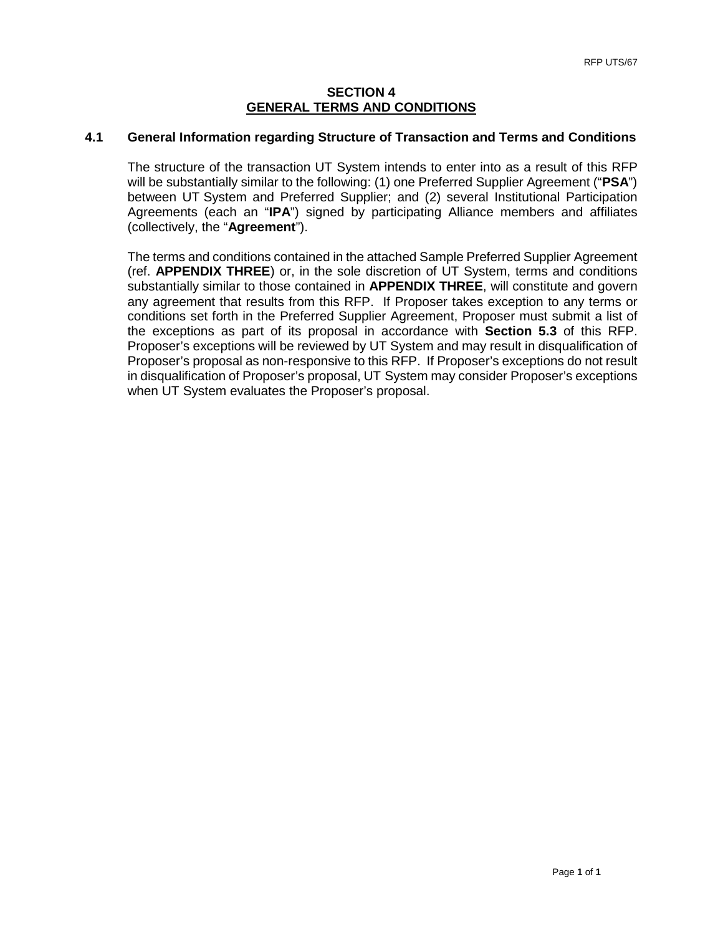## **SECTION 4 GENERAL TERMS AND CONDITIONS**

# **4.1 General Information regarding Structure of Transaction and Terms and Conditions**

The structure of the transaction UT System intends to enter into as a result of this RFP will be substantially similar to the following: (1) one Preferred Supplier Agreement ("**PSA**") between UT System and Preferred Supplier; and (2) several Institutional Participation Agreements (each an "**IPA**") signed by participating Alliance members and affiliates (collectively, the "**Agreement**").

The terms and conditions contained in the attached Sample Preferred Supplier Agreement (ref. **APPENDIX THREE**) or, in the sole discretion of UT System, terms and conditions substantially similar to those contained in **APPENDIX THREE**, will constitute and govern any agreement that results from this RFP. If Proposer takes exception to any terms or conditions set forth in the Preferred Supplier Agreement, Proposer must submit a list of the exceptions as part of its proposal in accordance with **Section 5.3** of this RFP. Proposer's exceptions will be reviewed by UT System and may result in disqualification of Proposer's proposal as non-responsive to this RFP. If Proposer's exceptions do not result in disqualification of Proposer's proposal, UT System may consider Proposer's exceptions when UT System evaluates the Proposer's proposal.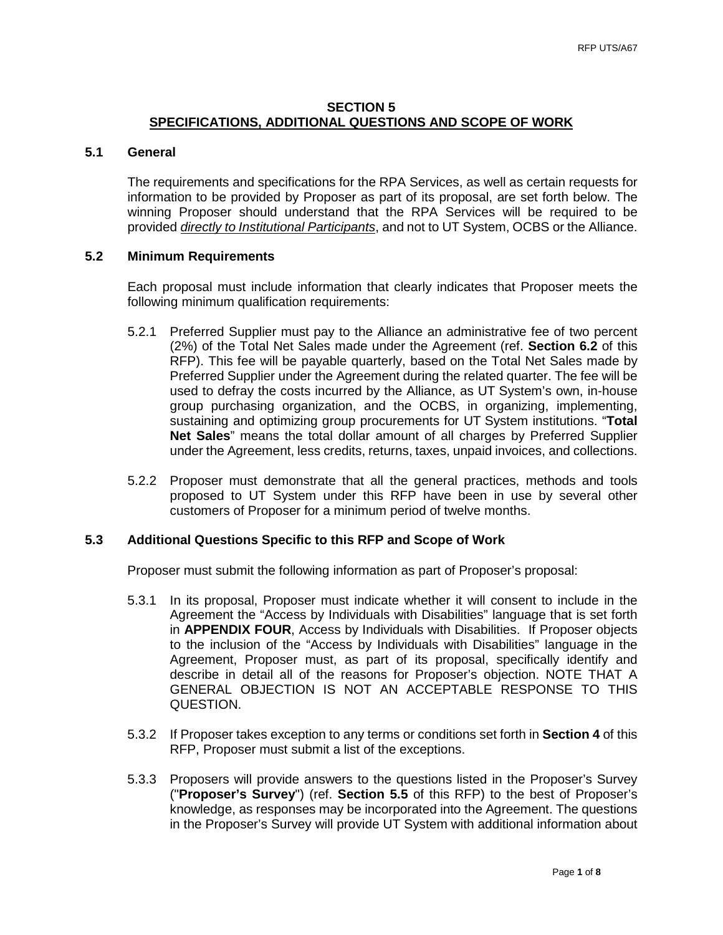# **SECTION 5 SPECIFICATIONS, ADDITIONAL QUESTIONS AND SCOPE OF WORK**

### **5.1 General**

The requirements and specifications for the RPA Services, as well as certain requests for information to be provided by Proposer as part of its proposal, are set forth below. The winning Proposer should understand that the RPA Services will be required to be provided *directly to Institutional Participants*, and not to UT System, OCBS or the Alliance.

### **5.2 Minimum Requirements**

Each proposal must include information that clearly indicates that Proposer meets the following minimum qualification requirements:

- 5.2.1 Preferred Supplier must pay to the Alliance an administrative fee of two percent (2%) of the Total Net Sales made under the Agreement (ref. **Section 6.2** of this RFP). This fee will be payable quarterly, based on the Total Net Sales made by Preferred Supplier under the Agreement during the related quarter. The fee will be used to defray the costs incurred by the Alliance, as UT System's own, in-house group purchasing organization, and the OCBS, in organizing, implementing, sustaining and optimizing group procurements for UT System institutions. "**Total Net Sales**" means the total dollar amount of all charges by Preferred Supplier under the Agreement, less credits, returns, taxes, unpaid invoices, and collections.
- 5.2.2 Proposer must demonstrate that all the general practices, methods and tools proposed to UT System under this RFP have been in use by several other customers of Proposer for a minimum period of twelve months.

## **5.3 Additional Questions Specific to this RFP and Scope of Work**

Proposer must submit the following information as part of Proposer's proposal:

- 5.3.1 In its proposal, Proposer must indicate whether it will consent to include in the Agreement the "Access by Individuals with Disabilities" language that is set forth in **APPENDIX FOUR**, Access by Individuals with Disabilities. If Proposer objects to the inclusion of the "Access by Individuals with Disabilities" language in the Agreement, Proposer must, as part of its proposal, specifically identify and describe in detail all of the reasons for Proposer's objection. NOTE THAT A GENERAL OBJECTION IS NOT AN ACCEPTABLE RESPONSE TO THIS QUESTION.
- 5.3.2 If Proposer takes exception to any terms or conditions set forth in **Section 4** of this RFP, Proposer must submit a list of the exceptions.
- 5.3.3 Proposers will provide answers to the questions listed in the Proposer's Survey ("**Proposer's Survey**") (ref. **Section 5.5** of this RFP) to the best of Proposer's knowledge, as responses may be incorporated into the Agreement. The questions in the Proposer's Survey will provide UT System with additional information about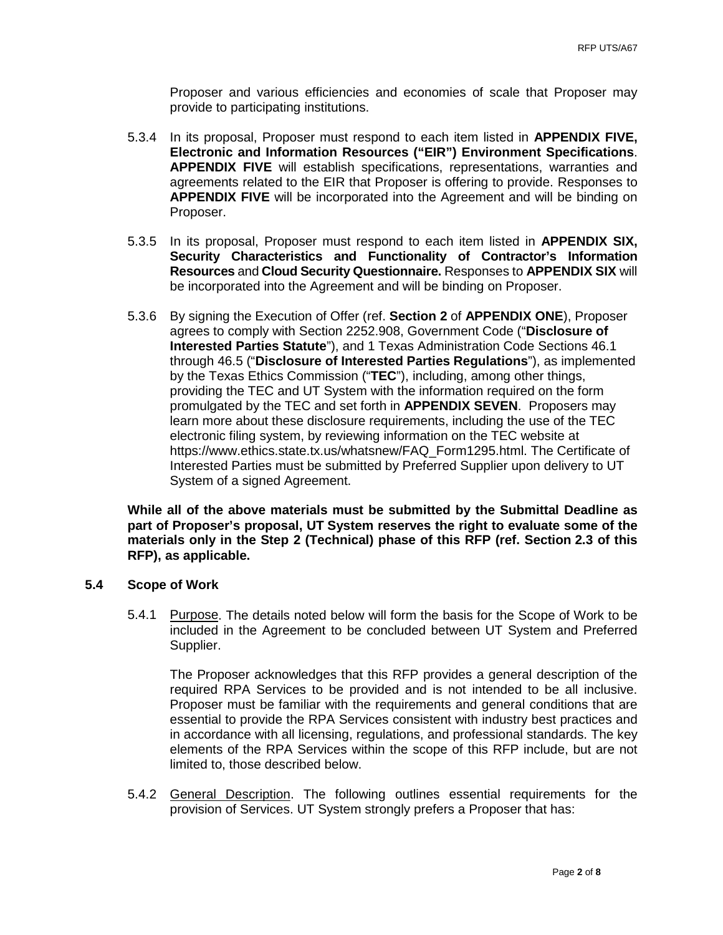Proposer and various efficiencies and economies of scale that Proposer may provide to participating institutions.

- 5.3.4 In its proposal, Proposer must respond to each item listed in **APPENDIX FIVE, Electronic and Information Resources ("EIR") Environment Specifications**. **APPENDIX FIVE** will establish specifications, representations, warranties and agreements related to the EIR that Proposer is offering to provide. Responses to **APPENDIX FIVE** will be incorporated into the Agreement and will be binding on Proposer.
- 5.3.5 In its proposal, Proposer must respond to each item listed in **APPENDIX SIX, Security Characteristics and Functionality of Contractor's Information Resources** and **Cloud Security Questionnaire.** Responses to **APPENDIX SIX** will be incorporated into the Agreement and will be binding on Proposer.
- 5.3.6 By signing the Execution of Offer (ref. **Section 2** of **APPENDIX ONE**), Proposer agrees to comply with [Section 2252.908, Government Code](http://www.statutes.legis.state.tx.us/Docs/GV/htm/GV.2252.htm%232252.908) ("**Disclosure of Interested Parties Statute**"), and [1 Texas Administration Code Sections 46.1](https://www.ethics.state.tx.us/rules/adopted_Nov_2015.html%23Ch46.1)  [through 46.5](https://www.ethics.state.tx.us/rules/adopted_Nov_2015.html%23Ch46.1) ("**Disclosure of Interested Parties Regulations**"), as implemented by the Texas Ethics Commission ("**TEC**"), including, among other things, providing the TEC and UT System with the information required on the form promulgated by the TEC and set forth in **APPENDIX SEVEN**. Proposers may learn more about these disclosure requirements, including the use of the TEC electronic filing system, by reviewing information on the TEC website at [https://www.ethics.state.tx.us/whatsnew/FAQ\\_Form1295.html.](https://www.ethics.state.tx.us/whatsnew/FAQ_Form1295.html) The Certificate of Interested Parties must be submitted by Preferred Supplier upon delivery to UT System of a signed Agreement.

**While all of the above materials must be submitted by the Submittal Deadline as part of Proposer's proposal, UT System reserves the right to evaluate some of the materials only in the Step 2 (Technical) phase of this RFP (ref. Section 2.3 of this RFP), as applicable.**

# **5.4 Scope of Work**

5.4.1 Purpose. The details noted below will form the basis for the Scope of Work to be included in the Agreement to be concluded between UT System and Preferred Supplier.

The Proposer acknowledges that this RFP provides a general description of the required RPA Services to be provided and is not intended to be all inclusive. Proposer must be familiar with the requirements and general conditions that are essential to provide the RPA Services consistent with industry best practices and in accordance with all licensing, regulations, and professional standards. The key elements of the RPA Services within the scope of this RFP include, but are not limited to, those described below.

5.4.2 General Description. The following outlines essential requirements for the provision of Services. UT System strongly prefers a Proposer that has: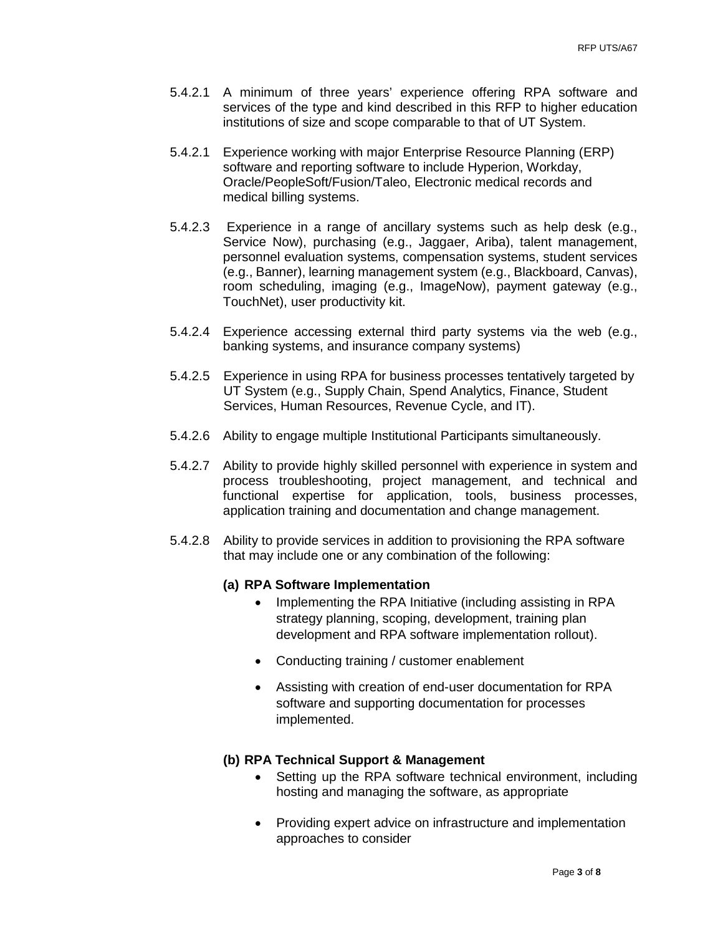- 5.4.2.1 A minimum of three years' experience offering RPA software and services of the type and kind described in this RFP to higher education institutions of size and scope comparable to that of UT System.
- 5.4.2.1 Experience working with major Enterprise Resource Planning (ERP) software and reporting software to include Hyperion, Workday, Oracle/PeopleSoft/Fusion/Taleo, Electronic medical records and medical billing systems.
- 5.4.2.3 Experience in a range of ancillary systems such as help desk (e.g., Service Now), purchasing (e.g., Jaggaer, Ariba), talent management, personnel evaluation systems, compensation systems, student services (e.g., Banner), learning management system (e.g., Blackboard, Canvas), room scheduling, imaging (e.g., ImageNow), payment gateway (e.g., TouchNet), user productivity kit.
- 5.4.2.4 Experience accessing external third party systems via the web (e.g., banking systems, and insurance company systems)
- 5.4.2.5 Experience in using RPA for business processes tentatively targeted by UT System (e.g., Supply Chain, Spend Analytics, Finance, Student Services, Human Resources, Revenue Cycle, and IT).
- 5.4.2.6 Ability to engage multiple Institutional Participants simultaneously.
- 5.4.2.7 Ability to provide highly skilled personnel with experience in system and process troubleshooting, project management, and technical and functional expertise for application, tools, business processes, application training and documentation and change management.
- 5.4.2.8 Ability to provide services in addition to provisioning the RPA software that may include one or any combination of the following:

# **(a) RPA Software Implementation**

- Implementing the RPA Initiative (including assisting in RPA strategy planning, scoping, development, training plan development and RPA software implementation rollout).
- Conducting training / customer enablement
- Assisting with creation of end-user documentation for RPA software and supporting documentation for processes implemented.

# **(b) RPA Technical Support & Management**

- Setting up the RPA software technical environment, including hosting and managing the software, as appropriate
- Providing expert advice on infrastructure and implementation approaches to consider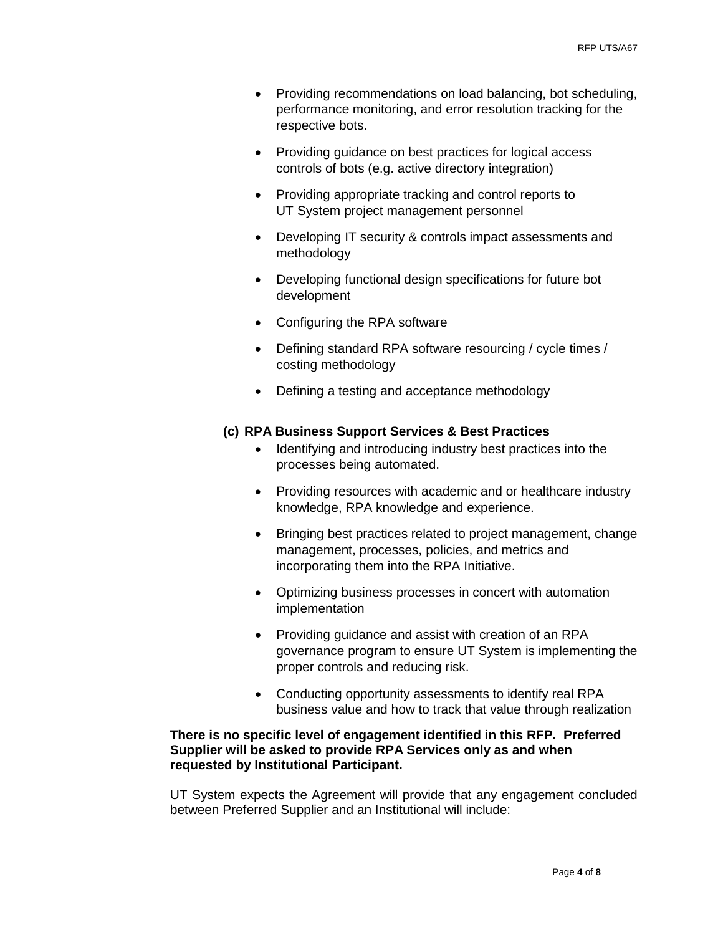- Providing recommendations on load balancing, bot scheduling, performance monitoring, and error resolution tracking for the respective bots.
- Providing guidance on best practices for logical access controls of bots (e.g. active directory integration)
- Providing appropriate tracking and control reports to UT System project management personnel
- Developing IT security & controls impact assessments and methodology
- Developing functional design specifications for future bot development
- Configuring the RPA software
- Defining standard RPA software resourcing / cycle times / costing methodology
- Defining a testing and acceptance methodology

# **(c) RPA Business Support Services & Best Practices**

- Identifying and introducing industry best practices into the processes being automated.
- Providing resources with academic and or healthcare industry knowledge, RPA knowledge and experience.
- Bringing best practices related to project management, change management, processes, policies, and metrics and incorporating them into the RPA Initiative.
- Optimizing business processes in concert with automation implementation
- Providing guidance and assist with creation of an RPA governance program to ensure UT System is implementing the proper controls and reducing risk.
- Conducting opportunity assessments to identify real RPA business value and how to track that value through realization

## **There is no specific level of engagement identified in this RFP. Preferred Supplier will be asked to provide RPA Services only as and when requested by Institutional Participant.**

UT System expects the Agreement will provide that any engagement concluded between Preferred Supplier and an Institutional will include: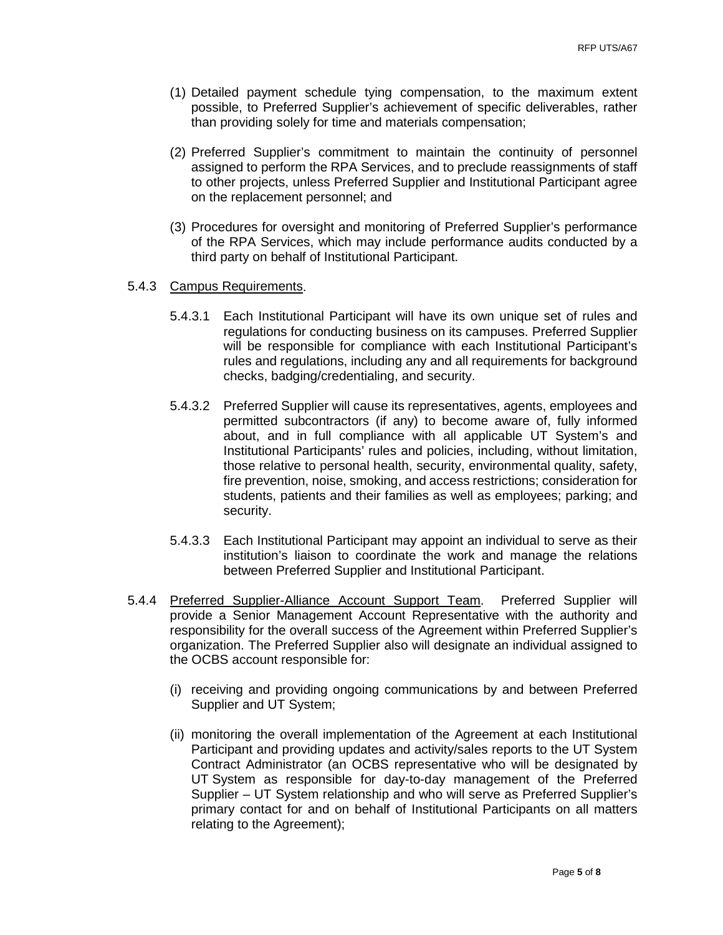- (1) Detailed payment schedule tying compensation, to the maximum extent possible, to Preferred Supplier's achievement of specific deliverables, rather than providing solely for time and materials compensation;
- (2) Preferred Supplier's commitment to maintain the continuity of personnel assigned to perform the RPA Services, and to preclude reassignments of staff to other projects, unless Preferred Supplier and Institutional Participant agree on the replacement personnel; and
- (3) Procedures for oversight and monitoring of Preferred Supplier's performance of the RPA Services, which may include performance audits conducted by a third party on behalf of Institutional Participant.

## 5.4.3 Campus Requirements.

- 5.4.3.1 Each Institutional Participant will have its own unique set of rules and regulations for conducting business on its campuses. Preferred Supplier will be responsible for compliance with each Institutional Participant's rules and regulations, including any and all requirements for background checks, badging/credentialing, and security.
- 5.4.3.2 Preferred Supplier will cause its representatives, agents, employees and permitted subcontractors (if any) to become aware of, fully informed about, and in full compliance with all applicable UT System's and Institutional Participants' rules and policies, including, without limitation, those relative to personal health, security, environmental quality, safety, fire prevention, noise, smoking, and access restrictions; consideration for students, patients and their families as well as employees; parking; and security.
- 5.4.3.3 Each Institutional Participant may appoint an individual to serve as their institution's liaison to coordinate the work and manage the relations between Preferred Supplier and Institutional Participant.
- 5.4.4 Preferred Supplier-Alliance Account Support Team. Preferred Supplier will provide a Senior Management Account Representative with the authority and responsibility for the overall success of the Agreement within Preferred Supplier's organization. The Preferred Supplier also will designate an individual assigned to the OCBS account responsible for:
	- (i) receiving and providing ongoing communications by and between Preferred Supplier and UT System;
	- (ii) monitoring the overall implementation of the Agreement at each Institutional Participant and providing updates and activity/sales reports to the UT System Contract Administrator (an OCBS representative who will be designated by UT System as responsible for day-to-day management of the Preferred Supplier – UT System relationship and who will serve as Preferred Supplier's primary contact for and on behalf of Institutional Participants on all matters relating to the Agreement);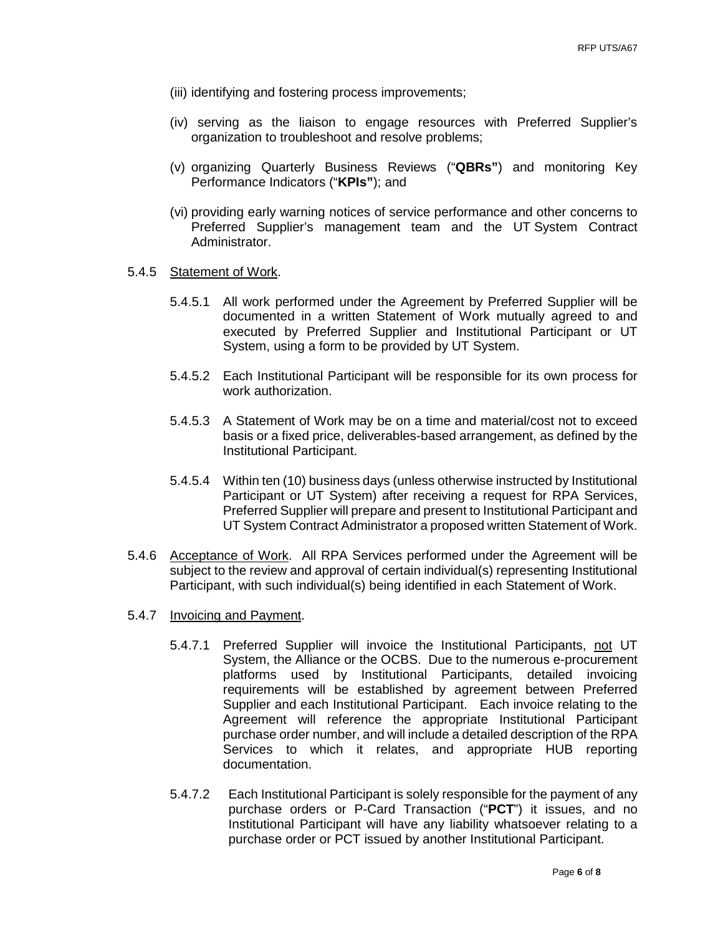- (iii) identifying and fostering process improvements;
- (iv) serving as the liaison to engage resources with Preferred Supplier's organization to troubleshoot and resolve problems;
- (v) organizing Quarterly Business Reviews ("**QBRs"**) and monitoring Key Performance Indicators ("**KPIs"**); and
- (vi) providing early warning notices of service performance and other concerns to Preferred Supplier's management team and the UT System Contract Administrator.

### 5.4.5 Statement of Work.

- 5.4.5.1 All work performed under the Agreement by Preferred Supplier will be documented in a written Statement of Work mutually agreed to and executed by Preferred Supplier and Institutional Participant or UT System, using a form to be provided by UT System.
- 5.4.5.2 Each Institutional Participant will be responsible for its own process for work authorization.
- 5.4.5.3 A Statement of Work may be on a time and material/cost not to exceed basis or a fixed price, deliverables-based arrangement, as defined by the Institutional Participant.
- 5.4.5.4 Within ten (10) business days (unless otherwise instructed by Institutional Participant or UT System) after receiving a request for RPA Services, Preferred Supplier will prepare and present to Institutional Participant and UT System Contract Administrator a proposed written Statement of Work.
- 5.4.6 Acceptance of Work. All RPA Services performed under the Agreement will be subject to the review and approval of certain individual(s) representing Institutional Participant, with such individual(s) being identified in each Statement of Work.
- 5.4.7 Invoicing and Payment.
	- 5.4.7.1 Preferred Supplier will invoice the Institutional Participants, not UT System, the Alliance or the OCBS. Due to the numerous e-procurement platforms used by Institutional Participants, detailed invoicing requirements will be established by agreement between Preferred Supplier and each Institutional Participant. Each invoice relating to the Agreement will reference the appropriate Institutional Participant purchase order number, and will include a detailed description of the RPA Services to which it relates, and appropriate HUB reporting documentation.
	- 5.4.7.2 Each Institutional Participant is solely responsible for the payment of any purchase orders or P-Card Transaction ("**PCT**") it issues, and no Institutional Participant will have any liability whatsoever relating to a purchase order or PCT issued by another Institutional Participant.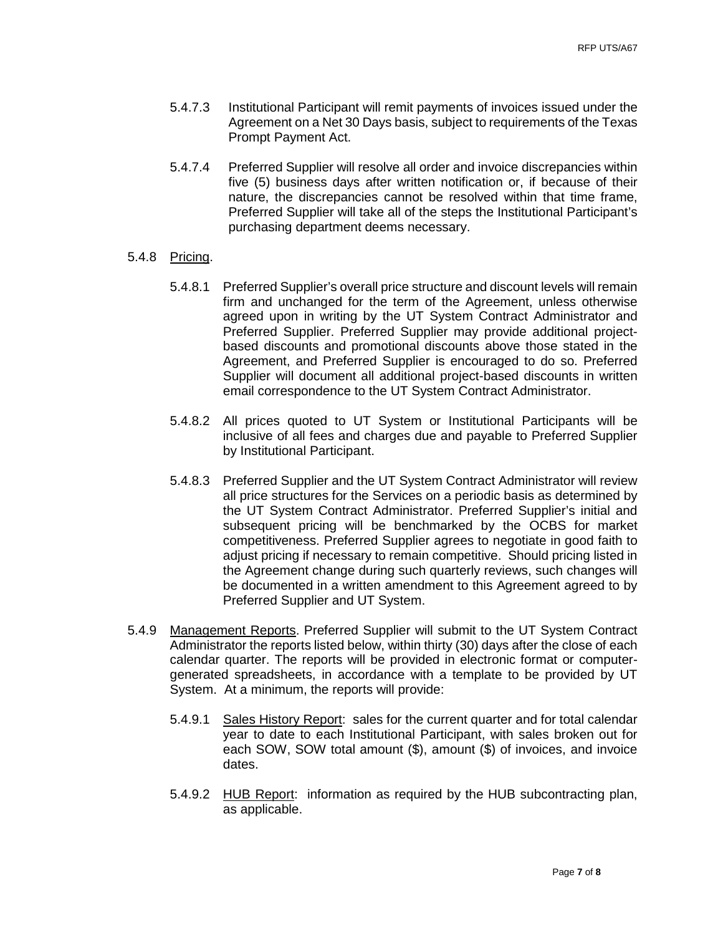- 5.4.7.3 Institutional Participant will remit payments of invoices issued under the Agreement on a Net 30 Days basis, subject to requirements of the Texas Prompt Payment Act.
- 5.4.7.4 Preferred Supplier will resolve all order and invoice discrepancies within five (5) business days after written notification or, if because of their nature, the discrepancies cannot be resolved within that time frame, Preferred Supplier will take all of the steps the Institutional Participant's purchasing department deems necessary.

## 5.4.8 Pricing.

- 5.4.8.1 Preferred Supplier's overall price structure and discount levels will remain firm and unchanged for the term of the Agreement, unless otherwise agreed upon in writing by the UT System Contract Administrator and Preferred Supplier. Preferred Supplier may provide additional projectbased discounts and promotional discounts above those stated in the Agreement, and Preferred Supplier is encouraged to do so. Preferred Supplier will document all additional project-based discounts in written email correspondence to the UT System Contract Administrator.
- 5.4.8.2 All prices quoted to UT System or Institutional Participants will be inclusive of all fees and charges due and payable to Preferred Supplier by Institutional Participant.
- 5.4.8.3 Preferred Supplier and the UT System Contract Administrator will review all price structures for the Services on a periodic basis as determined by the UT System Contract Administrator. Preferred Supplier's initial and subsequent pricing will be benchmarked by the OCBS for market competitiveness. Preferred Supplier agrees to negotiate in good faith to adjust pricing if necessary to remain competitive. Should pricing listed in the Agreement change during such quarterly reviews, such changes will be documented in a written amendment to this Agreement agreed to by Preferred Supplier and UT System.
- 5.4.9 Management Reports. Preferred Supplier will submit to the UT System Contract Administrator the reports listed below, within thirty (30) days after the close of each calendar quarter. The reports will be provided in electronic format or computergenerated spreadsheets, in accordance with a template to be provided by UT System. At a minimum, the reports will provide:
	- 5.4.9.1 Sales History Report: sales for the current quarter and for total calendar year to date to each Institutional Participant, with sales broken out for each SOW, SOW total amount (\$), amount (\$) of invoices, and invoice dates.
	- 5.4.9.2 HUB Report: information as required by the HUB subcontracting plan, as applicable.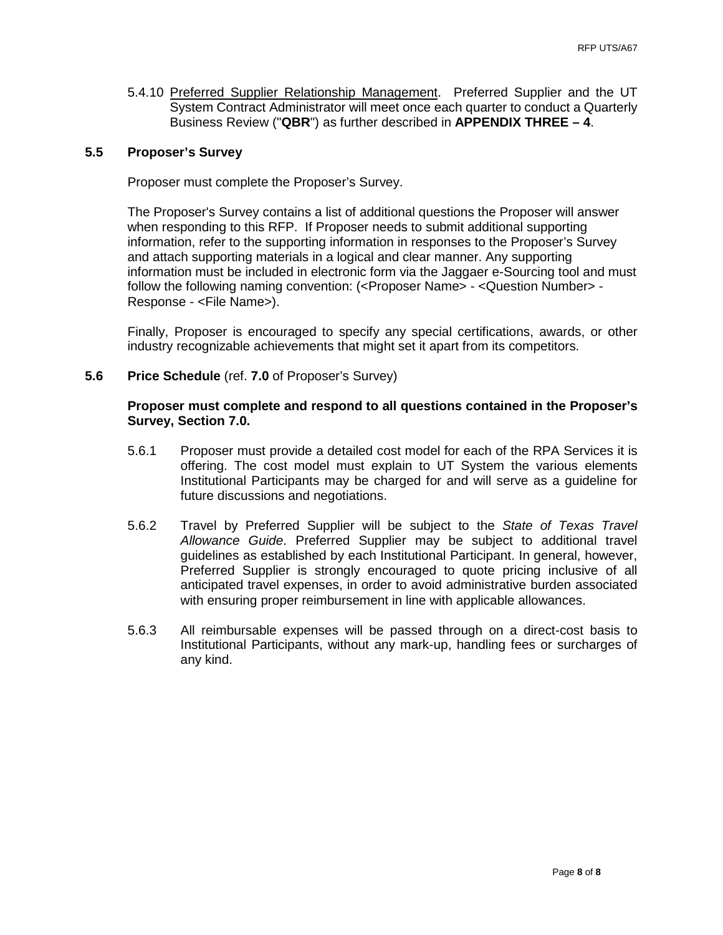5.4.10 Preferred Supplier Relationship Management. Preferred Supplier and the UT System Contract Administrator will meet once each quarter to conduct a Quarterly Business Review ("**QBR**") as further described in **APPENDIX THREE – 4**.

## **5.5 Proposer's Survey**

Proposer must complete the Proposer's Survey.

The Proposer's Survey contains a list of additional questions the Proposer will answer when responding to this RFP. If Proposer needs to submit additional supporting information, refer to the supporting information in responses to the Proposer's Survey and attach supporting materials in a logical and clear manner. Any supporting information must be included in electronic form via the Jaggaer e-Sourcing tool and must follow the following naming convention: (<Proposer Name> - <Question Number> - Response - <File Name>).

Finally, Proposer is encouraged to specify any special certifications, awards, or other industry recognizable achievements that might set it apart from its competitors.

**5.6 Price Schedule** (ref. **7.0** of Proposer's Survey)

### **Proposer must complete and respond to all questions contained in the Proposer's Survey, Section 7.0.**

- 5.6.1 Proposer must provide a detailed cost model for each of the RPA Services it is offering. The cost model must explain to UT System the various elements Institutional Participants may be charged for and will serve as a guideline for future discussions and negotiations.
- 5.6.2 Travel by Preferred Supplier will be subject to the *State of Texas Travel Allowance Guide*. Preferred Supplier may be subject to additional travel guidelines as established by each Institutional Participant. In general, however, Preferred Supplier is strongly encouraged to quote pricing inclusive of all anticipated travel expenses, in order to avoid administrative burden associated with ensuring proper reimbursement in line with applicable allowances.
- 5.6.3 All reimbursable expenses will be passed through on a direct-cost basis to Institutional Participants, without any mark-up, handling fees or surcharges of any kind.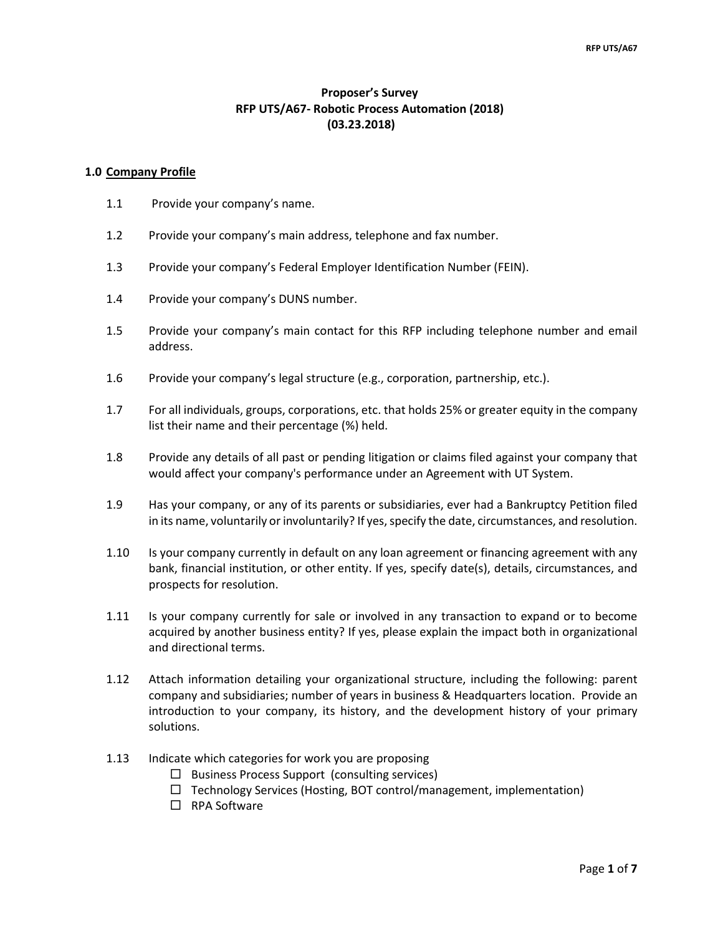# **Proposer's Survey RFP UTS/A67- Robotic Process Automation (2018) (03.23.2018)**

#### **1.0 Company Profile**

- 1.1 Provide your company's name.
- 1.2 Provide your company's main address, telephone and fax number.
- 1.3 Provide your company's Federal Employer Identification Number (FEIN).
- 1.4 Provide your company's DUNS number.
- 1.5 Provide your company's main contact for this RFP including telephone number and email address.
- 1.6 Provide your company's legal structure (e.g., corporation, partnership, etc.).
- 1.7 For all individuals, groups, corporations, etc. that holds 25% or greater equity in the company list their name and their percentage (%) held.
- 1.8 Provide any details of all past or pending litigation or claims filed against your company that would affect your company's performance under an Agreement with UT System.
- 1.9 Has your company, or any of its parents or subsidiaries, ever had a Bankruptcy Petition filed in its name, voluntarily or involuntarily? If yes, specify the date, circumstances, and resolution.
- 1.10 Is your company currently in default on any loan agreement or financing agreement with any bank, financial institution, or other entity. If yes, specify date(s), details, circumstances, and prospects for resolution.
- 1.11 Is your company currently for sale or involved in any transaction to expand or to become acquired by another business entity? If yes, please explain the impact both in organizational and directional terms.
- 1.12 Attach information detailing your organizational structure, including the following: parent company and subsidiaries; number of years in business & Headquarters location. Provide an introduction to your company, its history, and the development history of your primary solutions.
- 1.13 Indicate which categories for work you are proposing
	- $\Box$  Business Process Support (consulting services)
	- $\Box$  Technology Services (Hosting, BOT control/management, implementation)
	- □ RPA Software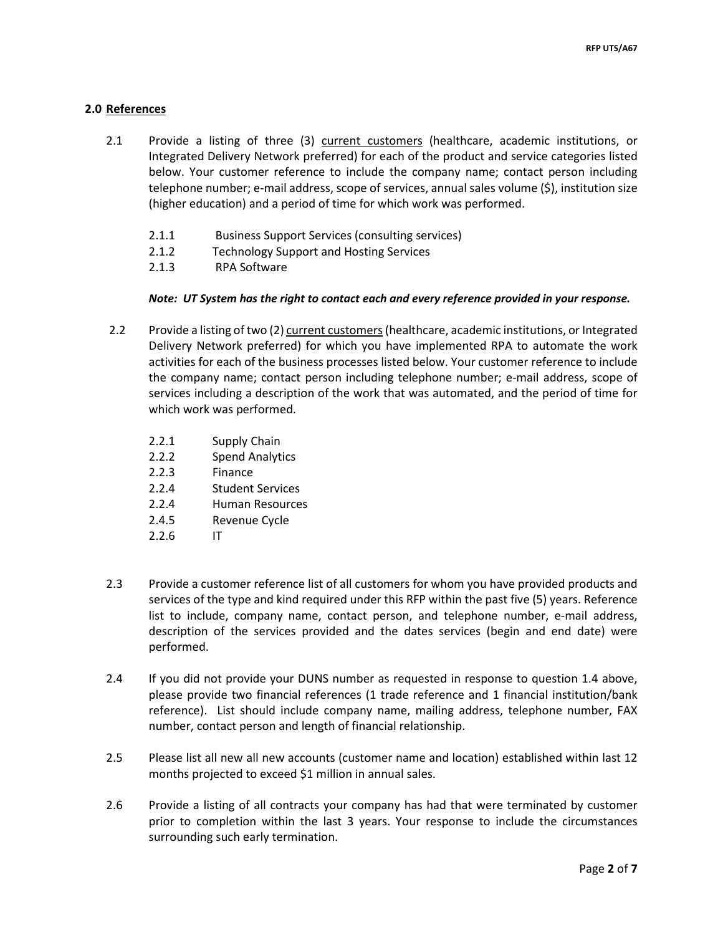## **2.0 References**

- 2.1 Provide a listing of three (3) current customers (healthcare, academic institutions, or Integrated Delivery Network preferred) for each of the product and service categories listed below. Your customer reference to include the company name; contact person including telephone number; e-mail address, scope of services, annual sales volume (\$), institution size (higher education) and a period of time for which work was performed.
	- 2.1.1 Business Support Services (consulting services)
	- 2.1.2 Technology Support and Hosting Services
	- 2.1.3 RPA Software

### *Note: UT System has the right to contact each and every reference provided in your response.*

- 2.2 Provide a listing of two (2) current customers(healthcare, academic institutions, or Integrated Delivery Network preferred) for which you have implemented RPA to automate the work activities for each of the business processes listed below. Your customer reference to include the company name; contact person including telephone number; e-mail address, scope of services including a description of the work that was automated, and the period of time for which work was performed.
	- 2.2.1 Supply Chain
	- 2.2.2 Spend Analytics
	- 2.2.3 Finance
	- 2.2.4 Student Services
	- 2.2.4 Human Resources
	- 2.4.5 Revenue Cycle
	- 2.2.6 IT
- 2.3 Provide a customer reference list of all customers for whom you have provided products and services of the type and kind required under this RFP within the past five (5) years. Reference list to include, company name, contact person, and telephone number, e-mail address, description of the services provided and the dates services (begin and end date) were performed.
- 2.4 If you did not provide your DUNS number as requested in response to question 1.4 above, please provide two financial references (1 trade reference and 1 financial institution/bank reference). List should include company name, mailing address, telephone number, FAX number, contact person and length of financial relationship.
- 2.5 Please list all new all new accounts (customer name and location) established within last 12 months projected to exceed \$1 million in annual sales.
- 2.6 Provide a listing of all contracts your company has had that were terminated by customer prior to completion within the last 3 years. Your response to include the circumstances surrounding such early termination.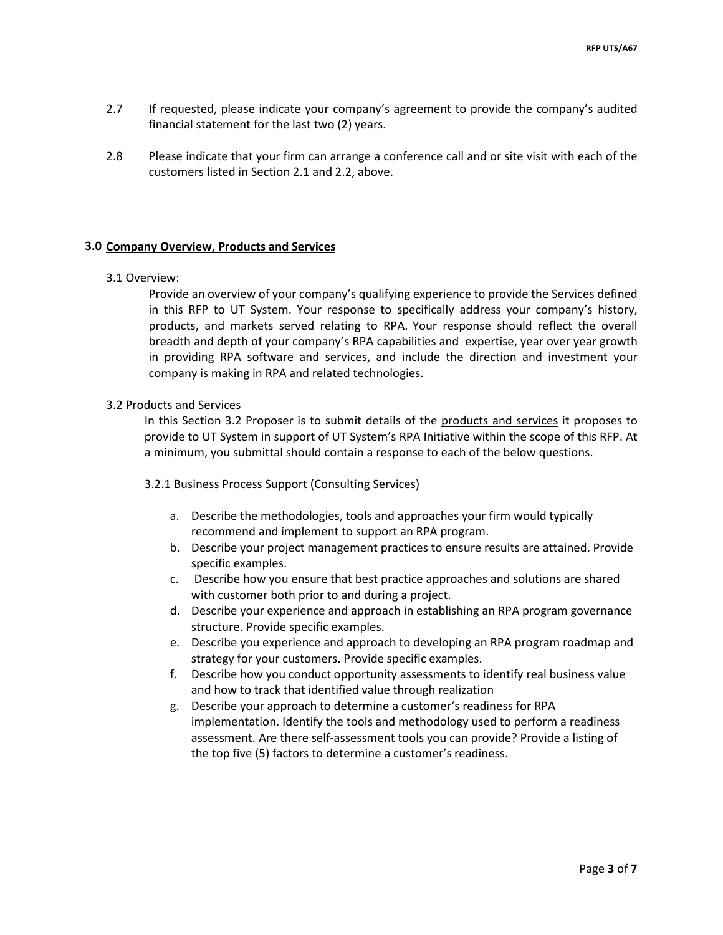- 2.7 If requested, please indicate your company's agreement to provide the company's audited financial statement for the last two (2) years.
- 2.8 Please indicate that your firm can arrange a conference call and or site visit with each of the customers listed in Section 2.1 and 2.2, above.

### **3.0 Company Overview, Products and Services**

#### 3.1 Overview:

Provide an overview of your company's qualifying experience to provide the Services defined in this RFP to UT System. Your response to specifically address your company's history, products, and markets served relating to RPA. Your response should reflect the overall breadth and depth of your company's RPA capabilities and expertise, year over year growth in providing RPA software and services, and include the direction and investment your company is making in RPA and related technologies.

### 3.2 Products and Services

In this Section 3.2 Proposer is to submit details of the products and services it proposes to provide to UT System in support of UT System's RPA Initiative within the scope of this RFP. At a minimum, you submittal should contain a response to each of the below questions.

#### 3.2.1 Business Process Support (Consulting Services)

- a. Describe the methodologies, tools and approaches your firm would typically recommend and implement to support an RPA program.
- b. Describe your project management practices to ensure results are attained. Provide specific examples.
- c. Describe how you ensure that best practice approaches and solutions are shared with customer both prior to and during a project.
- d. Describe your experience and approach in establishing an RPA program governance structure. Provide specific examples.
- e. Describe you experience and approach to developing an RPA program roadmap and strategy for your customers. Provide specific examples.
- f. Describe how you conduct opportunity assessments to identify real business value and how to track that identified value through realization
- g. Describe your approach to determine a customer's readiness for RPA implementation. Identify the tools and methodology used to perform a readiness assessment. Are there self-assessment tools you can provide? Provide a listing of the top five (5) factors to determine a customer's readiness.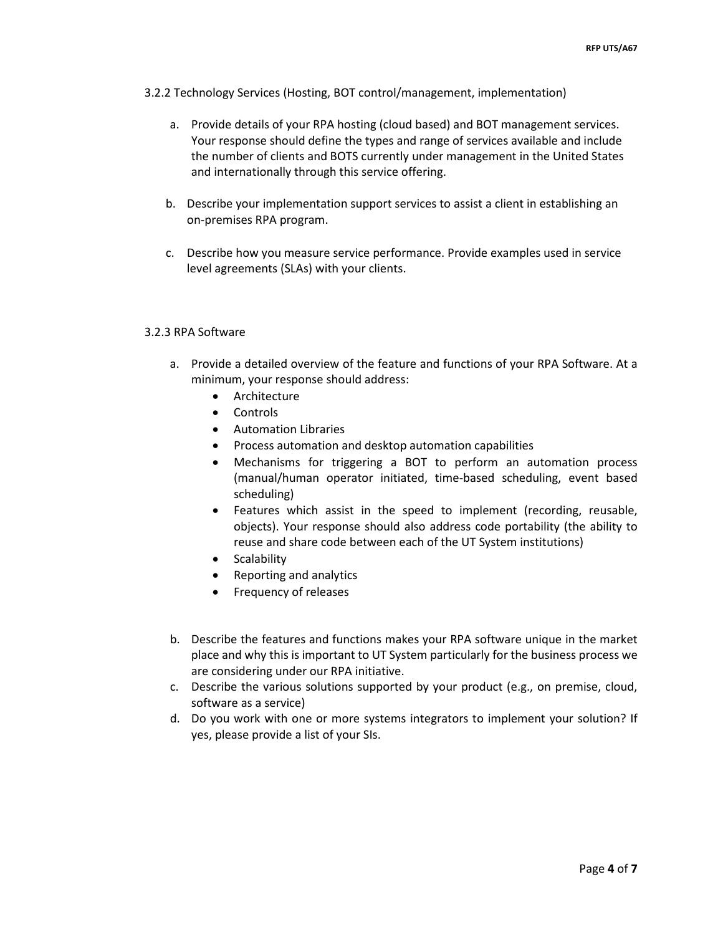- 3.2.2 Technology Services (Hosting, BOT control/management, implementation)
	- a. Provide details of your RPA hosting (cloud based) and BOT management services. Your response should define the types and range of services available and include the number of clients and BOTS currently under management in the United States and internationally through this service offering.
	- b. Describe your implementation support services to assist a client in establishing an on-premises RPA program.
	- c. Describe how you measure service performance. Provide examples used in service level agreements (SLAs) with your clients.

#### 3.2.3 RPA Software

- a. Provide a detailed overview of the feature and functions of your RPA Software. At a minimum, your response should address:
	- Architecture
	- Controls
	- Automation Libraries
	- Process automation and desktop automation capabilities
	- Mechanisms for triggering a BOT to perform an automation process (manual/human operator initiated, time-based scheduling, event based scheduling)
	- Features which assist in the speed to implement (recording, reusable, objects). Your response should also address code portability (the ability to reuse and share code between each of the UT System institutions)
	- Scalability
	- Reporting and analytics
	- Frequency of releases
- b. Describe the features and functions makes your RPA software unique in the market place and why this is important to UT System particularly for the business process we are considering under our RPA initiative.
- c. Describe the various solutions supported by your product (e.g., on premise, cloud, software as a service)
- d. Do you work with one or more systems integrators to implement your solution? If yes, please provide a list of your SIs.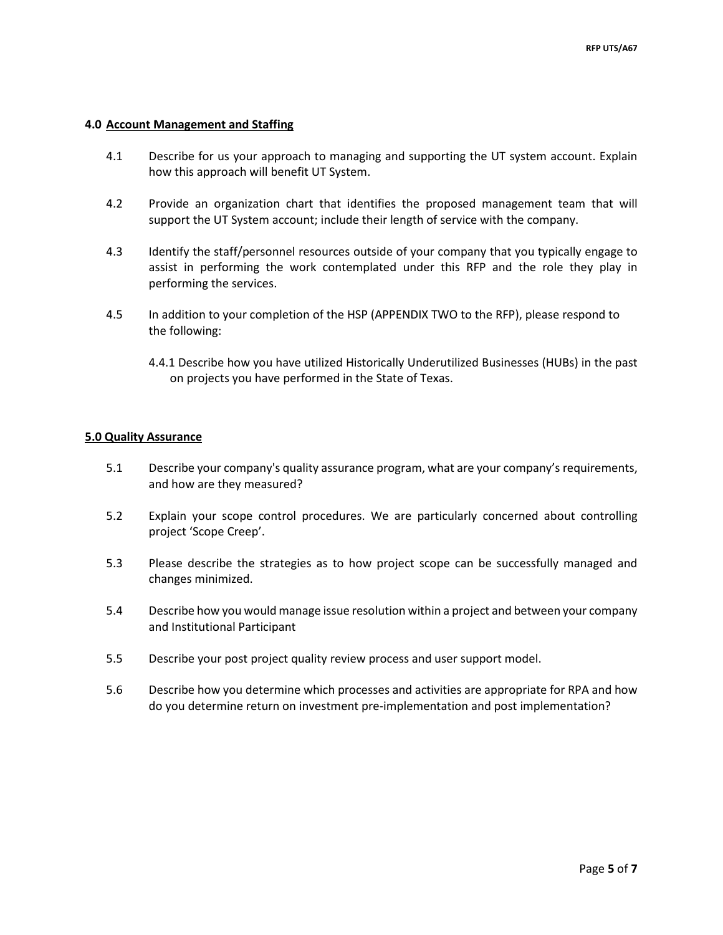#### **4.0 Account Management and Staffing**

- 4.1 Describe for us your approach to managing and supporting the UT system account. Explain how this approach will benefit UT System.
- 4.2 Provide an organization chart that identifies the proposed management team that will support the UT System account; include their length of service with the company.
- 4.3 Identify the staff/personnel resources outside of your company that you typically engage to assist in performing the work contemplated under this RFP and the role they play in performing the services.
- 4.5 In addition to your completion of the HSP (APPENDIX TWO to the RFP), please respond to the following:
	- 4.4.1 Describe how you have utilized Historically Underutilized Businesses (HUBs) in the past on projects you have performed in the State of Texas.

#### **5.0 Quality Assurance**

- 5.1 Describe your company's quality assurance program, what are your company's requirements, and how are they measured?
- 5.2 Explain your scope control procedures. We are particularly concerned about controlling project 'Scope Creep'.
- 5.3 Please describe the strategies as to how project scope can be successfully managed and changes minimized.
- 5.4 Describe how you would manage issue resolution within a project and between your company and Institutional Participant
- 5.5 Describe your post project quality review process and user support model.
- 5.6 Describe how you determine which processes and activities are appropriate for RPA and how do you determine return on investment pre-implementation and post implementation?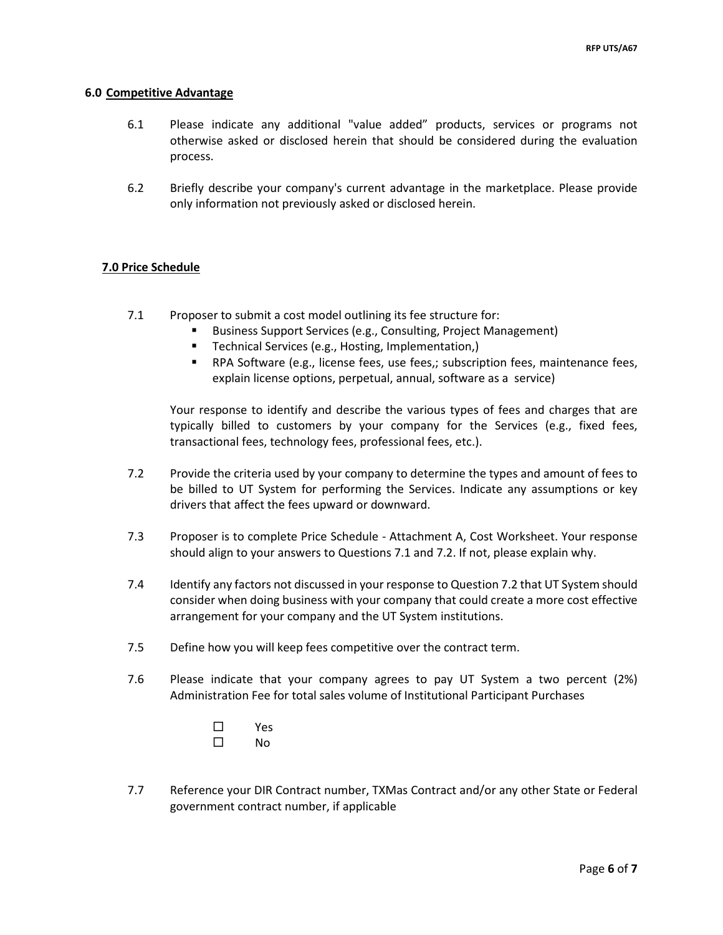#### **6.0 Competitive Advantage**

- 6.1 Please indicate any additional "value added" products, services or programs not otherwise asked or disclosed herein that should be considered during the evaluation process.
- 6.2 Briefly describe your company's current advantage in the marketplace. Please provide only information not previously asked or disclosed herein.

#### **7.0 Price Schedule**

- 7.1 Proposer to submit a cost model outlining its fee structure for:
	- Business Support Services (e.g., Consulting, Project Management)
	- **Technical Services (e.g., Hosting, Implementation,)**
	- RPA Software (e.g., license fees, use fees,; subscription fees, maintenance fees, explain license options, perpetual, annual, software as a service)

Your response to identify and describe the various types of fees and charges that are typically billed to customers by your company for the Services (e.g., fixed fees, transactional fees, technology fees, professional fees, etc.).

- 7.2 Provide the criteria used by your company to determine the types and amount of fees to be billed to UT System for performing the Services. Indicate any assumptions or key drivers that affect the fees upward or downward.
- 7.3 Proposer is to complete Price Schedule Attachment A, Cost Worksheet. Your response should align to your answers to Questions 7.1 and 7.2. If not, please explain why.
- 7.4 Identify any factors not discussed in your response to Question 7.2 that UT System should consider when doing business with your company that could create a more cost effective arrangement for your company and the UT System institutions.
- 7.5 Define how you will keep fees competitive over the contract term.
- 7.6 Please indicate that your company agrees to pay UT System a two percent (2%) Administration Fee for total sales volume of Institutional Participant Purchases
	- Yes  $\square$  No
- 7.7 Reference your DIR Contract number, TXMas Contract and/or any other State or Federal government contract number, if applicable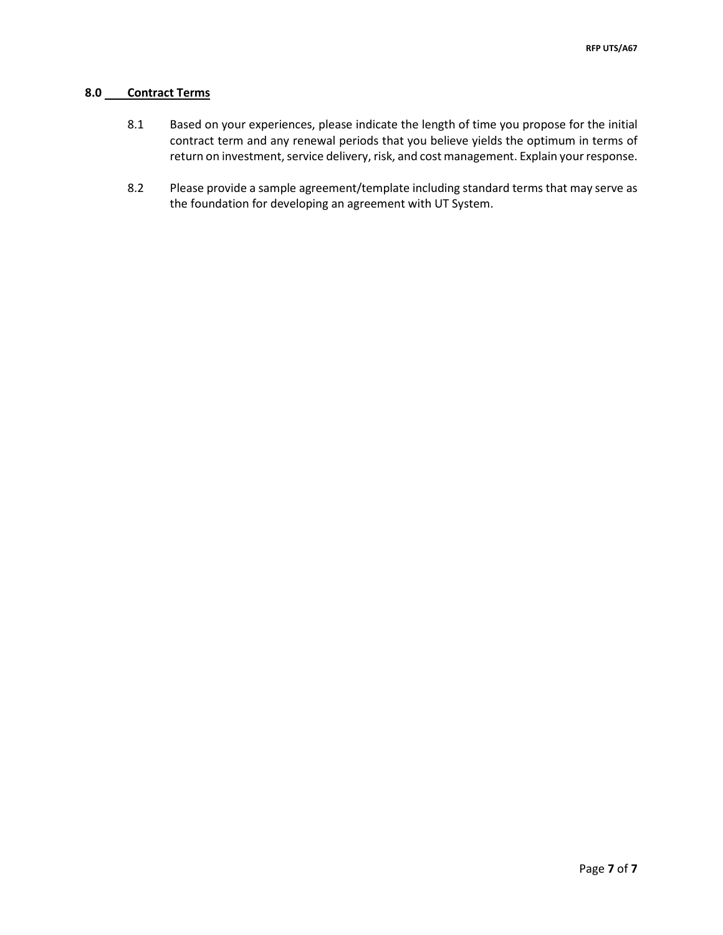### **8.0 Contract Terms**

- 8.1 Based on your experiences, please indicate the length of time you propose for the initial contract term and any renewal periods that you believe yields the optimum in terms of return on investment, service delivery, risk, and cost management. Explain your response.
- 8.2 Please provide a sample agreement/template including standard terms that may serve as the foundation for developing an agreement with UT System.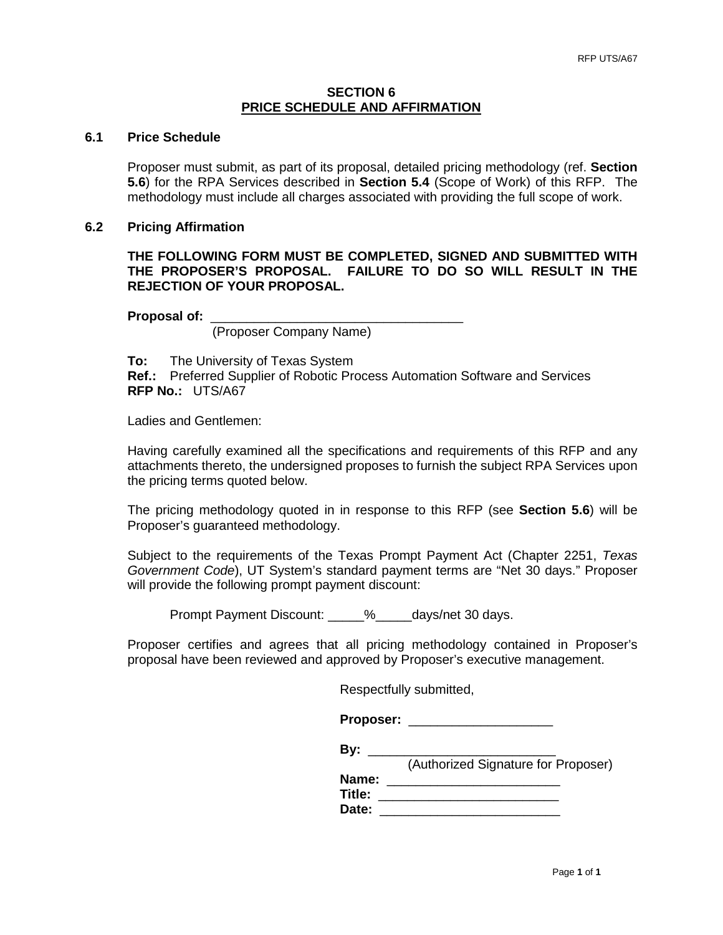## **SECTION 6 PRICE SCHEDULE AND AFFIRMATION**

# **6.1 Price Schedule**

Proposer must submit, as part of its proposal, detailed pricing methodology (ref. **Section 5.6**) for the RPA Services described in **Section 5.4** (Scope of Work) of this RFP. The methodology must include all charges associated with providing the full scope of work.

#### **6.2 Pricing Affirmation**

**THE FOLLOWING FORM MUST BE COMPLETED, SIGNED AND SUBMITTED WITH THE PROPOSER'S PROPOSAL. FAILURE TO DO SO WILL RESULT IN THE REJECTION OF YOUR PROPOSAL.**

**Proposal of:** \_\_\_\_\_\_\_\_\_\_\_\_\_\_\_\_\_\_\_\_\_\_\_\_\_\_\_\_\_\_\_\_\_\_\_

(Proposer Company Name)

**To:** The University of Texas System

**Ref.:** Preferred Supplier of Robotic Process Automation Software and Services **RFP No.:** UTS/A67

Ladies and Gentlemen:

Having carefully examined all the specifications and requirements of this RFP and any attachments thereto, the undersigned proposes to furnish the subject RPA Services upon the pricing terms quoted below.

The pricing methodology quoted in in response to this RFP (see **Section 5.6**) will be Proposer's guaranteed methodology.

Subject to the requirements of the Texas Prompt Payment Act (Chapter 2251, *Texas Government Code*), UT System's standard payment terms are "Net 30 days." Proposer will provide the following prompt payment discount:

Prompt Payment Discount: \_\_\_\_\_%\_\_\_\_\_days/net 30 days.

Proposer certifies and agrees that all pricing methodology contained in Proposer's proposal have been reviewed and approved by Proposer's executive management.

Respectfully submitted,

**Proposer:** \_\_\_\_\_\_\_\_\_\_\_\_\_\_\_\_\_\_\_\_ **By:** \_\_\_\_\_\_\_\_\_\_\_\_\_\_\_\_\_\_\_\_\_\_\_\_\_\_ (Authorized Signature for Proposer) **Name:** \_\_\_\_\_\_\_\_\_\_\_\_\_\_\_\_\_\_\_\_\_\_\_\_

**Title:** \_\_\_\_\_\_\_\_\_\_\_\_\_\_\_\_\_\_\_\_\_\_\_\_\_ **Date:** \_\_\_\_\_\_\_\_\_\_\_\_\_\_\_\_\_\_\_\_\_\_\_\_\_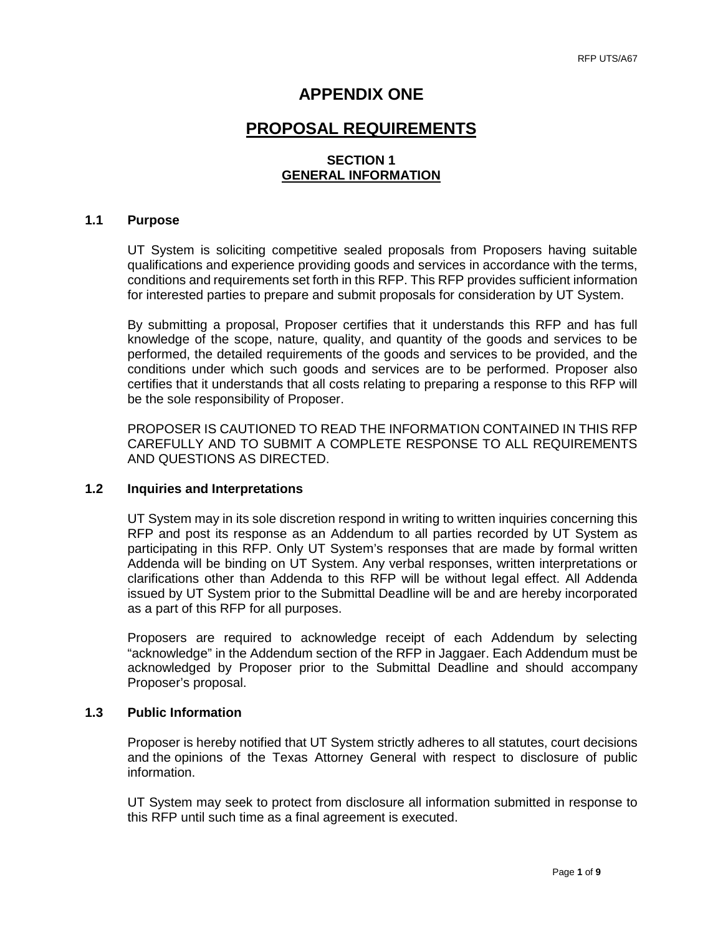# **APPENDIX ONE**

# **PROPOSAL REQUIREMENTS**

# **SECTION 1 GENERAL INFORMATION**

#### **1.1 Purpose**

UT System is soliciting competitive sealed proposals from Proposers having suitable qualifications and experience providing goods and services in accordance with the terms, conditions and requirements set forth in this RFP. This RFP provides sufficient information for interested parties to prepare and submit proposals for consideration by UT System.

By submitting a proposal, Proposer certifies that it understands this RFP and has full knowledge of the scope, nature, quality, and quantity of the goods and services to be performed, the detailed requirements of the goods and services to be provided, and the conditions under which such goods and services are to be performed. Proposer also certifies that it understands that all costs relating to preparing a response to this RFP will be the sole responsibility of Proposer.

PROPOSER IS CAUTIONED TO READ THE INFORMATION CONTAINED IN THIS RFP CAREFULLY AND TO SUBMIT A COMPLETE RESPONSE TO ALL REQUIREMENTS AND QUESTIONS AS DIRECTED.

#### **1.2 Inquiries and Interpretations**

UT System may in its sole discretion respond in writing to written inquiries concerning this RFP and post its response as an Addendum to all parties recorded by UT System as participating in this RFP. Only UT System's responses that are made by formal written Addenda will be binding on UT System. Any verbal responses, written interpretations or clarifications other than Addenda to this RFP will be without legal effect. All Addenda issued by UT System prior to the Submittal Deadline will be and are hereby incorporated as a part of this RFP for all purposes.

Proposers are required to acknowledge receipt of each Addendum by selecting "acknowledge" in the Addendum section of the RFP in Jaggaer. Each Addendum must be acknowledged by Proposer prior to the Submittal Deadline and should accompany Proposer's proposal.

#### **1.3 Public Information**

Proposer is hereby notified that UT System strictly adheres to all statutes, court decisions and the opinions of the Texas Attorney General with respect to disclosure of public information.

UT System may seek to protect from disclosure all information submitted in response to this RFP until such time as a final agreement is executed.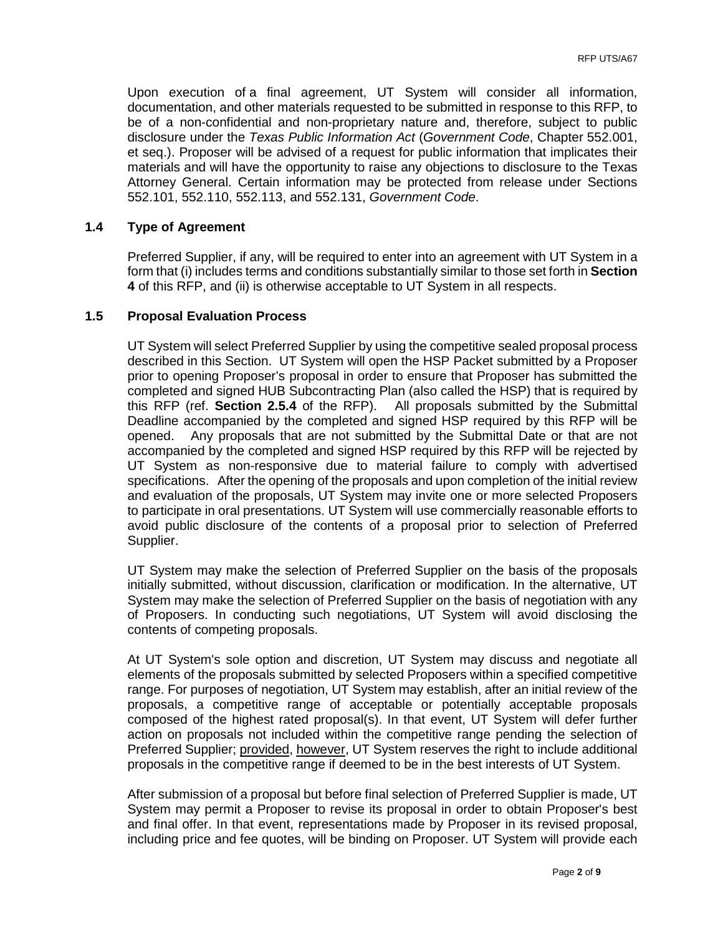Upon execution of a final agreement, UT System will consider all information, documentation, and other materials requested to be submitted in response to this RFP, to be of a non-confidential and non-proprietary nature and, therefore, subject to public disclosure under the *Texas Public Information Act* (*Government Code*, Chapter 552.001, et seq.). Proposer will be advised of a request for public information that implicates their materials and will have the opportunity to raise any objections to disclosure to the Texas Attorney General. Certain information may be protected from release under Sections 552.101, 552.110, 552.113, and 552.131, *Government Code*.

## **1.4 Type of Agreement**

Preferred Supplier, if any, will be required to enter into an agreement with UT System in a form that (i) includes terms and conditions substantially similar to those set forth in **Section 4** of this RFP, and (ii) is otherwise acceptable to UT System in all respects.

#### **1.5 Proposal Evaluation Process**

UT System will select Preferred Supplier by using the competitive sealed proposal process described in this Section. UT System will open the HSP Packet submitted by a Proposer prior to opening Proposer's proposal in order to ensure that Proposer has submitted the completed and signed HUB Subcontracting Plan (also called the HSP) that is required by this RFP (ref. **Section 2.5.4** of the RFP). All proposals submitted by the Submittal Deadline accompanied by the completed and signed HSP required by this RFP will be opened. Any proposals that are not submitted by the Submittal Date or that are not accompanied by the completed and signed HSP required by this RFP will be rejected by UT System as non-responsive due to material failure to comply with advertised specifications. After the opening of the proposals and upon completion of the initial review and evaluation of the proposals, UT System may invite one or more selected Proposers to participate in oral presentations. UT System will use commercially reasonable efforts to avoid public disclosure of the contents of a proposal prior to selection of Preferred Supplier.

UT System may make the selection of Preferred Supplier on the basis of the proposals initially submitted, without discussion, clarification or modification. In the alternative, UT System may make the selection of Preferred Supplier on the basis of negotiation with any of Proposers. In conducting such negotiations, UT System will avoid disclosing the contents of competing proposals.

At UT System's sole option and discretion, UT System may discuss and negotiate all elements of the proposals submitted by selected Proposers within a specified competitive range. For purposes of negotiation, UT System may establish, after an initial review of the proposals, a competitive range of acceptable or potentially acceptable proposals composed of the highest rated proposal(s). In that event, UT System will defer further action on proposals not included within the competitive range pending the selection of Preferred Supplier; provided, however, UT System reserves the right to include additional proposals in the competitive range if deemed to be in the best interests of UT System.

After submission of a proposal but before final selection of Preferred Supplier is made, UT System may permit a Proposer to revise its proposal in order to obtain Proposer's best and final offer. In that event, representations made by Proposer in its revised proposal, including price and fee quotes, will be binding on Proposer. UT System will provide each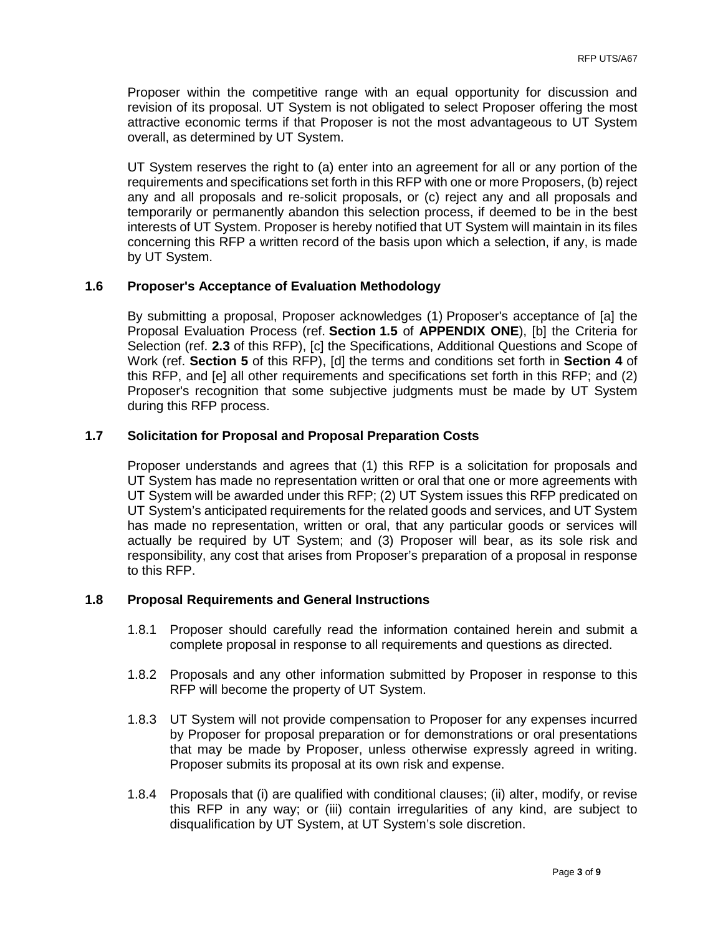Proposer within the competitive range with an equal opportunity for discussion and revision of its proposal. UT System is not obligated to select Proposer offering the most attractive economic terms if that Proposer is not the most advantageous to UT System overall, as determined by UT System.

UT System reserves the right to (a) enter into an agreement for all or any portion of the requirements and specifications set forth in this RFP with one or more Proposers, (b) reject any and all proposals and re-solicit proposals, or (c) reject any and all proposals and temporarily or permanently abandon this selection process, if deemed to be in the best interests of UT System. Proposer is hereby notified that UT System will maintain in its files concerning this RFP a written record of the basis upon which a selection, if any, is made by UT System.

# **1.6 Proposer's Acceptance of Evaluation Methodology**

By submitting a proposal, Proposer acknowledges (1) Proposer's acceptance of [a] the Proposal Evaluation Process (ref. **Section 1.5** of **APPENDIX ONE**), [b] the Criteria for Selection (ref. **2.3** of this RFP), [c] the Specifications, Additional Questions and Scope of Work (ref. **Section 5** of this RFP), [d] the terms and conditions set forth in **Section 4** of this RFP, and [e] all other requirements and specifications set forth in this RFP; and (2) Proposer's recognition that some subjective judgments must be made by UT System during this RFP process.

# **1.7 Solicitation for Proposal and Proposal Preparation Costs**

Proposer understands and agrees that (1) this RFP is a solicitation for proposals and UT System has made no representation written or oral that one or more agreements with UT System will be awarded under this RFP; (2) UT System issues this RFP predicated on UT System's anticipated requirements for the related goods and services, and UT System has made no representation, written or oral, that any particular goods or services will actually be required by UT System; and (3) Proposer will bear, as its sole risk and responsibility, any cost that arises from Proposer's preparation of a proposal in response to this RFP.

#### **1.8 Proposal Requirements and General Instructions**

- 1.8.1 Proposer should carefully read the information contained herein and submit a complete proposal in response to all requirements and questions as directed.
- 1.8.2 Proposals and any other information submitted by Proposer in response to this RFP will become the property of UT System.
- 1.8.3 UT System will not provide compensation to Proposer for any expenses incurred by Proposer for proposal preparation or for demonstrations or oral presentations that may be made by Proposer, unless otherwise expressly agreed in writing. Proposer submits its proposal at its own risk and expense.
- 1.8.4 Proposals that (i) are qualified with conditional clauses; (ii) alter, modify, or revise this RFP in any way; or (iii) contain irregularities of any kind, are subject to disqualification by UT System, at UT System's sole discretion.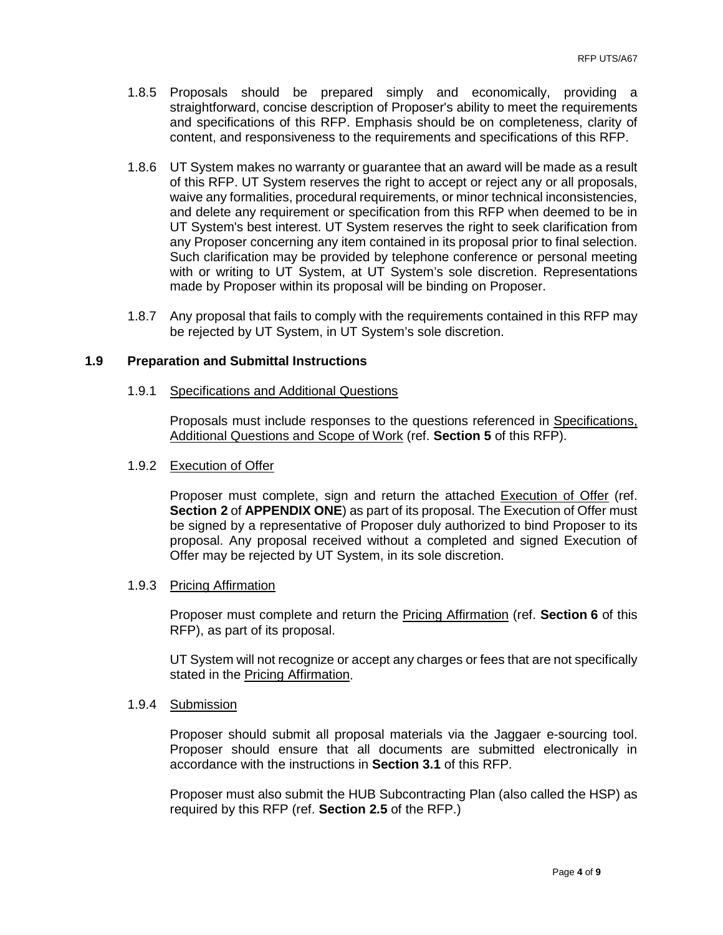- 1.8.5 Proposals should be prepared simply and economically, providing a straightforward, concise description of Proposer's ability to meet the requirements and specifications of this RFP. Emphasis should be on completeness, clarity of content, and responsiveness to the requirements and specifications of this RFP.
- 1.8.6 UT System makes no warranty or guarantee that an award will be made as a result of this RFP. UT System reserves the right to accept or reject any or all proposals, waive any formalities, procedural requirements, or minor technical inconsistencies, and delete any requirement or specification from this RFP when deemed to be in UT System's best interest. UT System reserves the right to seek clarification from any Proposer concerning any item contained in its proposal prior to final selection. Such clarification may be provided by telephone conference or personal meeting with or writing to UT System, at UT System's sole discretion. Representations made by Proposer within its proposal will be binding on Proposer.
- 1.8.7 Any proposal that fails to comply with the requirements contained in this RFP may be rejected by UT System, in UT System's sole discretion.

## **1.9 Preparation and Submittal Instructions**

#### 1.9.1 Specifications and Additional Questions

Proposals must include responses to the questions referenced in Specifications, Additional Questions and Scope of Work (ref. **Section 5** of this RFP).

#### 1.9.2 Execution of Offer

Proposer must complete, sign and return the attached Execution of Offer (ref. **Section 2** of **APPENDIX ONE**) as part of its proposal. The Execution of Offer must be signed by a representative of Proposer duly authorized to bind Proposer to its proposal. Any proposal received without a completed and signed Execution of Offer may be rejected by UT System, in its sole discretion.

#### 1.9.3 Pricing Affirmation

Proposer must complete and return the Pricing Affirmation (ref. **Section 6** of this RFP), as part of its proposal.

UT System will not recognize or accept any charges or fees that are not specifically stated in the Pricing Affirmation.

#### 1.9.4 Submission

Proposer should submit all proposal materials via the Jaggaer e-sourcing tool. Proposer should ensure that all documents are submitted electronically in accordance with the instructions in **Section 3.1** of this RFP.

Proposer must also submit the HUB Subcontracting Plan (also called the HSP) as required by this RFP (ref. **Section 2.5** of the RFP.)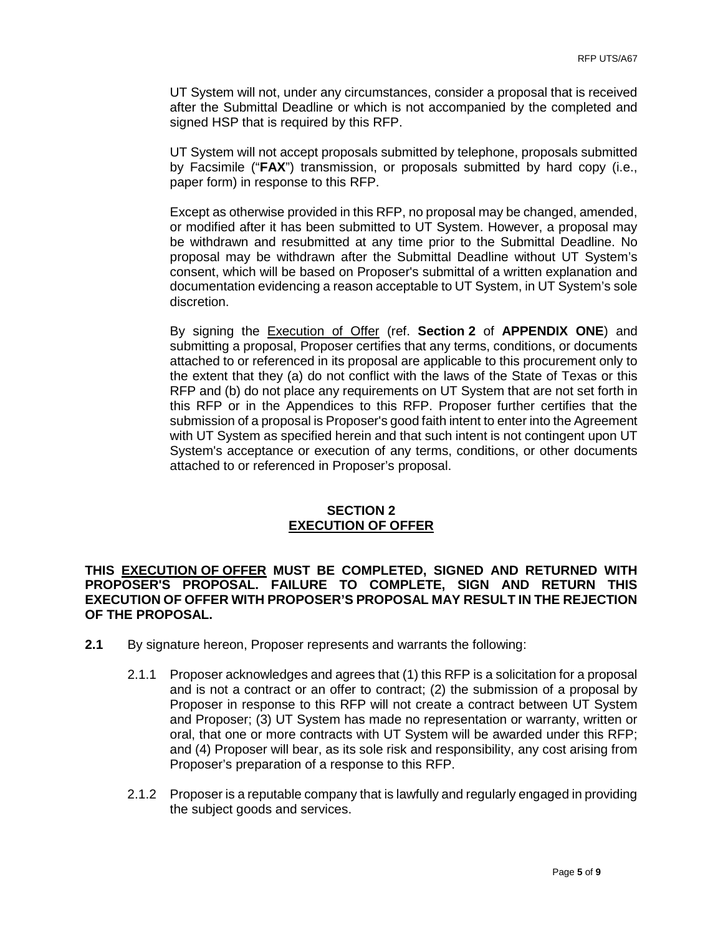UT System will not, under any circumstances, consider a proposal that is received after the Submittal Deadline or which is not accompanied by the completed and signed HSP that is required by this RFP.

UT System will not accept proposals submitted by telephone, proposals submitted by Facsimile ("**FAX**") transmission, or proposals submitted by hard copy (i.e., paper form) in response to this RFP.

Except as otherwise provided in this RFP, no proposal may be changed, amended, or modified after it has been submitted to UT System. However, a proposal may be withdrawn and resubmitted at any time prior to the Submittal Deadline. No proposal may be withdrawn after the Submittal Deadline without UT System's consent, which will be based on Proposer's submittal of a written explanation and documentation evidencing a reason acceptable to UT System, in UT System's sole discretion.

By signing the Execution of Offer (ref. **Section 2** of **APPENDIX ONE**) and submitting a proposal, Proposer certifies that any terms, conditions, or documents attached to or referenced in its proposal are applicable to this procurement only to the extent that they (a) do not conflict with the laws of the State of Texas or this RFP and (b) do not place any requirements on UT System that are not set forth in this RFP or in the Appendices to this RFP. Proposer further certifies that the submission of a proposal is Proposer's good faith intent to enter into the Agreement with UT System as specified herein and that such intent is not contingent upon UT System's acceptance or execution of any terms, conditions, or other documents attached to or referenced in Proposer's proposal.

# **SECTION 2 EXECUTION OF OFFER**

**THIS EXECUTION OF OFFER MUST BE COMPLETED, SIGNED AND RETURNED WITH PROPOSER'S PROPOSAL. FAILURE TO COMPLETE, SIGN AND RETURN THIS EXECUTION OF OFFER WITH PROPOSER'S PROPOSAL MAY RESULT IN THE REJECTION OF THE PROPOSAL.** 

- **2.1** By signature hereon, Proposer represents and warrants the following:
	- 2.1.1 Proposer acknowledges and agrees that (1) this RFP is a solicitation for a proposal and is not a contract or an offer to contract; (2) the submission of a proposal by Proposer in response to this RFP will not create a contract between UT System and Proposer; (3) UT System has made no representation or warranty, written or oral, that one or more contracts with UT System will be awarded under this RFP; and (4) Proposer will bear, as its sole risk and responsibility, any cost arising from Proposer's preparation of a response to this RFP.
	- 2.1.2 Proposer is a reputable company that is lawfully and regularly engaged in providing the subject goods and services.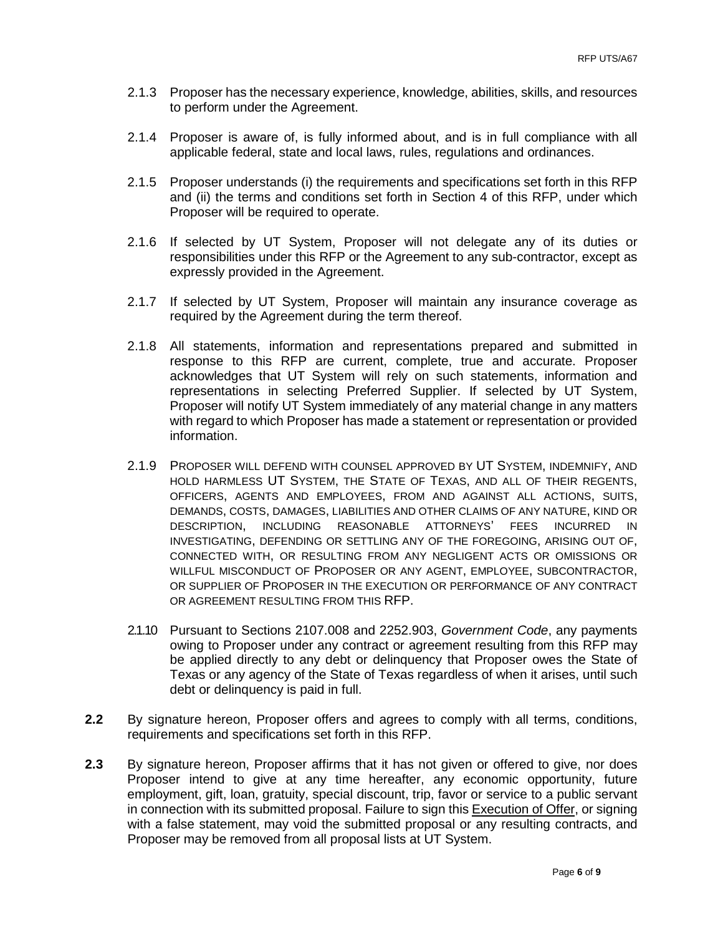- 2.1.3 Proposer has the necessary experience, knowledge, abilities, skills, and resources to perform under the Agreement.
- 2.1.4 Proposer is aware of, is fully informed about, and is in full compliance with all applicable federal, state and local laws, rules, regulations and ordinances.
- 2.1.5 Proposer understands (i) the requirements and specifications set forth in this RFP and (ii) the terms and conditions set forth in Section 4 of this RFP, under which Proposer will be required to operate.
- 2.1.6 If selected by UT System, Proposer will not delegate any of its duties or responsibilities under this RFP or the Agreement to any sub-contractor, except as expressly provided in the Agreement.
- 2.1.7 If selected by UT System, Proposer will maintain any insurance coverage as required by the Agreement during the term thereof.
- 2.1.8 All statements, information and representations prepared and submitted in response to this RFP are current, complete, true and accurate. Proposer acknowledges that UT System will rely on such statements, information and representations in selecting Preferred Supplier. If selected by UT System, Proposer will notify UT System immediately of any material change in any matters with regard to which Proposer has made a statement or representation or provided information.
- 2.1.9 PROPOSER WILL DEFEND WITH COUNSEL APPROVED BY UT SYSTEM, INDEMNIFY, AND HOLD HARMLESS UT SYSTEM, THE STATE OF TEXAS, AND ALL OF THEIR REGENTS, OFFICERS, AGENTS AND EMPLOYEES, FROM AND AGAINST ALL ACTIONS, SUITS, DEMANDS, COSTS, DAMAGES, LIABILITIES AND OTHER CLAIMS OF ANY NATURE, KIND OR DESCRIPTION, INCLUDING REASONABLE ATTORNEYS' FEES INCURRED IN INVESTIGATING, DEFENDING OR SETTLING ANY OF THE FOREGOING, ARISING OUT OF, CONNECTED WITH, OR RESULTING FROM ANY NEGLIGENT ACTS OR OMISSIONS OR WILLFUL MISCONDUCT OF PROPOSER OR ANY AGENT, EMPLOYEE, SUBCONTRACTOR, OR SUPPLIER OF PROPOSER IN THE EXECUTION OR PERFORMANCE OF ANY CONTRACT OR AGREEMENT RESULTING FROM THIS RFP.
- 2.1.10 Pursuant to Sections 2107.008 and 2252.903, *Government Code*, any payments owing to Proposer under any contract or agreement resulting from this RFP may be applied directly to any debt or delinquency that Proposer owes the State of Texas or any agency of the State of Texas regardless of when it arises, until such debt or delinquency is paid in full.
- **2.2** By signature hereon, Proposer offers and agrees to comply with all terms, conditions, requirements and specifications set forth in this RFP.
- **2.3** By signature hereon, Proposer affirms that it has not given or offered to give, nor does Proposer intend to give at any time hereafter, any economic opportunity, future employment, gift, loan, gratuity, special discount, trip, favor or service to a public servant in connection with its submitted proposal. Failure to sign this Execution of Offer, or signing with a false statement, may void the submitted proposal or any resulting contracts, and Proposer may be removed from all proposal lists at UT System.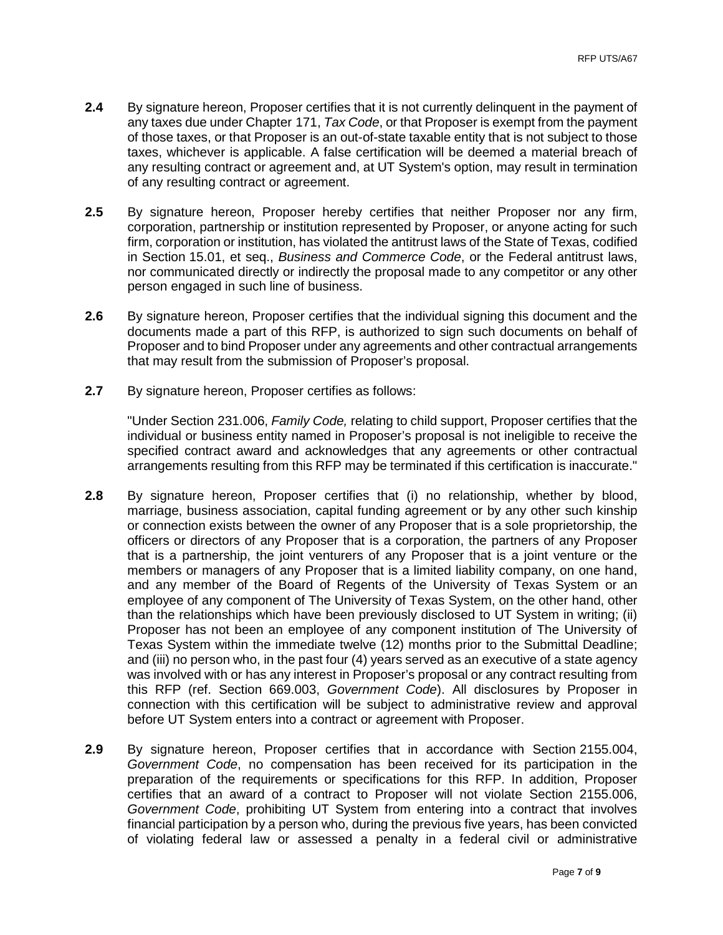- **2.4** By signature hereon, Proposer certifies that it is not currently delinquent in the payment of any taxes due under Chapter 171, *Tax Code*, or that Proposer is exempt from the payment of those taxes, or that Proposer is an out-of-state taxable entity that is not subject to those taxes, whichever is applicable. A false certification will be deemed a material breach of any resulting contract or agreement and, at UT System's option, may result in termination of any resulting contract or agreement.
- **2.5** By signature hereon, Proposer hereby certifies that neither Proposer nor any firm, corporation, partnership or institution represented by Proposer, or anyone acting for such firm, corporation or institution, has violated the antitrust laws of the State of Texas, codified in Section 15.01, et seq., *Business and Commerce Code*, or the Federal antitrust laws, nor communicated directly or indirectly the proposal made to any competitor or any other person engaged in such line of business.
- **2.6** By signature hereon, Proposer certifies that the individual signing this document and the documents made a part of this RFP, is authorized to sign such documents on behalf of Proposer and to bind Proposer under any agreements and other contractual arrangements that may result from the submission of Proposer's proposal.
- **2.7** By signature hereon, Proposer certifies as follows:

"Under Section 231.006, *Family Code,* relating to child support, Proposer certifies that the individual or business entity named in Proposer's proposal is not ineligible to receive the specified contract award and acknowledges that any agreements or other contractual arrangements resulting from this RFP may be terminated if this certification is inaccurate."

- **2.8** By signature hereon, Proposer certifies that (i) no relationship, whether by blood, marriage, business association, capital funding agreement or by any other such kinship or connection exists between the owner of any Proposer that is a sole proprietorship, the officers or directors of any Proposer that is a corporation, the partners of any Proposer that is a partnership, the joint venturers of any Proposer that is a joint venture or the members or managers of any Proposer that is a limited liability company, on one hand, and any member of the Board of Regents of the University of Texas System or an employee of any component of The University of Texas System, on the other hand, other than the relationships which have been previously disclosed to UT System in writing; (ii) Proposer has not been an employee of any component institution of The University of Texas System within the immediate twelve (12) months prior to the Submittal Deadline; and (iii) no person who, in the past four (4) years served as an executive of a state agency was involved with or has any interest in Proposer's proposal or any contract resulting from this RFP (ref. Section 669.003, *Government Code*). All disclosures by Proposer in connection with this certification will be subject to administrative review and approval before UT System enters into a contract or agreement with Proposer.
- **2.9** By signature hereon, Proposer certifies that in accordance with Section 2155.004, *Government Code*, no compensation has been received for its participation in the preparation of the requirements or specifications for this RFP. In addition, Proposer certifies that an award of a contract to Proposer will not violate Section 2155.006, *Government Code*, prohibiting UT System from entering into a contract that involves financial participation by a person who, during the previous five years, has been convicted of violating federal law or assessed a penalty in a federal civil or administrative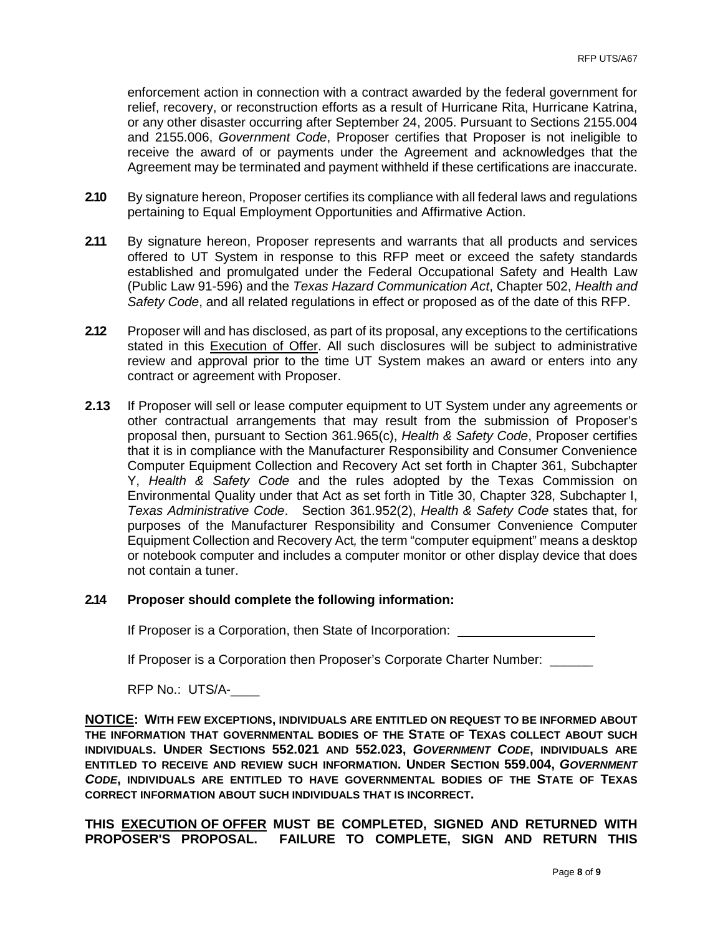enforcement action in connection with a contract awarded by the federal government for relief, recovery, or reconstruction efforts as a result of Hurricane Rita, Hurricane Katrina, or any other disaster occurring after September 24, 2005. Pursuant to Sections 2155.004 and 2155.006, *Government Code*, Proposer certifies that Proposer is not ineligible to receive the award of or payments under the Agreement and acknowledges that the Agreement may be terminated and payment withheld if these certifications are inaccurate.

- 2.10 By signature hereon, Proposer certifies its compliance with all federal laws and regulations pertaining to Equal Employment Opportunities and Affirmative Action.
- **2.11** By signature hereon, Proposer represents and warrants that all products and services offered to UT System in response to this RFP meet or exceed the safety standards established and promulgated under the Federal Occupational Safety and Health Law (Public Law 91-596) and the *Texas Hazard Communication Act*, Chapter 502, *Health and Safety Code*, and all related regulations in effect or proposed as of the date of this RFP.
- **2.12** Proposer will and has disclosed, as part of its proposal, any exceptions to the certifications stated in this Execution of Offer. All such disclosures will be subject to administrative review and approval prior to the time UT System makes an award or enters into any contract or agreement with Proposer.
- **2.13** If Proposer will sell or lease computer equipment to UT System under any agreements or other contractual arrangements that may result from the submission of Proposer's proposal then, pursuant to Section 361.965(c), *Health & Safety Code*, Proposer certifies that it is in compliance with the Manufacturer Responsibility and Consumer Convenience Computer Equipment Collection and Recovery Act set forth in Chapter 361, Subchapter Y, *Health & Safety Code* and the rules adopted by the Texas Commission on Environmental Quality under that Act as set forth in Title 30, Chapter 328, Subchapter I, *Texas Administrative Code*. Section 361.952(2), *Health & Safety Code* states that, for purposes of the Manufacturer Responsibility and Consumer Convenience Computer Equipment Collection and Recovery Act*,* the term "computer equipment" means a desktop or notebook computer and includes a computer monitor or other display device that does not contain a tuner.

#### **2.14 Proposer should complete the following information:**

If Proposer is a Corporation, then State of Incorporation:

If Proposer is a Corporation then Proposer's Corporate Charter Number:

RFP No.: UTS/A-\_\_\_\_

**NOTICE: WITH FEW EXCEPTIONS, INDIVIDUALS ARE ENTITLED ON REQUEST TO BE INFORMED ABOUT THE INFORMATION THAT GOVERNMENTAL BODIES OF THE STATE OF TEXAS COLLECT ABOUT SUCH INDIVIDUALS. UNDER SECTIONS 552.021 AND 552.023,** *GOVERNMENT CODE***, INDIVIDUALS ARE ENTITLED TO RECEIVE AND REVIEW SUCH INFORMATION. UNDER SECTION 559.004,** *GOVERNMENT CODE***, INDIVIDUALS ARE ENTITLED TO HAVE GOVERNMENTAL BODIES OF THE STATE OF TEXAS CORRECT INFORMATION ABOUT SUCH INDIVIDUALS THAT IS INCORRECT.**

**THIS EXECUTION OF OFFER MUST BE COMPLETED, SIGNED AND RETURNED WITH PROPOSER'S PROPOSAL. FAILURE TO COMPLETE, SIGN AND RETURN THIS**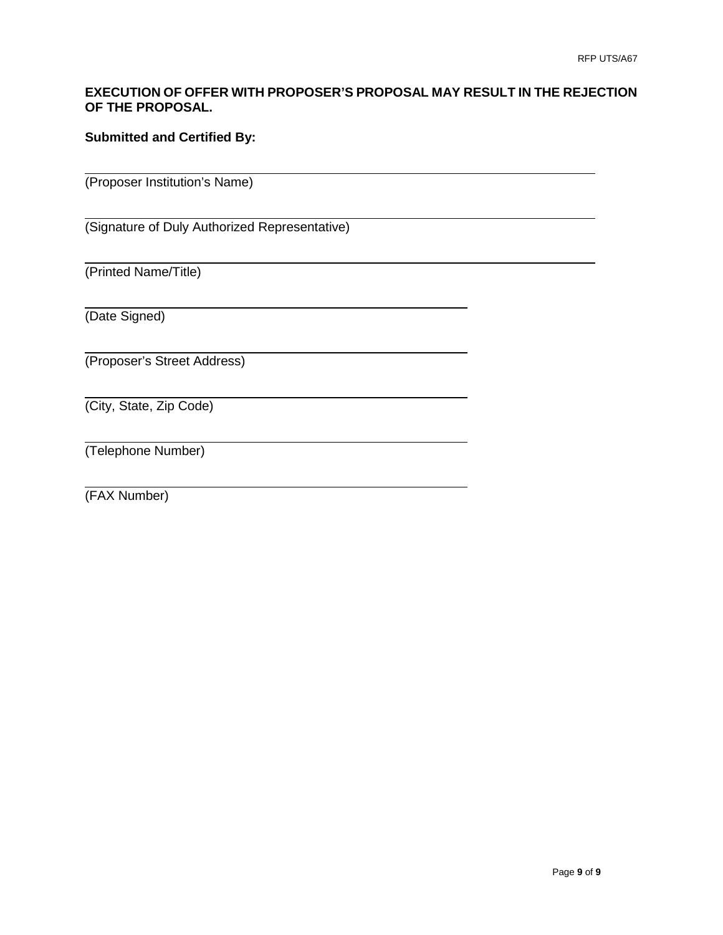## **EXECUTION OF OFFER WITH PROPOSER'S PROPOSAL MAY RESULT IN THE REJECTION OF THE PROPOSAL.**

## **Submitted and Certified By:**

(Proposer Institution's Name)

(Signature of Duly Authorized Representative)

(Printed Name/Title)

(Date Signed)

(Proposer's Street Address)

(City, State, Zip Code)

(Telephone Number)

(FAX Number)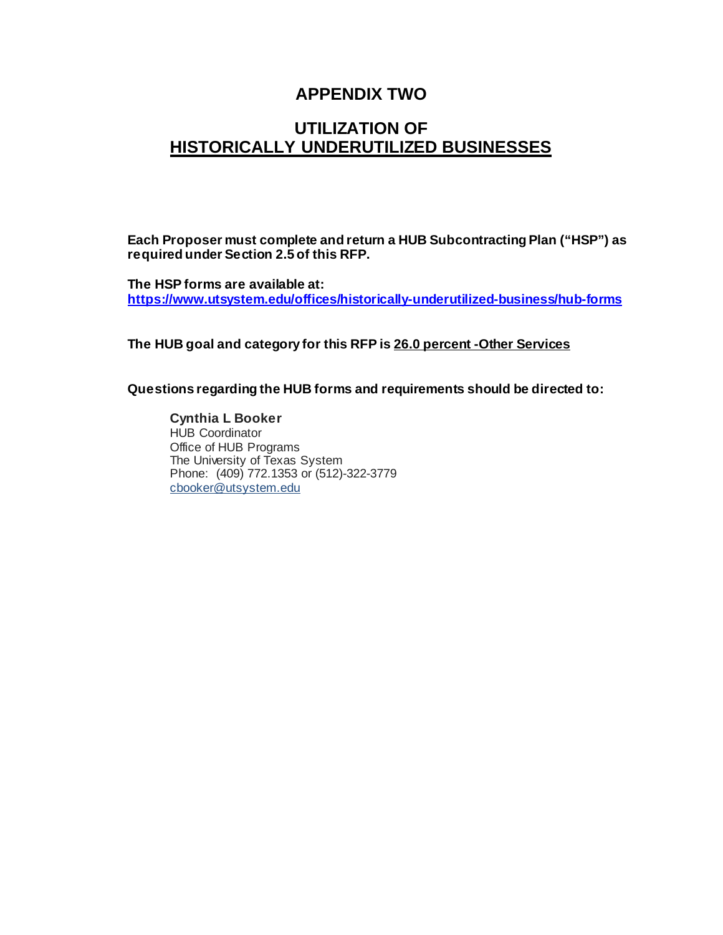# **APPENDIX TWO**

# **UTILIZATION OF HISTORICALLY UNDERUTILIZED BUSINESSES**

**Each Proposer must complete and return a HUB Subcontracting Plan ("HSP") as required under Section 2.5 of this RFP.**

**The HSP forms are available at: <https://www.utsystem.edu/offices/historically-underutilized-business/hub-forms>**

**The HUB goal and category for this RFP is 26.0 percent -Other Services** 

**Questions regarding the HUB forms and requirements should be directed to:**

**Cynthia L Booker** HUB Coordinator Office of HUB Programs The University of Texas System Phone: (409) 772.1353 or (512)-322-3779 [cbooker@utsystem.edu](mailto:cbooker@utsystem.edu)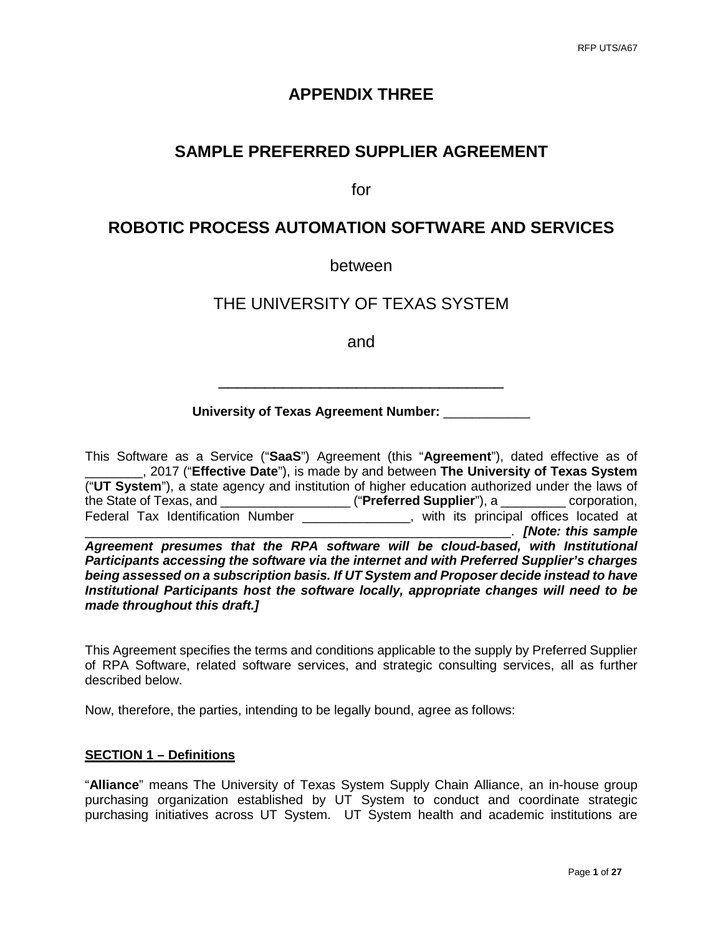# **APPENDIX THREE**

# **SAMPLE PREFERRED SUPPLIER AGREEMENT**

for

## **ROBOTIC PROCESS AUTOMATION SOFTWARE AND SERVICES**

## between

## THE UNIVERSITY OF TEXAS SYSTEM

and

### **University of Texas Agreement Number:** \_\_\_\_\_\_\_\_\_\_\_\_

\_\_\_\_\_\_\_\_\_\_\_\_\_\_\_\_\_\_\_\_\_\_\_\_\_\_\_\_\_\_\_

This Software as a Service ("**SaaS**") Agreement (this "**Agreement**"), dated effective as of \_\_\_\_\_\_\_\_, 2017 ("**Effective Date**"), is made by and between **The University of Texas System** ("**UT System**"), a state agency and institution of higher education authorized under the laws of the State of Texas, and \_\_\_\_\_\_\_\_\_\_\_\_\_\_\_\_\_\_ ("**Preferred Supplier**"), a \_\_\_\_\_\_\_\_\_ corporation, Federal Tax Identification Number \_\_\_\_\_\_\_\_\_\_\_\_\_\_\_, with its principal offices located at \_\_\_\_\_\_\_\_\_\_\_\_\_\_\_\_\_\_\_\_\_\_\_\_\_\_\_\_\_\_\_\_\_\_\_\_\_\_\_\_\_\_\_\_\_\_\_\_\_\_\_\_\_\_\_\_\_\_\_. *[Note: this sample Agreement presumes that the RPA software will be cloud-based, with Institutional Participants accessing the software via the internet and with Preferred Supplier's charges being assessed on a subscription basis. If UT System and Proposer decide instead to have Institutional Participants host the software locally, appropriate changes will need to be made throughout this draft.]*

This Agreement specifies the terms and conditions applicable to the supply by Preferred Supplier of RPA Software, related software services, and strategic consulting services, all as further described below.

Now, therefore, the parties, intending to be legally bound, agree as follows:

#### **SECTION 1 – Definitions**

"**Alliance**" means The University of Texas System Supply Chain Alliance, an in-house group purchasing organization established by UT System to conduct and coordinate strategic purchasing initiatives across UT System. UT System health and academic institutions are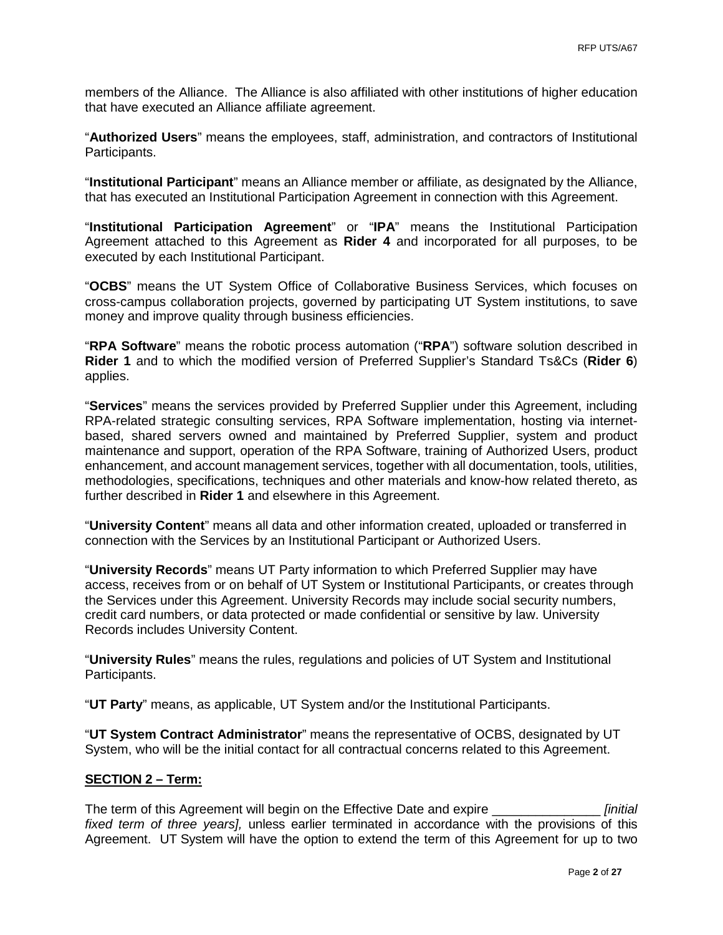members of the Alliance. The Alliance is also affiliated with other institutions of higher education that have executed an Alliance affiliate agreement.

"**Authorized Users**" means the employees, staff, administration, and contractors of Institutional Participants.

"**Institutional Participant**" means an Alliance member or affiliate, as designated by the Alliance, that has executed an Institutional Participation Agreement in connection with this Agreement.

"**Institutional Participation Agreement**" or "**IPA**" means the Institutional Participation Agreement attached to this Agreement as **Rider 4** and incorporated for all purposes, to be executed by each Institutional Participant.

"**OCBS**" means the UT System Office of Collaborative Business Services, which focuses on cross-campus collaboration projects, governed by participating UT System institutions, to save money and improve quality through business efficiencies.

"**RPA Software**" means the robotic process automation ("**RPA**") software solution described in **Rider 1** and to which the modified version of Preferred Supplier's Standard Ts&Cs (**Rider 6**) applies.

"**Services**" means the services provided by Preferred Supplier under this Agreement, including RPA-related strategic consulting services, RPA Software implementation, hosting via internetbased, shared servers owned and maintained by Preferred Supplier, system and product maintenance and support, operation of the RPA Software, training of Authorized Users, product enhancement, and account management services, together with all documentation, tools, utilities, methodologies, specifications, techniques and other materials and know-how related thereto, as further described in **Rider 1** and elsewhere in this Agreement.

"**University Content**" means all data and other information created, uploaded or transferred in connection with the Services by an Institutional Participant or Authorized Users.

"**University Records**" means UT Party information to which Preferred Supplier may have access, receives from or on behalf of UT System or Institutional Participants, or creates through the Services under this Agreement. University Records may include social security numbers, credit card numbers, or data protected or made confidential or sensitive by law. University Records includes University Content.

"**University Rules**" means the rules, regulations and policies of UT System and Institutional Participants.

"**UT Party**" means, as applicable, UT System and/or the Institutional Participants.

"**UT System Contract Administrator**" means the representative of OCBS, designated by UT System, who will be the initial contact for all contractual concerns related to this Agreement.

#### **SECTION 2 – Term:**

The term of this Agreement will begin on the Effective Date and expire \_\_\_\_\_\_\_\_\_\_\_\_\_\_\_ *[initial fixed term of three years],* unless earlier terminated in accordance with the provisions of this Agreement. UT System will have the option to extend the term of this Agreement for up to two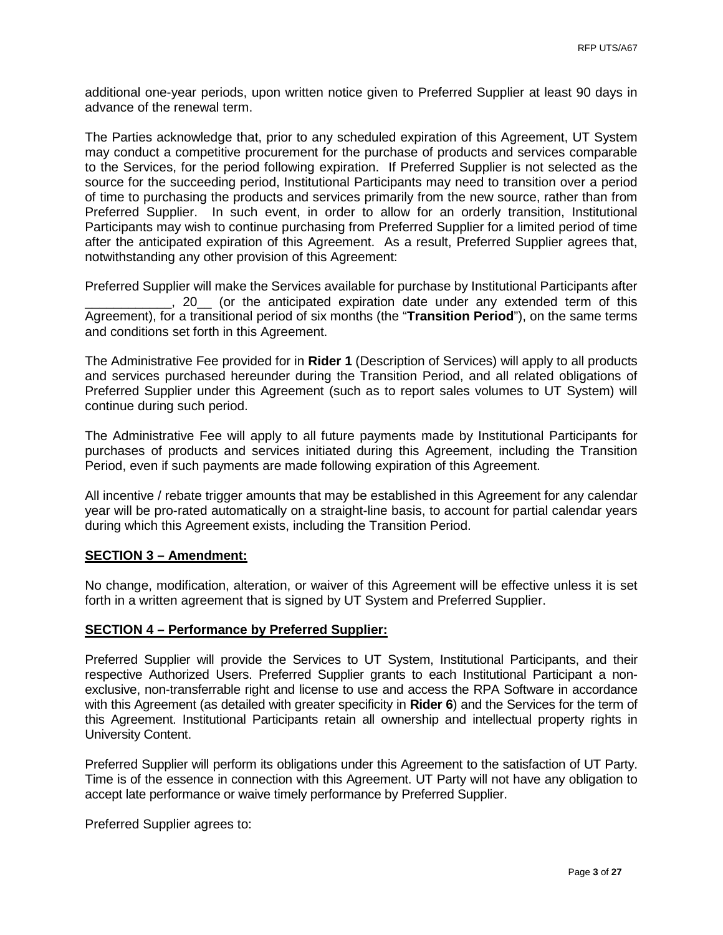additional one-year periods, upon written notice given to Preferred Supplier at least 90 days in advance of the renewal term.

The Parties acknowledge that, prior to any scheduled expiration of this Agreement, UT System may conduct a competitive procurement for the purchase of products and services comparable to the Services, for the period following expiration. If Preferred Supplier is not selected as the source for the succeeding period, Institutional Participants may need to transition over a period of time to purchasing the products and services primarily from the new source, rather than from Preferred Supplier. In such event, in order to allow for an orderly transition, Institutional Participants may wish to continue purchasing from Preferred Supplier for a limited period of time after the anticipated expiration of this Agreement. As a result, Preferred Supplier agrees that, notwithstanding any other provision of this Agreement:

Preferred Supplier will make the Services available for purchase by Institutional Participants after \_\_\_\_\_\_\_\_\_\_\_\_, 20\_\_ (or the anticipated expiration date under any extended term of this Agreement), for a transitional period of six months (the "**Transition Period**"), on the same terms and conditions set forth in this Agreement.

The Administrative Fee provided for in **Rider 1** (Description of Services) will apply to all products and services purchased hereunder during the Transition Period, and all related obligations of Preferred Supplier under this Agreement (such as to report sales volumes to UT System) will continue during such period.

The Administrative Fee will apply to all future payments made by Institutional Participants for purchases of products and services initiated during this Agreement, including the Transition Period, even if such payments are made following expiration of this Agreement.

All incentive / rebate trigger amounts that may be established in this Agreement for any calendar year will be pro-rated automatically on a straight-line basis, to account for partial calendar years during which this Agreement exists, including the Transition Period.

#### **SECTION 3 – Amendment:**

No change, modification, alteration, or waiver of this Agreement will be effective unless it is set forth in a written agreement that is signed by UT System and Preferred Supplier.

#### **SECTION 4 – Performance by Preferred Supplier:**

Preferred Supplier will provide the Services to UT System, Institutional Participants, and their respective Authorized Users. Preferred Supplier grants to each Institutional Participant a nonexclusive, non-transferrable right and license to use and access the RPA Software in accordance with this Agreement (as detailed with greater specificity in **Rider 6**) and the Services for the term of this Agreement. Institutional Participants retain all ownership and intellectual property rights in University Content.

Preferred Supplier will perform its obligations under this Agreement to the satisfaction of UT Party. Time is of the essence in connection with this Agreement. UT Party will not have any obligation to accept late performance or waive timely performance by Preferred Supplier.

Preferred Supplier agrees to: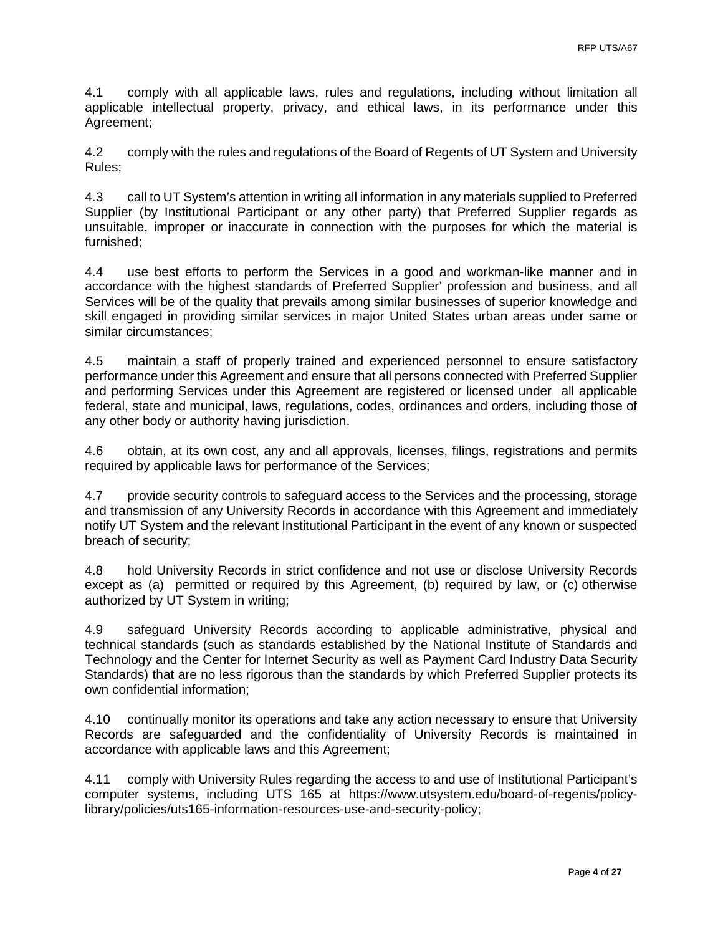4.1 comply with all applicable laws, rules and regulations, including without limitation all applicable intellectual property, privacy, and ethical laws, in its performance under this Agreement;

4.2 comply with the rules and regulations of the Board of Regents of UT System and University Rules;

4.3 call to UT System's attention in writing all information in any materials supplied to Preferred Supplier (by Institutional Participant or any other party) that Preferred Supplier regards as unsuitable, improper or inaccurate in connection with the purposes for which the material is furnished;

4.4 use best efforts to perform the Services in a good and workman-like manner and in accordance with the highest standards of Preferred Supplier' profession and business, and all Services will be of the quality that prevails among similar businesses of superior knowledge and skill engaged in providing similar services in major United States urban areas under same or similar circumstances;

4.5 maintain a staff of properly trained and experienced personnel to ensure satisfactory performance under this Agreement and ensure that all persons connected with Preferred Supplier and performing Services under this Agreement are registered or licensed under all applicable federal, state and municipal, laws, regulations, codes, ordinances and orders, including those of any other body or authority having jurisdiction.

4.6 obtain, at its own cost, any and all approvals, licenses, filings, registrations and permits required by applicable laws for performance of the Services;

4.7 provide security controls to safeguard access to the Services and the processing, storage and transmission of any University Records in accordance with this Agreement and immediately notify UT System and the relevant Institutional Participant in the event of any known or suspected breach of security;

4.8 hold University Records in strict confidence and not use or disclose University Records except as (a) permitted or required by this Agreement, (b) required by law, or (c) otherwise authorized by UT System in writing;

4.9 safeguard University Records according to applicable administrative, physical and technical standards (such as standards established by the National Institute of Standards and Technology and the Center for Internet Security as well as Payment Card Industry Data Security Standards) that are no less rigorous than the standards by which Preferred Supplier protects its own confidential information;

4.10 continually monitor its operations and take any action necessary to ensure that University Records are safeguarded and the confidentiality of University Records is maintained in accordance with applicable laws and this Agreement;

4.11 comply with University Rules regarding the access to and use of Institutional Participant's computer systems, including UTS 165 at [https://www.utsystem.edu/board-of-regents/policy](https://www.utsystem.edu/board-of-regents/policy-library/policies/uts165-information-resources-use-and-security-policy)[library/policies/uts165-information-resources-use-and-security-policy;](https://www.utsystem.edu/board-of-regents/policy-library/policies/uts165-information-resources-use-and-security-policy)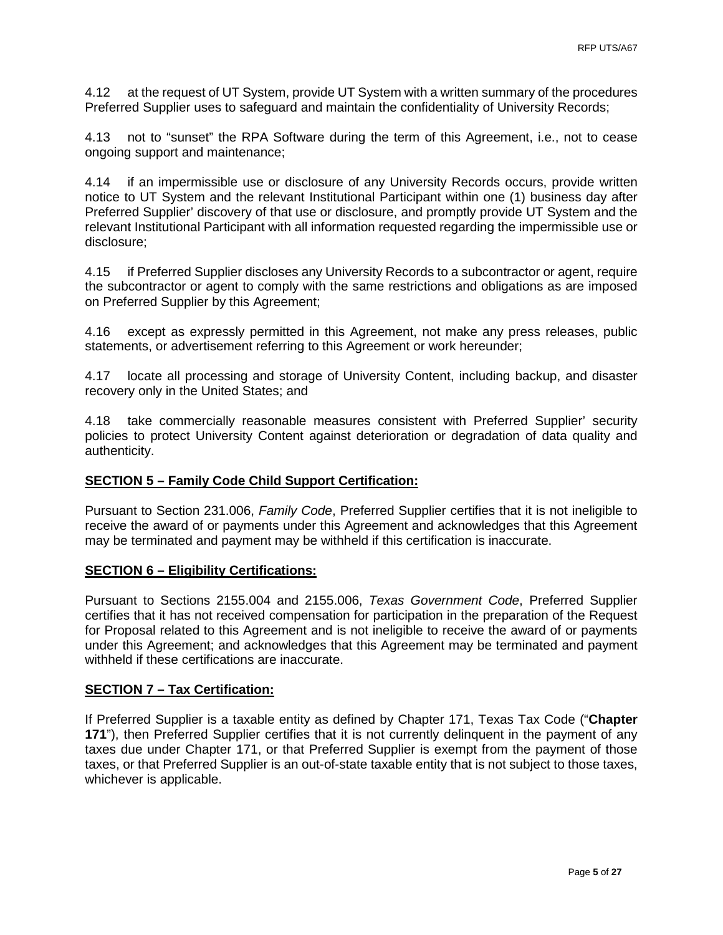4.12 at the request of UT System, provide UT System with a written summary of the procedures Preferred Supplier uses to safeguard and maintain the confidentiality of University Records;

4.13 not to "sunset" the RPA Software during the term of this Agreement, i.e., not to cease ongoing support and maintenance;

4.14 if an impermissible use or disclosure of any University Records occurs, provide written notice to UT System and the relevant Institutional Participant within one (1) business day after Preferred Supplier' discovery of that use or disclosure, and promptly provide UT System and the relevant Institutional Participant with all information requested regarding the impermissible use or disclosure;

4.15 if Preferred Supplier discloses any University Records to a subcontractor or agent, require the subcontractor or agent to comply with the same restrictions and obligations as are imposed on Preferred Supplier by this Agreement;

4.16 except as expressly permitted in this Agreement, not make any press releases, public statements, or advertisement referring to this Agreement or work hereunder;

4.17 locate all processing and storage of University Content, including backup, and disaster recovery only in the United States; and

4.18 take commercially reasonable measures consistent with Preferred Supplier' security policies to protect University Content against deterioration or degradation of data quality and authenticity.

#### **SECTION 5 – Family Code Child Support Certification:**

Pursuant to Section 231.006, *Family Code*, Preferred Supplier certifies that it is not ineligible to receive the award of or payments under this Agreement and acknowledges that this Agreement may be terminated and payment may be withheld if this certification is inaccurate.

#### **SECTION 6 – Eligibility Certifications:**

Pursuant to Sections 2155.004 and 2155.006, *Texas Government Code*, Preferred Supplier certifies that it has not received compensation for participation in the preparation of the Request for Proposal related to this Agreement and is not ineligible to receive the award of or payments under this Agreement; and acknowledges that this Agreement may be terminated and payment withheld if these certifications are inaccurate.

#### **SECTION 7 – Tax Certification:**

If Preferred Supplier is a taxable entity as defined by Chapter 171, Texas Tax Code ("**Chapter 171**"), then Preferred Supplier certifies that it is not currently delinquent in the payment of any taxes due under Chapter 171, or that Preferred Supplier is exempt from the payment of those taxes, or that Preferred Supplier is an out-of-state taxable entity that is not subject to those taxes, whichever is applicable.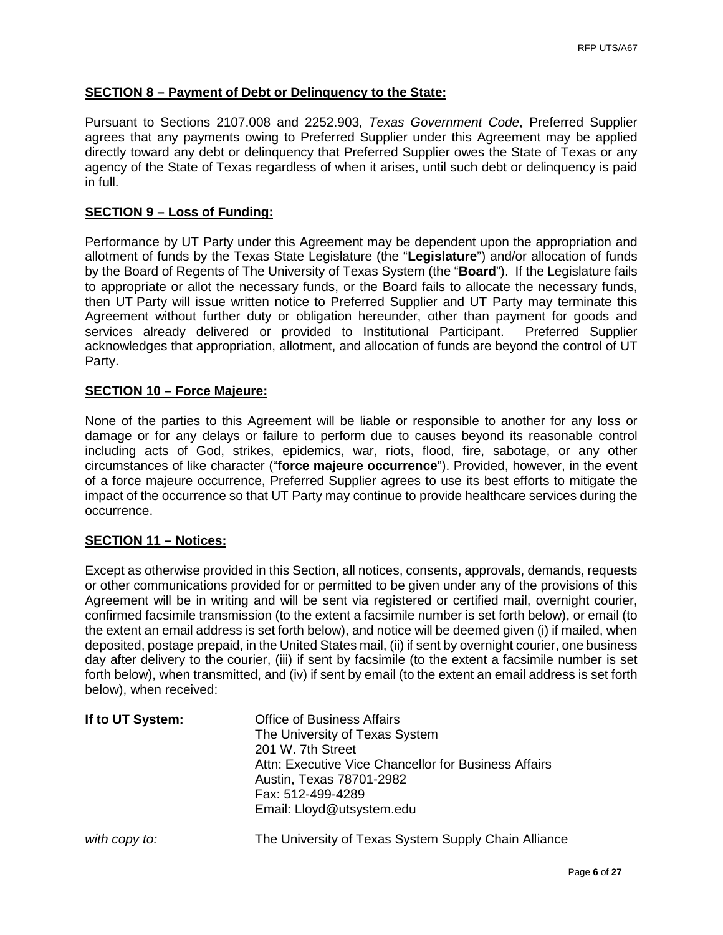## **SECTION 8 – Payment of Debt or Delinquency to the State:**

Pursuant to Sections 2107.008 and 2252.903, *Texas Government Code*, Preferred Supplier agrees that any payments owing to Preferred Supplier under this Agreement may be applied directly toward any debt or delinquency that Preferred Supplier owes the State of Texas or any agency of the State of Texas regardless of when it arises, until such debt or delinquency is paid in full.

#### **SECTION 9 – Loss of Funding:**

Performance by UT Party under this Agreement may be dependent upon the appropriation and allotment of funds by the Texas State Legislature (the "**Legislature**") and/or allocation of funds by the Board of Regents of The University of Texas System (the "**Board**"). If the Legislature fails to appropriate or allot the necessary funds, or the Board fails to allocate the necessary funds, then UT Party will issue written notice to Preferred Supplier and UT Party may terminate this Agreement without further duty or obligation hereunder, other than payment for goods and services already delivered or provided to Institutional Participant. Preferred Supplier services already delivered or provided to Institutional Participant. acknowledges that appropriation, allotment, and allocation of funds are beyond the control of UT Party.

#### **SECTION 10 – Force Majeure:**

None of the parties to this Agreement will be liable or responsible to another for any loss or damage or for any delays or failure to perform due to causes beyond its reasonable control including acts of God, strikes, epidemics, war, riots, flood, fire, sabotage, or any other circumstances of like character ("**force majeure occurrence**"). Provided, however, in the event of a force majeure occurrence, Preferred Supplier agrees to use its best efforts to mitigate the impact of the occurrence so that UT Party may continue to provide healthcare services during the occurrence.

#### **SECTION 11 – Notices:**

Except as otherwise provided in this Section, all notices, consents, approvals, demands, requests or other communications provided for or permitted to be given under any of the provisions of this Agreement will be in writing and will be sent via registered or certified mail, overnight courier, confirmed facsimile transmission (to the extent a facsimile number is set forth below), or email (to the extent an email address is set forth below), and notice will be deemed given (i) if mailed, when deposited, postage prepaid, in the United States mail, (ii) if sent by overnight courier, one business day after delivery to the courier, (iii) if sent by facsimile (to the extent a facsimile number is set forth below), when transmitted, and (iv) if sent by email (to the extent an email address is set forth below), when received:

| If to UT System: | <b>Office of Business Affairs</b><br>The University of Texas System<br>201 W. 7th Street<br>Attn: Executive Vice Chancellor for Business Affairs<br>Austin, Texas 78701-2982<br>Fax: 512-499-4289<br>Email: Lloyd@utsystem.edu |
|------------------|--------------------------------------------------------------------------------------------------------------------------------------------------------------------------------------------------------------------------------|
| with copy to:    | The University of Texas System Supply Chain Alliance                                                                                                                                                                           |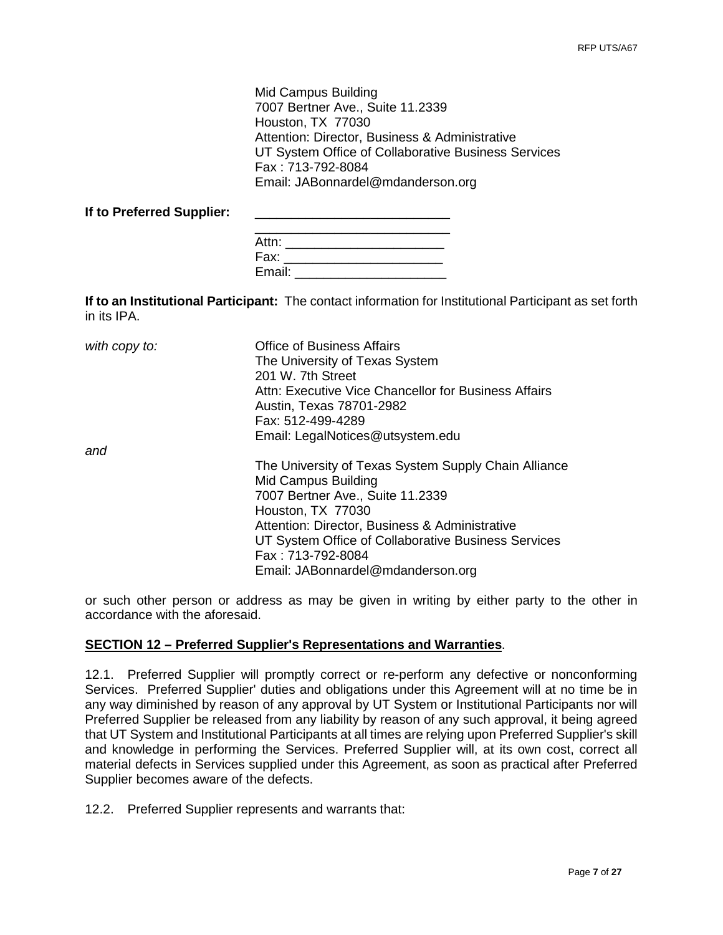Mid Campus Building 7007 Bertner Ave., Suite 11.2339 Houston, TX 77030 Attention: Director, Business & Administrative UT System Office of Collaborative Business Services Fax : 713-792-8084 Email: JABonnardel@mdanderson.org

If to Preferred Supplier:

| Attn:  |  |  |  |
|--------|--|--|--|
| Fax:   |  |  |  |
| Email: |  |  |  |

**If to an Institutional Participant:** The contact information for Institutional Participant as set forth in its IPA.

| with copy to: | <b>Office of Business Affairs</b><br>The University of Texas System<br>201 W. 7th Street<br>Attn: Executive Vice Chancellor for Business Affairs<br>Austin, Texas 78701-2982<br>Fax: 512-499-4289<br>Email: LegalNotices@utsystem.edu                                                                   |
|---------------|---------------------------------------------------------------------------------------------------------------------------------------------------------------------------------------------------------------------------------------------------------------------------------------------------------|
| and           | The University of Texas System Supply Chain Alliance<br>Mid Campus Building<br>7007 Bertner Ave., Suite 11.2339<br>Houston, TX 77030<br>Attention: Director, Business & Administrative<br>UT System Office of Collaborative Business Services<br>Fax: 713-792-8084<br>Email: JABonnardel@mdanderson.org |

or such other person or address as may be given in writing by either party to the other in accordance with the aforesaid.

#### **SECTION 12 – Preferred Supplier's Representations and Warranties**.

12.1. Preferred Supplier will promptly correct or re-perform any defective or nonconforming Services. Preferred Supplier' duties and obligations under this Agreement will at no time be in any way diminished by reason of any approval by UT System or Institutional Participants nor will Preferred Supplier be released from any liability by reason of any such approval, it being agreed that UT System and Institutional Participants at all times are relying upon Preferred Supplier's skill and knowledge in performing the Services. Preferred Supplier will, at its own cost, correct all material defects in Services supplied under this Agreement, as soon as practical after Preferred Supplier becomes aware of the defects.

12.2. Preferred Supplier represents and warrants that: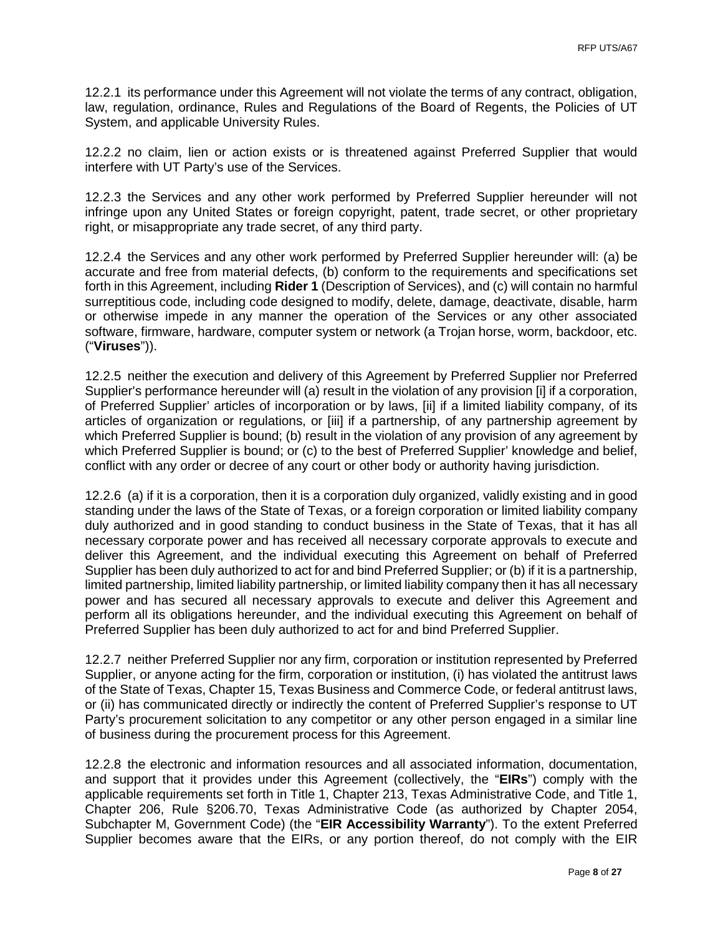12.2.1 its performance under this Agreement will not violate the terms of any contract, obligation, law, regulation, ordinance, Rules and Regulations of the Board of Regents, the Policies of UT System, and applicable University Rules.

12.2.2 no claim, lien or action exists or is threatened against Preferred Supplier that would interfere with UT Party's use of the Services.

12.2.3 the Services and any other work performed by Preferred Supplier hereunder will not infringe upon any United States or foreign copyright, patent, trade secret, or other proprietary right, or misappropriate any trade secret, of any third party.

12.2.4 the Services and any other work performed by Preferred Supplier hereunder will: (a) be accurate and free from material defects, (b) conform to the requirements and specifications set forth in this Agreement, including **Rider 1** (Description of Services), and (c) will contain no harmful surreptitious code, including code designed to modify, delete, damage, deactivate, disable, harm or otherwise impede in any manner the operation of the Services or any other associated software, firmware, hardware, computer system or network (a Trojan horse, worm, backdoor, etc. ("**Viruses**")).

12.2.5 neither the execution and delivery of this Agreement by Preferred Supplier nor Preferred Supplier's performance hereunder will (a) result in the violation of any provision [i] if a corporation, of Preferred Supplier' articles of incorporation or by laws, [ii] if a limited liability company, of its articles of organization or regulations, or [iii] if a partnership, of any partnership agreement by which Preferred Supplier is bound; (b) result in the violation of any provision of any agreement by which Preferred Supplier is bound; or (c) to the best of Preferred Supplier' knowledge and belief, conflict with any order or decree of any court or other body or authority having jurisdiction.

12.2.6 (a) if it is a corporation, then it is a corporation duly organized, validly existing and in good standing under the laws of the State of Texas, or a foreign corporation or limited liability company duly authorized and in good standing to conduct business in the State of Texas, that it has all necessary corporate power and has received all necessary corporate approvals to execute and deliver this Agreement, and the individual executing this Agreement on behalf of Preferred Supplier has been duly authorized to act for and bind Preferred Supplier; or (b) if it is a partnership, limited partnership, limited liability partnership, or limited liability company then it has all necessary power and has secured all necessary approvals to execute and deliver this Agreement and perform all its obligations hereunder, and the individual executing this Agreement on behalf of Preferred Supplier has been duly authorized to act for and bind Preferred Supplier.

12.2.7 neither Preferred Supplier nor any firm, corporation or institution represented by Preferred Supplier, or anyone acting for the firm, corporation or institution, (i) has violated the antitrust laws of the State of Texas, Chapter 15, Texas Business and Commerce Code, or federal antitrust laws, or (ii) has communicated directly or indirectly the content of Preferred Supplier's response to UT Party's procurement solicitation to any competitor or any other person engaged in a similar line of business during the procurement process for this Agreement.

12.2.8 the electronic and information resources and all associated information, documentation, and support that it provides under this Agreement (collectively, the "**EIRs**") comply with the applicable requirements set forth in Title 1, Chapter 213, Texas Administrative Code, and Title 1, Chapter 206, Rule §206.70, Texas Administrative Code (as authorized by Chapter 2054, Subchapter M, Government Code) (the "**EIR Accessibility Warranty**"). To the extent Preferred Supplier becomes aware that the EIRs, or any portion thereof, do not comply with the EIR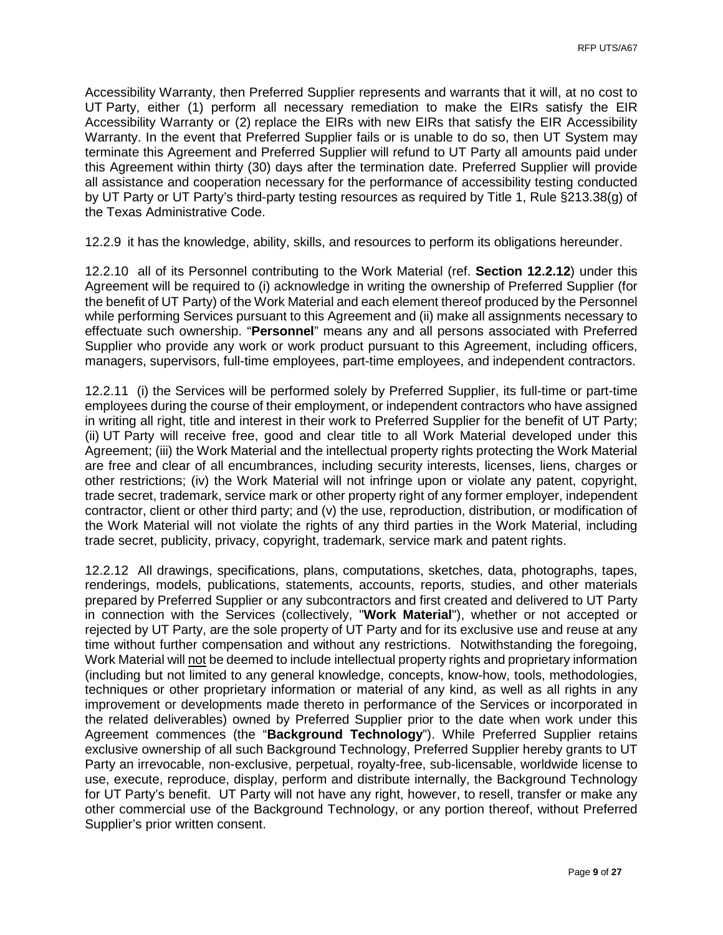Accessibility Warranty, then Preferred Supplier represents and warrants that it will, at no cost to UT Party, either (1) perform all necessary remediation to make the EIRs satisfy the EIR Accessibility Warranty or (2) replace the EIRs with new EIRs that satisfy the EIR Accessibility Warranty. In the event that Preferred Supplier fails or is unable to do so, then UT System may terminate this Agreement and Preferred Supplier will refund to UT Party all amounts paid under this Agreement within thirty (30) days after the termination date. Preferred Supplier will provide all assistance and cooperation necessary for the performance of accessibility testing conducted by UT Party or UT Party's third-party testing resources as required by Title 1, Rule §213.38(g) of the Texas Administrative Code.

12.2.9 it has the knowledge, ability, skills, and resources to perform its obligations hereunder.

12.2.10 all of its Personnel contributing to the Work Material (ref. **Section 12.2.12**) under this Agreement will be required to (i) acknowledge in writing the ownership of Preferred Supplier (for the benefit of UT Party) of the Work Material and each element thereof produced by the Personnel while performing Services pursuant to this Agreement and (ii) make all assignments necessary to effectuate such ownership. "**Personnel**" means any and all persons associated with Preferred Supplier who provide any work or work product pursuant to this Agreement, including officers, managers, supervisors, full-time employees, part-time employees, and independent contractors.

12.2.11 (i) the Services will be performed solely by Preferred Supplier, its full-time or part-time employees during the course of their employment, or independent contractors who have assigned in writing all right, title and interest in their work to Preferred Supplier for the benefit of UT Party; (ii) UT Party will receive free, good and clear title to all Work Material developed under this Agreement; (iii) the Work Material and the intellectual property rights protecting the Work Material are free and clear of all encumbrances, including security interests, licenses, liens, charges or other restrictions; (iv) the Work Material will not infringe upon or violate any patent, copyright, trade secret, trademark, service mark or other property right of any former employer, independent contractor, client or other third party; and (v) the use, reproduction, distribution, or modification of the Work Material will not violate the rights of any third parties in the Work Material, including trade secret, publicity, privacy, copyright, trademark, service mark and patent rights.

12.2.12 All drawings, specifications, plans, computations, sketches, data, photographs, tapes, renderings, models, publications, statements, accounts, reports, studies, and other materials prepared by Preferred Supplier or any subcontractors and first created and delivered to UT Party in connection with the Services (collectively, "**Work Material**"), whether or not accepted or rejected by UT Party, are the sole property of UT Party and for its exclusive use and reuse at any time without further compensation and without any restrictions. Notwithstanding the foregoing, Work Material will not be deemed to include intellectual property rights and proprietary information (including but not limited to any general knowledge, concepts, know-how, tools, methodologies, techniques or other proprietary information or material of any kind, as well as all rights in any improvement or developments made thereto in performance of the Services or incorporated in the related deliverables) owned by Preferred Supplier prior to the date when work under this Agreement commences (the "**Background Technology**"). While Preferred Supplier retains exclusive ownership of all such Background Technology, Preferred Supplier hereby grants to UT Party an irrevocable, non-exclusive, perpetual, royalty-free, sub-licensable, worldwide license to use, execute, reproduce, display, perform and distribute internally, the Background Technology for UT Party's benefit. UT Party will not have any right, however, to resell, transfer or make any other commercial use of the Background Technology, or any portion thereof, without Preferred Supplier's prior written consent.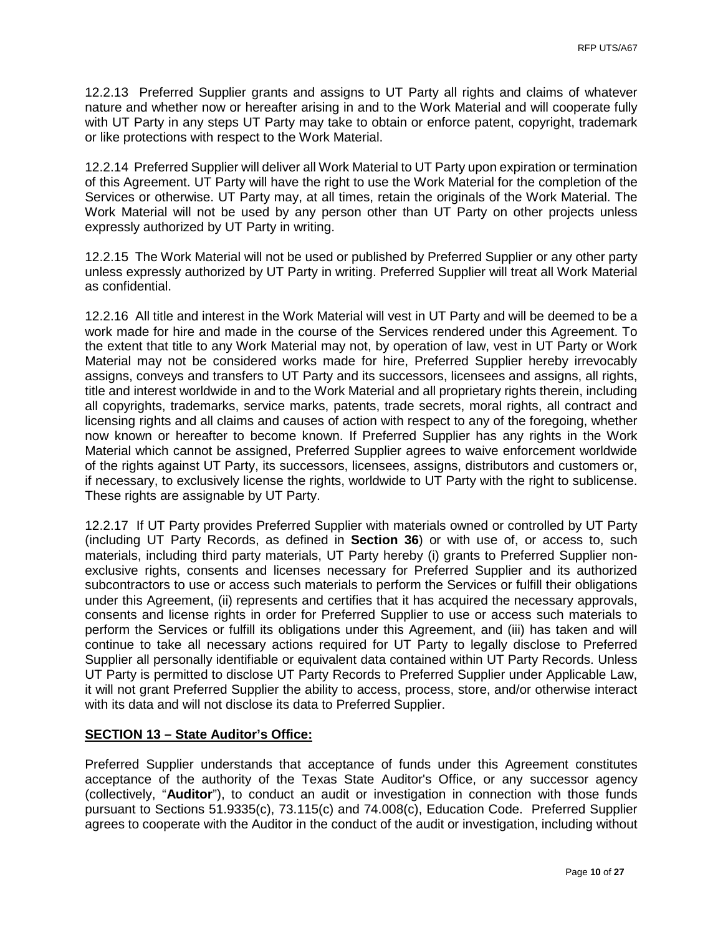12.2.13 Preferred Supplier grants and assigns to UT Party all rights and claims of whatever nature and whether now or hereafter arising in and to the Work Material and will cooperate fully with UT Party in any steps UT Party may take to obtain or enforce patent, copyright, trademark or like protections with respect to the Work Material.

12.2.14 Preferred Supplier will deliver all Work Material to UT Party upon expiration or termination of this Agreement. UT Party will have the right to use the Work Material for the completion of the Services or otherwise. UT Party may, at all times, retain the originals of the Work Material. The Work Material will not be used by any person other than UT Party on other projects unless expressly authorized by UT Party in writing.

12.2.15 The Work Material will not be used or published by Preferred Supplier or any other party unless expressly authorized by UT Party in writing. Preferred Supplier will treat all Work Material as confidential.

12.2.16 All title and interest in the Work Material will vest in UT Party and will be deemed to be a work made for hire and made in the course of the Services rendered under this Agreement. To the extent that title to any Work Material may not, by operation of law, vest in UT Party or Work Material may not be considered works made for hire, Preferred Supplier hereby irrevocably assigns, conveys and transfers to UT Party and its successors, licensees and assigns, all rights, title and interest worldwide in and to the Work Material and all proprietary rights therein, including all copyrights, trademarks, service marks, patents, trade secrets, moral rights, all contract and licensing rights and all claims and causes of action with respect to any of the foregoing, whether now known or hereafter to become known. If Preferred Supplier has any rights in the Work Material which cannot be assigned, Preferred Supplier agrees to waive enforcement worldwide of the rights against UT Party, its successors, licensees, assigns, distributors and customers or, if necessary, to exclusively license the rights, worldwide to UT Party with the right to sublicense. These rights are assignable by UT Party.

12.2.17 If UT Party provides Preferred Supplier with materials owned or controlled by UT Party (including UT Party Records, as defined in **Section 36**) or with use of, or access to, such materials, including third party materials, UT Party hereby (i) grants to Preferred Supplier nonexclusive rights, consents and licenses necessary for Preferred Supplier and its authorized subcontractors to use or access such materials to perform the Services or fulfill their obligations under this Agreement, (ii) represents and certifies that it has acquired the necessary approvals, consents and license rights in order for Preferred Supplier to use or access such materials to perform the Services or fulfill its obligations under this Agreement, and (iii) has taken and will continue to take all necessary actions required for UT Party to legally disclose to Preferred Supplier all personally identifiable or equivalent data contained within UT Party Records. Unless UT Party is permitted to disclose UT Party Records to Preferred Supplier under Applicable Law, it will not grant Preferred Supplier the ability to access, process, store, and/or otherwise interact with its data and will not disclose its data to Preferred Supplier.

## **SECTION 13 – State Auditor's Office:**

Preferred Supplier understands that acceptance of funds under this Agreement constitutes acceptance of the authority of the Texas State Auditor's Office, or any successor agency (collectively, "**Auditor**"), to conduct an audit or investigation in connection with those funds pursuant to Sections 51.9335(c), 73.115(c) and 74.008(c), Education Code. Preferred Supplier agrees to cooperate with the Auditor in the conduct of the audit or investigation, including without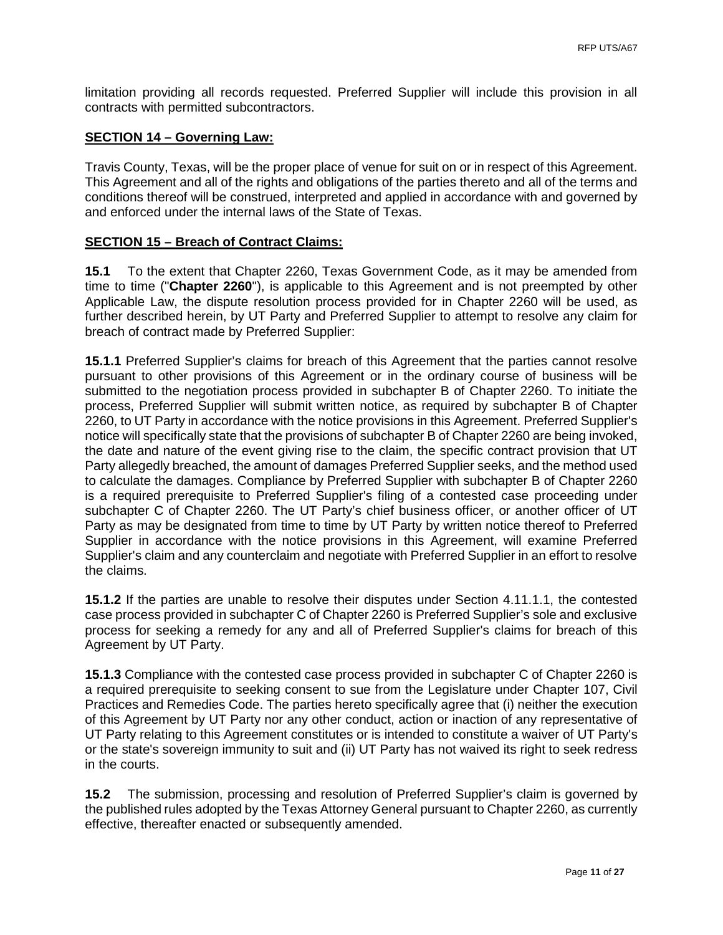limitation providing all records requested. Preferred Supplier will include this provision in all contracts with permitted subcontractors.

#### **SECTION 14 – Governing Law:**

Travis County, Texas, will be the proper place of venue for suit on or in respect of this Agreement. This Agreement and all of the rights and obligations of the parties thereto and all of the terms and conditions thereof will be construed, interpreted and applied in accordance with and governed by and enforced under the internal laws of the State of Texas.

#### **SECTION 15 – Breach of Contract Claims:**

**15.1** To the extent that Chapter 2260, Texas Government Code, as it may be amended from time to time ("**Chapter 2260**"), is applicable to this Agreement and is not preempted by other Applicable Law, the dispute resolution process provided for in Chapter 2260 will be used, as further described herein, by UT Party and Preferred Supplier to attempt to resolve any claim for breach of contract made by Preferred Supplier:

**15.1.1** Preferred Supplier's claims for breach of this Agreement that the parties cannot resolve pursuant to other provisions of this Agreement or in the ordinary course of business will be submitted to the negotiation process provided in subchapter B of Chapter 2260. To initiate the process, Preferred Supplier will submit written notice, as required by subchapter B of Chapter 2260, to UT Party in accordance with the notice provisions in this Agreement. Preferred Supplier's notice will specifically state that the provisions of subchapter B of Chapter 2260 are being invoked, the date and nature of the event giving rise to the claim, the specific contract provision that UT Party allegedly breached, the amount of damages Preferred Supplier seeks, and the method used to calculate the damages. Compliance by Preferred Supplier with subchapter B of Chapter 2260 is a required prerequisite to Preferred Supplier's filing of a contested case proceeding under subchapter C of Chapter 2260. The UT Party's chief business officer, or another officer of UT Party as may be designated from time to time by UT Party by written notice thereof to Preferred Supplier in accordance with the notice provisions in this Agreement, will examine Preferred Supplier's claim and any counterclaim and negotiate with Preferred Supplier in an effort to resolve the claims.

**15.1.2** If the parties are unable to resolve their disputes under Section 4.11.1.1, the contested case process provided in subchapter C of Chapter 2260 is Preferred Supplier's sole and exclusive process for seeking a remedy for any and all of Preferred Supplier's claims for breach of this Agreement by UT Party.

**15.1.3** Compliance with the contested case process provided in subchapter C of Chapter 2260 is a required prerequisite to seeking consent to sue from the Legislature under Chapter 107, Civil Practices and Remedies Code. The parties hereto specifically agree that (i) neither the execution of this Agreement by UT Party nor any other conduct, action or inaction of any representative of UT Party relating to this Agreement constitutes or is intended to constitute a waiver of UT Party's or the state's sovereign immunity to suit and (ii) UT Party has not waived its right to seek redress in the courts.

**15.2** The submission, processing and resolution of Preferred Supplier's claim is governed by the published rules adopted by the Texas Attorney General pursuant to Chapter 2260, as currently effective, thereafter enacted or subsequently amended.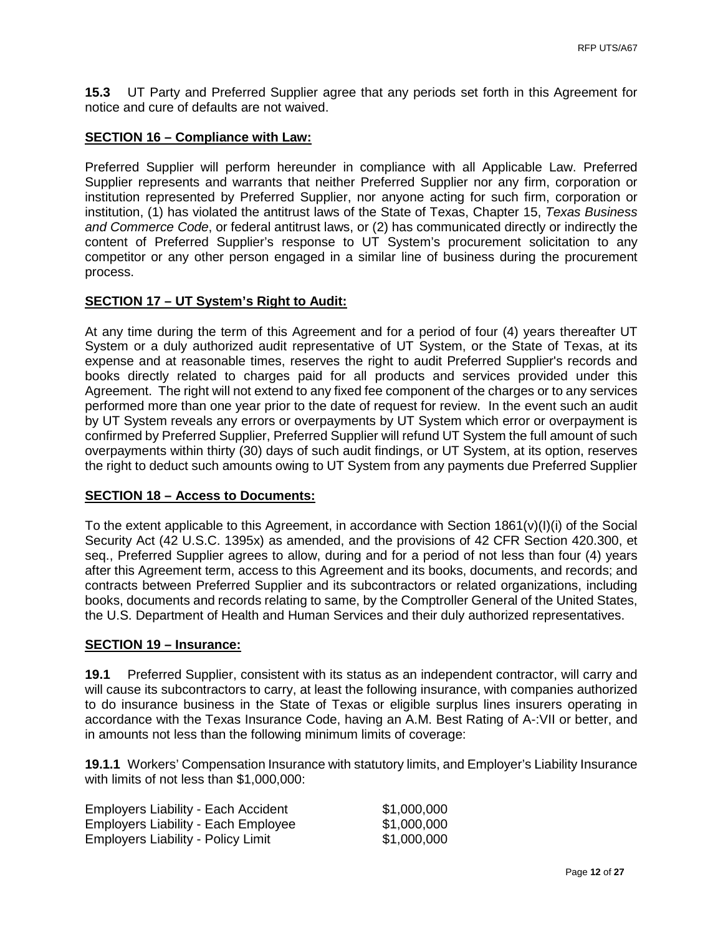**15.3** UT Party and Preferred Supplier agree that any periods set forth in this Agreement for notice and cure of defaults are not waived.

#### **SECTION 16 – Compliance with Law:**

Preferred Supplier will perform hereunder in compliance with all Applicable Law. Preferred Supplier represents and warrants that neither Preferred Supplier nor any firm, corporation or institution represented by Preferred Supplier, nor anyone acting for such firm, corporation or institution, (1) has violated the antitrust laws of the State of Texas, Chapter 15, *Texas Business and Commerce Code*, or federal antitrust laws, or (2) has communicated directly or indirectly the content of Preferred Supplier's response to UT System's procurement solicitation to any competitor or any other person engaged in a similar line of business during the procurement process.

#### **SECTION 17 – UT System's Right to Audit:**

At any time during the term of this Agreement and for a period of four (4) years thereafter UT System or a duly authorized audit representative of UT System, or the State of Texas, at its expense and at reasonable times, reserves the right to audit Preferred Supplier's records and books directly related to charges paid for all products and services provided under this Agreement. The right will not extend to any fixed fee component of the charges or to any services performed more than one year prior to the date of request for review. In the event such an audit by UT System reveals any errors or overpayments by UT System which error or overpayment is confirmed by Preferred Supplier, Preferred Supplier will refund UT System the full amount of such overpayments within thirty (30) days of such audit findings, or UT System, at its option, reserves the right to deduct such amounts owing to UT System from any payments due Preferred Supplier

#### **SECTION 18 – Access to Documents:**

To the extent applicable to this Agreement, in accordance with Section 1861(v)(I)(i) of the Social Security Act (42 U.S.C. 1395x) as amended, and the provisions of 42 CFR Section 420.300, et seq., Preferred Supplier agrees to allow, during and for a period of not less than four (4) years after this Agreement term, access to this Agreement and its books, documents, and records; and contracts between Preferred Supplier and its subcontractors or related organizations, including books, documents and records relating to same, by the Comptroller General of the United States, the U.S. Department of Health and Human Services and their duly authorized representatives.

#### **SECTION 19 – Insurance:**

**19.1** Preferred Supplier, consistent with its status as an independent contractor, will carry and will cause its subcontractors to carry, at least the following insurance, with companies authorized to do insurance business in the State of Texas or eligible surplus lines insurers operating in accordance with the Texas Insurance Code, having an A.M. Best Rating of A-:VII or better, and in amounts not less than the following minimum limits of coverage:

**19.1.1** Workers' Compensation Insurance with statutory limits, and Employer's Liability Insurance with limits of not less than \$1,000,000:

| <b>Employers Liability - Each Accident</b> | \$1,000,000 |
|--------------------------------------------|-------------|
| <b>Employers Liability - Each Employee</b> | \$1,000,000 |
| <b>Employers Liability - Policy Limit</b>  | \$1,000,000 |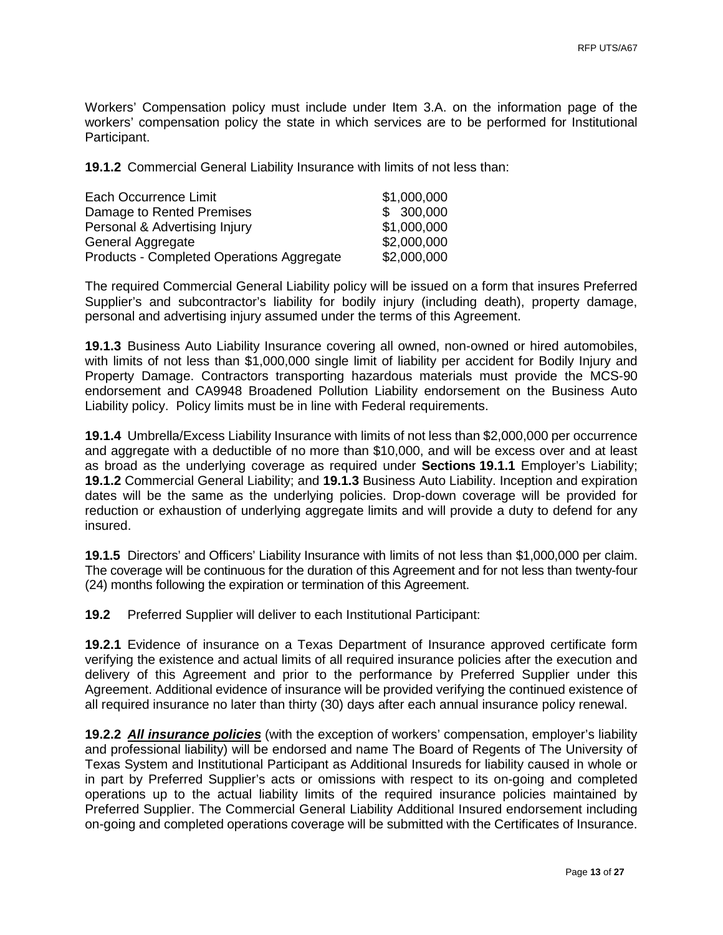Workers' Compensation policy must include under Item 3.A. on the information page of the workers' compensation policy the state in which services are to be performed for Institutional Participant.

**19.1.2** Commercial General Liability Insurance with limits of not less than:

| Each Occurrence Limit                     | \$1,000,000 |
|-------------------------------------------|-------------|
| Damage to Rented Premises                 | \$300,000   |
| Personal & Advertising Injury             | \$1,000,000 |
| General Aggregate                         | \$2,000,000 |
| Products - Completed Operations Aggregate | \$2,000,000 |

The required Commercial General Liability policy will be issued on a form that insures Preferred Supplier's and subcontractor's liability for bodily injury (including death), property damage, personal and advertising injury assumed under the terms of this Agreement.

**19.1.3** Business Auto Liability Insurance covering all owned, non-owned or hired automobiles, with limits of not less than \$1,000,000 single limit of liability per accident for Bodily Injury and Property Damage. Contractors transporting hazardous materials must provide the MCS-90 endorsement and CA9948 Broadened Pollution Liability endorsement on the Business Auto Liability policy. Policy limits must be in line with Federal requirements.

**19.1.4** Umbrella/Excess Liability Insurance with limits of not less than \$2,000,000 per occurrence and aggregate with a deductible of no more than \$10,000, and will be excess over and at least as broad as the underlying coverage as required under **Sections 19.1.1** Employer's Liability; **19.1.2** Commercial General Liability; and **19.1.3** Business Auto Liability. Inception and expiration dates will be the same as the underlying policies. Drop-down coverage will be provided for reduction or exhaustion of underlying aggregate limits and will provide a duty to defend for any insured.

**19.1.5** Directors' and Officers' Liability Insurance with limits of not less than \$1,000,000 per claim. The coverage will be continuous for the duration of this Agreement and for not less than twenty-four (24) months following the expiration or termination of this Agreement.

**19.2** Preferred Supplier will deliver to each Institutional Participant:

**19.2.1** Evidence of insurance on a Texas Department of Insurance approved certificate form verifying the existence and actual limits of all required insurance policies after the execution and delivery of this Agreement and prior to the performance by Preferred Supplier under this Agreement. Additional evidence of insurance will be provided verifying the continued existence of all required insurance no later than thirty (30) days after each annual insurance policy renewal.

**19.2.2** *All insurance policies* (with the exception of workers' compensation, employer's liability and professional liability) will be endorsed and name The Board of Regents of The University of Texas System and Institutional Participant as Additional Insureds for liability caused in whole or in part by Preferred Supplier's acts or omissions with respect to its on-going and completed operations up to the actual liability limits of the required insurance policies maintained by Preferred Supplier. The Commercial General Liability Additional Insured endorsement including on-going and completed operations coverage will be submitted with the Certificates of Insurance.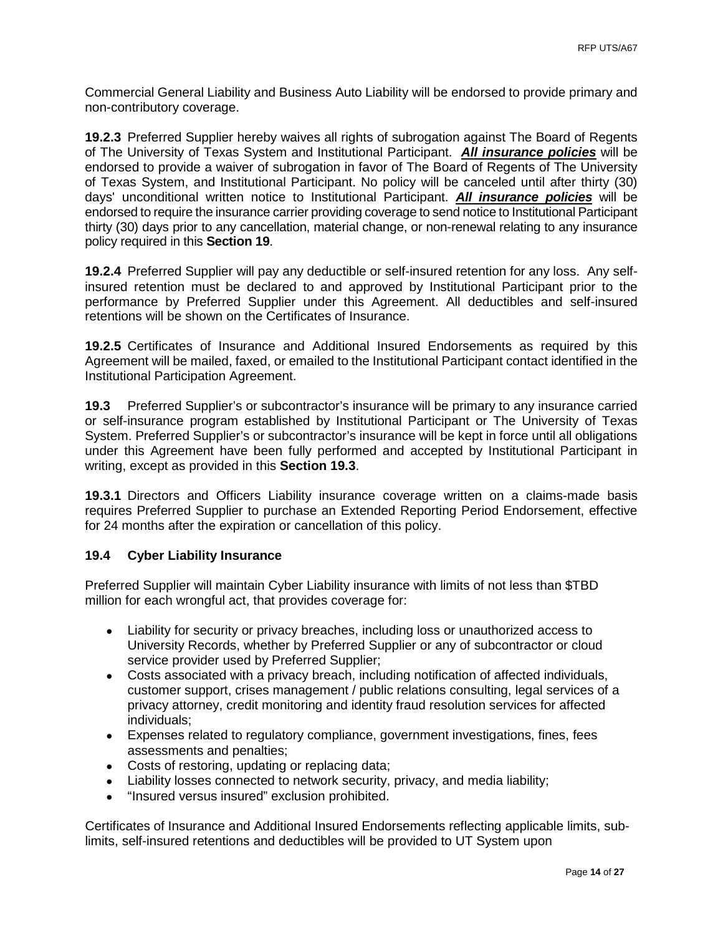Commercial General Liability and Business Auto Liability will be endorsed to provide primary and non-contributory coverage.

**19.2.3** Preferred Supplier hereby waives all rights of subrogation against The Board of Regents of The University of Texas System and Institutional Participant. *All insurance policies* will be endorsed to provide a waiver of subrogation in favor of The Board of Regents of The University of Texas System, and Institutional Participant. No policy will be canceled until after thirty (30) days' unconditional written notice to Institutional Participant. *All insurance policies* will be endorsed to require the insurance carrier providing coverage to send notice to Institutional Participant thirty (30) days prior to any cancellation, material change, or non-renewal relating to any insurance policy required in this **Section 19**.

**19.2.4** Preferred Supplier will pay any deductible or self-insured retention for any loss. Any selfinsured retention must be declared to and approved by Institutional Participant prior to the performance by Preferred Supplier under this Agreement. All deductibles and self-insured retentions will be shown on the Certificates of Insurance.

**19.2.5** Certificates of Insurance and Additional Insured Endorsements as required by this Agreement will be mailed, faxed, or emailed to the Institutional Participant contact identified in the Institutional Participation Agreement.

**19.3** Preferred Supplier's or subcontractor's insurance will be primary to any insurance carried or self-insurance program established by Institutional Participant or The University of Texas System. Preferred Supplier's or subcontractor's insurance will be kept in force until all obligations under this Agreement have been fully performed and accepted by Institutional Participant in writing, except as provided in this **Section 19.3**.

**19.3.1** Directors and Officers Liability insurance coverage written on a claims-made basis requires Preferred Supplier to purchase an Extended Reporting Period Endorsement, effective for 24 months after the expiration or cancellation of this policy.

## **19.4 Cyber Liability Insurance**

Preferred Supplier will maintain Cyber Liability insurance with limits of not less than \$TBD million for each wrongful act, that provides coverage for:

- Liability for security or privacy breaches, including loss or unauthorized access to University Records, whether by Preferred Supplier or any of subcontractor or cloud service provider used by Preferred Supplier;
- Costs associated with a privacy breach, including notification of affected individuals, customer support, crises management / public relations consulting, legal services of a privacy attorney, credit monitoring and identity fraud resolution services for affected individuals;
- Expenses related to regulatory compliance, government investigations, fines, fees assessments and penalties;
- Costs of restoring, updating or replacing data;
- Liability losses connected to network security, privacy, and media liability;
- "Insured versus insured" exclusion prohibited.

Certificates of Insurance and Additional Insured Endorsements reflecting applicable limits, sublimits, self-insured retentions and deductibles will be provided to UT System upon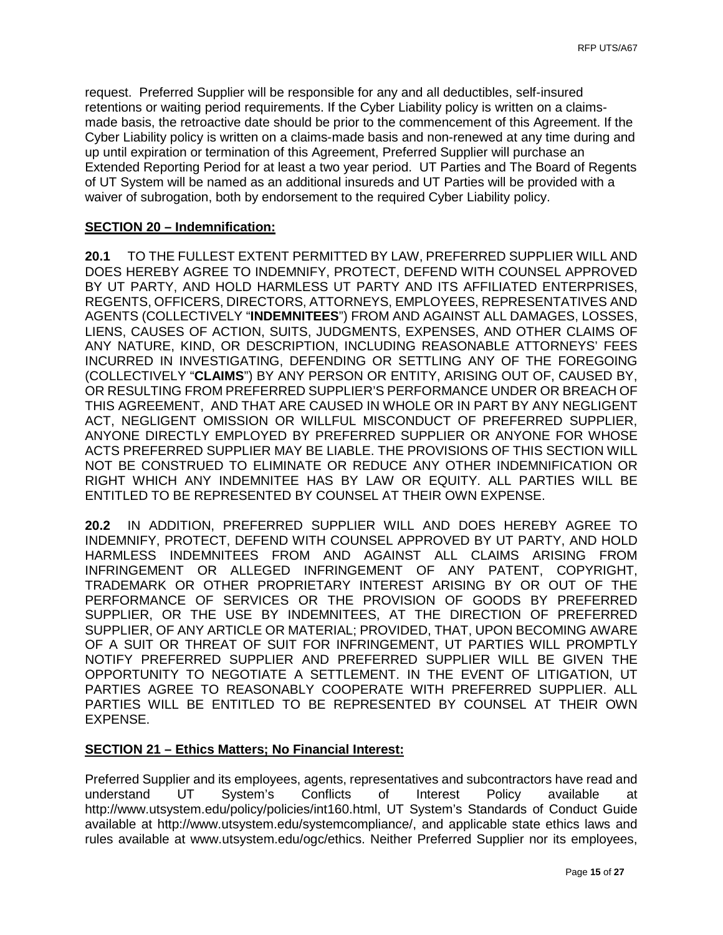request. Preferred Supplier will be responsible for any and all deductibles, self-insured retentions or waiting period requirements. If the Cyber Liability policy is written on a claimsmade basis, the retroactive date should be prior to the commencement of this Agreement. If the Cyber Liability policy is written on a claims-made basis and non-renewed at any time during and up until expiration or termination of this Agreement, Preferred Supplier will purchase an Extended Reporting Period for at least a two year period. UT Parties and The Board of Regents of UT System will be named as an additional insureds and UT Parties will be provided with a waiver of subrogation, both by endorsement to the required Cyber Liability policy.

### **SECTION 20 – Indemnification:**

**20.1** TO THE FULLEST EXTENT PERMITTED BY LAW, PREFERRED SUPPLIER WILL AND DOES HEREBY AGREE TO INDEMNIFY, PROTECT, DEFEND WITH COUNSEL APPROVED BY UT PARTY, AND HOLD HARMLESS UT PARTY AND ITS AFFILIATED ENTERPRISES, REGENTS, OFFICERS, DIRECTORS, ATTORNEYS, EMPLOYEES, REPRESENTATIVES AND AGENTS (COLLECTIVELY "**INDEMNITEES**") FROM AND AGAINST ALL DAMAGES, LOSSES, LIENS, CAUSES OF ACTION, SUITS, JUDGMENTS, EXPENSES, AND OTHER CLAIMS OF ANY NATURE, KIND, OR DESCRIPTION, INCLUDING REASONABLE ATTORNEYS' FEES INCURRED IN INVESTIGATING, DEFENDING OR SETTLING ANY OF THE FOREGOING (COLLECTIVELY "**CLAIMS**") BY ANY PERSON OR ENTITY, ARISING OUT OF, CAUSED BY, OR RESULTING FROM PREFERRED SUPPLIER'S PERFORMANCE UNDER OR BREACH OF THIS AGREEMENT, AND THAT ARE CAUSED IN WHOLE OR IN PART BY ANY NEGLIGENT ACT, NEGLIGENT OMISSION OR WILLFUL MISCONDUCT OF PREFERRED SUPPLIER, ANYONE DIRECTLY EMPLOYED BY PREFERRED SUPPLIER OR ANYONE FOR WHOSE ACTS PREFERRED SUPPLIER MAY BE LIABLE. THE PROVISIONS OF THIS SECTION WILL NOT BE CONSTRUED TO ELIMINATE OR REDUCE ANY OTHER INDEMNIFICATION OR RIGHT WHICH ANY INDEMNITEE HAS BY LAW OR EQUITY. ALL PARTIES WILL BE ENTITLED TO BE REPRESENTED BY COUNSEL AT THEIR OWN EXPENSE.

**20.2** IN ADDITION, PREFERRED SUPPLIER WILL AND DOES HEREBY AGREE TO INDEMNIFY, PROTECT, DEFEND WITH COUNSEL APPROVED BY UT PARTY, AND HOLD HARMLESS INDEMNITEES FROM AND AGAINST ALL CLAIMS ARISING FROM INFRINGEMENT OR ALLEGED INFRINGEMENT OF ANY PATENT, COPYRIGHT, TRADEMARK OR OTHER PROPRIETARY INTEREST ARISING BY OR OUT OF THE PERFORMANCE OF SERVICES OR THE PROVISION OF GOODS BY PREFERRED SUPPLIER, OR THE USE BY INDEMNITEES, AT THE DIRECTION OF PREFERRED SUPPLIER, OF ANY ARTICLE OR MATERIAL; PROVIDED, THAT, UPON BECOMING AWARE OF A SUIT OR THREAT OF SUIT FOR INFRINGEMENT, UT PARTIES WILL PROMPTLY NOTIFY PREFERRED SUPPLIER AND PREFERRED SUPPLIER WILL BE GIVEN THE OPPORTUNITY TO NEGOTIATE A SETTLEMENT. IN THE EVENT OF LITIGATION, UT PARTIES AGREE TO REASONABLY COOPERATE WITH PREFERRED SUPPLIER. ALL PARTIES WILL BE ENTITLED TO BE REPRESENTED BY COUNSEL AT THEIR OWN EXPENSE.

#### **SECTION 21 – Ethics Matters; No Financial Interest:**

Preferred Supplier and its employees, agents, representatives and subcontractors have read and understand UT System's Conflicts of Interest Policy available at understand UT System's Conflicts of Interest Policy available at [http://www.utsystem.edu/policy/policies/int160.html,](http://www.utsystem.edu/policy/policies/int160.html) UT System's Standards of Conduct Guide available at [http://www.utsystem.edu/systemcompliance/,](http://www.utsystem.edu/systemcompliance/) and applicable state ethics laws and rules available at [www.utsystem.edu/ogc/ethics.](http://www.utsystem.edu/ogc/ethics) Neither Preferred Supplier nor its employees,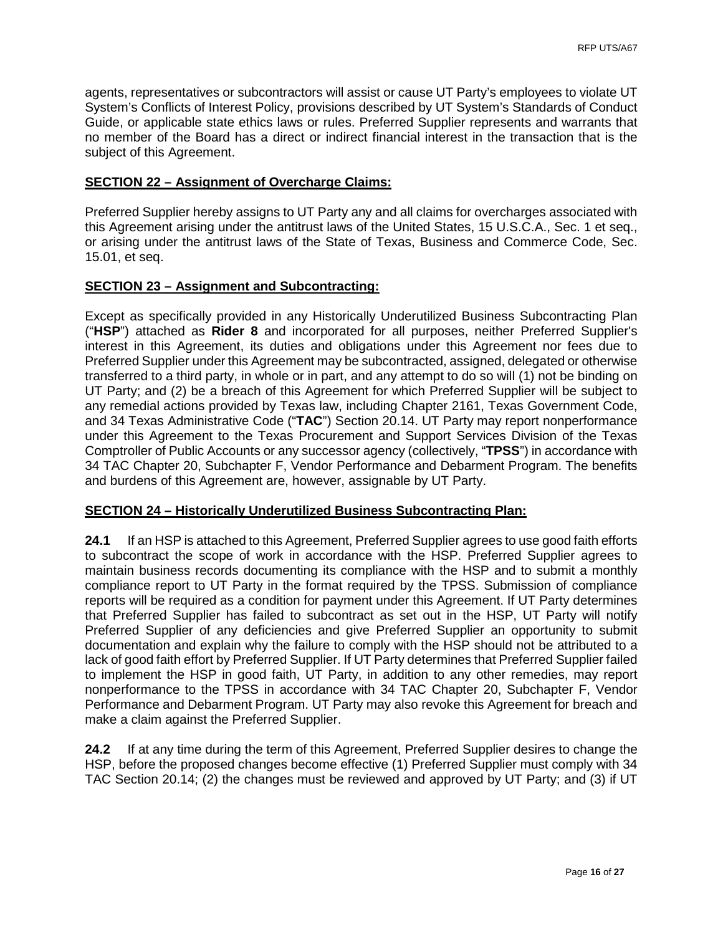agents, representatives or subcontractors will assist or cause UT Party's employees to violate UT System's Conflicts of Interest Policy, provisions described by UT System's Standards of Conduct Guide, or applicable state ethics laws or rules. Preferred Supplier represents and warrants that no member of the Board has a direct or indirect financial interest in the transaction that is the subject of this Agreement.

#### **SECTION 22 – Assignment of Overcharge Claims:**

Preferred Supplier hereby assigns to UT Party any and all claims for overcharges associated with this Agreement arising under the antitrust laws of the United States, 15 U.S.C.A., Sec. 1 et seq., or arising under the antitrust laws of the State of Texas, Business and Commerce Code, Sec. 15.01, et seq.

### **SECTION 23 – Assignment and Subcontracting:**

Except as specifically provided in any Historically Underutilized Business Subcontracting Plan ("**HSP**") attached as **Rider 8** and incorporated for all purposes, neither Preferred Supplier's interest in this Agreement, its duties and obligations under this Agreement nor fees due to Preferred Supplier under this Agreement may be subcontracted, assigned, delegated or otherwise transferred to a third party, in whole or in part, and any attempt to do so will (1) not be binding on UT Party; and (2) be a breach of this Agreement for which Preferred Supplier will be subject to any remedial actions provided by Texas law, including Chapter 2161, Texas Government Code, and 34 Texas Administrative Code ("**TAC**") Section 20.14. UT Party may report nonperformance under this Agreement to the Texas Procurement and Support Services Division of the Texas Comptroller of Public Accounts or any successor agency (collectively, "**TPSS**") in accordance with 34 TAC Chapter 20, Subchapter F, Vendor Performance and Debarment Program. The benefits and burdens of this Agreement are, however, assignable by UT Party.

#### **SECTION 24 – Historically Underutilized Business Subcontracting Plan:**

**24.1** If an HSP is attached to this Agreement, Preferred Supplier agrees to use good faith efforts to subcontract the scope of work in accordance with the HSP. Preferred Supplier agrees to maintain business records documenting its compliance with the HSP and to submit a monthly compliance report to UT Party in the format required by the TPSS. Submission of compliance reports will be required as a condition for payment under this Agreement. If UT Party determines that Preferred Supplier has failed to subcontract as set out in the HSP, UT Party will notify Preferred Supplier of any deficiencies and give Preferred Supplier an opportunity to submit documentation and explain why the failure to comply with the HSP should not be attributed to a lack of good faith effort by Preferred Supplier. If UT Party determines that Preferred Supplier failed to implement the HSP in good faith, UT Party, in addition to any other remedies, may report nonperformance to the TPSS in accordance with 34 TAC Chapter 20, Subchapter F, Vendor Performance and Debarment Program. UT Party may also revoke this Agreement for breach and make a claim against the Preferred Supplier.

**24.2** If at any time during the term of this Agreement, Preferred Supplier desires to change the HSP, before the proposed changes become effective (1) Preferred Supplier must comply with 34 TAC Section 20.14; (2) the changes must be reviewed and approved by UT Party; and (3) if UT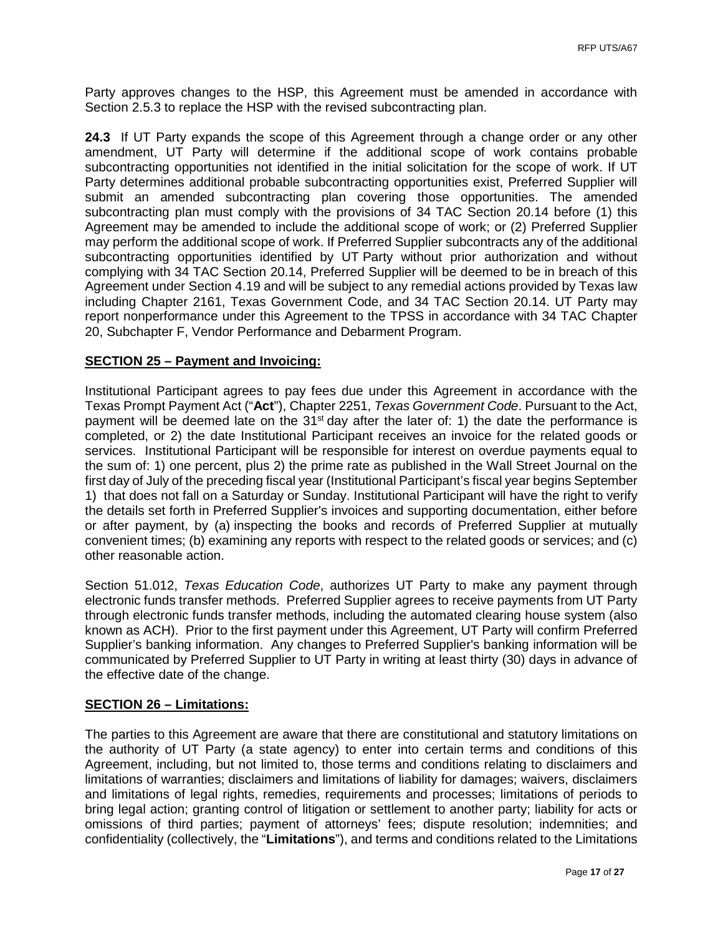Party approves changes to the HSP, this Agreement must be amended in accordance with Section 2.5.3 to replace the HSP with the revised subcontracting plan.

**24.3** If UT Party expands the scope of this Agreement through a change order or any other amendment, UT Party will determine if the additional scope of work contains probable subcontracting opportunities not identified in the initial solicitation for the scope of work. If UT Party determines additional probable subcontracting opportunities exist, Preferred Supplier will submit an amended subcontracting plan covering those opportunities. The amended subcontracting plan must comply with the provisions of 34 TAC Section 20.14 before (1) this Agreement may be amended to include the additional scope of work; or (2) Preferred Supplier may perform the additional scope of work. If Preferred Supplier subcontracts any of the additional subcontracting opportunities identified by UT Party without prior authorization and without complying with 34 TAC Section 20.14, Preferred Supplier will be deemed to be in breach of this Agreement under Section 4.19 and will be subject to any remedial actions provided by Texas law including Chapter 2161, Texas Government Code, and 34 TAC Section 20.14. UT Party may report nonperformance under this Agreement to the TPSS in accordance with 34 TAC Chapter 20, Subchapter F, Vendor Performance and Debarment Program.

#### **SECTION 25 – Payment and Invoicing:**

Institutional Participant agrees to pay fees due under this Agreement in accordance with the Texas Prompt Payment Act ("**Act**"), Chapter 2251, *Texas Government Code*. Pursuant to the Act, payment will be deemed late on the  $31<sup>st</sup>$  day after the later of: 1) the date the performance is completed, or 2) the date Institutional Participant receives an invoice for the related goods or services. Institutional Participant will be responsible for interest on overdue payments equal to the sum of: 1) one percent, plus 2) the prime rate as published in the Wall Street Journal on the first day of July of the preceding fiscal year (Institutional Participant's fiscal year begins September 1) that does not fall on a Saturday or Sunday. Institutional Participant will have the right to verify the details set forth in Preferred Supplier's invoices and supporting documentation, either before or after payment, by (a) inspecting the books and records of Preferred Supplier at mutually convenient times; (b) examining any reports with respect to the related goods or services; and (c) other reasonable action.

Section 51.012, *Texas Education Code*, authorizes UT Party to make any payment through electronic funds transfer methods. Preferred Supplier agrees to receive payments from UT Party through electronic funds transfer methods, including the automated clearing house system (also known as ACH). Prior to the first payment under this Agreement, UT Party will confirm Preferred Supplier's banking information. Any changes to Preferred Supplier's banking information will be communicated by Preferred Supplier to UT Party in writing at least thirty (30) days in advance of the effective date of the change.

#### **SECTION 26 – Limitations:**

The parties to this Agreement are aware that there are constitutional and statutory limitations on the authority of UT Party (a state agency) to enter into certain terms and conditions of this Agreement, including, but not limited to, those terms and conditions relating to disclaimers and limitations of warranties; disclaimers and limitations of liability for damages; waivers, disclaimers and limitations of legal rights, remedies, requirements and processes; limitations of periods to bring legal action; granting control of litigation or settlement to another party; liability for acts or omissions of third parties; payment of attorneys' fees; dispute resolution; indemnities; and confidentiality (collectively, the "**Limitations**"), and terms and conditions related to the Limitations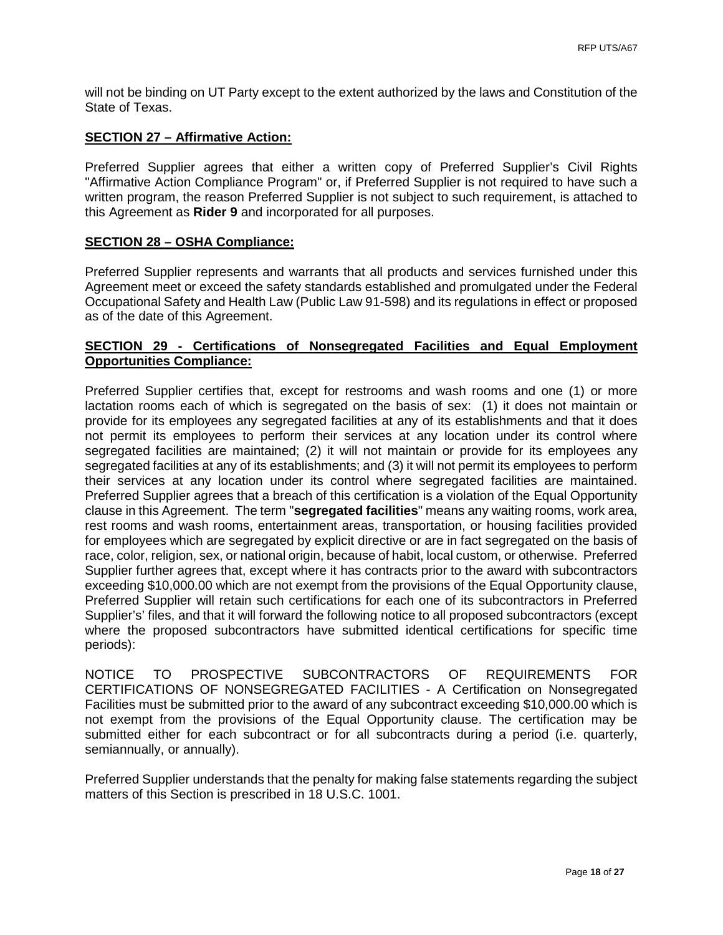will not be binding on UT Party except to the extent authorized by the laws and Constitution of the State of Texas.

#### **SECTION 27 – Affirmative Action:**

Preferred Supplier agrees that either a written copy of Preferred Supplier's Civil Rights "Affirmative Action Compliance Program" or, if Preferred Supplier is not required to have such a written program, the reason Preferred Supplier is not subject to such requirement, is attached to this Agreement as **Rider 9** and incorporated for all purposes.

#### **SECTION 28 – OSHA Compliance:**

Preferred Supplier represents and warrants that all products and services furnished under this Agreement meet or exceed the safety standards established and promulgated under the Federal Occupational Safety and Health Law (Public Law 91-598) and its regulations in effect or proposed as of the date of this Agreement.

## **SECTION 29 - Certifications of Nonsegregated Facilities and Equal Employment Opportunities Compliance:**

Preferred Supplier certifies that, except for restrooms and wash rooms and one (1) or more lactation rooms each of which is segregated on the basis of sex: (1) it does not maintain or provide for its employees any segregated facilities at any of its establishments and that it does not permit its employees to perform their services at any location under its control where segregated facilities are maintained; (2) it will not maintain or provide for its employees any segregated facilities at any of its establishments; and (3) it will not permit its employees to perform their services at any location under its control where segregated facilities are maintained. Preferred Supplier agrees that a breach of this certification is a violation of the Equal Opportunity clause in this Agreement. The term "**segregated facilities**" means any waiting rooms, work area, rest rooms and wash rooms, entertainment areas, transportation, or housing facilities provided for employees which are segregated by explicit directive or are in fact segregated on the basis of race, color, religion, sex, or national origin, because of habit, local custom, or otherwise. Preferred Supplier further agrees that, except where it has contracts prior to the award with subcontractors exceeding \$10,000.00 which are not exempt from the provisions of the Equal Opportunity clause, Preferred Supplier will retain such certifications for each one of its subcontractors in Preferred Supplier's' files, and that it will forward the following notice to all proposed subcontractors (except where the proposed subcontractors have submitted identical certifications for specific time periods):

NOTICE TO PROSPECTIVE SUBCONTRACTORS OF REQUIREMENTS FOR CERTIFICATIONS OF NONSEGREGATED FACILITIES - A Certification on Nonsegregated Facilities must be submitted prior to the award of any subcontract exceeding \$10,000.00 which is not exempt from the provisions of the Equal Opportunity clause. The certification may be submitted either for each subcontract or for all subcontracts during a period (i.e. quarterly, semiannually, or annually).

Preferred Supplier understands that the penalty for making false statements regarding the subject matters of this Section is prescribed in 18 U.S.C. 1001.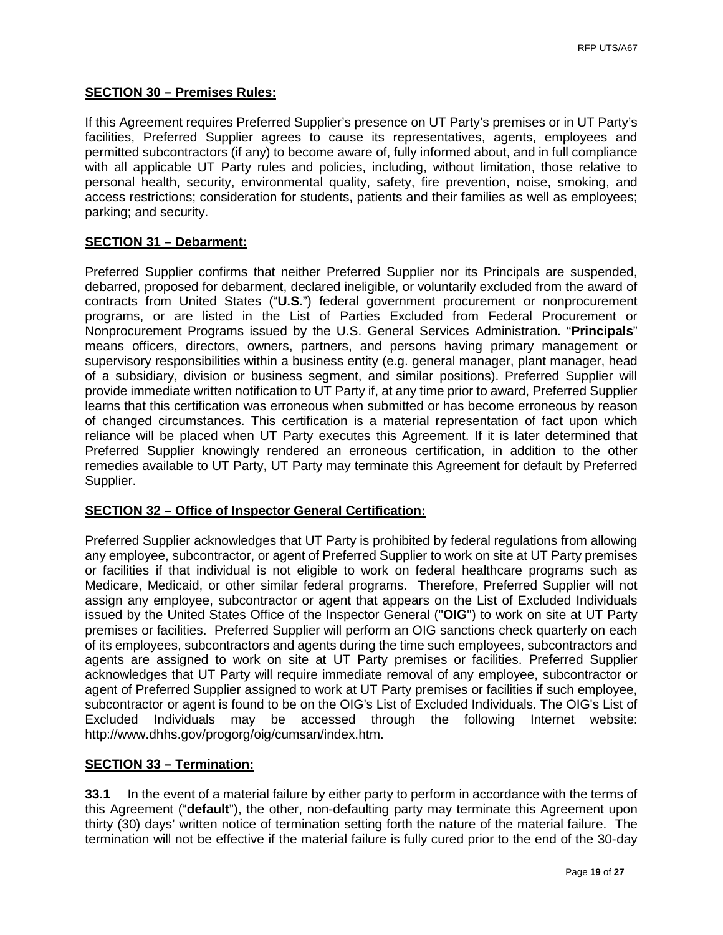## **SECTION 30 – Premises Rules:**

If this Agreement requires Preferred Supplier's presence on UT Party's premises or in UT Party's facilities, Preferred Supplier agrees to cause its representatives, agents, employees and permitted subcontractors (if any) to become aware of, fully informed about, and in full compliance with all applicable UT Party rules and policies, including, without limitation, those relative to personal health, security, environmental quality, safety, fire prevention, noise, smoking, and access restrictions; consideration for students, patients and their families as well as employees; parking; and security.

## **SECTION 31 – Debarment:**

Preferred Supplier confirms that neither Preferred Supplier nor its Principals are suspended, debarred, proposed for debarment, declared ineligible, or voluntarily excluded from the award of contracts from United States ("**U.S.**") federal government procurement or nonprocurement programs, or are listed in the List of Parties Excluded from Federal Procurement or Nonprocurement Programs issued by the U.S. General Services Administration. "**Principals**" means officers, directors, owners, partners, and persons having primary management or supervisory responsibilities within a business entity (e.g. general manager, plant manager, head of a subsidiary, division or business segment, and similar positions). Preferred Supplier will provide immediate written notification to UT Party if, at any time prior to award, Preferred Supplier learns that this certification was erroneous when submitted or has become erroneous by reason of changed circumstances. This certification is a material representation of fact upon which reliance will be placed when UT Party executes this Agreement. If it is later determined that Preferred Supplier knowingly rendered an erroneous certification, in addition to the other remedies available to UT Party, UT Party may terminate this Agreement for default by Preferred Supplier.

## **SECTION 32 – Office of Inspector General Certification:**

Preferred Supplier acknowledges that UT Party is prohibited by federal regulations from allowing any employee, subcontractor, or agent of Preferred Supplier to work on site at UT Party premises or facilities if that individual is not eligible to work on federal healthcare programs such as Medicare, Medicaid, or other similar federal programs. Therefore, Preferred Supplier will not assign any employee, subcontractor or agent that appears on the List of Excluded Individuals issued by the United States Office of the Inspector General ("**OIG**") to work on site at UT Party premises or facilities. Preferred Supplier will perform an OIG sanctions check quarterly on each of its employees, subcontractors and agents during the time such employees, subcontractors and agents are assigned to work on site at UT Party premises or facilities. Preferred Supplier acknowledges that UT Party will require immediate removal of any employee, subcontractor or agent of Preferred Supplier assigned to work at UT Party premises or facilities if such employee, subcontractor or agent is found to be on the OIG's List of Excluded Individuals. The OIG's List of Excluded Individuals may be accessed through the following Internet website: http://www.dhhs.gov/progorg/oig/cumsan/index.htm.

## **SECTION 33 – Termination:**

**33.1** In the event of a material failure by either party to perform in accordance with the terms of this Agreement ("**default**"), the other, non-defaulting party may terminate this Agreement upon thirty (30) days' written notice of termination setting forth the nature of the material failure. The termination will not be effective if the material failure is fully cured prior to the end of the 30-day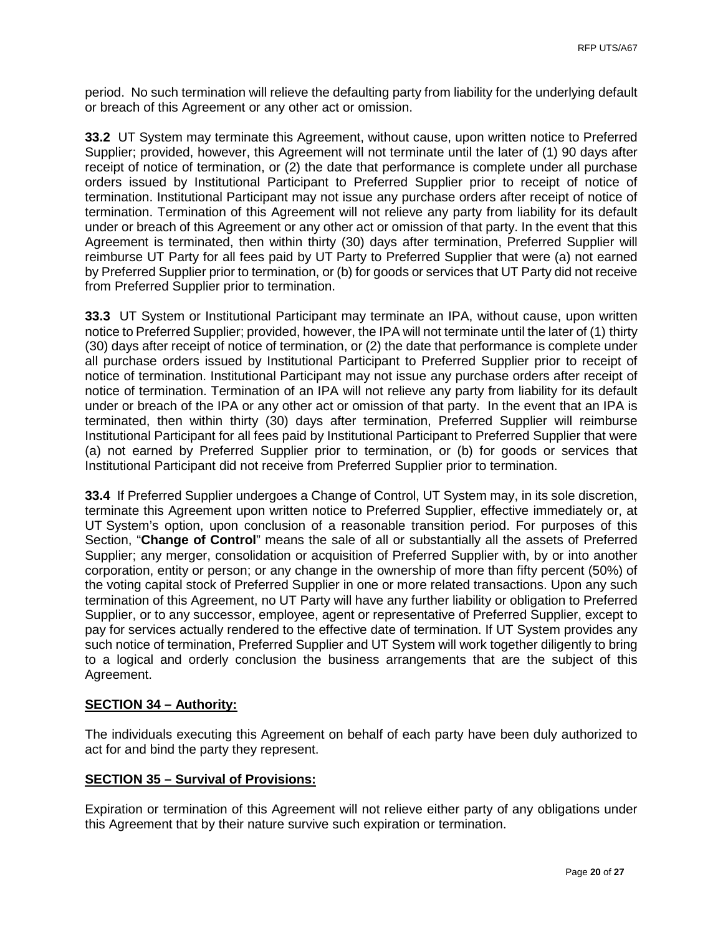period. No such termination will relieve the defaulting party from liability for the underlying default or breach of this Agreement or any other act or omission.

**33.2** UT System may terminate this Agreement, without cause, upon written notice to Preferred Supplier; provided, however, this Agreement will not terminate until the later of (1) 90 days after receipt of notice of termination, or (2) the date that performance is complete under all purchase orders issued by Institutional Participant to Preferred Supplier prior to receipt of notice of termination. Institutional Participant may not issue any purchase orders after receipt of notice of termination. Termination of this Agreement will not relieve any party from liability for its default under or breach of this Agreement or any other act or omission of that party. In the event that this Agreement is terminated, then within thirty (30) days after termination, Preferred Supplier will reimburse UT Party for all fees paid by UT Party to Preferred Supplier that were (a) not earned by Preferred Supplier prior to termination, or (b) for goods or services that UT Party did not receive from Preferred Supplier prior to termination.

**33.3** UT System or Institutional Participant may terminate an IPA, without cause, upon written notice to Preferred Supplier; provided, however, the IPA will not terminate until the later of (1) thirty (30) days after receipt of notice of termination, or (2) the date that performance is complete under all purchase orders issued by Institutional Participant to Preferred Supplier prior to receipt of notice of termination. Institutional Participant may not issue any purchase orders after receipt of notice of termination. Termination of an IPA will not relieve any party from liability for its default under or breach of the IPA or any other act or omission of that party. In the event that an IPA is terminated, then within thirty (30) days after termination, Preferred Supplier will reimburse Institutional Participant for all fees paid by Institutional Participant to Preferred Supplier that were (a) not earned by Preferred Supplier prior to termination, or (b) for goods or services that Institutional Participant did not receive from Preferred Supplier prior to termination.

**33.4** If Preferred Supplier undergoes a Change of Control, UT System may, in its sole discretion, terminate this Agreement upon written notice to Preferred Supplier, effective immediately or, at UT System's option, upon conclusion of a reasonable transition period. For purposes of this Section, "**Change of Control**" means the sale of all or substantially all the assets of Preferred Supplier; any merger, consolidation or acquisition of Preferred Supplier with, by or into another corporation, entity or person; or any change in the ownership of more than fifty percent (50%) of the voting capital stock of Preferred Supplier in one or more related transactions. Upon any such termination of this Agreement, no UT Party will have any further liability or obligation to Preferred Supplier, or to any successor, employee, agent or representative of Preferred Supplier, except to pay for services actually rendered to the effective date of termination. If UT System provides any such notice of termination, Preferred Supplier and UT System will work together diligently to bring to a logical and orderly conclusion the business arrangements that are the subject of this Agreement.

## **SECTION 34 – Authority:**

The individuals executing this Agreement on behalf of each party have been duly authorized to act for and bind the party they represent.

## **SECTION 35 – Survival of Provisions:**

Expiration or termination of this Agreement will not relieve either party of any obligations under this Agreement that by their nature survive such expiration or termination.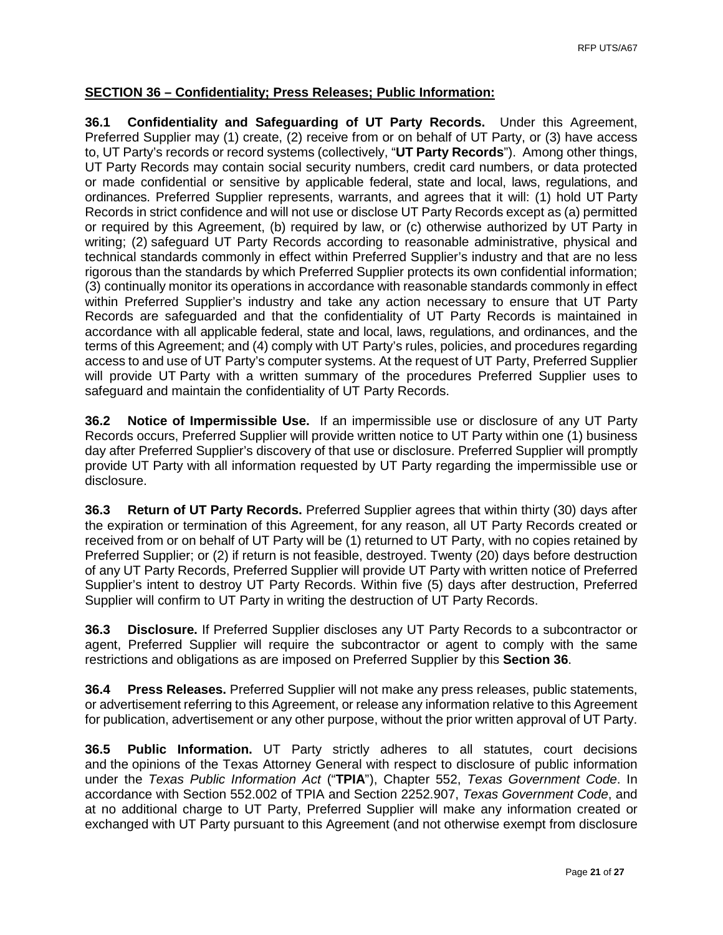## **SECTION 36 – Confidentiality; Press Releases; Public Information:**

**36.1 Confidentiality and Safeguarding of UT Party Records.** Under this Agreement, Preferred Supplier may (1) create, (2) receive from or on behalf of UT Party, or (3) have access to, UT Party's records or record systems (collectively, "**UT Party Records**"). Among other things, UT Party Records may contain social security numbers, credit card numbers, or data protected or made confidential or sensitive by applicable federal, state and local, laws, regulations, and ordinances. Preferred Supplier represents, warrants, and agrees that it will: (1) hold UT Party Records in strict confidence and will not use or disclose UT Party Records except as (a) permitted or required by this Agreement, (b) required by law, or (c) otherwise authorized by UT Party in writing; (2) safeguard UT Party Records according to reasonable administrative, physical and technical standards commonly in effect within Preferred Supplier's industry and that are no less rigorous than the standards by which Preferred Supplier protects its own confidential information; (3) continually monitor its operations in accordance with reasonable standards commonly in effect within Preferred Supplier's industry and take any action necessary to ensure that UT Party Records are safeguarded and that the confidentiality of UT Party Records is maintained in accordance with all applicable federal, state and local, laws, regulations, and ordinances, and the terms of this Agreement; and (4) comply with UT Party's rules, policies, and procedures regarding access to and use of UT Party's computer systems. At the request of UT Party, Preferred Supplier will provide UT Party with a written summary of the procedures Preferred Supplier uses to safeguard and maintain the confidentiality of UT Party Records.

**36.2 Notice of Impermissible Use.** If an impermissible use or disclosure of any UT Party Records occurs, Preferred Supplier will provide written notice to UT Party within one (1) business day after Preferred Supplier's discovery of that use or disclosure. Preferred Supplier will promptly provide UT Party with all information requested by UT Party regarding the impermissible use or disclosure.

**36.3 Return of UT Party Records.** Preferred Supplier agrees that within thirty (30) days after the expiration or termination of this Agreement, for any reason, all UT Party Records created or received from or on behalf of UT Party will be (1) returned to UT Party, with no copies retained by Preferred Supplier; or (2) if return is not feasible, destroyed. Twenty (20) days before destruction of any UT Party Records, Preferred Supplier will provide UT Party with written notice of Preferred Supplier's intent to destroy UT Party Records. Within five (5) days after destruction, Preferred Supplier will confirm to UT Party in writing the destruction of UT Party Records.

**36.3 Disclosure.** If Preferred Supplier discloses any UT Party Records to a subcontractor or agent, Preferred Supplier will require the subcontractor or agent to comply with the same restrictions and obligations as are imposed on Preferred Supplier by this **Section 36**.

**36.4 Press Releases.** Preferred Supplier will not make any press releases, public statements, or advertisement referring to this Agreement, or release any information relative to this Agreement for publication, advertisement or any other purpose, without the prior written approval of UT Party.

**36.5 Public Information.** UT Party strictly adheres to all statutes, court decisions and the opinions of the Texas Attorney General with respect to disclosure of public information under the *Texas Public Information Act* ("**TPIA**"), Chapter 552, *Texas Government Code*. In accordance with Section 552.002 of TPIA and Section 2252.907, *Texas Government Code*, and at no additional charge to UT Party, Preferred Supplier will make any information created or exchanged with UT Party pursuant to this Agreement (and not otherwise exempt from disclosure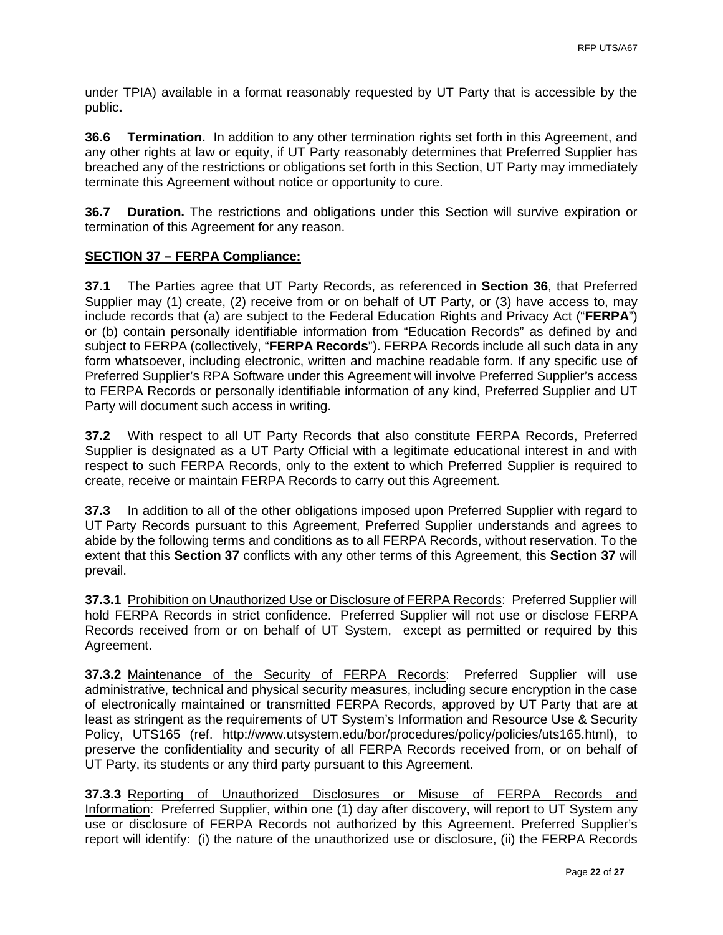under TPIA) available in a format reasonably requested by UT Party that is accessible by the public**.**

**36.6 Termination.** In addition to any other termination rights set forth in this Agreement, and any other rights at law or equity, if UT Party reasonably determines that Preferred Supplier has breached any of the restrictions or obligations set forth in this Section, UT Party may immediately terminate this Agreement without notice or opportunity to cure.

**36.7 Duration.** The restrictions and obligations under this Section will survive expiration or termination of this Agreement for any reason.

## **SECTION 37 – FERPA Compliance:**

**37.1** The Parties agree that UT Party Records, as referenced in **Section 36**, that Preferred Supplier may (1) create, (2) receive from or on behalf of UT Party, or (3) have access to, may include records that (a) are subject to the Federal Education Rights and Privacy Act ("**FERPA**") or (b) contain personally identifiable information from "Education Records" as defined by and subject to FERPA (collectively, "**FERPA Records**"). FERPA Records include all such data in any form whatsoever, including electronic, written and machine readable form. If any specific use of Preferred Supplier's RPA Software under this Agreement will involve Preferred Supplier's access to FERPA Records or personally identifiable information of any kind, Preferred Supplier and UT Party will document such access in writing.

**37.2** With respect to all UT Party Records that also constitute FERPA Records, Preferred Supplier is designated as a UT Party Official with a legitimate educational interest in and with respect to such FERPA Records, only to the extent to which Preferred Supplier is required to create, receive or maintain FERPA Records to carry out this Agreement.

**37.3** In addition to all of the other obligations imposed upon Preferred Supplier with regard to UT Party Records pursuant to this Agreement, Preferred Supplier understands and agrees to abide by the following terms and conditions as to all FERPA Records, without reservation. To the extent that this **Section 37** conflicts with any other terms of this Agreement, this **Section 37** will prevail.

**37.3.1** Prohibition on Unauthorized Use or Disclosure of FERPA Records: Preferred Supplier will hold FERPA Records in strict confidence. Preferred Supplier will not use or disclose FERPA Records received from or on behalf of UT System, except as permitted or required by this Agreement.

**37.3.2** Maintenance of the Security of FERPA Records: Preferred Supplier will use administrative, technical and physical security measures, including secure encryption in the case of electronically maintained or transmitted FERPA Records, approved by UT Party that are at least as stringent as the requirements of UT System's Information and Resource Use & Security Policy, UTS165 (ref. [http://www.utsystem.edu/bor/procedures/policy/policies/uts165.html\)](http://www.utsystem.edu/bor/procedures/policy/policies/uts165.html), to preserve the confidentiality and security of all FERPA Records received from, or on behalf of UT Party, its students or any third party pursuant to this Agreement.

**37.3.3** Reporting of Unauthorized Disclosures or Misuse of FERPA Records and Information: Preferred Supplier, within one (1) day after discovery, will report to UT System any use or disclosure of FERPA Records not authorized by this Agreement. Preferred Supplier's report will identify: (i) the nature of the unauthorized use or disclosure, (ii) the FERPA Records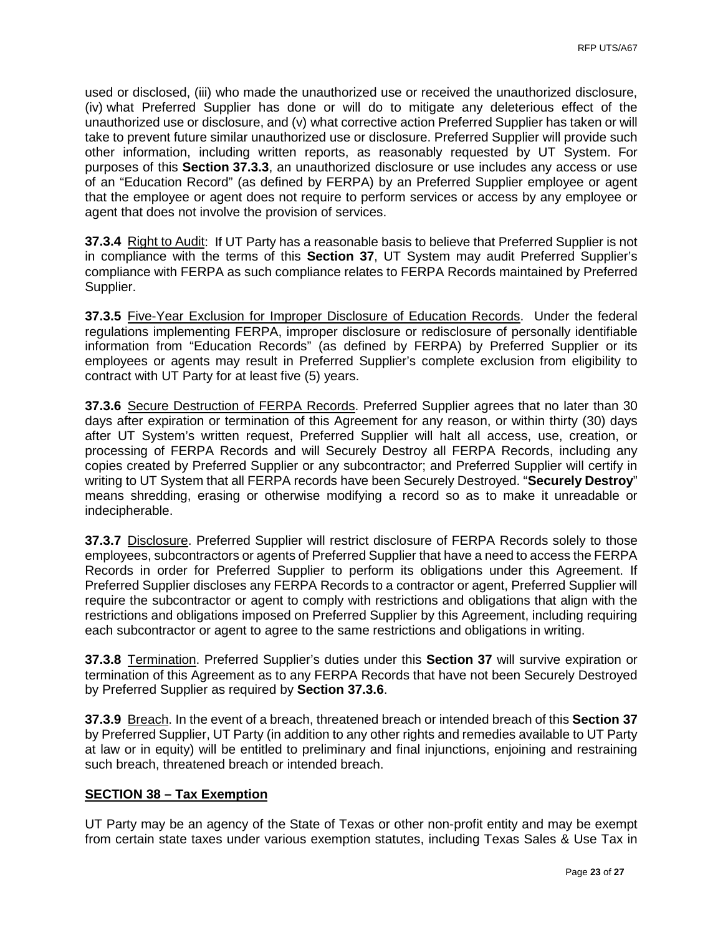used or disclosed, (iii) who made the unauthorized use or received the unauthorized disclosure, (iv) what Preferred Supplier has done or will do to mitigate any deleterious effect of the unauthorized use or disclosure, and (v) what corrective action Preferred Supplier has taken or will take to prevent future similar unauthorized use or disclosure. Preferred Supplier will provide such other information, including written reports, as reasonably requested by UT System. For purposes of this **Section 37.3.3**, an unauthorized disclosure or use includes any access or use of an "Education Record" (as defined by FERPA) by an Preferred Supplier employee or agent that the employee or agent does not require to perform services or access by any employee or agent that does not involve the provision of services.

**37.3.4** Right to Audit:If UT Party has a reasonable basis to believe that Preferred Supplier is not in compliance with the terms of this **Section 37**, UT System may audit Preferred Supplier's compliance with FERPA as such compliance relates to FERPA Records maintained by Preferred Supplier.

**37.3.5** Five-Year Exclusion for Improper Disclosure of Education Records.Under the federal regulations implementing FERPA, improper disclosure or redisclosure of personally identifiable information from "Education Records" (as defined by FERPA) by Preferred Supplier or its employees or agents may result in Preferred Supplier's complete exclusion from eligibility to contract with UT Party for at least five (5) years.

**37.3.6** Secure Destruction of FERPA Records. Preferred Supplier agrees that no later than 30 days after expiration or termination of this Agreement for any reason, or within thirty (30) days after UT System's written request, Preferred Supplier will halt all access, use, creation, or processing of FERPA Records and will Securely Destroy all FERPA Records, including any copies created by Preferred Supplier or any subcontractor; and Preferred Supplier will certify in writing to UT System that all FERPA records have been Securely Destroyed. "**Securely Destroy**" means shredding, erasing or otherwise modifying a record so as to make it unreadable or indecipherable.

**37.3.7** Disclosure. Preferred Supplier will restrict disclosure of FERPA Records solely to those employees, subcontractors or agents of Preferred Supplier that have a need to access the FERPA Records in order for Preferred Supplier to perform its obligations under this Agreement. If Preferred Supplier discloses any FERPA Records to a contractor or agent, Preferred Supplier will require the subcontractor or agent to comply with restrictions and obligations that align with the restrictions and obligations imposed on Preferred Supplier by this Agreement, including requiring each subcontractor or agent to agree to the same restrictions and obligations in writing.

**37.3.8** Termination. Preferred Supplier's duties under this **Section 37** will survive expiration or termination of this Agreement as to any FERPA Records that have not been Securely Destroyed by Preferred Supplier as required by **Section 37.3.6**.

**37.3.9** Breach. In the event of a breach, threatened breach or intended breach of this **Section 37** by Preferred Supplier, UT Party (in addition to any other rights and remedies available to UT Party at law or in equity) will be entitled to preliminary and final injunctions, enjoining and restraining such breach, threatened breach or intended breach.

#### **SECTION 38 – Tax Exemption**

UT Party may be an agency of the State of Texas or other non-profit entity and may be exempt from certain state taxes under various exemption statutes, including Texas Sales & Use Tax in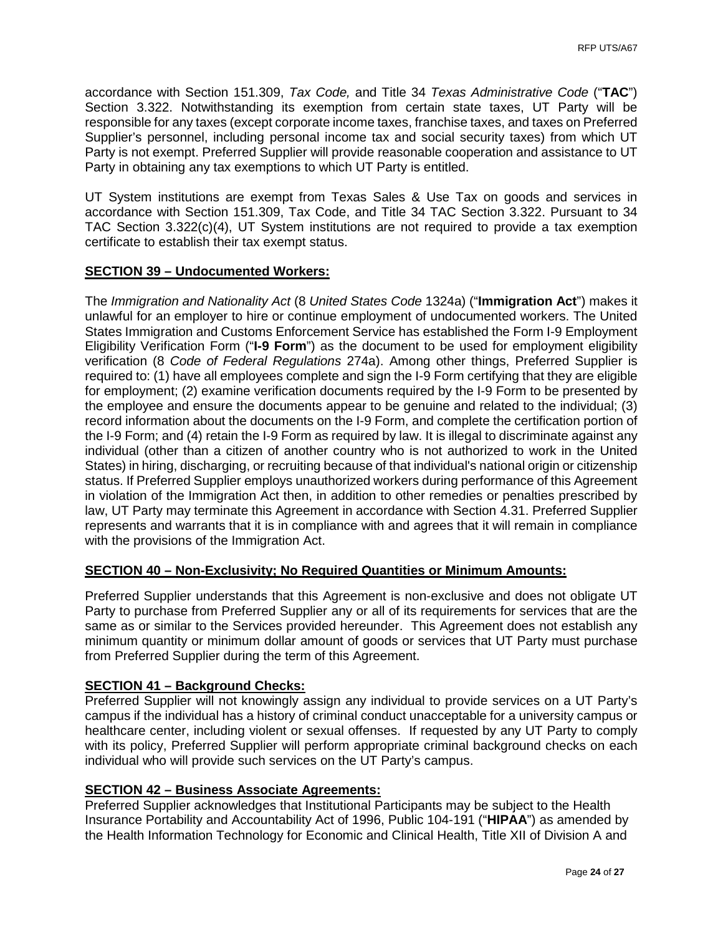accordance with Section 151.309, *Tax Code,* and Title 34 *Texas Administrative Code* ("**TAC**") Section 3.322. Notwithstanding its exemption from certain state taxes, UT Party will be responsible for any taxes (except corporate income taxes, franchise taxes, and taxes on Preferred Supplier's personnel, including personal income tax and social security taxes) from which UT Party is not exempt. Preferred Supplier will provide reasonable cooperation and assistance to UT Party in obtaining any tax exemptions to which UT Party is entitled.

UT System institutions are exempt from Texas Sales & Use Tax on goods and services in accordance with Section 151.309, Tax Code, and Title 34 TAC Section 3.322. Pursuant to 34 TAC Section 3.322(c)(4), UT System institutions are not required to provide a tax exemption certificate to establish their tax exempt status.

## **SECTION 39 – Undocumented Workers:**

The *Immigration and Nationality Act* (8 *United States Code* 1324a) ("**Immigration Act**") makes it unlawful for an employer to hire or continue employment of undocumented workers. The United States Immigration and Customs Enforcement Service has established the Form I-9 Employment Eligibility Verification Form ("**I-9 Form**") as the document to be used for employment eligibility verification (8 *Code of Federal Regulations* 274a). Among other things, Preferred Supplier is required to: (1) have all employees complete and sign the I-9 Form certifying that they are eligible for employment; (2) examine verification documents required by the I-9 Form to be presented by the employee and ensure the documents appear to be genuine and related to the individual; (3) record information about the documents on the I-9 Form, and complete the certification portion of the I-9 Form; and (4) retain the I-9 Form as required by law. It is illegal to discriminate against any individual (other than a citizen of another country who is not authorized to work in the United States) in hiring, discharging, or recruiting because of that individual's national origin or citizenship status. If Preferred Supplier employs unauthorized workers during performance of this Agreement in violation of the Immigration Act then, in addition to other remedies or penalties prescribed by law, UT Party may terminate this Agreement in accordance with Section 4.31. Preferred Supplier represents and warrants that it is in compliance with and agrees that it will remain in compliance with the provisions of the Immigration Act.

## **SECTION 40 – Non-Exclusivity; No Required Quantities or Minimum Amounts:**

Preferred Supplier understands that this Agreement is non-exclusive and does not obligate UT Party to purchase from Preferred Supplier any or all of its requirements for services that are the same as or similar to the Services provided hereunder. This Agreement does not establish any minimum quantity or minimum dollar amount of goods or services that UT Party must purchase from Preferred Supplier during the term of this Agreement.

## **SECTION 41 – Background Checks:**

Preferred Supplier will not knowingly assign any individual to provide services on a UT Party's campus if the individual has a history of criminal conduct unacceptable for a university campus or healthcare center, including violent or sexual offenses. If requested by any UT Party to comply with its policy, Preferred Supplier will perform appropriate criminal background checks on each individual who will provide such services on the UT Party's campus.

## **SECTION 42 – Business Associate Agreements:**

Preferred Supplier acknowledges that Institutional Participants may be subject to the Health Insurance Portability and Accountability Act of 1996, Public 104-191 ("**HIPAA**") as amended by the Health Information Technology for Economic and Clinical Health, Title XII of Division A and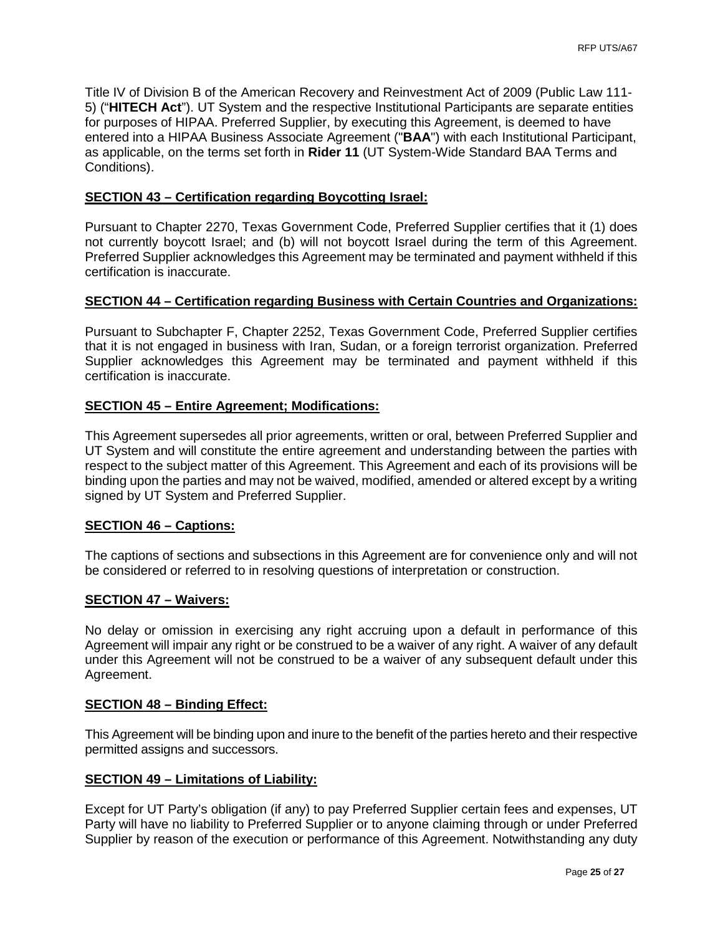Title IV of Division B of the American Recovery and Reinvestment Act of 2009 (Public Law 111- 5) ("**HITECH Act**"). UT System and the respective Institutional Participants are separate entities for purposes of HIPAA. Preferred Supplier, by executing this Agreement, is deemed to have entered into a HIPAA Business Associate Agreement ("**BAA**") with each Institutional Participant, as applicable, on the terms set forth in **Rider 11** (UT System-Wide Standard BAA Terms and Conditions).

#### **SECTION 43 – Certification regarding Boycotting Israel:**

Pursuant to Chapter 2270, Texas Government Code, Preferred Supplier certifies that it (1) does not currently boycott Israel; and (b) will not boycott Israel during the term of this Agreement. Preferred Supplier acknowledges this Agreement may be terminated and payment withheld if this certification is inaccurate.

#### **SECTION 44 – Certification regarding Business with Certain Countries and Organizations:**

Pursuant to Subchapter F, Chapter 2252, Texas Government Code, Preferred Supplier certifies that it is not engaged in business with Iran, Sudan, or a foreign terrorist organization. Preferred Supplier acknowledges this Agreement may be terminated and payment withheld if this certification is inaccurate.

### **SECTION 45 – Entire Agreement; Modifications:**

This Agreement supersedes all prior agreements, written or oral, between Preferred Supplier and UT System and will constitute the entire agreement and understanding between the parties with respect to the subject matter of this Agreement. This Agreement and each of its provisions will be binding upon the parties and may not be waived, modified, amended or altered except by a writing signed by UT System and Preferred Supplier.

#### **SECTION 46 – Captions:**

The captions of sections and subsections in this Agreement are for convenience only and will not be considered or referred to in resolving questions of interpretation or construction.

#### **SECTION 47 – Waivers:**

No delay or omission in exercising any right accruing upon a default in performance of this Agreement will impair any right or be construed to be a waiver of any right. A waiver of any default under this Agreement will not be construed to be a waiver of any subsequent default under this Agreement.

#### **SECTION 48 – Binding Effect:**

This Agreement will be binding upon and inure to the benefit of the parties hereto and their respective permitted assigns and successors.

#### **SECTION 49 – Limitations of Liability:**

Except for UT Party's obligation (if any) to pay Preferred Supplier certain fees and expenses, UT Party will have no liability to Preferred Supplier or to anyone claiming through or under Preferred Supplier by reason of the execution or performance of this Agreement. Notwithstanding any duty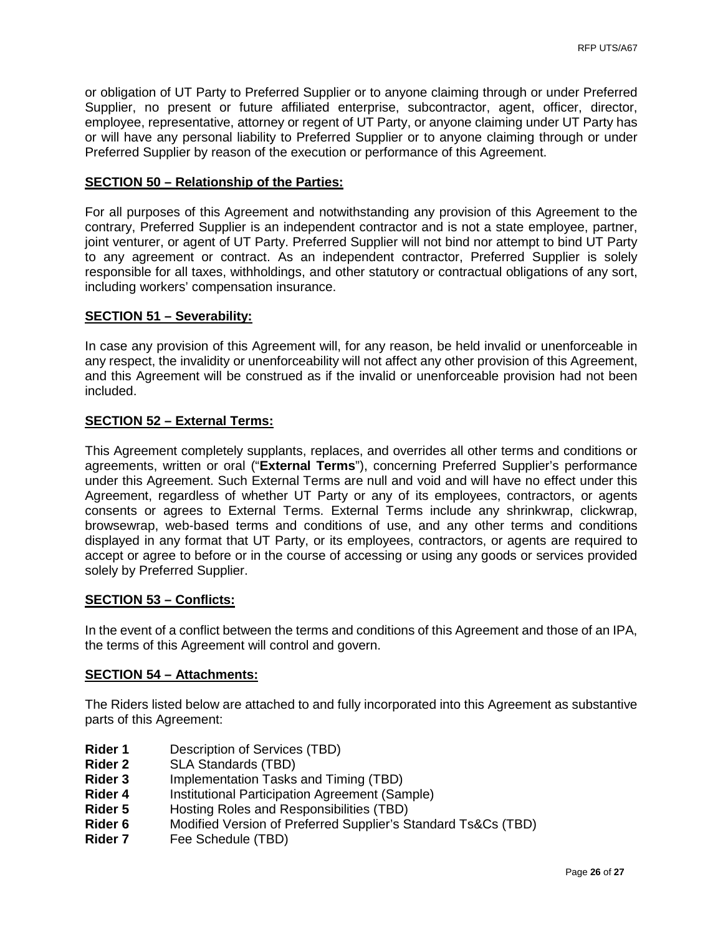or obligation of UT Party to Preferred Supplier or to anyone claiming through or under Preferred Supplier, no present or future affiliated enterprise, subcontractor, agent, officer, director, employee, representative, attorney or regent of UT Party, or anyone claiming under UT Party has or will have any personal liability to Preferred Supplier or to anyone claiming through or under Preferred Supplier by reason of the execution or performance of this Agreement.

#### **SECTION 50 – Relationship of the Parties:**

For all purposes of this Agreement and notwithstanding any provision of this Agreement to the contrary, Preferred Supplier is an independent contractor and is not a state employee, partner, joint venturer, or agent of UT Party. Preferred Supplier will not bind nor attempt to bind UT Party to any agreement or contract. As an independent contractor, Preferred Supplier is solely responsible for all taxes, withholdings, and other statutory or contractual obligations of any sort, including workers' compensation insurance.

#### **SECTION 51 – Severability:**

In case any provision of this Agreement will, for any reason, be held invalid or unenforceable in any respect, the invalidity or unenforceability will not affect any other provision of this Agreement, and this Agreement will be construed as if the invalid or unenforceable provision had not been included.

### **SECTION 52 – External Terms:**

This Agreement completely supplants, replaces, and overrides all other terms and conditions or agreements, written or oral ("**External Terms**"), concerning Preferred Supplier's performance under this Agreement. Such External Terms are null and void and will have no effect under this Agreement, regardless of whether UT Party or any of its employees, contractors, or agents consents or agrees to External Terms. External Terms include any shrinkwrap, clickwrap, browsewrap, web-based terms and conditions of use, and any other terms and conditions displayed in any format that UT Party, or its employees, contractors, or agents are required to accept or agree to before or in the course of accessing or using any goods or services provided solely by Preferred Supplier.

#### **SECTION 53 – Conflicts:**

In the event of a conflict between the terms and conditions of this Agreement and those of an IPA, the terms of this Agreement will control and govern.

#### **SECTION 54 – Attachments:**

The Riders listed below are attached to and fully incorporated into this Agreement as substantive parts of this Agreement:

- **Rider 1** Description of Services (TBD)
- **Rider 2** SLA Standards (TBD)<br>**Rider 3** Implementation Tasks
- **Rider 3** Implementation Tasks and Timing (TBD)<br>**Rider 4** Institutional Participation Agreement (San
- **Rider 4** Institutional Participation Agreement (Sample)<br>**Rider 5** Hosting Roles and Responsibilities (TBD)
- **Rider 5** Hosting Roles and Responsibilities (TBD)
- **Rider 6** Modified Version of Preferred Supplier's Standard Ts&Cs (TBD)
- **Rider 7** Fee Schedule (TBD)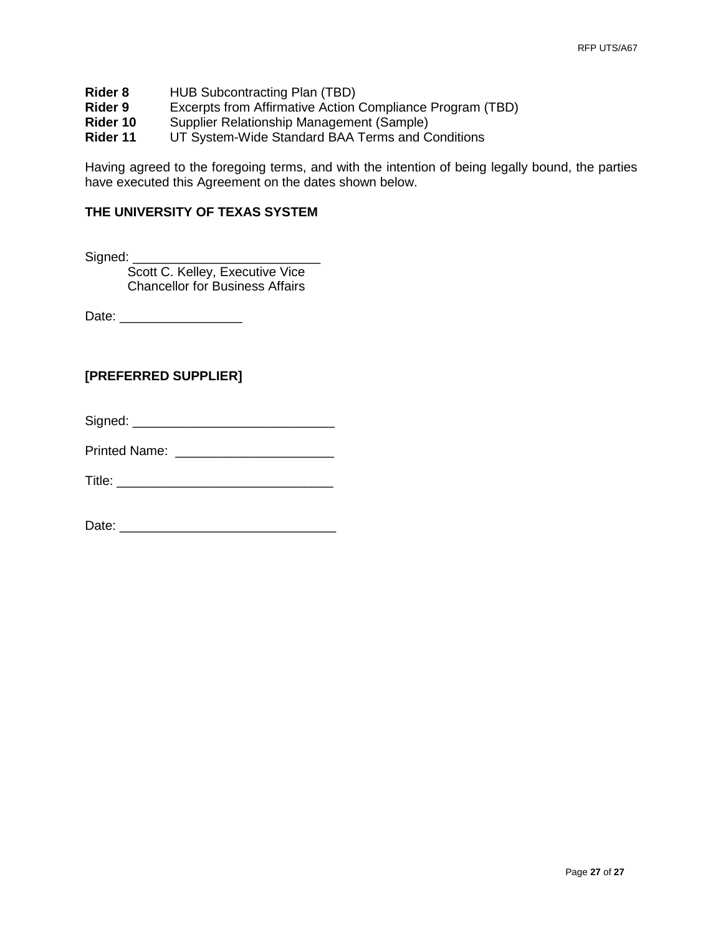- **Rider 8** HUB Subcontracting Plan (TBD)<br>**Rider 9** Excerpts from Affirmative Action
- **Rider 9** Excerpts from Affirmative Action Compliance Program (TBD)<br>**Rider 10** Supplier Relationship Management (Sample)
- **Rider 10** Supplier Relationship Management (Sample)<br>**Rider 11** UT System-Wide Standard BAA Terms and C
- **UT System-Wide Standard BAA Terms and Conditions**

Having agreed to the foregoing terms, and with the intention of being legally bound, the parties have executed this Agreement on the dates shown below.

#### **THE UNIVERSITY OF TEXAS SYSTEM**

Signed: \_\_\_\_\_\_\_\_\_\_\_\_\_\_\_\_\_\_\_\_\_\_\_\_\_\_

Scott C. Kelley, Executive Vice Chancellor for Business Affairs

Date: \_\_\_\_\_\_\_\_\_\_\_\_\_\_\_\_\_

### **[PREFERRED SUPPLIER]**

Signed: \_\_\_\_\_\_\_\_\_\_\_\_\_\_\_\_\_\_\_\_\_\_\_\_\_\_\_\_

Printed Name: **Example 18** 

Title: \_\_\_\_\_\_\_\_\_\_\_\_\_\_\_\_\_\_\_\_\_\_\_\_\_\_\_\_\_\_

Date: \_\_\_\_\_\_\_\_\_\_\_\_\_\_\_\_\_\_\_\_\_\_\_\_\_\_\_\_\_\_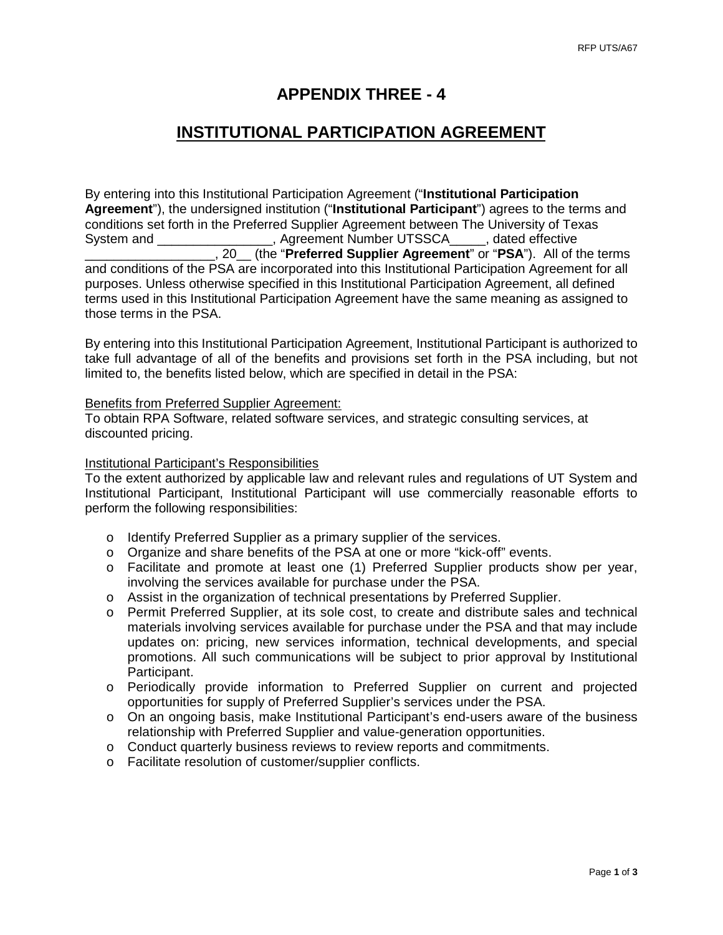# **APPENDIX THREE - 4**

# **INSTITUTIONAL PARTICIPATION AGREEMENT**

By entering into this Institutional Participation Agreement ("**Institutional Participation Agreement**"), the undersigned institution ("**Institutional Participant**") agrees to the terms and conditions set forth in the Preferred Supplier Agreement between The University of Texas System and The Music Controller Agreement Number UTSSCA and a dated effective \_\_\_\_\_\_\_\_\_\_\_\_\_\_\_\_\_\_, 20\_\_ (the "**Preferred Supplier Agreement**" or "**PSA**"). All of the terms and conditions of the PSA are incorporated into this Institutional Participation Agreement for all purposes. Unless otherwise specified in this Institutional Participation Agreement, all defined terms used in this Institutional Participation Agreement have the same meaning as assigned to those terms in the PSA.

By entering into this Institutional Participation Agreement, Institutional Participant is authorized to take full advantage of all of the benefits and provisions set forth in the PSA including, but not limited to, the benefits listed below, which are specified in detail in the PSA:

#### Benefits from Preferred Supplier Agreement:

To obtain RPA Software, related software services, and strategic consulting services, at discounted pricing.

#### Institutional Participant's Responsibilities

To the extent authorized by applicable law and relevant rules and regulations of UT System and Institutional Participant, Institutional Participant will use commercially reasonable efforts to perform the following responsibilities:

- o Identify Preferred Supplier as a primary supplier of the services.
- o Organize and share benefits of the PSA at one or more "kick-off" events.
- o Facilitate and promote at least one (1) Preferred Supplier products show per year, involving the services available for purchase under the PSA.
- o Assist in the organization of technical presentations by Preferred Supplier.
- o Permit Preferred Supplier, at its sole cost, to create and distribute sales and technical materials involving services available for purchase under the PSA and that may include updates on: pricing, new services information, technical developments, and special promotions. All such communications will be subject to prior approval by Institutional Participant.
- o Periodically provide information to Preferred Supplier on current and projected opportunities for supply of Preferred Supplier's services under the PSA.
- o On an ongoing basis, make Institutional Participant's end-users aware of the business relationship with Preferred Supplier and value-generation opportunities.
- o Conduct quarterly business reviews to review reports and commitments.
- o Facilitate resolution of customer/supplier conflicts.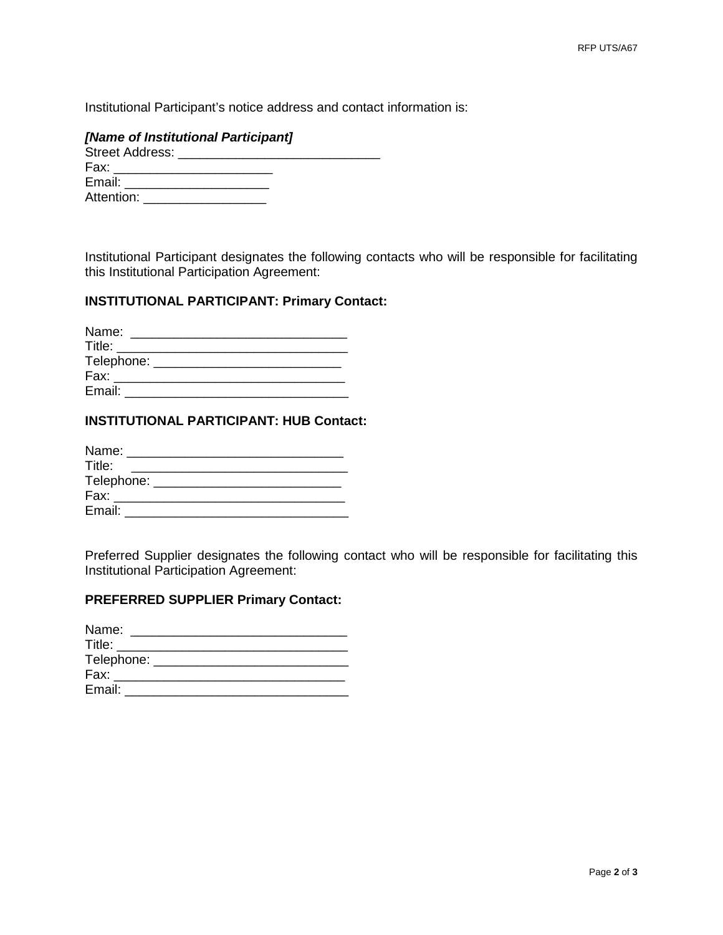Institutional Participant's notice address and contact information is:

### *[Name of Institutional Participant]*

| Street Address: Street Address: |  |  |
|---------------------------------|--|--|
| Fax:                            |  |  |
| Email:                          |  |  |
| Attention:                      |  |  |
|                                 |  |  |

Institutional Participant designates the following contacts who will be responsible for facilitating this Institutional Participation Agreement:

## **INSTITUTIONAL PARTICIPANT: Primary Contact:**

| Name:      |  |  |  |
|------------|--|--|--|
| Title:     |  |  |  |
| Telephone: |  |  |  |
| Fax:       |  |  |  |
| Email:     |  |  |  |

### **INSTITUTIONAL PARTICIPANT: HUB Contact:**

| Name:        |  |
|--------------|--|
| Title:       |  |
| Telephone: _ |  |
| Fax:         |  |
| Email:       |  |

Preferred Supplier designates the following contact who will be responsible for facilitating this Institutional Participation Agreement:

## **PREFERRED SUPPLIER Primary Contact:**

| Name:        |  |
|--------------|--|
| Title:       |  |
| Telephone: _ |  |
| Fax:         |  |
| Email:       |  |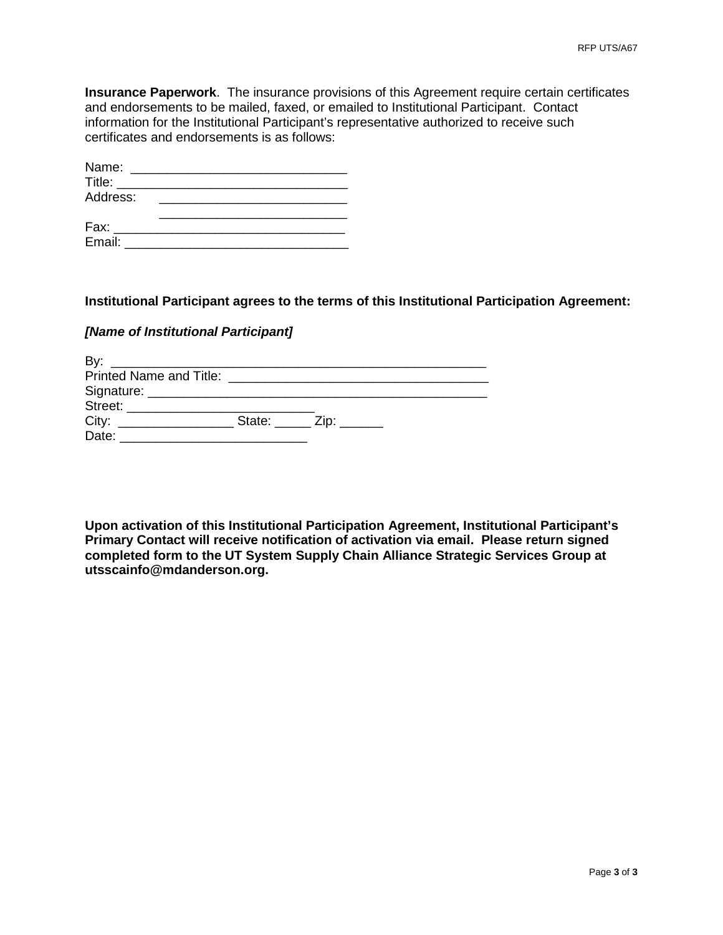**Insurance Paperwork**. The insurance provisions of this Agreement require certain certificates and endorsements to be mailed, faxed, or emailed to Institutional Participant. Contact information for the Institutional Participant's representative authorized to receive such certificates and endorsements is as follows:

| Name:                            |  |
|----------------------------------|--|
| Title: The Contract of the Title |  |
| Address:                         |  |
|                                  |  |
| Fax:                             |  |
| Email:                           |  |

#### **Institutional Participant agrees to the terms of this Institutional Participation Agreement:**

## *[Name of Institutional Participant]*

| By:   |                         |  |
|-------|-------------------------|--|
|       |                         |  |
|       |                         |  |
|       |                         |  |
| City: | State: _____ Zip: _____ |  |
| Date: |                         |  |

**Upon activation of this Institutional Participation Agreement, Institutional Participant's Primary Contact will receive notification of activation via email. Please return signed completed form to the UT System Supply Chain Alliance Strategic Services Group at utsscainfo@mdanderson.org.**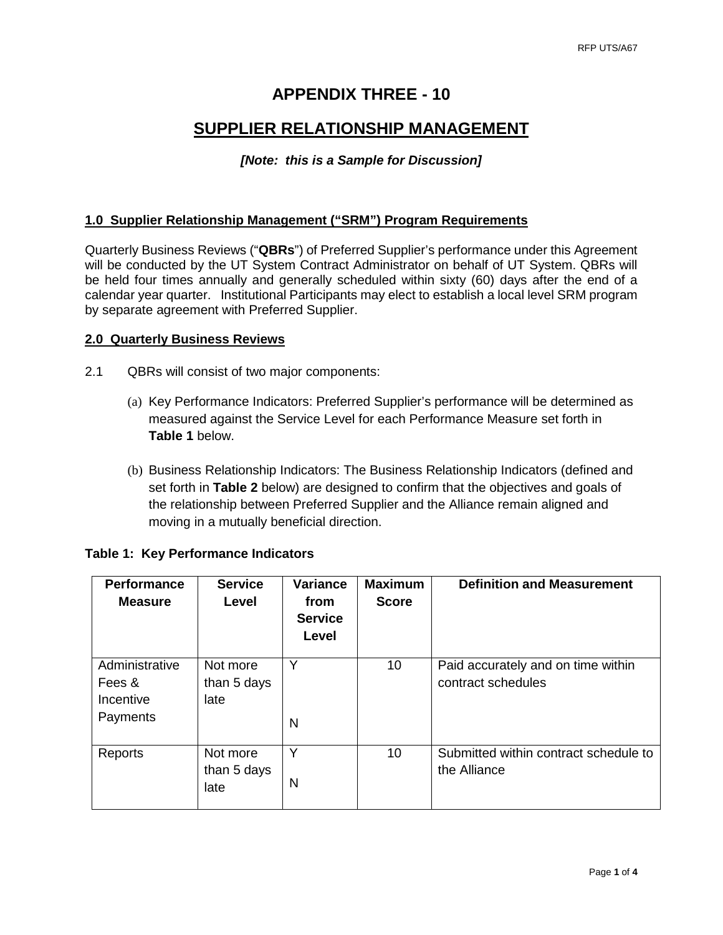# **APPENDIX THREE - 10**

# **SUPPLIER RELATIONSHIP MANAGEMENT**

## *[Note: this is a Sample for Discussion]*

### **1.0 Supplier Relationship Management ("SRM") Program Requirements**

Quarterly Business Reviews ("**QBRs**") of Preferred Supplier's performance under this Agreement will be conducted by the UT System Contract Administrator on behalf of UT System. QBRs will be held four times annually and generally scheduled within sixty (60) days after the end of a calendar year quarter. Institutional Participants may elect to establish a local level SRM program by separate agreement with Preferred Supplier.

#### **2.0 Quarterly Business Reviews**

- 2.1 QBRs will consist of two major components:
	- (a) Key Performance Indicators: Preferred Supplier's performance will be determined as measured against the Service Level for each Performance Measure set forth in **Table 1** below.
	- (b) Business Relationship Indicators: The Business Relationship Indicators (defined and set forth in **Table 2** below) are designed to confirm that the objectives and goals of the relationship between Preferred Supplier and the Alliance remain aligned and moving in a mutually beneficial direction.

| <b>Performance</b><br><b>Measure</b>              | <b>Service</b><br>Level         | <b>Variance</b><br>from<br><b>Service</b><br>Level | <b>Maximum</b><br><b>Score</b> | <b>Definition and Measurement</b>                        |
|---------------------------------------------------|---------------------------------|----------------------------------------------------|--------------------------------|----------------------------------------------------------|
| Administrative<br>Fees &<br>Incentive<br>Payments | Not more<br>than 5 days<br>late | Y<br>N                                             | 10                             | Paid accurately and on time within<br>contract schedules |
| Reports                                           | Not more<br>than 5 days<br>late | Υ<br>N                                             | 10                             | Submitted within contract schedule to<br>the Alliance    |

#### **Table 1: Key Performance Indicators**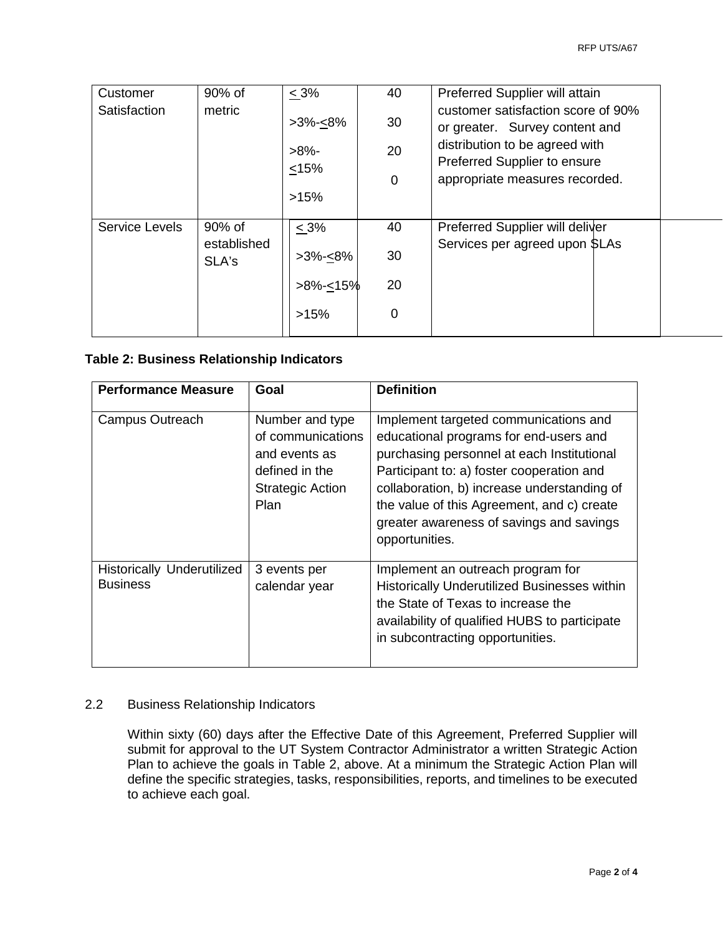| Customer       | 90% of               | $< 3\%$                 | 40 | Preferred Supplier will attain                                       |
|----------------|----------------------|-------------------------|----|----------------------------------------------------------------------|
| Satisfaction   | metric               | $>3\% < 8\%$            | 30 | customer satisfaction score of 90%<br>or greater. Survey content and |
|                |                      | $>8\%$ -<br>$\leq 15\%$ | 20 | distribution to be agreed with<br>Preferred Supplier to ensure       |
|                |                      |                         | 0  | appropriate measures recorded.                                       |
|                |                      | >15%                    |    |                                                                      |
| Service Levels | 90% of               | $\leq 3\%$              | 40 | Preferred Supplier will deliver                                      |
|                | established<br>SLA's | $>3\% < 8\%$            | 30 | Services per agreed upon SLAs                                        |
|                |                      | $>8\%<15\%$             | 20 |                                                                      |
|                |                      | >15%                    | 0  |                                                                      |
|                |                      |                         |    |                                                                      |

## **Table 2: Business Relationship Indicators**

| <b>Performance Measure</b>                           | Goal                                                                                                       | <b>Definition</b>                                                                                                                                                                                                                                                                                                                     |
|------------------------------------------------------|------------------------------------------------------------------------------------------------------------|---------------------------------------------------------------------------------------------------------------------------------------------------------------------------------------------------------------------------------------------------------------------------------------------------------------------------------------|
| <b>Campus Outreach</b>                               | Number and type<br>of communications<br>and events as<br>defined in the<br><b>Strategic Action</b><br>Plan | Implement targeted communications and<br>educational programs for end-users and<br>purchasing personnel at each Institutional<br>Participant to: a) foster cooperation and<br>collaboration, b) increase understanding of<br>the value of this Agreement, and c) create<br>greater awareness of savings and savings<br>opportunities. |
| <b>Historically Underutilized</b><br><b>Business</b> | 3 events per<br>calendar year                                                                              | Implement an outreach program for<br>Historically Underutilized Businesses within<br>the State of Texas to increase the<br>availability of qualified HUBS to participate<br>in subcontracting opportunities.                                                                                                                          |

## 2.2 Business Relationship Indicators

Within sixty (60) days after the Effective Date of this Agreement, Preferred Supplier will submit for approval to the UT System Contractor Administrator a written Strategic Action Plan to achieve the goals in Table 2, above. At a minimum the Strategic Action Plan will define the specific strategies, tasks, responsibilities, reports, and timelines to be executed to achieve each goal.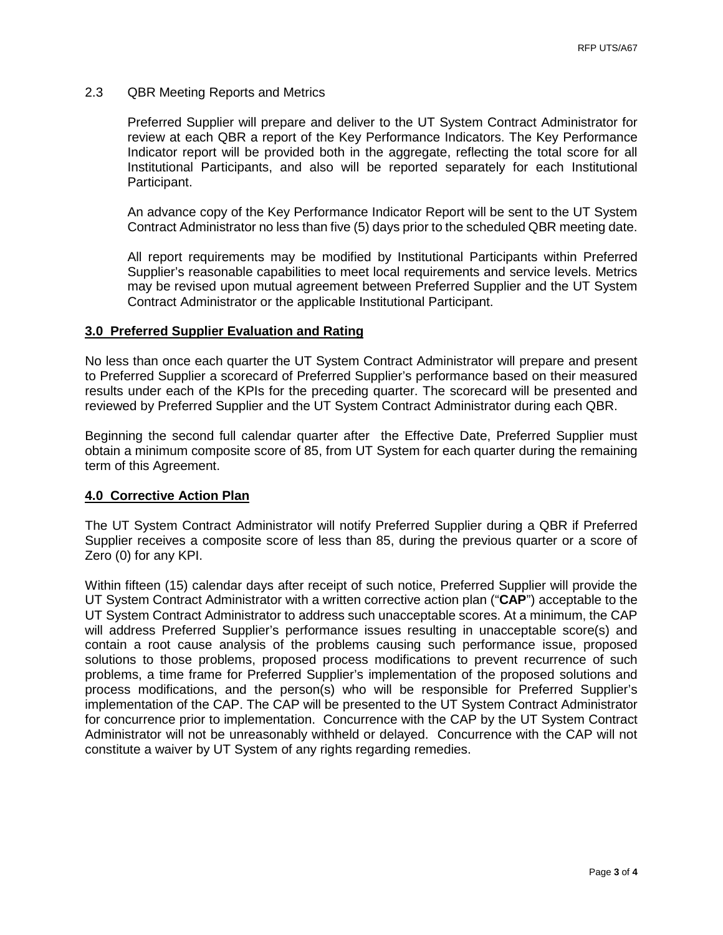#### 2.3 QBR Meeting Reports and Metrics

Preferred Supplier will prepare and deliver to the UT System Contract Administrator for review at each QBR a report of the Key Performance Indicators. The Key Performance Indicator report will be provided both in the aggregate, reflecting the total score for all Institutional Participants, and also will be reported separately for each Institutional Participant.

An advance copy of the Key Performance Indicator Report will be sent to the UT System Contract Administrator no less than five (5) days prior to the scheduled QBR meeting date.

All report requirements may be modified by Institutional Participants within Preferred Supplier's reasonable capabilities to meet local requirements and service levels. Metrics may be revised upon mutual agreement between Preferred Supplier and the UT System Contract Administrator or the applicable Institutional Participant.

#### **3.0 Preferred Supplier Evaluation and Rating**

No less than once each quarter the UT System Contract Administrator will prepare and present to Preferred Supplier a scorecard of Preferred Supplier's performance based on their measured results under each of the KPIs for the preceding quarter. The scorecard will be presented and reviewed by Preferred Supplier and the UT System Contract Administrator during each QBR.

Beginning the second full calendar quarter after the Effective Date, Preferred Supplier must obtain a minimum composite score of 85, from UT System for each quarter during the remaining term of this Agreement.

#### **4.0 Corrective Action Plan**

The UT System Contract Administrator will notify Preferred Supplier during a QBR if Preferred Supplier receives a composite score of less than 85, during the previous quarter or a score of Zero (0) for any KPI.

Within fifteen (15) calendar days after receipt of such notice, Preferred Supplier will provide the UT System Contract Administrator with a written corrective action plan ("**CAP**") acceptable to the UT System Contract Administrator to address such unacceptable scores. At a minimum, the CAP will address Preferred Supplier's performance issues resulting in unacceptable score(s) and contain a root cause analysis of the problems causing such performance issue, proposed solutions to those problems, proposed process modifications to prevent recurrence of such problems, a time frame for Preferred Supplier's implementation of the proposed solutions and process modifications, and the person(s) who will be responsible for Preferred Supplier's implementation of the CAP. The CAP will be presented to the UT System Contract Administrator for concurrence prior to implementation. Concurrence with the CAP by the UT System Contract Administrator will not be unreasonably withheld or delayed. Concurrence with the CAP will not constitute a waiver by UT System of any rights regarding remedies.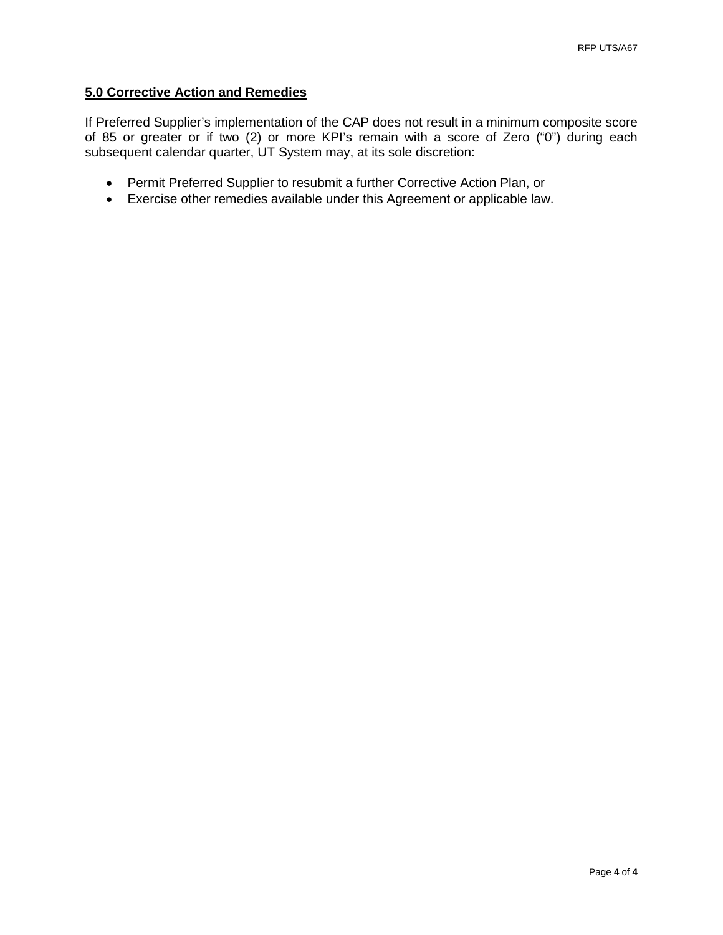## **5.0 Corrective Action and Remedies**

If Preferred Supplier's implementation of the CAP does not result in a minimum composite score of 85 or greater or if two (2) or more KPI's remain with a score of Zero ("0") during each subsequent calendar quarter, UT System may, at its sole discretion:

- Permit Preferred Supplier to resubmit a further Corrective Action Plan, or
- Exercise other remedies available under this Agreement or applicable law.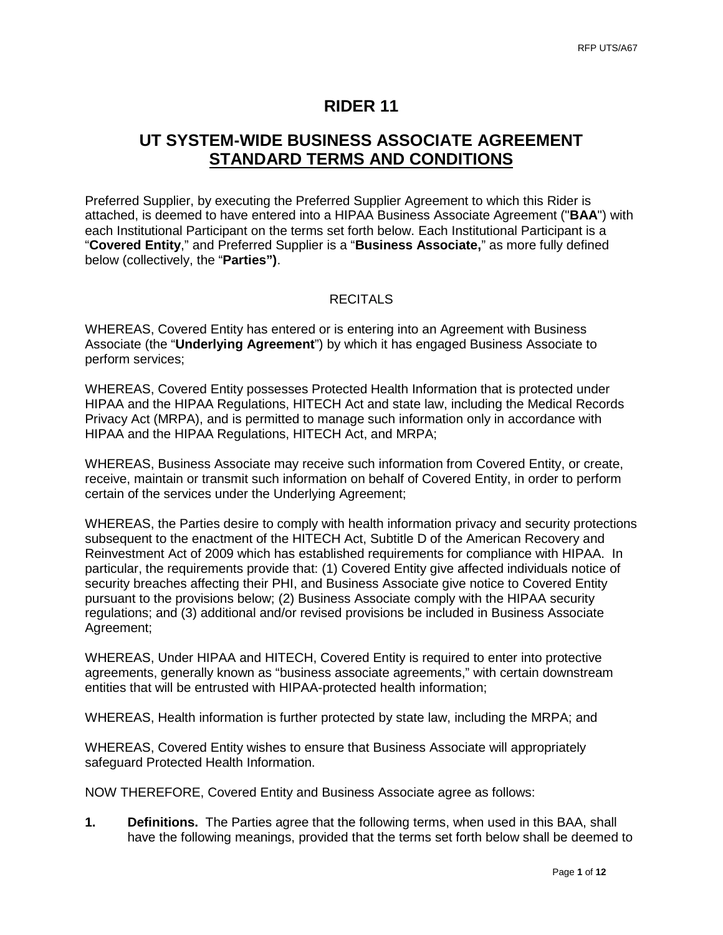### **RIDER 11**

# **UT SYSTEM-WIDE BUSINESS ASSOCIATE AGREEMENT STANDARD TERMS AND CONDITIONS**

Preferred Supplier, by executing the Preferred Supplier Agreement to which this Rider is attached, is deemed to have entered into a HIPAA Business Associate Agreement ("**BAA**") with each Institutional Participant on the terms set forth below. Each Institutional Participant is a "**Covered Entity**," and Preferred Supplier is a "**Business Associate,**" as more fully defined below (collectively, the "**Parties")**.

### **RECITALS**

WHEREAS, Covered Entity has entered or is entering into an Agreement with Business Associate (the "**Underlying Agreement**") by which it has engaged Business Associate to perform services;

WHEREAS, Covered Entity possesses Protected Health Information that is protected under HIPAA and the HIPAA Regulations, HITECH Act and state law, including the Medical Records Privacy Act (MRPA), and is permitted to manage such information only in accordance with HIPAA and the HIPAA Regulations, HITECH Act, and MRPA;

WHEREAS, Business Associate may receive such information from Covered Entity, or create, receive, maintain or transmit such information on behalf of Covered Entity, in order to perform certain of the services under the Underlying Agreement;

WHEREAS, the Parties desire to comply with health information privacy and security protections subsequent to the enactment of the HITECH Act, Subtitle D of the American Recovery and Reinvestment Act of 2009 which has established requirements for compliance with HIPAA. In particular, the requirements provide that: (1) Covered Entity give affected individuals notice of security breaches affecting their PHI, and Business Associate give notice to Covered Entity pursuant to the provisions below; (2) Business Associate comply with the HIPAA security regulations; and (3) additional and/or revised provisions be included in Business Associate Agreement;

WHEREAS, Under HIPAA and HITECH, Covered Entity is required to enter into protective agreements, generally known as "business associate agreements," with certain downstream entities that will be entrusted with HIPAA-protected health information;

WHEREAS, Health information is further protected by state law, including the MRPA; and

WHEREAS, Covered Entity wishes to ensure that Business Associate will appropriately safeguard Protected Health Information.

NOW THEREFORE, Covered Entity and Business Associate agree as follows:

**1. Definitions.** The Parties agree that the following terms, when used in this BAA, shall have the following meanings, provided that the terms set forth below shall be deemed to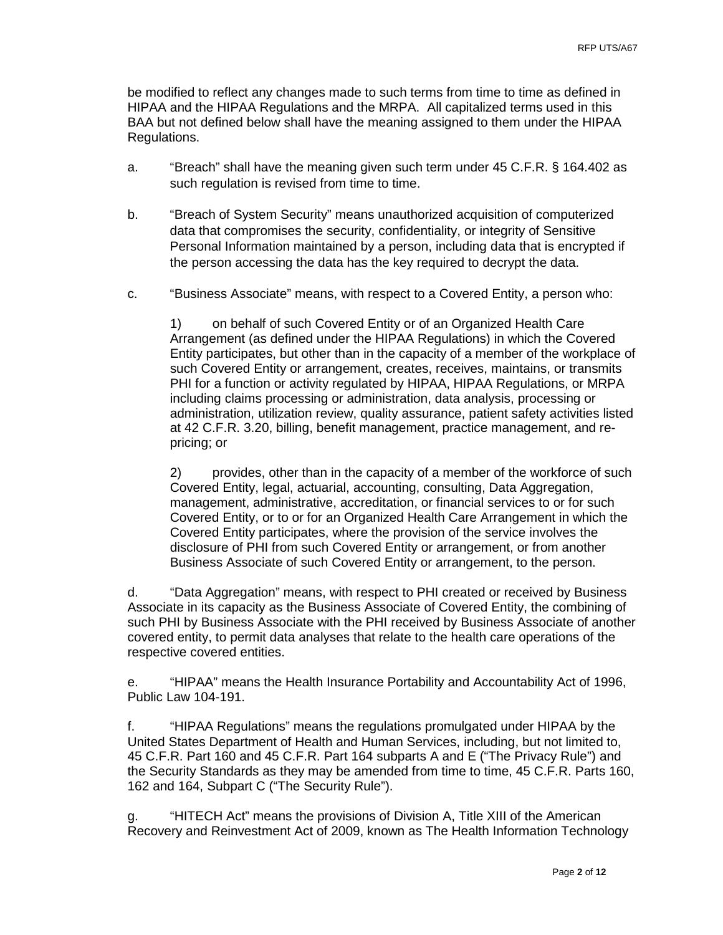be modified to reflect any changes made to such terms from time to time as defined in HIPAA and the HIPAA Regulations and the MRPA. All capitalized terms used in this BAA but not defined below shall have the meaning assigned to them under the HIPAA Regulations.

- a. "Breach" shall have the meaning given such term under 45 C.F.R. § 164.402 as such regulation is revised from time to time.
- b. "Breach of System Security" means unauthorized acquisition of computerized data that compromises the security, confidentiality, or integrity of Sensitive Personal Information maintained by a person, including data that is encrypted if the person accessing the data has the key required to decrypt the data.
- c. "Business Associate" means, with respect to a Covered Entity, a person who:

1) on behalf of such Covered Entity or of an Organized Health Care Arrangement (as defined under the HIPAA Regulations) in which the Covered Entity participates, but other than in the capacity of a member of the workplace of such Covered Entity or arrangement, creates, receives, maintains, or transmits PHI for a function or activity regulated by HIPAA, HIPAA Regulations, or MRPA including claims processing or administration, data analysis, processing or administration, utilization review, quality assurance, patient safety activities listed at 42 C.F.R. 3.20, billing, benefit management, practice management, and repricing; or

2) provides, other than in the capacity of a member of the workforce of such Covered Entity, legal, actuarial, accounting, consulting, Data Aggregation, management, administrative, accreditation, or financial services to or for such Covered Entity, or to or for an Organized Health Care Arrangement in which the Covered Entity participates, where the provision of the service involves the disclosure of PHI from such Covered Entity or arrangement, or from another Business Associate of such Covered Entity or arrangement, to the person.

d. "Data Aggregation" means, with respect to PHI created or received by Business Associate in its capacity as the Business Associate of Covered Entity, the combining of such PHI by Business Associate with the PHI received by Business Associate of another covered entity, to permit data analyses that relate to the health care operations of the respective covered entities.

e. "HIPAA" means the Health Insurance Portability and Accountability Act of 1996, Public Law 104-191.

f. "HIPAA Regulations" means the regulations promulgated under HIPAA by the United States Department of Health and Human Services, including, but not limited to, 45 C.F.R. Part 160 and 45 C.F.R. Part 164 subparts A and E ("The Privacy Rule") and the Security Standards as they may be amended from time to time, 45 C.F.R. Parts 160, 162 and 164, Subpart C ("The Security Rule").

g. "HITECH Act" means the provisions of Division A, Title XIII of the American Recovery and Reinvestment Act of 2009, known as The Health Information Technology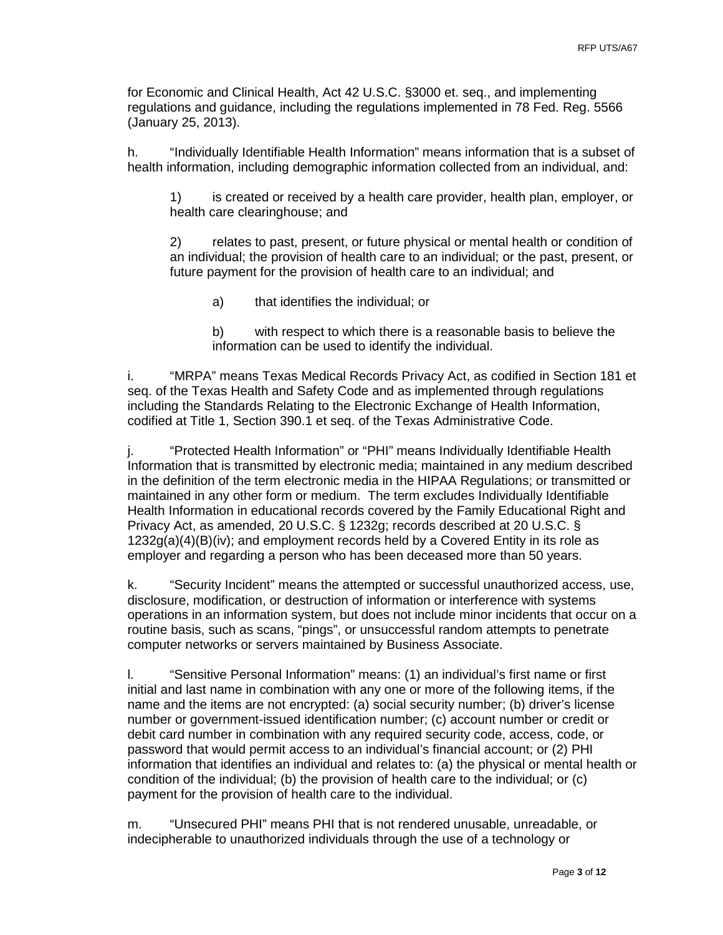for Economic and Clinical Health, Act 42 U.S.C. §3000 et. seq., and implementing regulations and guidance, including the regulations implemented in 78 Fed. Reg. 5566 (January 25, 2013).

h. "Individually Identifiable Health Information" means information that is a subset of health information, including demographic information collected from an individual, and:

1) is created or received by a health care provider, health plan, employer, or health care clearinghouse; and

2) relates to past, present, or future physical or mental health or condition of an individual; the provision of health care to an individual; or the past, present, or future payment for the provision of health care to an individual; and

a) that identifies the individual; or

b) with respect to which there is a reasonable basis to believe the information can be used to identify the individual.

i. "MRPA" means Texas Medical Records Privacy Act, as codified in Section 181 et seq. of the Texas Health and Safety Code and as implemented through regulations including the Standards Relating to the Electronic Exchange of Health Information, codified at Title 1, Section 390.1 et seq. of the Texas Administrative Code.

j. "Protected Health Information" or "PHI" means Individually Identifiable Health Information that is transmitted by electronic media; maintained in any medium described in the definition of the term electronic media in the HIPAA Regulations; or transmitted or maintained in any other form or medium. The term excludes Individually Identifiable Health Information in educational records covered by the Family Educational Right and Privacy Act, as amended, 20 U.S.C. § 1232g; records described at 20 U.S.C. §  $1232g(a)(4)(B)(iv)$ ; and employment records held by a Covered Entity in its role as employer and regarding a person who has been deceased more than 50 years.

k. "Security Incident" means the attempted or successful unauthorized access, use, disclosure, modification, or destruction of information or interference with systems operations in an information system, but does not include minor incidents that occur on a routine basis, such as scans, "pings", or unsuccessful random attempts to penetrate computer networks or servers maintained by Business Associate.

l. "Sensitive Personal Information" means: (1) an individual's first name or first initial and last name in combination with any one or more of the following items, if the name and the items are not encrypted: (a) social security number; (b) driver's license number or government-issued identification number; (c) account number or credit or debit card number in combination with any required security code, access, code, or password that would permit access to an individual's financial account; or (2) PHI information that identifies an individual and relates to: (a) the physical or mental health or condition of the individual; (b) the provision of health care to the individual; or (c) payment for the provision of health care to the individual.

m. "Unsecured PHI" means PHI that is not rendered unusable, unreadable, or indecipherable to unauthorized individuals through the use of a technology or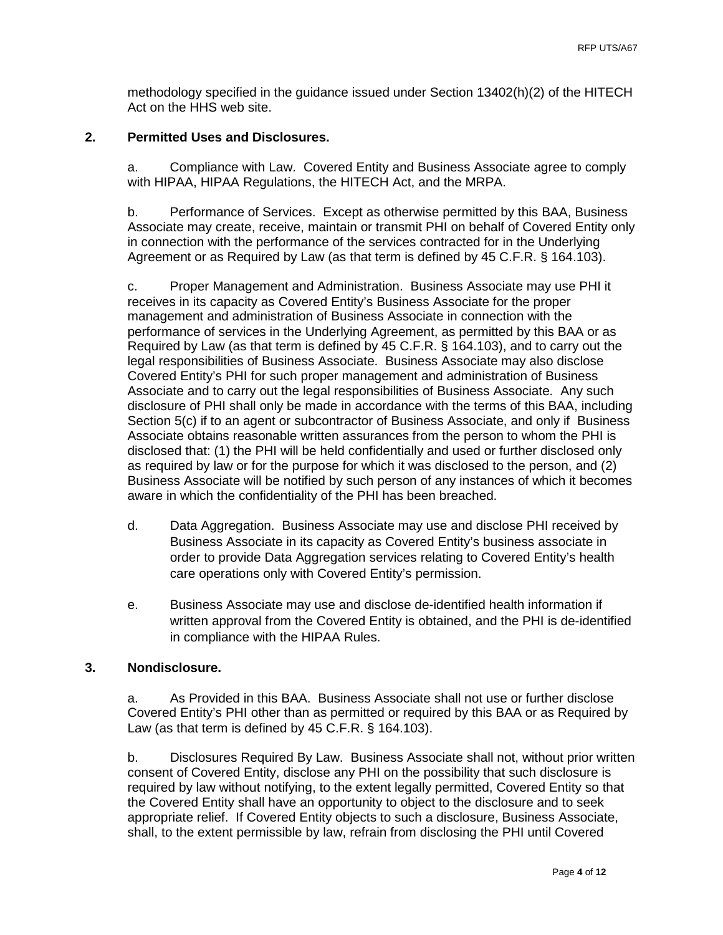methodology specified in the guidance issued under Section 13402(h)(2) of the HITECH Act on the HHS web site.

### **2. Permitted Uses and Disclosures.**

a. Compliance with Law. Covered Entity and Business Associate agree to comply with HIPAA, HIPAA Regulations, the HITECH Act, and the MRPA.

b. Performance of Services. Except as otherwise permitted by this BAA, Business Associate may create, receive, maintain or transmit PHI on behalf of Covered Entity only in connection with the performance of the services contracted for in the Underlying Agreement or as Required by Law (as that term is defined by 45 C.F.R. § 164.103).

c. Proper Management and Administration. Business Associate may use PHI it receives in its capacity as Covered Entity's Business Associate for the proper management and administration of Business Associate in connection with the performance of services in the Underlying Agreement, as permitted by this BAA or as Required by Law (as that term is defined by 45 C.F.R. § 164.103), and to carry out the legal responsibilities of Business Associate. Business Associate may also disclose Covered Entity's PHI for such proper management and administration of Business Associate and to carry out the legal responsibilities of Business Associate. Any such disclosure of PHI shall only be made in accordance with the terms of this BAA, including Section 5(c) if to an agent or subcontractor of Business Associate, and only if Business Associate obtains reasonable written assurances from the person to whom the PHI is disclosed that: (1) the PHI will be held confidentially and used or further disclosed only as required by law or for the purpose for which it was disclosed to the person, and (2) Business Associate will be notified by such person of any instances of which it becomes aware in which the confidentiality of the PHI has been breached.

- d. Data Aggregation. Business Associate may use and disclose PHI received by Business Associate in its capacity as Covered Entity's business associate in order to provide Data Aggregation services relating to Covered Entity's health care operations only with Covered Entity's permission.
- e. Business Associate may use and disclose de-identified health information if written approval from the Covered Entity is obtained, and the PHI is de-identified in compliance with the HIPAA Rules.

### **3. Nondisclosure.**

a. As Provided in this BAA. Business Associate shall not use or further disclose Covered Entity's PHI other than as permitted or required by this BAA or as Required by Law (as that term is defined by 45 C.F.R. § 164.103).

b. Disclosures Required By Law. Business Associate shall not, without prior written consent of Covered Entity, disclose any PHI on the possibility that such disclosure is required by law without notifying, to the extent legally permitted, Covered Entity so that the Covered Entity shall have an opportunity to object to the disclosure and to seek appropriate relief. If Covered Entity objects to such a disclosure, Business Associate, shall, to the extent permissible by law, refrain from disclosing the PHI until Covered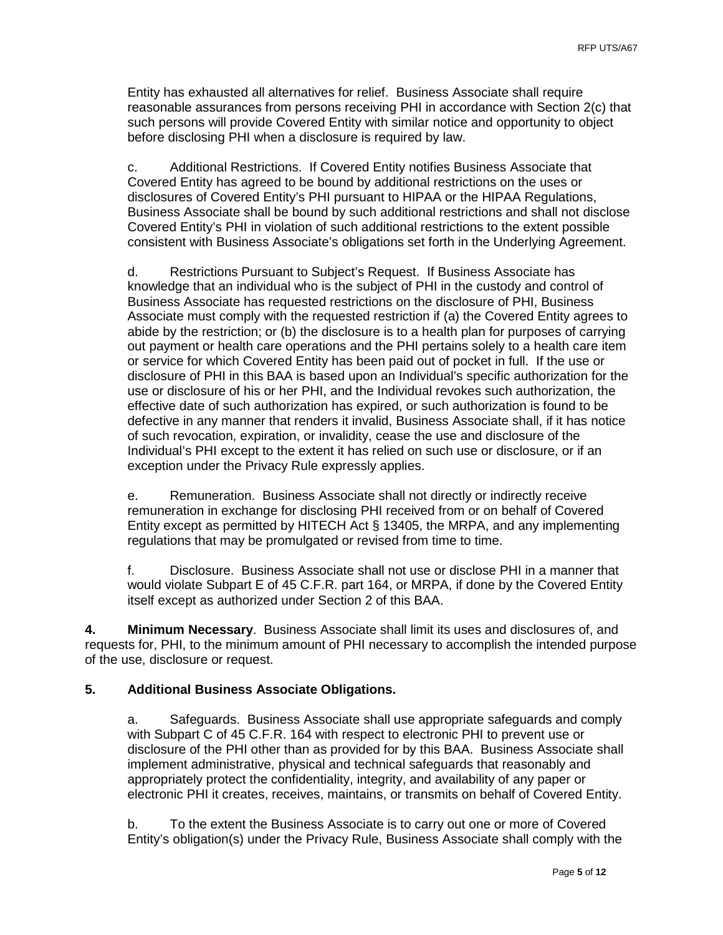Entity has exhausted all alternatives for relief. Business Associate shall require reasonable assurances from persons receiving PHI in accordance with Section 2(c) that such persons will provide Covered Entity with similar notice and opportunity to object before disclosing PHI when a disclosure is required by law.

c. Additional Restrictions. If Covered Entity notifies Business Associate that Covered Entity has agreed to be bound by additional restrictions on the uses or disclosures of Covered Entity's PHI pursuant to HIPAA or the HIPAA Regulations, Business Associate shall be bound by such additional restrictions and shall not disclose Covered Entity's PHI in violation of such additional restrictions to the extent possible consistent with Business Associate's obligations set forth in the Underlying Agreement.

d. Restrictions Pursuant to Subject's Request. If Business Associate has knowledge that an individual who is the subject of PHI in the custody and control of Business Associate has requested restrictions on the disclosure of PHI, Business Associate must comply with the requested restriction if (a) the Covered Entity agrees to abide by the restriction; or (b) the disclosure is to a health plan for purposes of carrying out payment or health care operations and the PHI pertains solely to a health care item or service for which Covered Entity has been paid out of pocket in full. If the use or disclosure of PHI in this BAA is based upon an Individual's specific authorization for the use or disclosure of his or her PHI, and the Individual revokes such authorization, the effective date of such authorization has expired, or such authorization is found to be defective in any manner that renders it invalid, Business Associate shall, if it has notice of such revocation, expiration, or invalidity, cease the use and disclosure of the Individual's PHI except to the extent it has relied on such use or disclosure, or if an exception under the Privacy Rule expressly applies.

e. Remuneration. Business Associate shall not directly or indirectly receive remuneration in exchange for disclosing PHI received from or on behalf of Covered Entity except as permitted by HITECH Act § 13405, the MRPA, and any implementing regulations that may be promulgated or revised from time to time.

f. Disclosure. Business Associate shall not use or disclose PHI in a manner that would violate Subpart E of 45 C.F.R. part 164, or MRPA, if done by the Covered Entity itself except as authorized under Section 2 of this BAA.

**4. Minimum Necessary**. Business Associate shall limit its uses and disclosures of, and requests for, PHI, to the minimum amount of PHI necessary to accomplish the intended purpose of the use, disclosure or request.

### **5. Additional Business Associate Obligations.**

a. Safeguards. Business Associate shall use appropriate safeguards and comply with Subpart C of 45 C.F.R. 164 with respect to electronic PHI to prevent use or disclosure of the PHI other than as provided for by this BAA. Business Associate shall implement administrative, physical and technical safeguards that reasonably and appropriately protect the confidentiality, integrity, and availability of any paper or electronic PHI it creates, receives, maintains, or transmits on behalf of Covered Entity.

b. To the extent the Business Associate is to carry out one or more of Covered Entity's obligation(s) under the Privacy Rule, Business Associate shall comply with the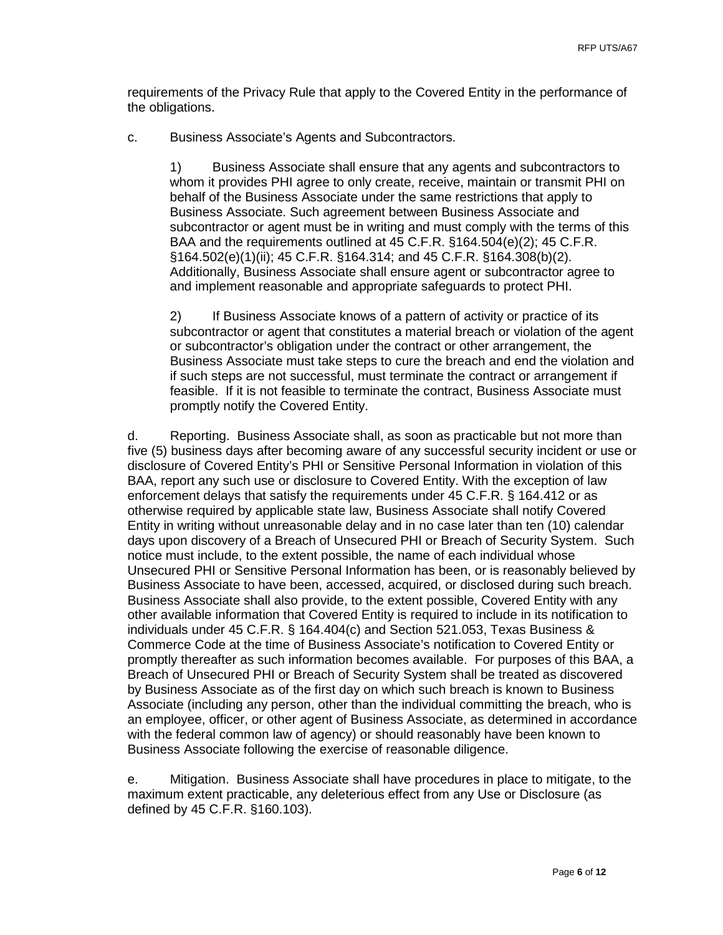requirements of the Privacy Rule that apply to the Covered Entity in the performance of the obligations.

c. Business Associate's Agents and Subcontractors.

1) Business Associate shall ensure that any agents and subcontractors to whom it provides PHI agree to only create, receive, maintain or transmit PHI on behalf of the Business Associate under the same restrictions that apply to Business Associate. Such agreement between Business Associate and subcontractor or agent must be in writing and must comply with the terms of this BAA and the requirements outlined at 45 C.F.R. §164.504(e)(2); 45 C.F.R. §164.502(e)(1)(ii); 45 C.F.R. §164.314; and 45 C.F.R. §164.308(b)(2). Additionally, Business Associate shall ensure agent or subcontractor agree to and implement reasonable and appropriate safeguards to protect PHI.

2) If Business Associate knows of a pattern of activity or practice of its subcontractor or agent that constitutes a material breach or violation of the agent or subcontractor's obligation under the contract or other arrangement, the Business Associate must take steps to cure the breach and end the violation and if such steps are not successful, must terminate the contract or arrangement if feasible. If it is not feasible to terminate the contract, Business Associate must promptly notify the Covered Entity.

d. Reporting. Business Associate shall, as soon as practicable but not more than five (5) business days after becoming aware of any successful security incident or use or disclosure of Covered Entity's PHI or Sensitive Personal Information in violation of this BAA, report any such use or disclosure to Covered Entity. With the exception of law enforcement delays that satisfy the requirements under 45 C.F.R. § 164.412 or as otherwise required by applicable state law, Business Associate shall notify Covered Entity in writing without unreasonable delay and in no case later than ten (10) calendar days upon discovery of a Breach of Unsecured PHI or Breach of Security System. Such notice must include, to the extent possible, the name of each individual whose Unsecured PHI or Sensitive Personal Information has been, or is reasonably believed by Business Associate to have been, accessed, acquired, or disclosed during such breach. Business Associate shall also provide, to the extent possible, Covered Entity with any other available information that Covered Entity is required to include in its notification to individuals under 45 C.F.R. § 164.404(c) and Section 521.053, Texas Business & Commerce Code at the time of Business Associate's notification to Covered Entity or promptly thereafter as such information becomes available. For purposes of this BAA, a Breach of Unsecured PHI or Breach of Security System shall be treated as discovered by Business Associate as of the first day on which such breach is known to Business Associate (including any person, other than the individual committing the breach, who is an employee, officer, or other agent of Business Associate, as determined in accordance with the federal common law of agency) or should reasonably have been known to Business Associate following the exercise of reasonable diligence.

e. Mitigation. Business Associate shall have procedures in place to mitigate, to the maximum extent practicable, any deleterious effect from any Use or Disclosure (as defined by 45 C.F.R. §160.103).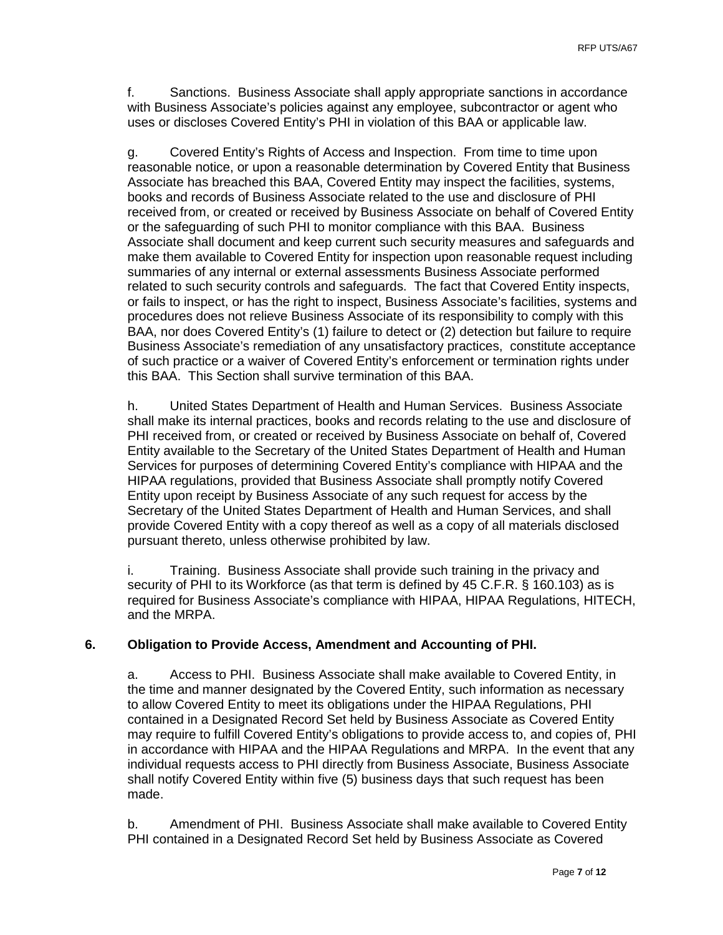f. Sanctions. Business Associate shall apply appropriate sanctions in accordance with Business Associate's policies against any employee, subcontractor or agent who uses or discloses Covered Entity's PHI in violation of this BAA or applicable law.

g. Covered Entity's Rights of Access and Inspection. From time to time upon reasonable notice, or upon a reasonable determination by Covered Entity that Business Associate has breached this BAA, Covered Entity may inspect the facilities, systems, books and records of Business Associate related to the use and disclosure of PHI received from, or created or received by Business Associate on behalf of Covered Entity or the safeguarding of such PHI to monitor compliance with this BAA. Business Associate shall document and keep current such security measures and safeguards and make them available to Covered Entity for inspection upon reasonable request including summaries of any internal or external assessments Business Associate performed related to such security controls and safeguards. The fact that Covered Entity inspects, or fails to inspect, or has the right to inspect, Business Associate's facilities, systems and procedures does not relieve Business Associate of its responsibility to comply with this BAA, nor does Covered Entity's (1) failure to detect or (2) detection but failure to require Business Associate's remediation of any unsatisfactory practices, constitute acceptance of such practice or a waiver of Covered Entity's enforcement or termination rights under this BAA. This Section shall survive termination of this BAA.

h. United States Department of Health and Human Services. Business Associate shall make its internal practices, books and records relating to the use and disclosure of PHI received from, or created or received by Business Associate on behalf of, Covered Entity available to the Secretary of the United States Department of Health and Human Services for purposes of determining Covered Entity's compliance with HIPAA and the HIPAA regulations, provided that Business Associate shall promptly notify Covered Entity upon receipt by Business Associate of any such request for access by the Secretary of the United States Department of Health and Human Services, and shall provide Covered Entity with a copy thereof as well as a copy of all materials disclosed pursuant thereto, unless otherwise prohibited by law.

i. Training. Business Associate shall provide such training in the privacy and security of PHI to its Workforce (as that term is defined by 45 C.F.R. § 160.103) as is required for Business Associate's compliance with HIPAA, HIPAA Regulations, HITECH, and the MRPA.

### **6. Obligation to Provide Access, Amendment and Accounting of PHI.**

a. Access to PHI. Business Associate shall make available to Covered Entity, in the time and manner designated by the Covered Entity, such information as necessary to allow Covered Entity to meet its obligations under the HIPAA Regulations, PHI contained in a Designated Record Set held by Business Associate as Covered Entity may require to fulfill Covered Entity's obligations to provide access to, and copies of, PHI in accordance with HIPAA and the HIPAA Regulations and MRPA. In the event that any individual requests access to PHI directly from Business Associate, Business Associate shall notify Covered Entity within five (5) business days that such request has been made.

b. Amendment of PHI. Business Associate shall make available to Covered Entity PHI contained in a Designated Record Set held by Business Associate as Covered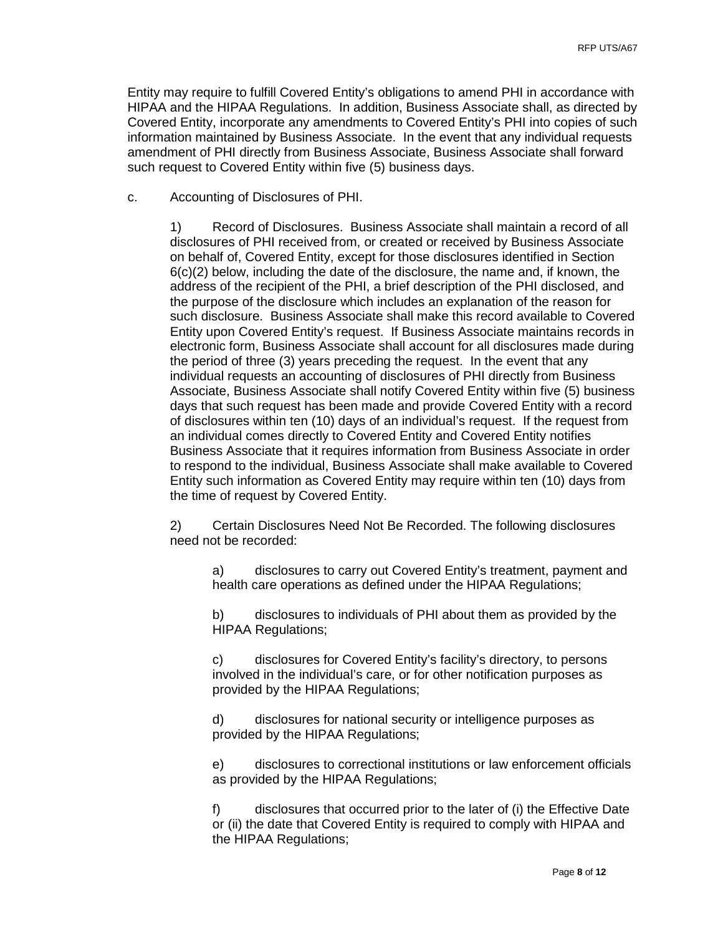Entity may require to fulfill Covered Entity's obligations to amend PHI in accordance with HIPAA and the HIPAA Regulations. In addition, Business Associate shall, as directed by Covered Entity, incorporate any amendments to Covered Entity's PHI into copies of such information maintained by Business Associate. In the event that any individual requests amendment of PHI directly from Business Associate, Business Associate shall forward such request to Covered Entity within five (5) business days.

c. Accounting of Disclosures of PHI.

1) Record of Disclosures. Business Associate shall maintain a record of all disclosures of PHI received from, or created or received by Business Associate on behalf of, Covered Entity, except for those disclosures identified in Section  $6(c)(2)$  below, including the date of the disclosure, the name and, if known, the address of the recipient of the PHI, a brief description of the PHI disclosed, and the purpose of the disclosure which includes an explanation of the reason for such disclosure. Business Associate shall make this record available to Covered Entity upon Covered Entity's request. If Business Associate maintains records in electronic form, Business Associate shall account for all disclosures made during the period of three (3) years preceding the request. In the event that any individual requests an accounting of disclosures of PHI directly from Business Associate, Business Associate shall notify Covered Entity within five (5) business days that such request has been made and provide Covered Entity with a record of disclosures within ten (10) days of an individual's request. If the request from an individual comes directly to Covered Entity and Covered Entity notifies Business Associate that it requires information from Business Associate in order to respond to the individual, Business Associate shall make available to Covered Entity such information as Covered Entity may require within ten (10) days from the time of request by Covered Entity.

2) Certain Disclosures Need Not Be Recorded. The following disclosures need not be recorded:

a) disclosures to carry out Covered Entity's treatment, payment and health care operations as defined under the HIPAA Regulations;

b) disclosures to individuals of PHI about them as provided by the HIPAA Regulations;

c) disclosures for Covered Entity's facility's directory, to persons involved in the individual's care, or for other notification purposes as provided by the HIPAA Regulations;

d) disclosures for national security or intelligence purposes as provided by the HIPAA Regulations;

e) disclosures to correctional institutions or law enforcement officials as provided by the HIPAA Regulations;

f) disclosures that occurred prior to the later of (i) the Effective Date or (ii) the date that Covered Entity is required to comply with HIPAA and the HIPAA Regulations;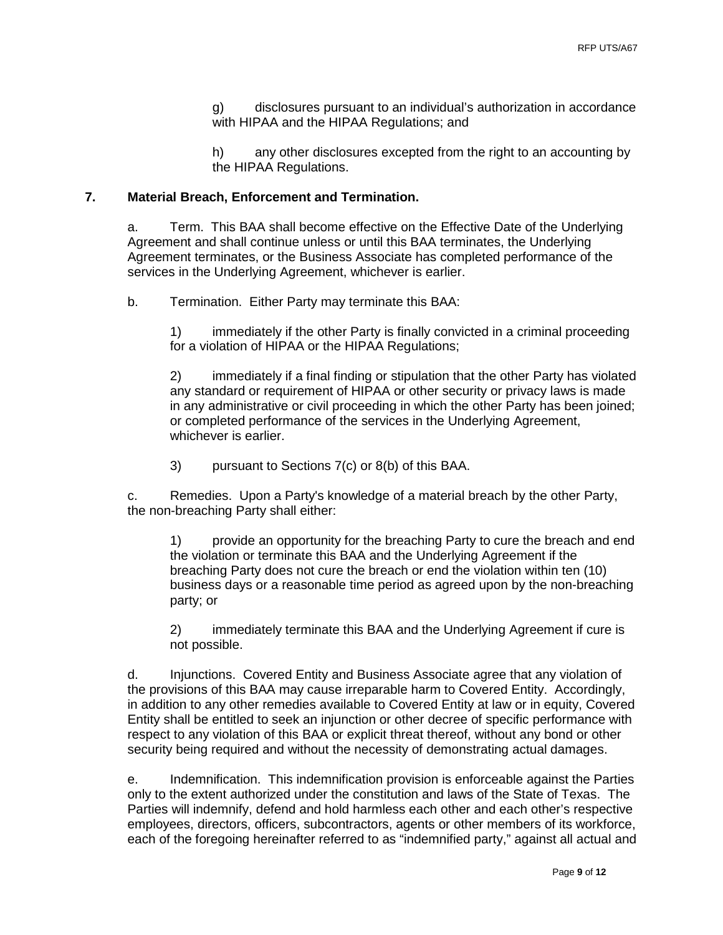g) disclosures pursuant to an individual's authorization in accordance with HIPAA and the HIPAA Regulations; and

h) any other disclosures excepted from the right to an accounting by the HIPAA Regulations.

### **7. Material Breach, Enforcement and Termination.**

a. Term. This BAA shall become effective on the Effective Date of the Underlying Agreement and shall continue unless or until this BAA terminates, the Underlying Agreement terminates, or the Business Associate has completed performance of the services in the Underlying Agreement, whichever is earlier.

b. Termination. Either Party may terminate this BAA:

1) immediately if the other Party is finally convicted in a criminal proceeding for a violation of HIPAA or the HIPAA Regulations;

2) immediately if a final finding or stipulation that the other Party has violated any standard or requirement of HIPAA or other security or privacy laws is made in any administrative or civil proceeding in which the other Party has been joined; or completed performance of the services in the Underlying Agreement, whichever is earlier.

3) pursuant to Sections 7(c) or 8(b) of this BAA.

c. Remedies. Upon a Party's knowledge of a material breach by the other Party, the non-breaching Party shall either:

1) provide an opportunity for the breaching Party to cure the breach and end the violation or terminate this BAA and the Underlying Agreement if the breaching Party does not cure the breach or end the violation within ten (10) business days or a reasonable time period as agreed upon by the non-breaching party; or

2) immediately terminate this BAA and the Underlying Agreement if cure is not possible.

d. Injunctions. Covered Entity and Business Associate agree that any violation of the provisions of this BAA may cause irreparable harm to Covered Entity. Accordingly, in addition to any other remedies available to Covered Entity at law or in equity, Covered Entity shall be entitled to seek an injunction or other decree of specific performance with respect to any violation of this BAA or explicit threat thereof, without any bond or other security being required and without the necessity of demonstrating actual damages.

e. Indemnification. This indemnification provision is enforceable against the Parties only to the extent authorized under the constitution and laws of the State of Texas. The Parties will indemnify, defend and hold harmless each other and each other's respective employees, directors, officers, subcontractors, agents or other members of its workforce, each of the foregoing hereinafter referred to as "indemnified party," against all actual and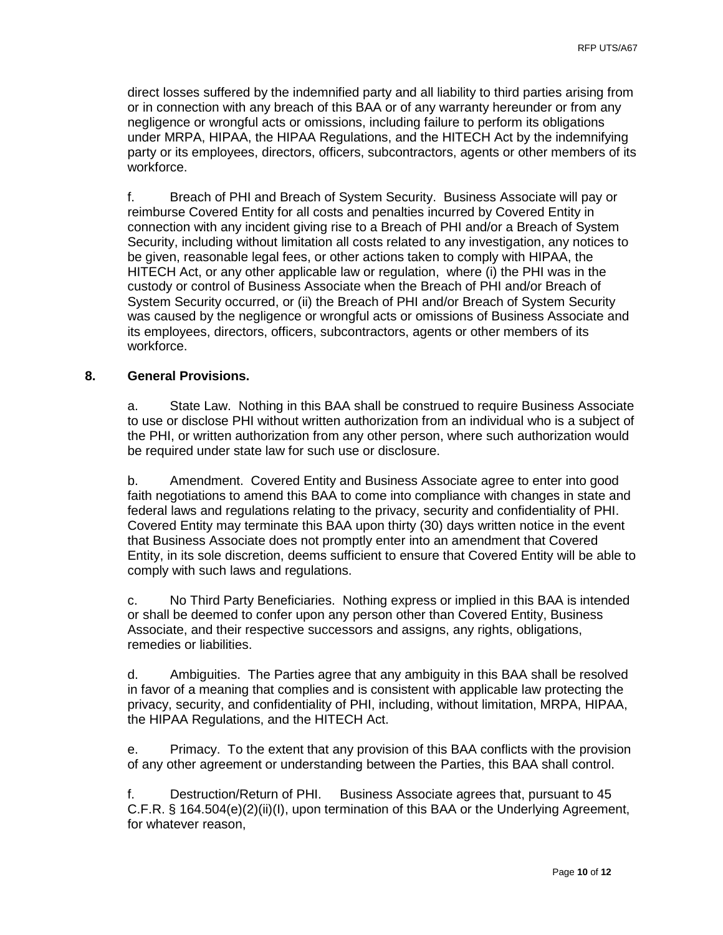direct losses suffered by the indemnified party and all liability to third parties arising from or in connection with any breach of this BAA or of any warranty hereunder or from any negligence or wrongful acts or omissions, including failure to perform its obligations under MRPA, HIPAA, the HIPAA Regulations, and the HITECH Act by the indemnifying party or its employees, directors, officers, subcontractors, agents or other members of its workforce.

f. Breach of PHI and Breach of System Security. Business Associate will pay or reimburse Covered Entity for all costs and penalties incurred by Covered Entity in connection with any incident giving rise to a Breach of PHI and/or a Breach of System Security, including without limitation all costs related to any investigation, any notices to be given, reasonable legal fees, or other actions taken to comply with HIPAA, the HITECH Act, or any other applicable law or regulation, where (i) the PHI was in the custody or control of Business Associate when the Breach of PHI and/or Breach of System Security occurred, or (ii) the Breach of PHI and/or Breach of System Security was caused by the negligence or wrongful acts or omissions of Business Associate and its employees, directors, officers, subcontractors, agents or other members of its workforce.

#### **8. General Provisions.**

a. State Law. Nothing in this BAA shall be construed to require Business Associate to use or disclose PHI without written authorization from an individual who is a subject of the PHI, or written authorization from any other person, where such authorization would be required under state law for such use or disclosure.

b. Amendment. Covered Entity and Business Associate agree to enter into good faith negotiations to amend this BAA to come into compliance with changes in state and federal laws and regulations relating to the privacy, security and confidentiality of PHI. Covered Entity may terminate this BAA upon thirty (30) days written notice in the event that Business Associate does not promptly enter into an amendment that Covered Entity, in its sole discretion, deems sufficient to ensure that Covered Entity will be able to comply with such laws and regulations.

c. No Third Party Beneficiaries. Nothing express or implied in this BAA is intended or shall be deemed to confer upon any person other than Covered Entity, Business Associate, and their respective successors and assigns, any rights, obligations, remedies or liabilities.

d. Ambiguities. The Parties agree that any ambiguity in this BAA shall be resolved in favor of a meaning that complies and is consistent with applicable law protecting the privacy, security, and confidentiality of PHI, including, without limitation, MRPA, HIPAA, the HIPAA Regulations, and the HITECH Act.

e. Primacy. To the extent that any provision of this BAA conflicts with the provision of any other agreement or understanding between the Parties, this BAA shall control.

f. Destruction/Return of PHI. Business Associate agrees that, pursuant to 45 C.F.R. § 164.504(e)(2)(ii)(I), upon termination of this BAA or the Underlying Agreement, for whatever reason,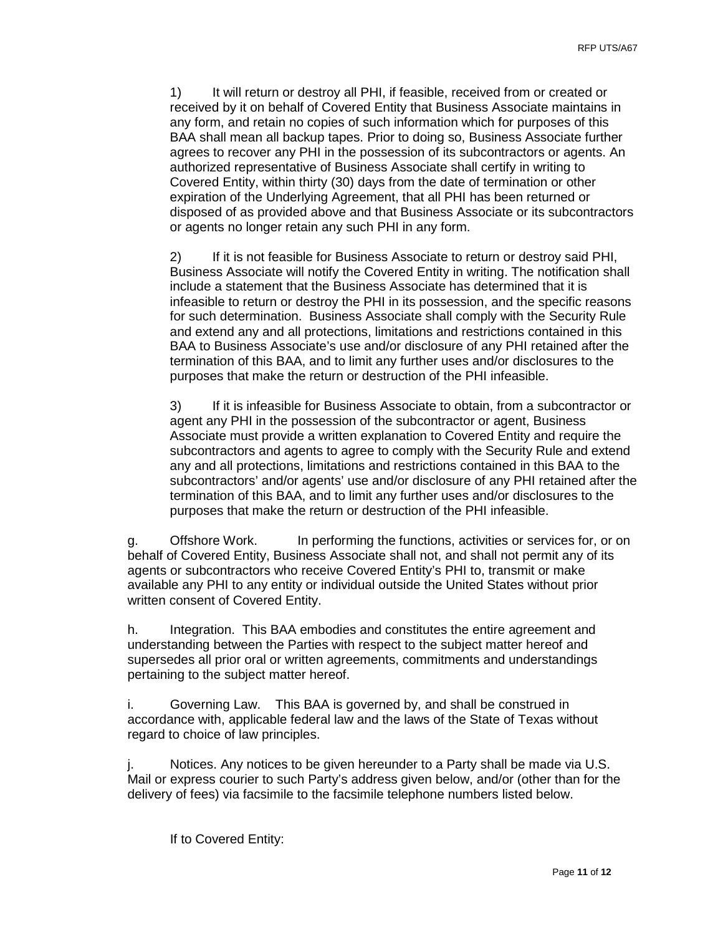1) It will return or destroy all PHI, if feasible, received from or created or received by it on behalf of Covered Entity that Business Associate maintains in any form, and retain no copies of such information which for purposes of this BAA shall mean all backup tapes. Prior to doing so, Business Associate further agrees to recover any PHI in the possession of its subcontractors or agents. An authorized representative of Business Associate shall certify in writing to Covered Entity, within thirty (30) days from the date of termination or other expiration of the Underlying Agreement, that all PHI has been returned or disposed of as provided above and that Business Associate or its subcontractors or agents no longer retain any such PHI in any form.

2) If it is not feasible for Business Associate to return or destroy said PHI, Business Associate will notify the Covered Entity in writing. The notification shall include a statement that the Business Associate has determined that it is infeasible to return or destroy the PHI in its possession, and the specific reasons for such determination. Business Associate shall comply with the Security Rule and extend any and all protections, limitations and restrictions contained in this BAA to Business Associate's use and/or disclosure of any PHI retained after the termination of this BAA, and to limit any further uses and/or disclosures to the purposes that make the return or destruction of the PHI infeasible.

3) If it is infeasible for Business Associate to obtain, from a subcontractor or agent any PHI in the possession of the subcontractor or agent, Business Associate must provide a written explanation to Covered Entity and require the subcontractors and agents to agree to comply with the Security Rule and extend any and all protections, limitations and restrictions contained in this BAA to the subcontractors' and/or agents' use and/or disclosure of any PHI retained after the termination of this BAA, and to limit any further uses and/or disclosures to the purposes that make the return or destruction of the PHI infeasible.

g. Offshore Work. In performing the functions, activities or services for, or on behalf of Covered Entity, Business Associate shall not, and shall not permit any of its agents or subcontractors who receive Covered Entity's PHI to, transmit or make available any PHI to any entity or individual outside the United States without prior written consent of Covered Entity.

h. Integration. This BAA embodies and constitutes the entire agreement and understanding between the Parties with respect to the subject matter hereof and supersedes all prior oral or written agreements, commitments and understandings pertaining to the subject matter hereof.

i. Governing Law. This BAA is governed by, and shall be construed in accordance with, applicable federal law and the laws of the State of Texas without regard to choice of law principles.

j. Notices. Any notices to be given hereunder to a Party shall be made via U.S. Mail or express courier to such Party's address given below, and/or (other than for the delivery of fees) via facsimile to the facsimile telephone numbers listed below.

If to Covered Entity: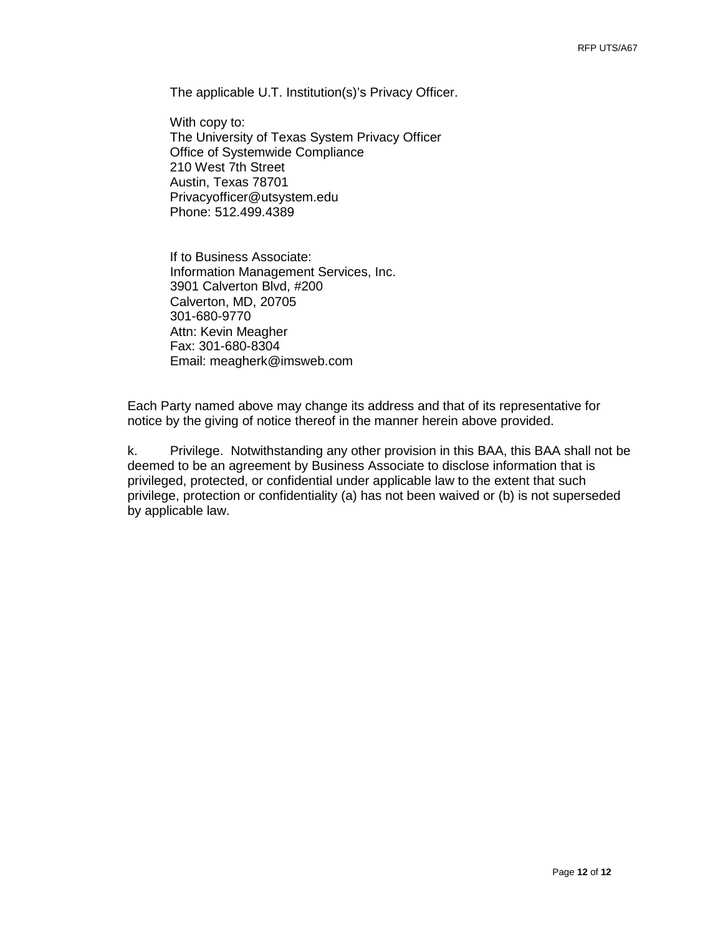The applicable U.T. Institution(s)'s Privacy Officer.

With copy to: The University of Texas System Privacy Officer Office of Systemwide Compliance 210 West 7th Street Austin, Texas 78701 [Privacyofficer@utsystem.edu](mailto:Privacyofficer@utsystem.edu) Phone: 512.499.4389

If to Business Associate: Information Management Services, Inc. 3901 Calverton Blvd, #200 Calverton, MD, 20705 301-680-9770 Attn: Kevin Meagher Fax: 301-680-8304 Email: meagherk@imsweb.com

Each Party named above may change its address and that of its representative for notice by the giving of notice thereof in the manner herein above provided.

k. Privilege. Notwithstanding any other provision in this BAA, this BAA shall not be deemed to be an agreement by Business Associate to disclose information that is privileged, protected, or confidential under applicable law to the extent that such privilege, protection or confidentiality (a) has not been waived or (b) is not superseded by applicable law.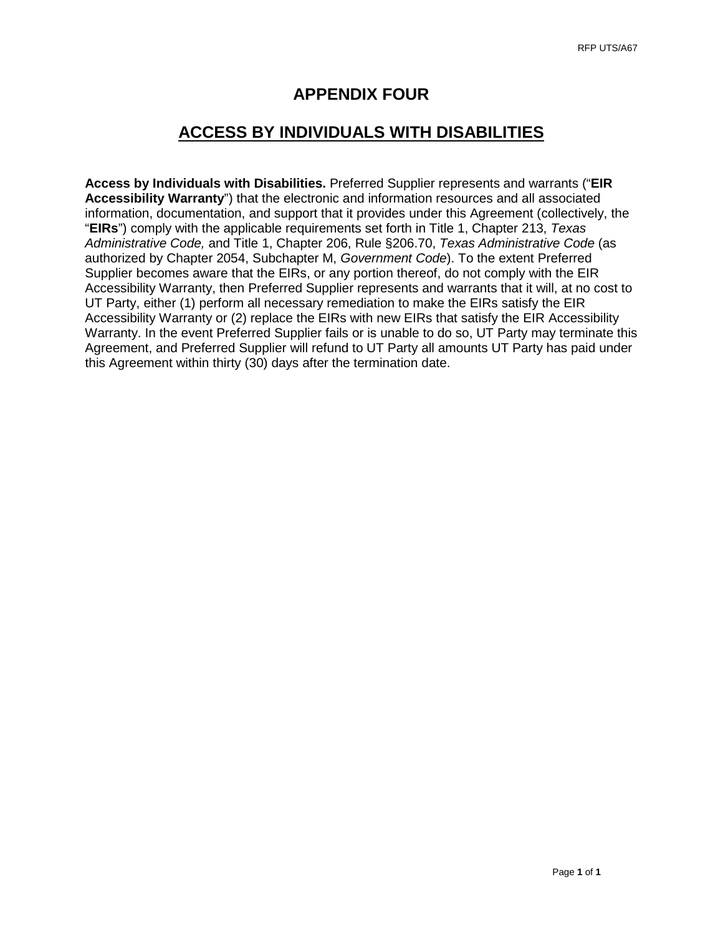### **APPENDIX FOUR**

### **ACCESS BY INDIVIDUALS WITH DISABILITIES**

**Access by Individuals with Disabilities.** Preferred Supplier represents and warrants ("**EIR Accessibility Warranty**") that the electronic and information resources and all associated information, documentation, and support that it provides under this Agreement (collectively, the "**EIRs**") comply with the applicable requirements set forth in Title 1, Chapter 213, *Texas Administrative Code,* and Title 1, Chapter 206, Rule §206.70, *Texas Administrative Code* (as authorized by Chapter 2054, Subchapter M, *Government Code*). To the extent Preferred Supplier becomes aware that the EIRs, or any portion thereof, do not comply with the EIR Accessibility Warranty, then Preferred Supplier represents and warrants that it will, at no cost to UT Party, either (1) perform all necessary remediation to make the EIRs satisfy the EIR Accessibility Warranty or (2) replace the EIRs with new EIRs that satisfy the EIR Accessibility Warranty. In the event Preferred Supplier fails or is unable to do so, UT Party may terminate this Agreement, and Preferred Supplier will refund to UT Party all amounts UT Party has paid under this Agreement within thirty (30) days after the termination date.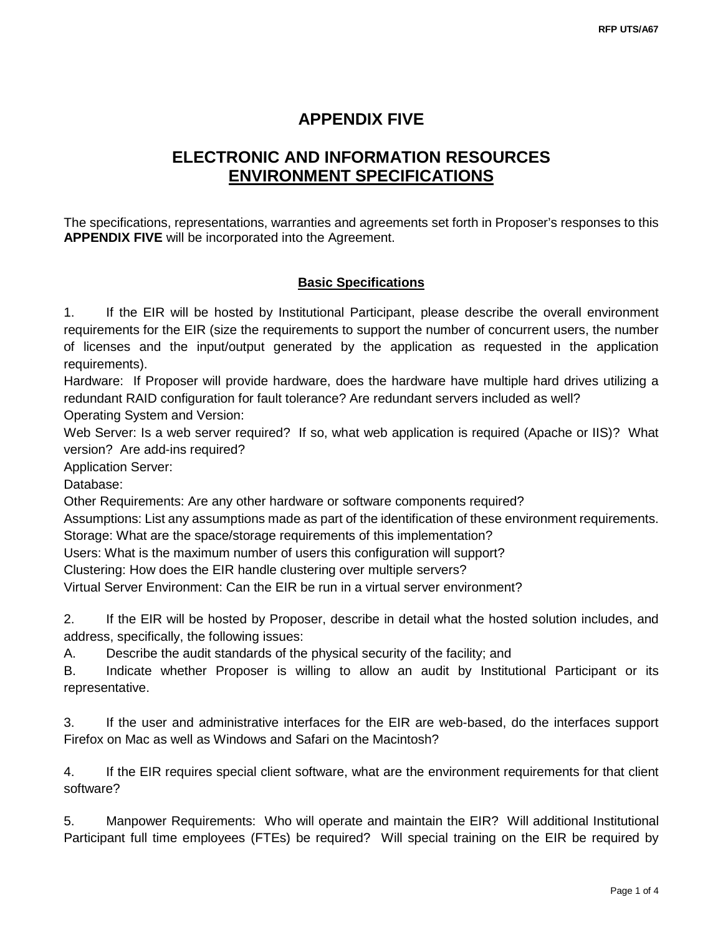# **APPENDIX FIVE**

# **ELECTRONIC AND INFORMATION RESOURCES ENVIRONMENT SPECIFICATIONS**

The specifications, representations, warranties and agreements set forth in Proposer's responses to this **APPENDIX FIVE** will be incorporated into the Agreement.

### **Basic Specifications**

1. If the EIR will be hosted by Institutional Participant, please describe the overall environment requirements for the EIR (size the requirements to support the number of concurrent users, the number of licenses and the input/output generated by the application as requested in the application requirements).

Hardware: If Proposer will provide hardware, does the hardware have multiple hard drives utilizing a redundant RAID configuration for fault tolerance? Are redundant servers included as well?

Operating System and Version:

Web Server: Is a web server required? If so, what web application is required (Apache or IIS)? What version? Are add-ins required?

Application Server:

Database:

Other Requirements: Are any other hardware or software components required?

Assumptions: List any assumptions made as part of the identification of these environment requirements.

Storage: What are the space/storage requirements of this implementation?

Users: What is the maximum number of users this configuration will support?

Clustering: How does the EIR handle clustering over multiple servers?

Virtual Server Environment: Can the EIR be run in a virtual server environment?

2. If the EIR will be hosted by Proposer, describe in detail what the hosted solution includes, and address, specifically, the following issues:

A. Describe the audit standards of the physical security of the facility; and

B. Indicate whether Proposer is willing to allow an audit by Institutional Participant or its representative.

3. If the user and administrative interfaces for the EIR are web-based, do the interfaces support Firefox on Mac as well as Windows and Safari on the Macintosh?

4. If the EIR requires special client software, what are the environment requirements for that client software?

5. Manpower Requirements: Who will operate and maintain the EIR? Will additional Institutional Participant full time employees (FTEs) be required? Will special training on the EIR be required by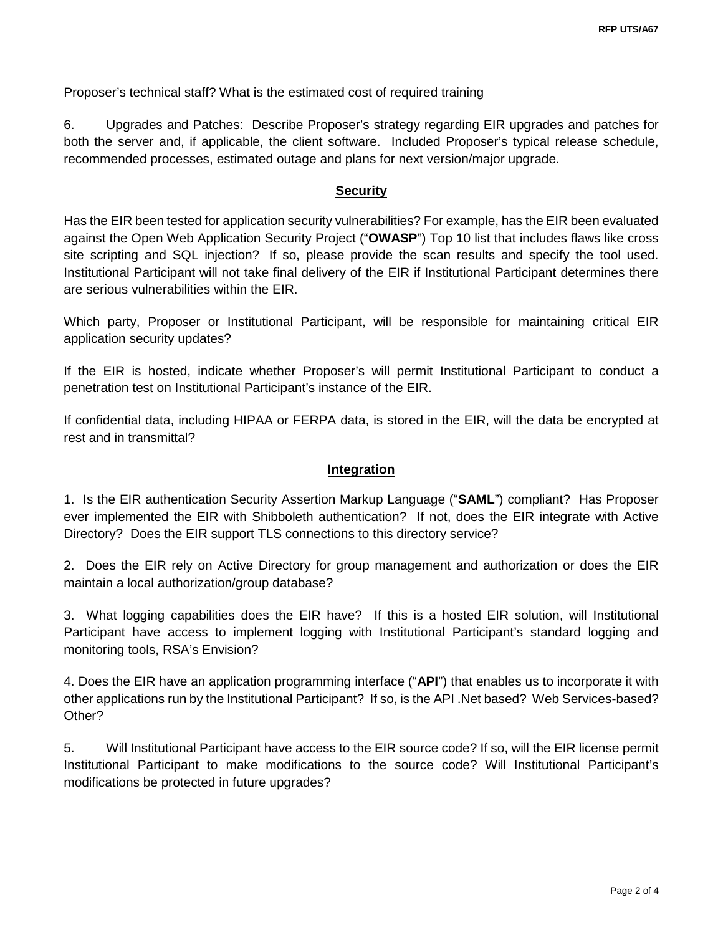Proposer's technical staff? What is the estimated cost of required training

6. Upgrades and Patches: Describe Proposer's strategy regarding EIR upgrades and patches for both the server and, if applicable, the client software. Included Proposer's typical release schedule, recommended processes, estimated outage and plans for next version/major upgrade.

### **Security**

Has the EIR been tested for application security vulnerabilities? For example, has the EIR been evaluated against the Open Web Application Security Project ("**OWASP**") Top 10 list that includes flaws like cross site scripting and SQL injection? If so, please provide the scan results and specify the tool used. Institutional Participant will not take final delivery of the EIR if Institutional Participant determines there are serious vulnerabilities within the EIR.

Which party, Proposer or Institutional Participant, will be responsible for maintaining critical EIR application security updates?

If the EIR is hosted, indicate whether Proposer's will permit Institutional Participant to conduct a penetration test on Institutional Participant's instance of the EIR.

If confidential data, including HIPAA or FERPA data, is stored in the EIR, will the data be encrypted at rest and in transmittal?

### **Integration**

1. Is the EIR authentication Security Assertion Markup Language ("**SAML**") compliant? Has Proposer ever implemented the EIR with Shibboleth authentication? If not, does the EIR integrate with Active Directory? Does the EIR support TLS connections to this directory service?

2. Does the EIR rely on Active Directory for group management and authorization or does the EIR maintain a local authorization/group database?

3. What logging capabilities does the EIR have? If this is a hosted EIR solution, will Institutional Participant have access to implement logging with Institutional Participant's standard logging and monitoring tools, RSA's Envision?

4. Does the EIR have an application programming interface ("**API**") that enables us to incorporate it with other applications run by the Institutional Participant? If so, is the API .Net based? Web Services-based? Other?

5. Will Institutional Participant have access to the EIR source code? If so, will the EIR license permit Institutional Participant to make modifications to the source code? Will Institutional Participant's modifications be protected in future upgrades?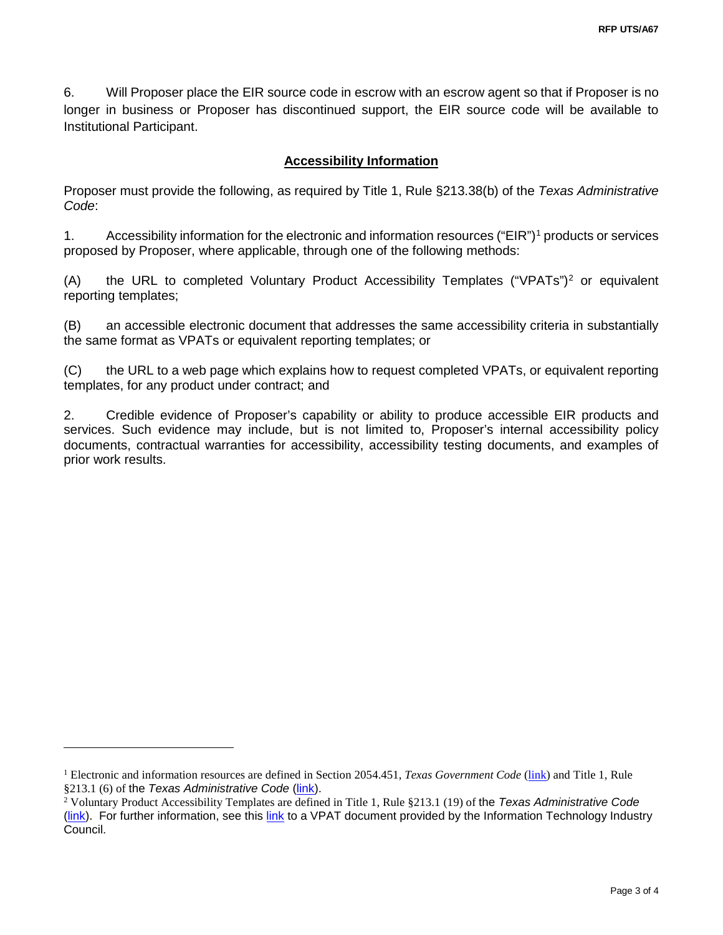6. Will Proposer place the EIR source code in escrow with an escrow agent so that if Proposer is no longer in business or Proposer has discontinued support, the EIR source code will be available to Institutional Participant.

### **Accessibility Information**

Proposer must provide the following, as required by Title 1, Rule §213.38(b) of the *Texas Administrative Code*:

1. Accessibility information for the electronic and information resources ("EIR")[1](#page-87-0) products or services proposed by Proposer, where applicable, through one of the following methods:

(A) the URL to completed Voluntary Product Accessibility Templates ("VPATs")[2](#page-87-1) or equivalent reporting templates;

(B) an accessible electronic document that addresses the same accessibility criteria in substantially the same format as VPATs or equivalent reporting templates; or

(C) the URL to a web page which explains how to request completed VPATs, or equivalent reporting templates, for any product under contract; and

2. Credible evidence of Proposer's capability or ability to produce accessible EIR products and services. Such evidence may include, but is not limited to, Proposer's internal accessibility policy documents, contractual warranties for accessibility, accessibility testing documents, and examples of prior work results.

 $\overline{a}$ 

<span id="page-87-0"></span><sup>1</sup> Electronic and information resources are defined in Section 2054.451, *Texas Government Code* [\(link\)](http://www.statutes.legis.state.tx.us/Docs/GV/htm/GV.2054.htm%232054.451) and Title 1, Rule §213.1 (6) of the *Texas Administrative Code* [\(link\)](http://texreg.sos.state.tx.us/public/readtac$ext.TacPage?sl=R&app=9&p_dir=&p_rloc=&p_tloc=&p_ploc=&pg=1&p_tac=&ti=1&pt=10&ch=213&rl=1).

<span id="page-87-1"></span><sup>2</sup> Voluntary Product Accessibility Templates are defined in Title 1, Rule §213.1 (19) of the *Texas Administrative Code* [\(link\)](http://texreg.sos.state.tx.us/public/readtac$ext.TacPage?sl=R&app=9&p_dir=&p_rloc=&p_tloc=&p_ploc=&pg=1&p_tac=&ti=1&pt=10&ch=213&rl=1). For further information, see this [link](http://www.itic.org:8080/dotAsset/5644ecd2-5024-417f-bc23-a52650f47ef8.doc) to a VPAT document provided by the Information Technology Industry Council.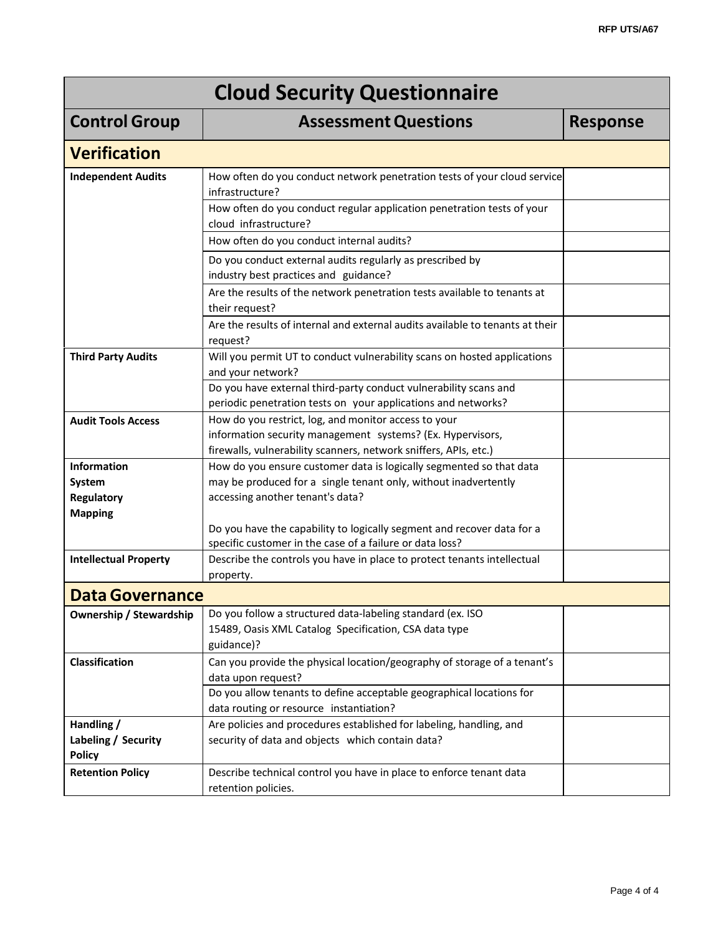| <b>Cloud Security Questionnaire</b>                |                                                                                                                                                                                        |                 |  |  |
|----------------------------------------------------|----------------------------------------------------------------------------------------------------------------------------------------------------------------------------------------|-----------------|--|--|
| <b>Control Group</b>                               | <b>Assessment Questions</b>                                                                                                                                                            | <b>Response</b> |  |  |
| <b>Verification</b>                                |                                                                                                                                                                                        |                 |  |  |
| <b>Independent Audits</b>                          | How often do you conduct network penetration tests of your cloud service<br>infrastructure?                                                                                            |                 |  |  |
|                                                    | How often do you conduct regular application penetration tests of your<br>cloud infrastructure?                                                                                        |                 |  |  |
|                                                    | How often do you conduct internal audits?                                                                                                                                              |                 |  |  |
|                                                    | Do you conduct external audits regularly as prescribed by<br>industry best practices and guidance?                                                                                     |                 |  |  |
|                                                    | Are the results of the network penetration tests available to tenants at<br>their request?                                                                                             |                 |  |  |
|                                                    | Are the results of internal and external audits available to tenants at their<br>request?                                                                                              |                 |  |  |
| <b>Third Party Audits</b>                          | Will you permit UT to conduct vulnerability scans on hosted applications<br>and your network?                                                                                          |                 |  |  |
|                                                    | Do you have external third-party conduct vulnerability scans and                                                                                                                       |                 |  |  |
|                                                    | periodic penetration tests on your applications and networks?                                                                                                                          |                 |  |  |
| <b>Audit Tools Access</b>                          | How do you restrict, log, and monitor access to your<br>information security management systems? (Ex. Hypervisors,<br>firewalls, vulnerability scanners, network sniffers, APIs, etc.) |                 |  |  |
| <b>Information</b>                                 | How do you ensure customer data is logically segmented so that data                                                                                                                    |                 |  |  |
| System                                             | may be produced for a single tenant only, without inadvertently                                                                                                                        |                 |  |  |
| <b>Regulatory</b><br><b>Mapping</b>                | accessing another tenant's data?                                                                                                                                                       |                 |  |  |
|                                                    | Do you have the capability to logically segment and recover data for a<br>specific customer in the case of a failure or data loss?                                                     |                 |  |  |
| <b>Intellectual Property</b>                       | Describe the controls you have in place to protect tenants intellectual<br>property.                                                                                                   |                 |  |  |
| <b>Data Governance</b>                             |                                                                                                                                                                                        |                 |  |  |
| <b>Ownership / Stewardship</b>                     | Do you follow a structured data-labeling standard (ex. ISO<br>15489, Oasis XML Catalog Specification, CSA data type<br>guidance)?                                                      |                 |  |  |
| Classification                                     | Can you provide the physical location/geography of storage of a tenant's<br>data upon request?                                                                                         |                 |  |  |
|                                                    | Do you allow tenants to define acceptable geographical locations for<br>data routing or resource instantiation?                                                                        |                 |  |  |
| Handling /<br>Labeling / Security<br><b>Policy</b> | Are policies and procedures established for labeling, handling, and<br>security of data and objects which contain data?                                                                |                 |  |  |
| <b>Retention Policy</b>                            | Describe technical control you have in place to enforce tenant data<br>retention policies.                                                                                             |                 |  |  |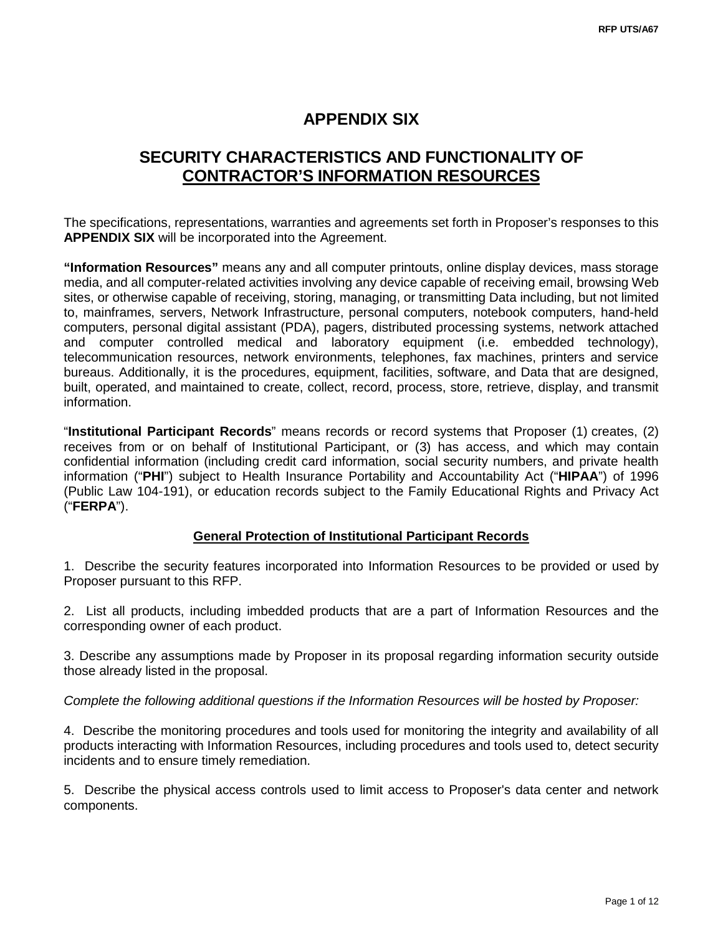### **APPENDIX SIX**

# **SECURITY CHARACTERISTICS AND FUNCTIONALITY OF CONTRACTOR'S INFORMATION RESOURCES**

The specifications, representations, warranties and agreements set forth in Proposer's responses to this **APPENDIX SIX** will be incorporated into the Agreement.

**"Information Resources"** means any and all computer printouts, online display devices, mass storage media, and all computer-related activities involving any device capable of receiving email, browsing Web sites, or otherwise capable of receiving, storing, managing, or transmitting Data including, but not limited to, mainframes, servers, Network Infrastructure, personal computers, notebook computers, hand-held computers, personal digital assistant (PDA), pagers, distributed processing systems, network attached and computer controlled medical and laboratory equipment (i.e. embedded technology), telecommunication resources, network environments, telephones, fax machines, printers and service bureaus. Additionally, it is the procedures, equipment, facilities, software, and Data that are designed, built, operated, and maintained to create, collect, record, process, store, retrieve, display, and transmit information.

"**Institutional Participant Records**" means records or record systems that Proposer (1) creates, (2) receives from or on behalf of Institutional Participant, or (3) has access, and which may contain confidential information (including credit card information, social security numbers, and private health information ("**PHI**") subject to Health Insurance Portability and Accountability Act ("**HIPAA**") of 1996 (Public Law 104-191), or education records subject to the Family Educational Rights and Privacy Act ("**FERPA**").

### **General Protection of Institutional Participant Records**

1. Describe the security features incorporated into Information Resources to be provided or used by Proposer pursuant to this RFP.

2. List all products, including imbedded products that are a part of Information Resources and the corresponding owner of each product.

3. Describe any assumptions made by Proposer in its proposal regarding information security outside those already listed in the proposal.

*Complete the following additional questions if the Information Resources will be hosted by Proposer:*

4. Describe the monitoring procedures and tools used for monitoring the integrity and availability of all products interacting with Information Resources, including procedures and tools used to, detect security incidents and to ensure timely remediation.

5. Describe the physical access controls used to limit access to Proposer's data center and network components.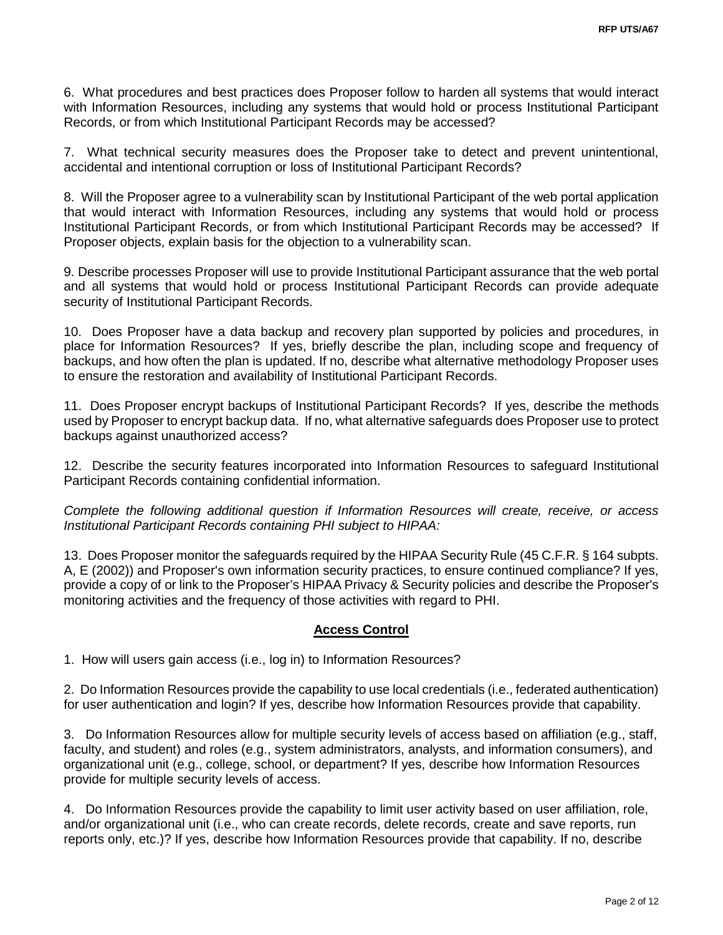6. What procedures and best practices does Proposer follow to harden all systems that would interact with Information Resources, including any systems that would hold or process Institutional Participant Records, or from which Institutional Participant Records may be accessed?

7. What technical security measures does the Proposer take to detect and prevent unintentional, accidental and intentional corruption or loss of Institutional Participant Records?

8. Will the Proposer agree to a vulnerability scan by Institutional Participant of the web portal application that would interact with Information Resources, including any systems that would hold or process Institutional Participant Records, or from which Institutional Participant Records may be accessed? If Proposer objects, explain basis for the objection to a vulnerability scan.

9. Describe processes Proposer will use to provide Institutional Participant assurance that the web portal and all systems that would hold or process Institutional Participant Records can provide adequate security of Institutional Participant Records.

10. Does Proposer have a data backup and recovery plan supported by policies and procedures, in place for Information Resources? If yes, briefly describe the plan, including scope and frequency of backups, and how often the plan is updated. If no, describe what alternative methodology Proposer uses to ensure the restoration and availability of Institutional Participant Records.

11. Does Proposer encrypt backups of Institutional Participant Records? If yes, describe the methods used by Proposer to encrypt backup data. If no, what alternative safeguards does Proposer use to protect backups against unauthorized access?

12. Describe the security features incorporated into Information Resources to safeguard Institutional Participant Records containing confidential information.

*Complete the following additional question if Information Resources will create, receive, or access Institutional Participant Records containing PHI subject to HIPAA:*

13. Does Proposer monitor the safeguards required by the HIPAA Security Rule (45 C.F.R. § 164 subpts. A, E (2002)) and Proposer's own information security practices, to ensure continued compliance? If yes, provide a copy of or link to the Proposer's HIPAA Privacy & Security policies and describe the Proposer's monitoring activities and the frequency of those activities with regard to PHI.

### **Access Control**

1. How will users gain access (i.e., log in) to Information Resources?

2. Do Information Resources provide the capability to use local credentials (i.e., federated authentication) for user authentication and login? If yes, describe how Information Resources provide that capability.

3. Do Information Resources allow for multiple security levels of access based on affiliation (e.g., staff, faculty, and student) and roles (e.g., system administrators, analysts, and information consumers), and organizational unit (e.g., college, school, or department? If yes, describe how Information Resources provide for multiple security levels of access.

4. Do Information Resources provide the capability to limit user activity based on user affiliation, role, and/or organizational unit (i.e., who can create records, delete records, create and save reports, run reports only, etc.)? If yes, describe how Information Resources provide that capability. If no, describe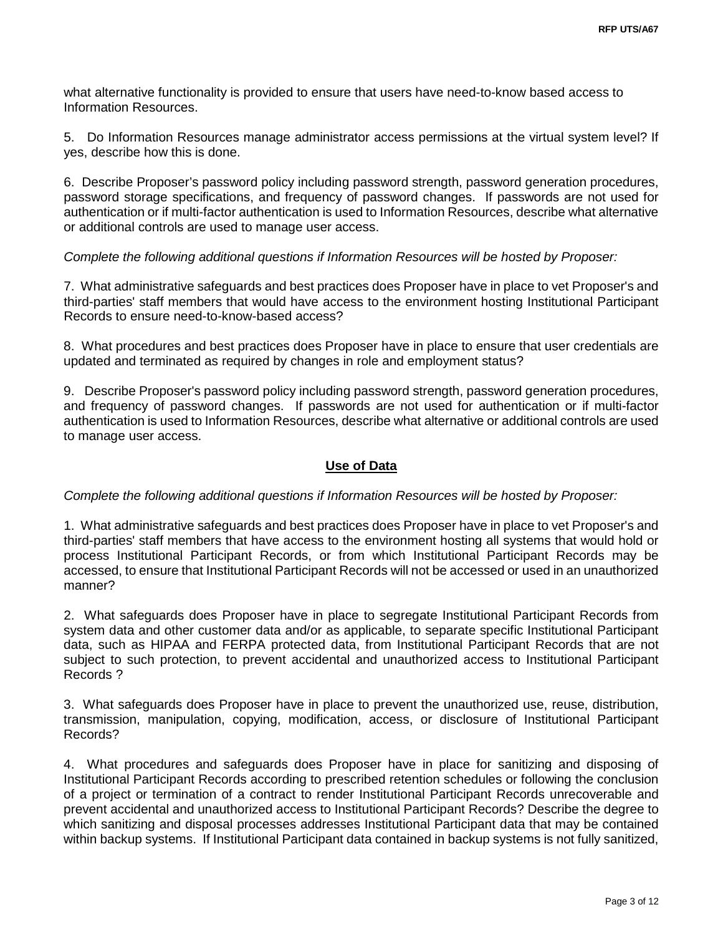what alternative functionality is provided to ensure that users have need-to-know based access to Information Resources.

5. Do Information Resources manage administrator access permissions at the virtual system level? If yes, describe how this is done.

6. Describe Proposer's password policy including password strength, password generation procedures, password storage specifications, and frequency of password changes. If passwords are not used for authentication or if multi-factor authentication is used to Information Resources, describe what alternative or additional controls are used to manage user access.

### *Complete the following additional questions if Information Resources will be hosted by Proposer:*

7. What administrative safeguards and best practices does Proposer have in place to vet Proposer's and third-parties' staff members that would have access to the environment hosting Institutional Participant Records to ensure need-to-know-based access?

8. What procedures and best practices does Proposer have in place to ensure that user credentials are updated and terminated as required by changes in role and employment status?

9. Describe Proposer's password policy including password strength, password generation procedures, and frequency of password changes. If passwords are not used for authentication or if multi-factor authentication is used to Information Resources, describe what alternative or additional controls are used to manage user access.

#### **Use of Data**

### *Complete the following additional questions if Information Resources will be hosted by Proposer:*

1. What administrative safeguards and best practices does Proposer have in place to vet Proposer's and third-parties' staff members that have access to the environment hosting all systems that would hold or process Institutional Participant Records, or from which Institutional Participant Records may be accessed, to ensure that Institutional Participant Records will not be accessed or used in an unauthorized manner?

2. What safeguards does Proposer have in place to segregate Institutional Participant Records from system data and other customer data and/or as applicable, to separate specific Institutional Participant data, such as HIPAA and FERPA protected data, from Institutional Participant Records that are not subject to such protection, to prevent accidental and unauthorized access to Institutional Participant Records ?

3. What safeguards does Proposer have in place to prevent the unauthorized use, reuse, distribution, transmission, manipulation, copying, modification, access, or disclosure of Institutional Participant Records?

4. What procedures and safeguards does Proposer have in place for sanitizing and disposing of Institutional Participant Records according to prescribed retention schedules or following the conclusion of a project or termination of a contract to render Institutional Participant Records unrecoverable and prevent accidental and unauthorized access to Institutional Participant Records? Describe the degree to which sanitizing and disposal processes addresses Institutional Participant data that may be contained within backup systems. If Institutional Participant data contained in backup systems is not fully sanitized,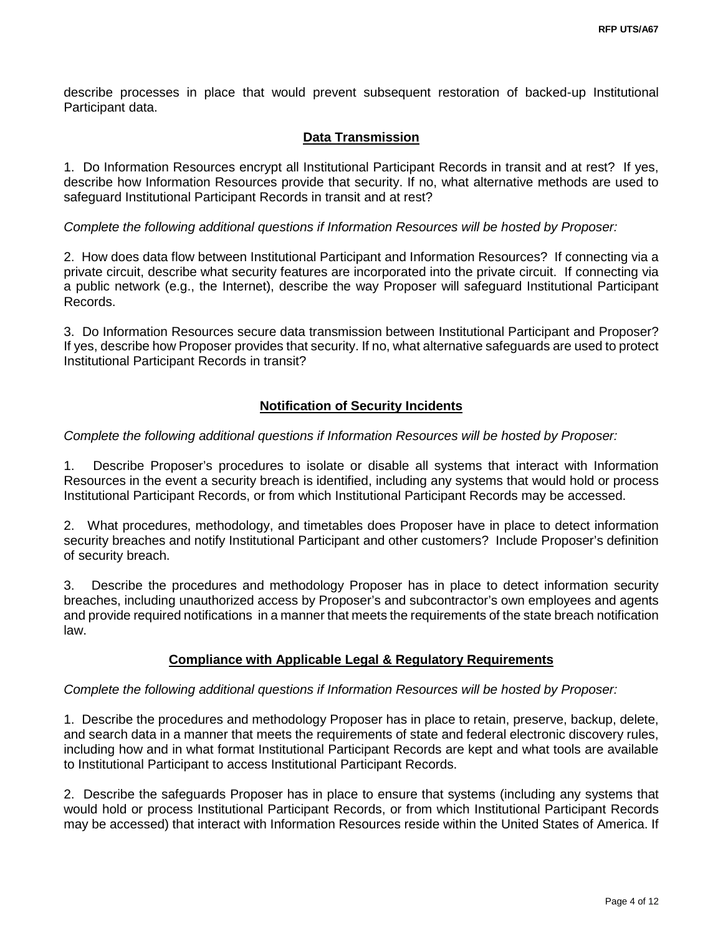describe processes in place that would prevent subsequent restoration of backed-up Institutional Participant data.

### **Data Transmission**

1. Do Information Resources encrypt all Institutional Participant Records in transit and at rest? If yes, describe how Information Resources provide that security. If no, what alternative methods are used to safeguard Institutional Participant Records in transit and at rest?

### *Complete the following additional questions if Information Resources will be hosted by Proposer:*

2. How does data flow between Institutional Participant and Information Resources? If connecting via a private circuit, describe what security features are incorporated into the private circuit. If connecting via a public network (e.g., the Internet), describe the way Proposer will safeguard Institutional Participant Records.

3. Do Information Resources secure data transmission between Institutional Participant and Proposer? If yes, describe how Proposer provides that security. If no, what alternative safeguards are used to protect Institutional Participant Records in transit?

### **Notification of Security Incidents**

### *Complete the following additional questions if Information Resources will be hosted by Proposer:*

1. Describe Proposer's procedures to isolate or disable all systems that interact with Information Resources in the event a security breach is identified, including any systems that would hold or process Institutional Participant Records, or from which Institutional Participant Records may be accessed.

2. What procedures, methodology, and timetables does Proposer have in place to detect information security breaches and notify Institutional Participant and other customers? Include Proposer's definition of security breach.

3. Describe the procedures and methodology Proposer has in place to detect information security breaches, including unauthorized access by Proposer's and subcontractor's own employees and agents and provide required notifications in a manner that meets the requirements of the state breach notification law.

### **Compliance with Applicable Legal & Regulatory Requirements**

### *Complete the following additional questions if Information Resources will be hosted by Proposer:*

1. Describe the procedures and methodology Proposer has in place to retain, preserve, backup, delete, and search data in a manner that meets the requirements of state and federal electronic discovery rules, including how and in what format Institutional Participant Records are kept and what tools are available to Institutional Participant to access Institutional Participant Records.

2. Describe the safeguards Proposer has in place to ensure that systems (including any systems that would hold or process Institutional Participant Records, or from which Institutional Participant Records may be accessed) that interact with Information Resources reside within the United States of America. If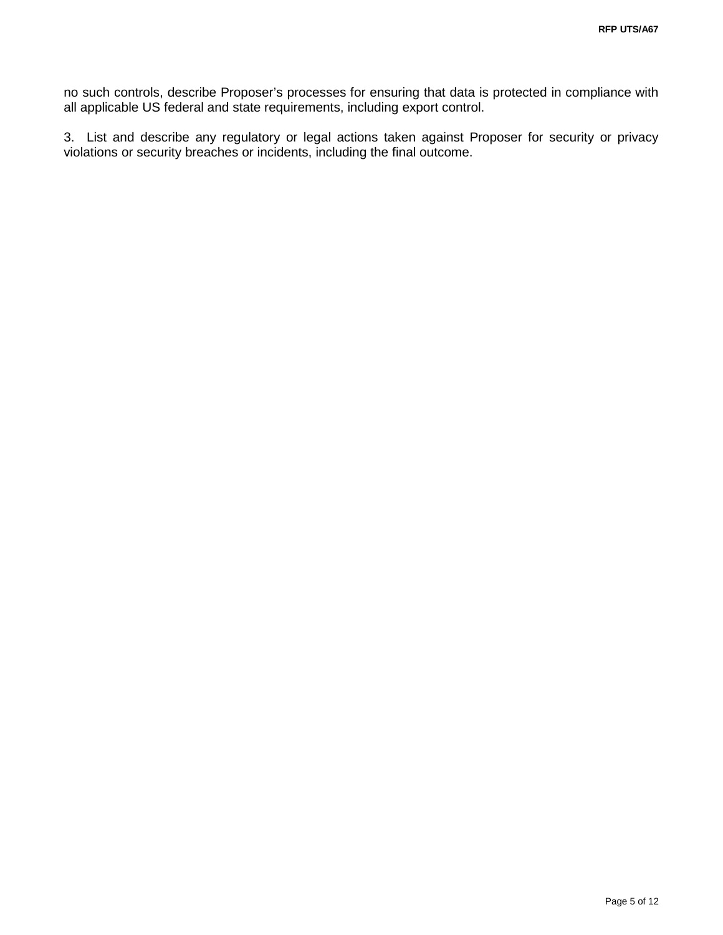no such controls, describe Proposer's processes for ensuring that data is protected in compliance with all applicable US federal and state requirements, including export control.

3. List and describe any regulatory or legal actions taken against Proposer for security or privacy violations or security breaches or incidents, including the final outcome.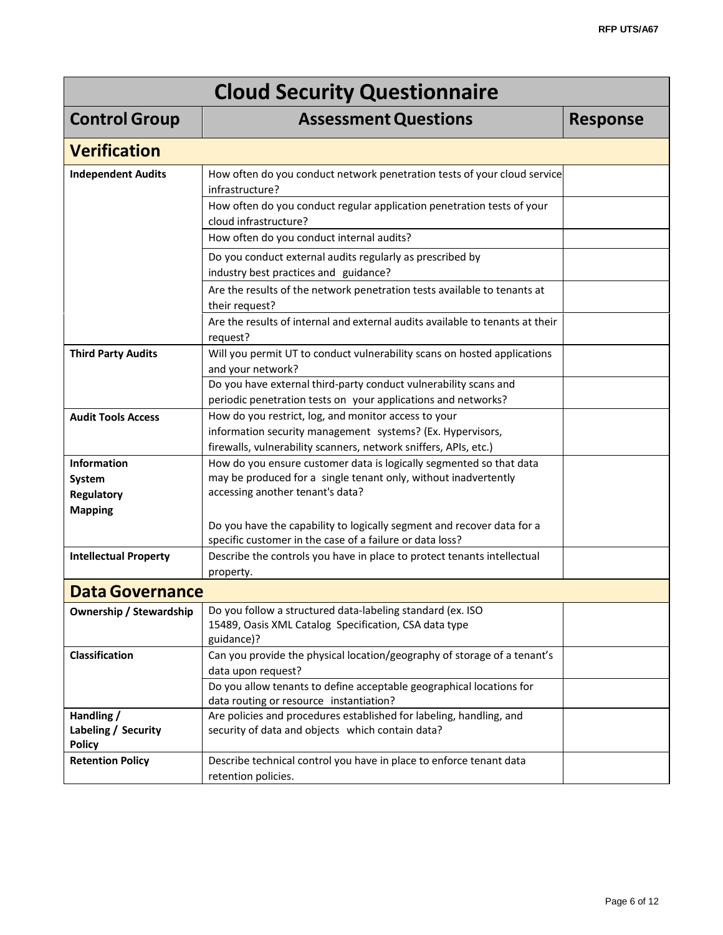| <b>Cloud Security Questionnaire</b>                |                                                                                                                                                                                        |                 |  |  |  |
|----------------------------------------------------|----------------------------------------------------------------------------------------------------------------------------------------------------------------------------------------|-----------------|--|--|--|
| <b>Control Group</b>                               | <b>Assessment Questions</b>                                                                                                                                                            | <b>Response</b> |  |  |  |
| <b>Verification</b>                                |                                                                                                                                                                                        |                 |  |  |  |
| <b>Independent Audits</b>                          | How often do you conduct network penetration tests of your cloud service<br>infrastructure?                                                                                            |                 |  |  |  |
|                                                    | How often do you conduct regular application penetration tests of your<br>cloud infrastructure?                                                                                        |                 |  |  |  |
|                                                    | How often do you conduct internal audits?                                                                                                                                              |                 |  |  |  |
|                                                    | Do you conduct external audits regularly as prescribed by<br>industry best practices and guidance?                                                                                     |                 |  |  |  |
|                                                    | Are the results of the network penetration tests available to tenants at<br>their request?                                                                                             |                 |  |  |  |
|                                                    | Are the results of internal and external audits available to tenants at their<br>request?                                                                                              |                 |  |  |  |
| <b>Third Party Audits</b>                          | Will you permit UT to conduct vulnerability scans on hosted applications<br>and your network?                                                                                          |                 |  |  |  |
|                                                    | Do you have external third-party conduct vulnerability scans and<br>periodic penetration tests on your applications and networks?                                                      |                 |  |  |  |
| <b>Audit Tools Access</b>                          | How do you restrict, log, and monitor access to your<br>information security management systems? (Ex. Hypervisors,<br>firewalls, vulnerability scanners, network sniffers, APIs, etc.) |                 |  |  |  |
| <b>Information</b><br>System                       | How do you ensure customer data is logically segmented so that data<br>may be produced for a single tenant only, without inadvertently                                                 |                 |  |  |  |
| <b>Regulatory</b><br><b>Mapping</b>                | accessing another tenant's data?                                                                                                                                                       |                 |  |  |  |
|                                                    | Do you have the capability to logically segment and recover data for a<br>specific customer in the case of a failure or data loss?                                                     |                 |  |  |  |
| <b>Intellectual Property</b>                       | Describe the controls you have in place to protect tenants intellectual<br>property.                                                                                                   |                 |  |  |  |
| <b>Data Governance</b>                             |                                                                                                                                                                                        |                 |  |  |  |
| <b>Ownership / Stewardship</b>                     | Do you follow a structured data-labeling standard (ex. ISO<br>15489, Oasis XML Catalog Specification, CSA data type<br>guidance)?                                                      |                 |  |  |  |
| Classification                                     | Can you provide the physical location/geography of storage of a tenant's                                                                                                               |                 |  |  |  |
|                                                    | data upon request?<br>Do you allow tenants to define acceptable geographical locations for<br>data routing or resource instantiation?                                                  |                 |  |  |  |
| Handling /<br>Labeling / Security<br><b>Policy</b> | Are policies and procedures established for labeling, handling, and<br>security of data and objects which contain data?                                                                |                 |  |  |  |
| <b>Retention Policy</b>                            | Describe technical control you have in place to enforce tenant data<br>retention policies.                                                                                             |                 |  |  |  |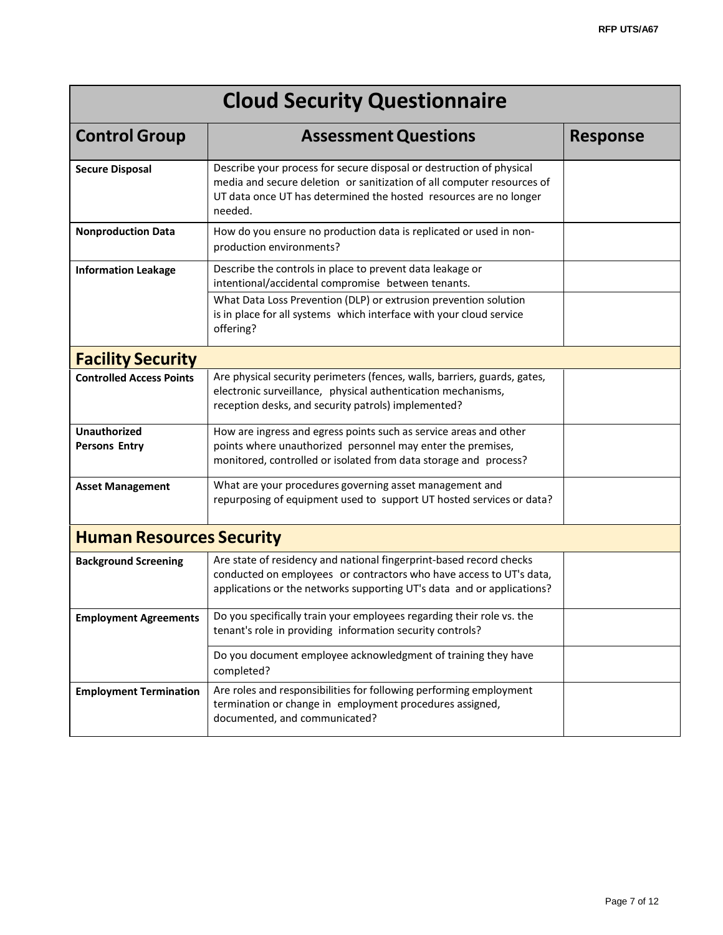| <b>Cloud Security Questionnaire</b>         |                                                                                                                                                                                                                                |                 |  |  |
|---------------------------------------------|--------------------------------------------------------------------------------------------------------------------------------------------------------------------------------------------------------------------------------|-----------------|--|--|
| <b>Control Group</b>                        | <b>Assessment Questions</b>                                                                                                                                                                                                    | <b>Response</b> |  |  |
| <b>Secure Disposal</b>                      | Describe your process for secure disposal or destruction of physical<br>media and secure deletion or sanitization of all computer resources of<br>UT data once UT has determined the hosted resources are no longer<br>needed. |                 |  |  |
| <b>Nonproduction Data</b>                   | How do you ensure no production data is replicated or used in non-<br>production environments?                                                                                                                                 |                 |  |  |
| <b>Information Leakage</b>                  | Describe the controls in place to prevent data leakage or<br>intentional/accidental compromise between tenants.                                                                                                                |                 |  |  |
|                                             | What Data Loss Prevention (DLP) or extrusion prevention solution<br>is in place for all systems which interface with your cloud service<br>offering?                                                                           |                 |  |  |
| <b>Facility Security</b>                    |                                                                                                                                                                                                                                |                 |  |  |
| <b>Controlled Access Points</b>             | Are physical security perimeters (fences, walls, barriers, guards, gates,<br>electronic surveillance, physical authentication mechanisms,<br>reception desks, and security patrols) implemented?                               |                 |  |  |
| <b>Unauthorized</b><br><b>Persons Entry</b> | How are ingress and egress points such as service areas and other<br>points where unauthorized personnel may enter the premises,<br>monitored, controlled or isolated from data storage and process?                           |                 |  |  |
| <b>Asset Management</b>                     | What are your procedures governing asset management and<br>repurposing of equipment used to support UT hosted services or data?                                                                                                |                 |  |  |
| <b>Human Resources Security</b>             |                                                                                                                                                                                                                                |                 |  |  |
| <b>Background Screening</b>                 | Are state of residency and national fingerprint-based record checks<br>conducted on employees or contractors who have access to UT's data,<br>applications or the networks supporting UT's data and or applications?           |                 |  |  |
| <b>Employment Agreements</b>                | Do you specifically train your employees regarding their role vs. the<br>tenant's role in providing information security controls?                                                                                             |                 |  |  |
|                                             | Do you document employee acknowledgment of training they have<br>completed?                                                                                                                                                    |                 |  |  |
| <b>Employment Termination</b>               | Are roles and responsibilities for following performing employment<br>termination or change in employment procedures assigned,<br>documented, and communicated?                                                                |                 |  |  |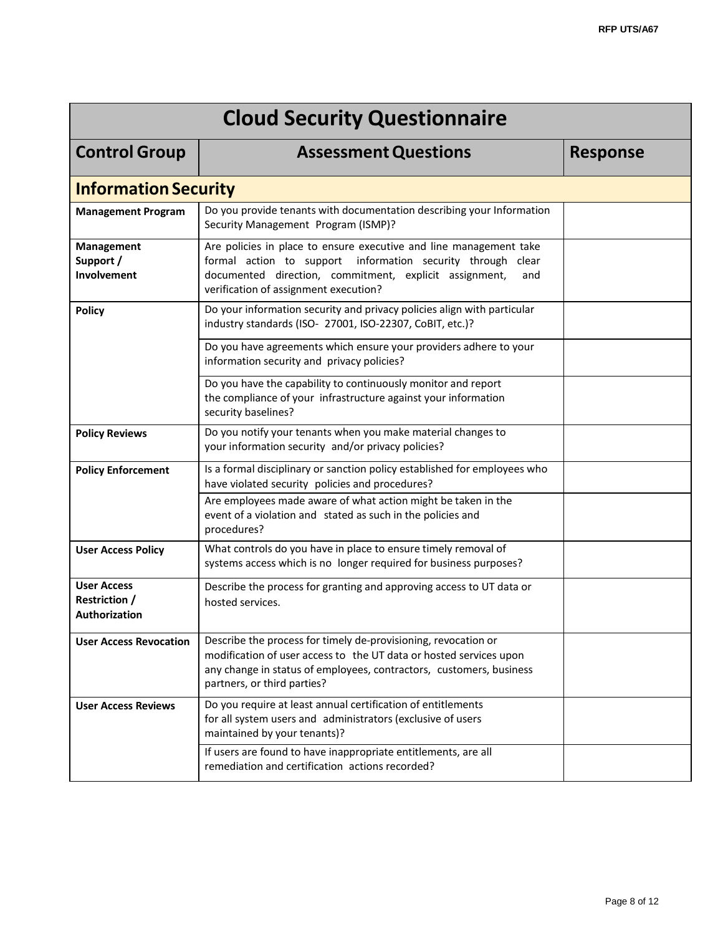| <b>Cloud Security Questionnaire</b>                         |                                                                                                                                                                                                                                             |                 |  |  |  |  |
|-------------------------------------------------------------|---------------------------------------------------------------------------------------------------------------------------------------------------------------------------------------------------------------------------------------------|-----------------|--|--|--|--|
| <b>Control Group</b>                                        | <b>Assessment Questions</b>                                                                                                                                                                                                                 | <b>Response</b> |  |  |  |  |
|                                                             | <b>Information Security</b>                                                                                                                                                                                                                 |                 |  |  |  |  |
| <b>Management Program</b>                                   | Do you provide tenants with documentation describing your Information<br>Security Management Program (ISMP)?                                                                                                                                |                 |  |  |  |  |
| Management<br>Support /<br>Involvement                      | Are policies in place to ensure executive and line management take<br>formal action to support information security through clear<br>documented direction, commitment, explicit assignment,<br>and<br>verification of assignment execution? |                 |  |  |  |  |
| <b>Policy</b>                                               | Do your information security and privacy policies align with particular<br>industry standards (ISO- 27001, ISO-22307, CoBIT, etc.)?                                                                                                         |                 |  |  |  |  |
|                                                             | Do you have agreements which ensure your providers adhere to your<br>information security and privacy policies?                                                                                                                             |                 |  |  |  |  |
|                                                             | Do you have the capability to continuously monitor and report<br>the compliance of your infrastructure against your information<br>security baselines?                                                                                      |                 |  |  |  |  |
| <b>Policy Reviews</b>                                       | Do you notify your tenants when you make material changes to<br>your information security and/or privacy policies?                                                                                                                          |                 |  |  |  |  |
| <b>Policy Enforcement</b>                                   | Is a formal disciplinary or sanction policy established for employees who<br>have violated security policies and procedures?                                                                                                                |                 |  |  |  |  |
|                                                             | Are employees made aware of what action might be taken in the<br>event of a violation and stated as such in the policies and<br>procedures?                                                                                                 |                 |  |  |  |  |
| <b>User Access Policy</b>                                   | What controls do you have in place to ensure timely removal of<br>systems access which is no longer required for business purposes?                                                                                                         |                 |  |  |  |  |
| <b>User Access</b><br><b>Restriction /</b><br>Authorization | Describe the process for granting and approving access to UT data or<br>hosted services.                                                                                                                                                    |                 |  |  |  |  |
| <b>User Access Revocation</b>                               | Describe the process for timely de-provisioning, revocation or<br>modification of user access to the UT data or hosted services upon<br>any change in status of employees, contractors, customers, business<br>partners, or third parties?  |                 |  |  |  |  |
| <b>User Access Reviews</b>                                  | Do you require at least annual certification of entitlements<br>for all system users and administrators (exclusive of users<br>maintained by your tenants)?                                                                                 |                 |  |  |  |  |
|                                                             | If users are found to have inappropriate entitlements, are all<br>remediation and certification actions recorded?                                                                                                                           |                 |  |  |  |  |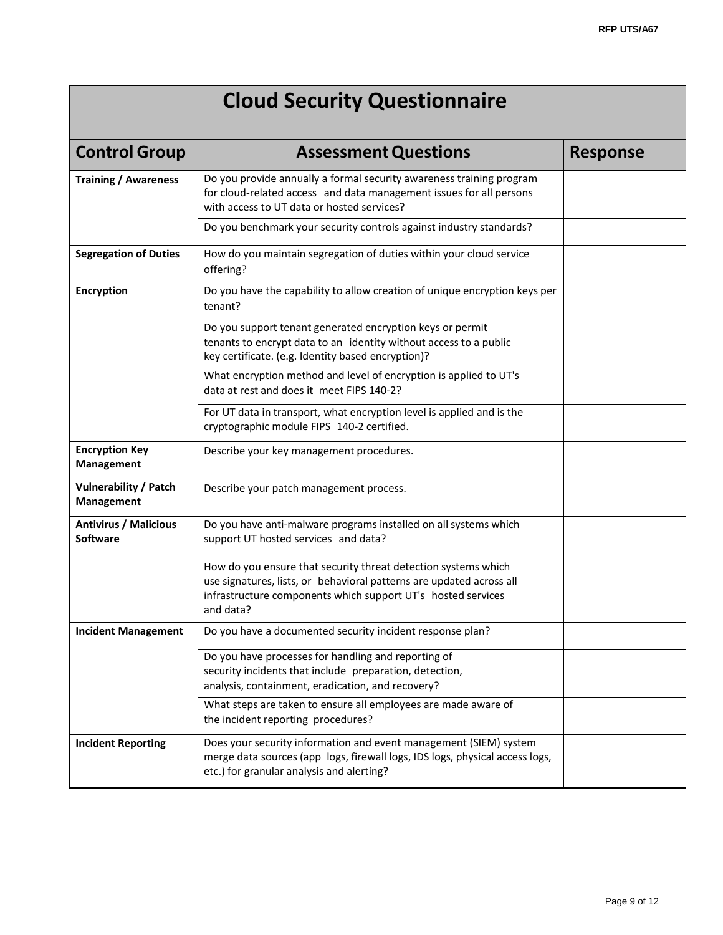# **Cloud Security Questionnaire**

| <b>Control Group</b>                                                                                             | <b>Assessment Questions</b>                                                                                                                                                                                         | <b>Response</b> |
|------------------------------------------------------------------------------------------------------------------|---------------------------------------------------------------------------------------------------------------------------------------------------------------------------------------------------------------------|-----------------|
| <b>Training / Awareness</b>                                                                                      | Do you provide annually a formal security awareness training program<br>for cloud-related access and data management issues for all persons<br>with access to UT data or hosted services?                           |                 |
|                                                                                                                  | Do you benchmark your security controls against industry standards?                                                                                                                                                 |                 |
| <b>Segregation of Duties</b><br>How do you maintain segregation of duties within your cloud service<br>offering? |                                                                                                                                                                                                                     |                 |
| <b>Encryption</b>                                                                                                | Do you have the capability to allow creation of unique encryption keys per<br>tenant?                                                                                                                               |                 |
|                                                                                                                  | Do you support tenant generated encryption keys or permit<br>tenants to encrypt data to an identity without access to a public<br>key certificate. (e.g. Identity based encryption)?                                |                 |
|                                                                                                                  | What encryption method and level of encryption is applied to UT's<br>data at rest and does it meet FIPS 140-2?                                                                                                      |                 |
|                                                                                                                  | For UT data in transport, what encryption level is applied and is the<br>cryptographic module FIPS 140-2 certified.                                                                                                 |                 |
| <b>Encryption Key</b><br><b>Management</b>                                                                       | Describe your key management procedures.                                                                                                                                                                            |                 |
| Vulnerability / Patch<br>Management                                                                              | Describe your patch management process.                                                                                                                                                                             |                 |
| <b>Antivirus / Malicious</b><br><b>Software</b>                                                                  | Do you have anti-malware programs installed on all systems which<br>support UT hosted services and data?                                                                                                            |                 |
|                                                                                                                  | How do you ensure that security threat detection systems which<br>use signatures, lists, or behavioral patterns are updated across all<br>infrastructure components which support UT's hosted services<br>and data? |                 |
| <b>Incident Management</b>                                                                                       | Do you have a documented security incident response plan?                                                                                                                                                           |                 |
|                                                                                                                  | Do you have processes for handling and reporting of<br>security incidents that include preparation, detection,<br>analysis, containment, eradication, and recovery?                                                 |                 |
|                                                                                                                  | What steps are taken to ensure all employees are made aware of<br>the incident reporting procedures?                                                                                                                |                 |
| <b>Incident Reporting</b>                                                                                        | Does your security information and event management (SIEM) system<br>merge data sources (app logs, firewall logs, IDS logs, physical access logs,<br>etc.) for granular analysis and alerting?                      |                 |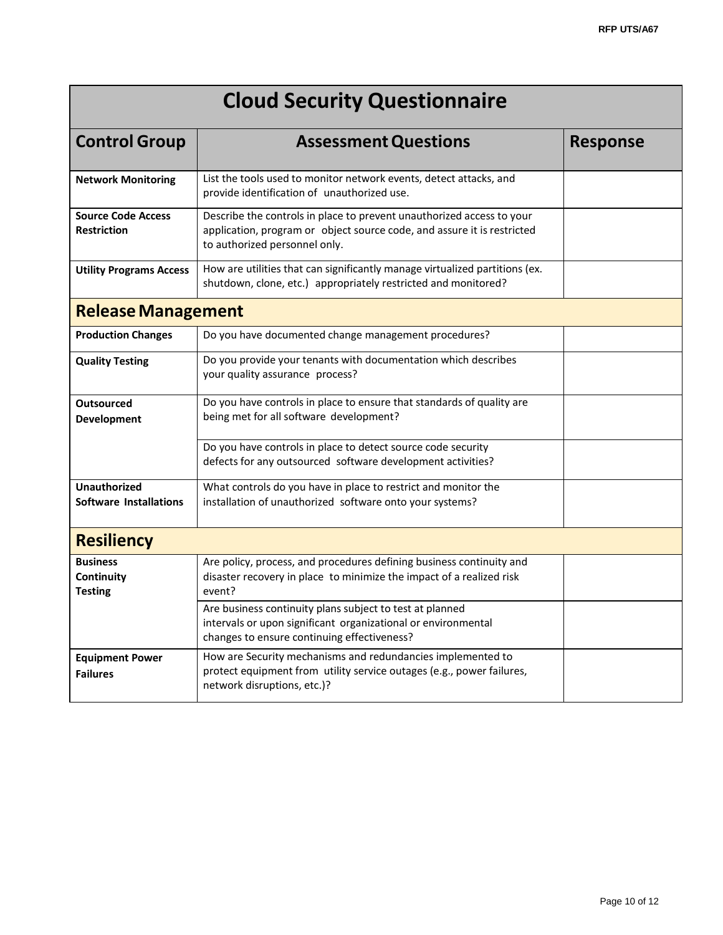| <b>Cloud Security Questionnaire</b>                                                                                                                                                                              |                                                                                                                                                                                   |                 |  |  |
|------------------------------------------------------------------------------------------------------------------------------------------------------------------------------------------------------------------|-----------------------------------------------------------------------------------------------------------------------------------------------------------------------------------|-----------------|--|--|
| <b>Control Group</b>                                                                                                                                                                                             | <b>Assessment Questions</b>                                                                                                                                                       | <b>Response</b> |  |  |
| <b>Network Monitoring</b>                                                                                                                                                                                        | List the tools used to monitor network events, detect attacks, and<br>provide identification of unauthorized use.                                                                 |                 |  |  |
| <b>Source Code Access</b><br><b>Restriction</b>                                                                                                                                                                  | Describe the controls in place to prevent unauthorized access to your<br>application, program or object source code, and assure it is restricted<br>to authorized personnel only. |                 |  |  |
| <b>Utility Programs Access</b>                                                                                                                                                                                   | How are utilities that can significantly manage virtualized partitions (ex.<br>shutdown, clone, etc.) appropriately restricted and monitored?                                     |                 |  |  |
| <b>Release Management</b>                                                                                                                                                                                        |                                                                                                                                                                                   |                 |  |  |
| <b>Production Changes</b>                                                                                                                                                                                        | Do you have documented change management procedures?                                                                                                                              |                 |  |  |
| <b>Quality Testing</b>                                                                                                                                                                                           | Do you provide your tenants with documentation which describes<br>your quality assurance process?                                                                                 |                 |  |  |
| <b>Outsourced</b><br><b>Development</b>                                                                                                                                                                          | Do you have controls in place to ensure that standards of quality are<br>being met for all software development?                                                                  |                 |  |  |
|                                                                                                                                                                                                                  | Do you have controls in place to detect source code security<br>defects for any outsourced software development activities?                                                       |                 |  |  |
| <b>Unauthorized</b><br><b>Software Installations</b>                                                                                                                                                             | What controls do you have in place to restrict and monitor the<br>installation of unauthorized software onto your systems?                                                        |                 |  |  |
| <b>Resiliency</b>                                                                                                                                                                                                |                                                                                                                                                                                   |                 |  |  |
| <b>Business</b><br>Continuity<br><b>Testing</b>                                                                                                                                                                  | Are policy, process, and procedures defining business continuity and<br>disaster recovery in place to minimize the impact of a realized risk<br>event?                            |                 |  |  |
| Are business continuity plans subject to test at planned<br>intervals or upon significant organizational or environmental<br>changes to ensure continuing effectiveness?                                         |                                                                                                                                                                                   |                 |  |  |
| How are Security mechanisms and redundancies implemented to<br><b>Equipment Power</b><br>protect equipment from utility service outages (e.g., power failures,<br><b>Failures</b><br>network disruptions, etc.)? |                                                                                                                                                                                   |                 |  |  |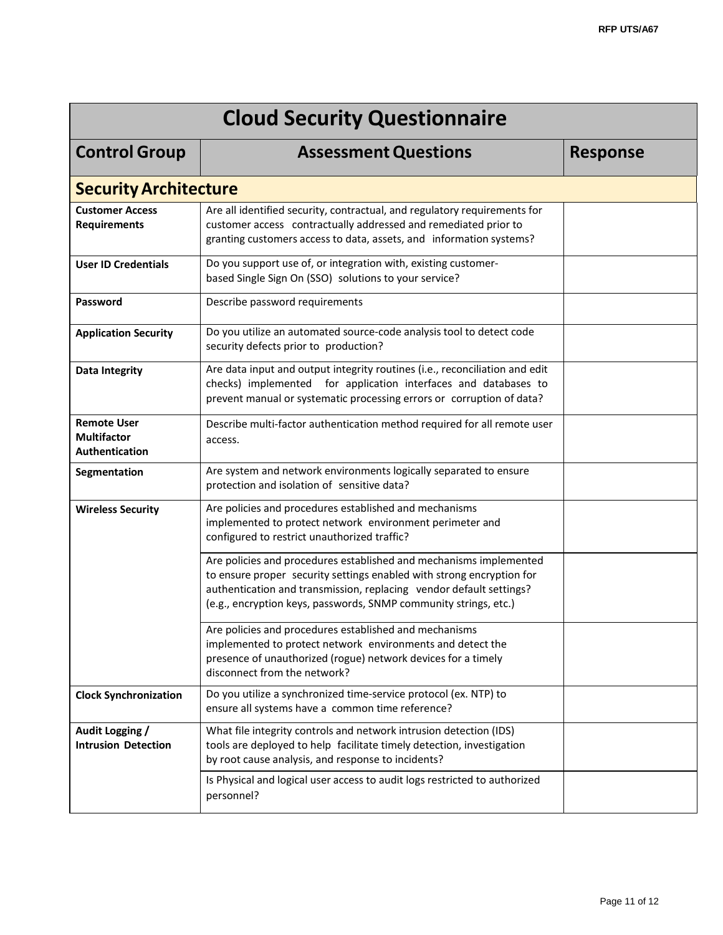| <b>Cloud Security Questionnaire</b>                        |                                                                                                                                                                                                                                                                                        |                 |  |  |
|------------------------------------------------------------|----------------------------------------------------------------------------------------------------------------------------------------------------------------------------------------------------------------------------------------------------------------------------------------|-----------------|--|--|
| <b>Control Group</b>                                       | <b>Assessment Questions</b>                                                                                                                                                                                                                                                            | <b>Response</b> |  |  |
| <b>Security Architecture</b>                               |                                                                                                                                                                                                                                                                                        |                 |  |  |
| <b>Customer Access</b><br><b>Requirements</b>              | Are all identified security, contractual, and regulatory requirements for<br>customer access contractually addressed and remediated prior to<br>granting customers access to data, assets, and information systems?                                                                    |                 |  |  |
| <b>User ID Credentials</b>                                 | Do you support use of, or integration with, existing customer-<br>based Single Sign On (SSO) solutions to your service?                                                                                                                                                                |                 |  |  |
| Password                                                   | Describe password requirements                                                                                                                                                                                                                                                         |                 |  |  |
| <b>Application Security</b>                                | Do you utilize an automated source-code analysis tool to detect code<br>security defects prior to production?                                                                                                                                                                          |                 |  |  |
| <b>Data Integrity</b>                                      | Are data input and output integrity routines (i.e., reconciliation and edit<br>checks) implemented for application interfaces and databases to<br>prevent manual or systematic processing errors or corruption of data?                                                                |                 |  |  |
| <b>Remote User</b><br><b>Multifactor</b><br>Authentication | Describe multi-factor authentication method required for all remote user<br>access.                                                                                                                                                                                                    |                 |  |  |
| Segmentation                                               | Are system and network environments logically separated to ensure<br>protection and isolation of sensitive data?                                                                                                                                                                       |                 |  |  |
| <b>Wireless Security</b>                                   | Are policies and procedures established and mechanisms<br>implemented to protect network environment perimeter and<br>configured to restrict unauthorized traffic?                                                                                                                     |                 |  |  |
|                                                            | Are policies and procedures established and mechanisms implemented<br>to ensure proper security settings enabled with strong encryption for<br>authentication and transmission, replacing vendor default settings?<br>(e.g., encryption keys, passwords, SNMP community strings, etc.) |                 |  |  |
|                                                            | Are policies and procedures established and mechanisms<br>implemented to protect network environments and detect the<br>presence of unauthorized (rogue) network devices for a timely<br>disconnect from the network?                                                                  |                 |  |  |
| <b>Clock Synchronization</b>                               | Do you utilize a synchronized time-service protocol (ex. NTP) to<br>ensure all systems have a common time reference?                                                                                                                                                                   |                 |  |  |
| Audit Logging /<br><b>Intrusion Detection</b>              | What file integrity controls and network intrusion detection (IDS)<br>tools are deployed to help facilitate timely detection, investigation<br>by root cause analysis, and response to incidents?                                                                                      |                 |  |  |
|                                                            | Is Physical and logical user access to audit logs restricted to authorized<br>personnel?                                                                                                                                                                                               |                 |  |  |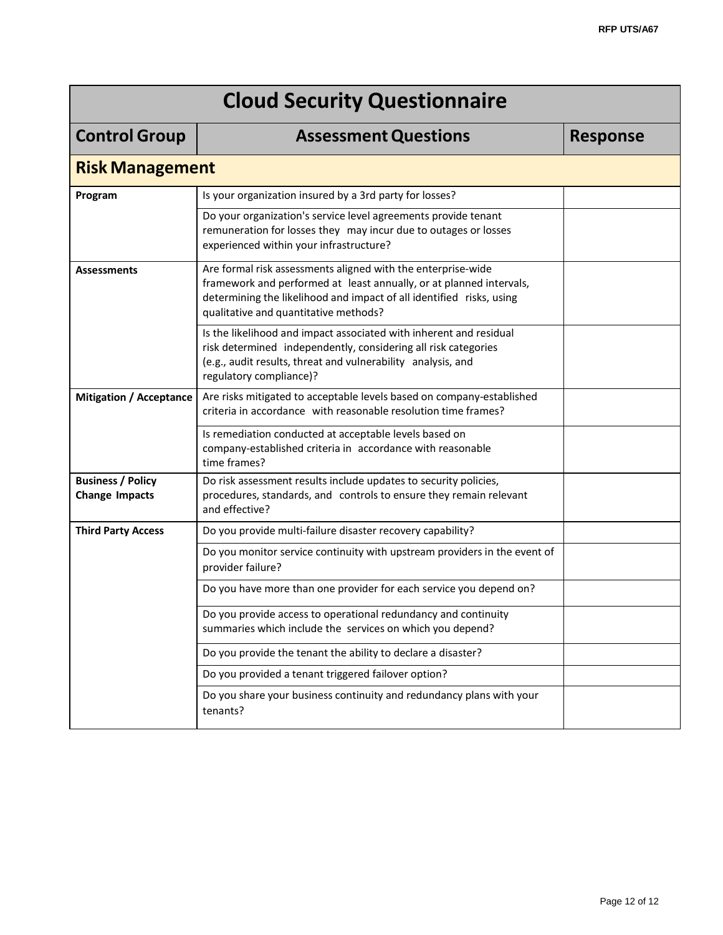| <b>Control Group</b>                              | <b>Assessment Questions</b>                                                                                                                                                                                                                          | <b>Response</b> |  |  |  |  |
|---------------------------------------------------|------------------------------------------------------------------------------------------------------------------------------------------------------------------------------------------------------------------------------------------------------|-----------------|--|--|--|--|
|                                                   | <b>Risk Management</b>                                                                                                                                                                                                                               |                 |  |  |  |  |
| Program                                           | Is your organization insured by a 3rd party for losses?                                                                                                                                                                                              |                 |  |  |  |  |
|                                                   | Do your organization's service level agreements provide tenant<br>remuneration for losses they may incur due to outages or losses<br>experienced within your infrastructure?                                                                         |                 |  |  |  |  |
| <b>Assessments</b>                                | Are formal risk assessments aligned with the enterprise-wide<br>framework and performed at least annually, or at planned intervals,<br>determining the likelihood and impact of all identified risks, using<br>qualitative and quantitative methods? |                 |  |  |  |  |
|                                                   | Is the likelihood and impact associated with inherent and residual<br>risk determined independently, considering all risk categories<br>(e.g., audit results, threat and vulnerability analysis, and<br>regulatory compliance)?                      |                 |  |  |  |  |
| <b>Mitigation / Acceptance</b>                    | Are risks mitigated to acceptable levels based on company-established<br>criteria in accordance with reasonable resolution time frames?                                                                                                              |                 |  |  |  |  |
|                                                   | Is remediation conducted at acceptable levels based on<br>company-established criteria in accordance with reasonable<br>time frames?                                                                                                                 |                 |  |  |  |  |
| <b>Business / Policy</b><br><b>Change Impacts</b> | Do risk assessment results include updates to security policies,<br>procedures, standards, and controls to ensure they remain relevant<br>and effective?                                                                                             |                 |  |  |  |  |
| <b>Third Party Access</b>                         | Do you provide multi-failure disaster recovery capability?                                                                                                                                                                                           |                 |  |  |  |  |
|                                                   | Do you monitor service continuity with upstream providers in the event of<br>provider failure?                                                                                                                                                       |                 |  |  |  |  |
|                                                   | Do you have more than one provider for each service you depend on?                                                                                                                                                                                   |                 |  |  |  |  |
|                                                   | Do you provide access to operational redundancy and continuity<br>summaries which include the services on which you depend?                                                                                                                          |                 |  |  |  |  |
|                                                   | Do you provide the tenant the ability to declare a disaster?                                                                                                                                                                                         |                 |  |  |  |  |
|                                                   | Do you provided a tenant triggered failover option?                                                                                                                                                                                                  |                 |  |  |  |  |
|                                                   | Do you share your business continuity and redundancy plans with your<br>tenants?                                                                                                                                                                     |                 |  |  |  |  |